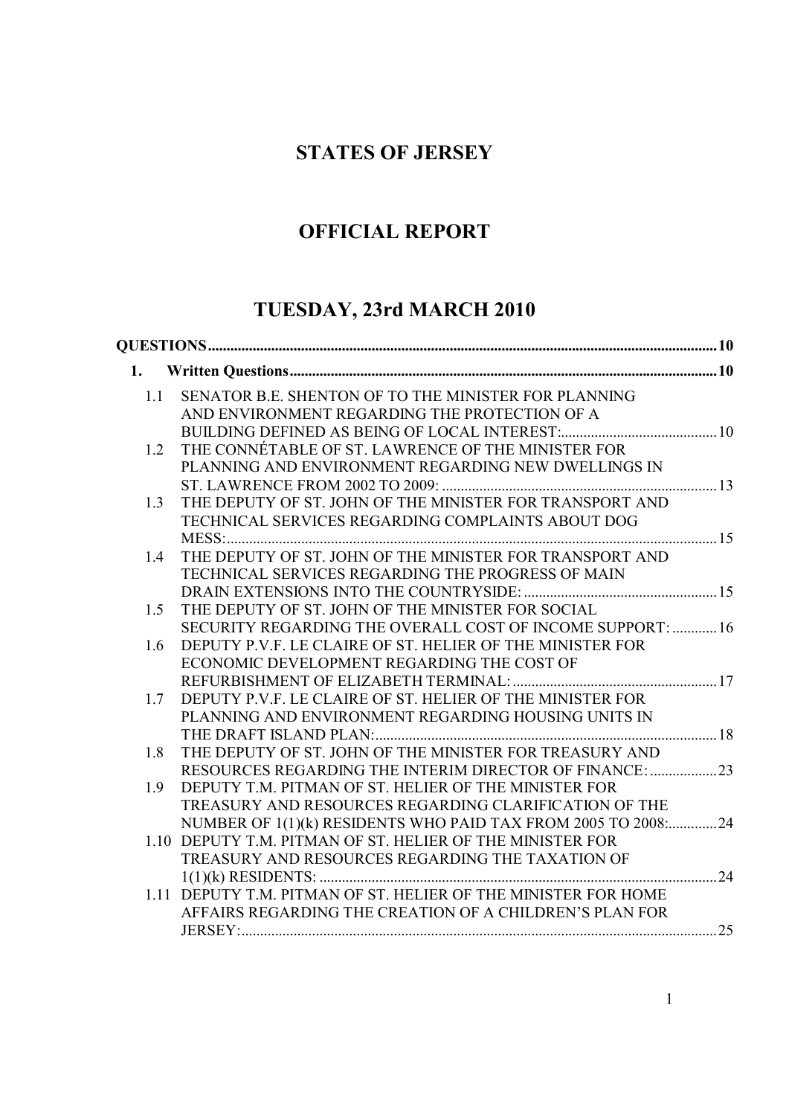## **STATES OF JERSEY**

# **OFFICIAL REPORT**

# **TUESDAY, 23rd MARCH 2010**

| 1.  |                                                                |  |
|-----|----------------------------------------------------------------|--|
| 1.1 | SENATOR B.E. SHENTON OF TO THE MINISTER FOR PLANNING           |  |
|     | AND ENVIRONMENT REGARDING THE PROTECTION OF A                  |  |
|     |                                                                |  |
| 1.2 | THE CONNÉTABLE OF ST. LAWRENCE OF THE MINISTER FOR             |  |
|     | PLANNING AND ENVIRONMENT REGARDING NEW DWELLINGS IN            |  |
|     |                                                                |  |
| 1.3 | THE DEPUTY OF ST. JOHN OF THE MINISTER FOR TRANSPORT AND       |  |
|     | TECHNICAL SERVICES REGARDING COMPLAINTS ABOUT DOG              |  |
|     | MESS                                                           |  |
| 1.4 | THE DEPUTY OF ST. JOHN OF THE MINISTER FOR TRANSPORT AND       |  |
|     | TECHNICAL SERVICES REGARDING THE PROGRESS OF MAIN              |  |
|     |                                                                |  |
| 1.5 | THE DEPUTY OF ST. JOHN OF THE MINISTER FOR SOCIAL              |  |
|     | SECURITY REGARDING THE OVERALL COST OF INCOME SUPPORT:  16     |  |
| 1.6 | DEPUTY P.V.F. LE CLAIRE OF ST. HELIER OF THE MINISTER FOR      |  |
|     | ECONOMIC DEVELOPMENT REGARDING THE COST OF                     |  |
|     |                                                                |  |
| 1.7 | DEPUTY P.V.F. LE CLAIRE OF ST. HELIER OF THE MINISTER FOR      |  |
|     | PLANNING AND ENVIRONMENT REGARDING HOUSING UNITS IN            |  |
|     |                                                                |  |
| 1.8 | THE DEPUTY OF ST. JOHN OF THE MINISTER FOR TREASURY AND        |  |
|     | RESOURCES REGARDING THE INTERIM DIRECTOR OF FINANCE: 23        |  |
| 1.9 | DEPUTY T.M. PITMAN OF ST. HELIER OF THE MINISTER FOR           |  |
|     | TREASURY AND RESOURCES REGARDING CLARIFICATION OF THE          |  |
|     | NUMBER OF 1(1)(k) RESIDENTS WHO PAID TAX FROM 2005 TO 2008:24  |  |
|     | 1.10 DEPUTY T.M. PITMAN OF ST. HELIER OF THE MINISTER FOR      |  |
|     | TREASURY AND RESOURCES REGARDING THE TAXATION OF               |  |
|     |                                                                |  |
|     | 1.11 DEPUTY T.M. PITMAN OF ST. HELIER OF THE MINISTER FOR HOME |  |
|     | AFFAIRS REGARDING THE CREATION OF A CHILDREN'S PLAN FOR        |  |
|     |                                                                |  |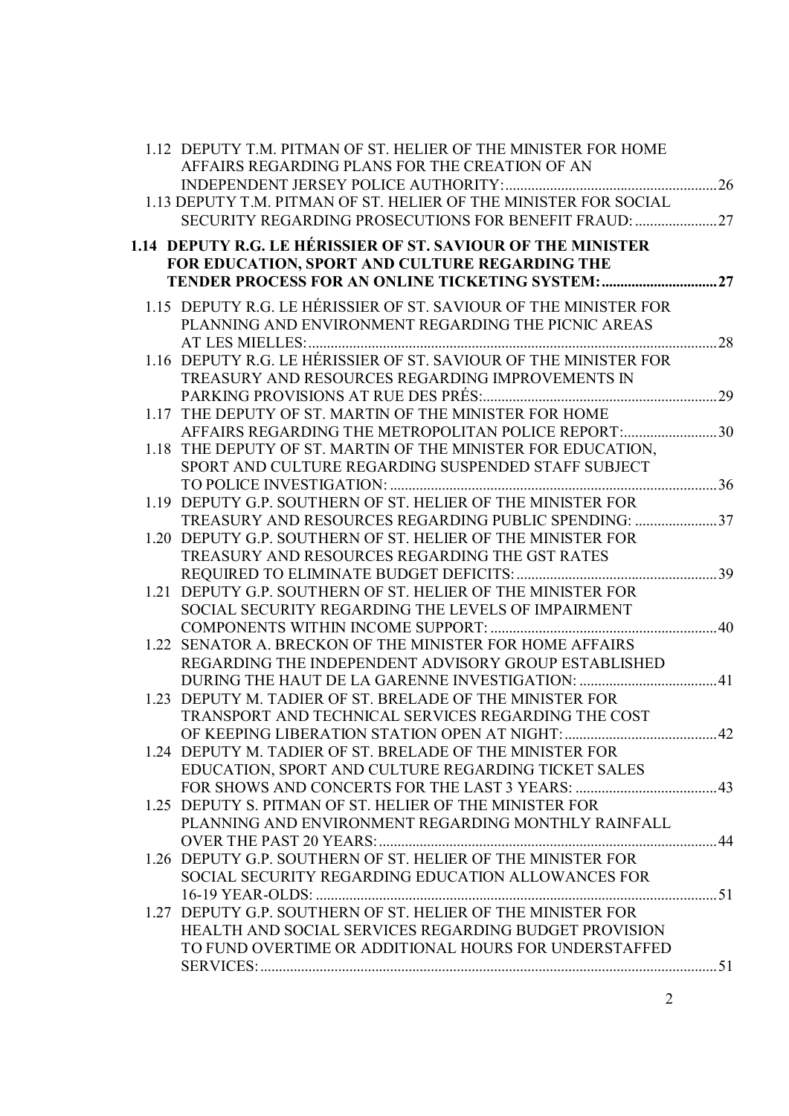| 1.12 DEPUTY T.M. PITMAN OF ST. HELIER OF THE MINISTER FOR HOME<br>AFFAIRS REGARDING PLANS FOR THE CREATION OF AN |  |
|------------------------------------------------------------------------------------------------------------------|--|
| 1.13 DEPUTY T.M. PITMAN OF ST. HELIER OF THE MINISTER FOR SOCIAL                                                 |  |
| SECURITY REGARDING PROSECUTIONS FOR BENEFIT FRAUD: 27                                                            |  |
| 1.14 DEPUTY R.G. LE HÉRISSIER OF ST. SAVIOUR OF THE MINISTER                                                     |  |
| FOR EDUCATION, SPORT AND CULTURE REGARDING THE                                                                   |  |
| TENDER PROCESS FOR AN ONLINE TICKETING SYSTEM:27                                                                 |  |
| 1.15 DEPUTY R.G. LE HÉRISSIER OF ST. SAVIOUR OF THE MINISTER FOR                                                 |  |
| PLANNING AND ENVIRONMENT REGARDING THE PICNIC AREAS                                                              |  |
|                                                                                                                  |  |
| 1.16 DEPUTY R.G. LE HÉRISSIER OF ST. SAVIOUR OF THE MINISTER FOR                                                 |  |
| TREASURY AND RESOURCES REGARDING IMPROVEMENTS IN                                                                 |  |
| 1.17 THE DEPUTY OF ST. MARTIN OF THE MINISTER FOR HOME                                                           |  |
| AFFAIRS REGARDING THE METROPOLITAN POLICE REPORT:30                                                              |  |
| 1.18 THE DEPUTY OF ST. MARTIN OF THE MINISTER FOR EDUCATION,                                                     |  |
| SPORT AND CULTURE REGARDING SUSPENDED STAFF SUBJECT                                                              |  |
|                                                                                                                  |  |
| 1.19 DEPUTY G.P. SOUTHERN OF ST. HELIER OF THE MINISTER FOR                                                      |  |
| TREASURY AND RESOURCES REGARDING PUBLIC SPENDING: 37                                                             |  |
| 1.20 DEPUTY G.P. SOUTHERN OF ST. HELIER OF THE MINISTER FOR                                                      |  |
| TREASURY AND RESOURCES REGARDING THE GST RATES                                                                   |  |
|                                                                                                                  |  |
| 1.21 DEPUTY G.P. SOUTHERN OF ST. HELIER OF THE MINISTER FOR                                                      |  |
| SOCIAL SECURITY REGARDING THE LEVELS OF IMPAIRMENT                                                               |  |
| 1.22 SENATOR A. BRECKON OF THE MINISTER FOR HOME AFFAIRS                                                         |  |
| REGARDING THE INDEPENDENT ADVISORY GROUP ESTABLISHED                                                             |  |
|                                                                                                                  |  |
| 1.23 DEPUTY M. TADIER OF ST. BRELADE OF THE MINISTER FOR                                                         |  |
| TRANSPORT AND TECHNICAL SERVICES REGARDING THE COST                                                              |  |
| OF KEEPING LIBERATION STATION OPEN AT NIGHT:                                                                     |  |
| 1.24 DEPUTY M. TADIER OF ST. BRELADE OF THE MINISTER FOR                                                         |  |
| EDUCATION, SPORT AND CULTURE REGARDING TICKET SALES                                                              |  |
|                                                                                                                  |  |
| 1.25 DEPUTY S. PITMAN OF ST. HELIER OF THE MINISTER FOR                                                          |  |
| PLANNING AND ENVIRONMENT REGARDING MONTHLY RAINFALL                                                              |  |
| 1.26 DEPUTY G.P. SOUTHERN OF ST. HELIER OF THE MINISTER FOR                                                      |  |
| SOCIAL SECURITY REGARDING EDUCATION ALLOWANCES FOR                                                               |  |
|                                                                                                                  |  |
| 1.27 DEPUTY G.P. SOUTHERN OF ST. HELIER OF THE MINISTER FOR                                                      |  |
| <b>HEALTH AND SOCIAL SERVICES REGARDING BUDGET PROVISION</b>                                                     |  |
| TO FUND OVERTIME OR ADDITIONAL HOURS FOR UNDERSTAFFED                                                            |  |
|                                                                                                                  |  |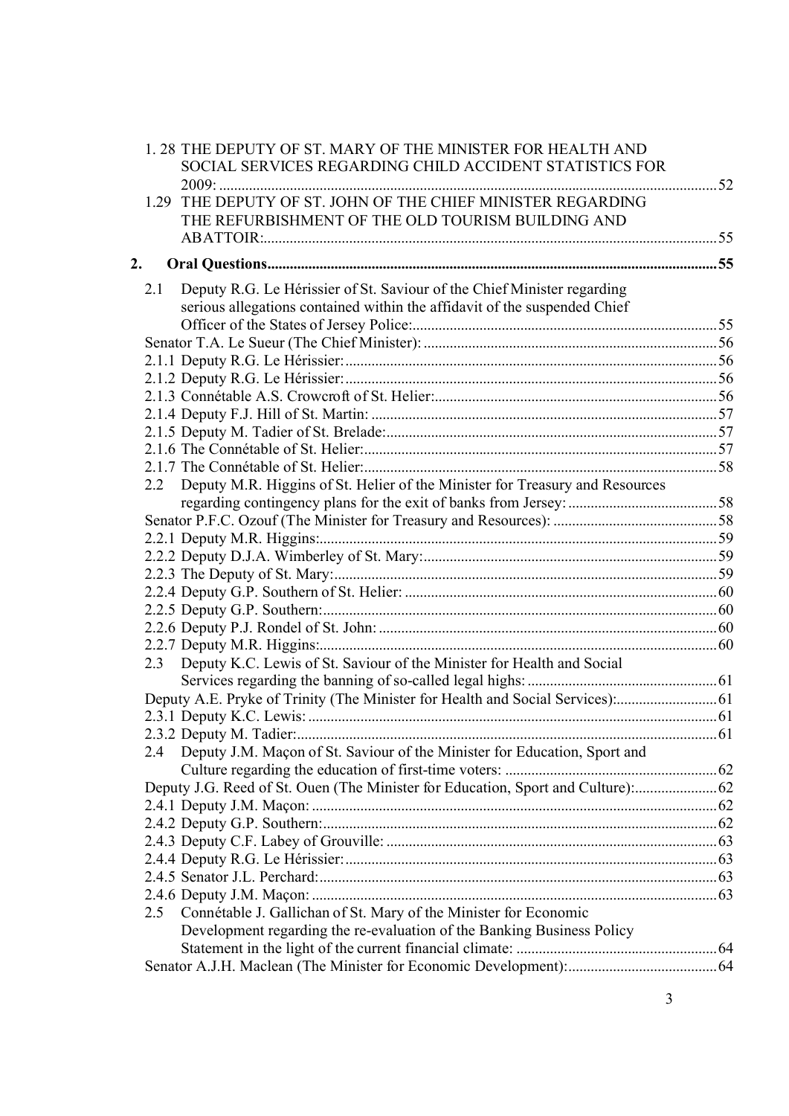|    |      | 1.28 THE DEPUTY OF ST. MARY OF THE MINISTER FOR HEALTH AND                       |      |
|----|------|----------------------------------------------------------------------------------|------|
|    |      | SOCIAL SERVICES REGARDING CHILD ACCIDENT STATISTICS FOR                          |      |
|    |      |                                                                                  | . 52 |
|    | 1.29 | THE DEPUTY OF ST. JOHN OF THE CHIEF MINISTER REGARDING                           |      |
|    |      | THE REFURBISHMENT OF THE OLD TOURISM BUILDING AND                                |      |
|    |      |                                                                                  |      |
| 2. |      |                                                                                  |      |
|    | 2.1  | Deputy R.G. Le Hérissier of St. Saviour of the Chief Minister regarding          |      |
|    |      | serious allegations contained within the affidavit of the suspended Chief        |      |
|    |      |                                                                                  |      |
|    |      |                                                                                  |      |
|    |      |                                                                                  |      |
|    |      |                                                                                  |      |
|    |      |                                                                                  |      |
|    |      |                                                                                  |      |
|    |      |                                                                                  |      |
|    |      |                                                                                  |      |
|    |      |                                                                                  |      |
|    | 2.2  | Deputy M.R. Higgins of St. Helier of the Minister for Treasury and Resources     |      |
|    |      |                                                                                  |      |
|    |      |                                                                                  |      |
|    |      |                                                                                  |      |
|    |      |                                                                                  |      |
|    |      |                                                                                  |      |
|    |      |                                                                                  |      |
|    |      |                                                                                  |      |
|    |      |                                                                                  |      |
|    |      |                                                                                  |      |
|    | 2.3  | Deputy K.C. Lewis of St. Saviour of the Minister for Health and Social           |      |
|    |      |                                                                                  |      |
|    |      | Deputy A.E. Pryke of Trinity (The Minister for Health and Social Services):      |      |
|    |      |                                                                                  |      |
|    |      | 2.3.2 Deputy M. Tadier:                                                          | 61   |
|    |      | 2.4 Deputy J.M. Maçon of St. Saviour of the Minister for Education, Sport and    |      |
|    |      | Deputy J.G. Reed of St. Ouen (The Minister for Education, Sport and Culture): 62 |      |
|    |      |                                                                                  |      |
|    |      |                                                                                  |      |
|    |      |                                                                                  |      |
|    |      |                                                                                  |      |
|    |      |                                                                                  |      |
|    |      |                                                                                  |      |
|    | 2.5  | Connétable J. Gallichan of St. Mary of the Minister for Economic                 |      |
|    |      | Development regarding the re-evaluation of the Banking Business Policy           |      |
|    |      |                                                                                  |      |
|    |      |                                                                                  |      |
|    |      |                                                                                  |      |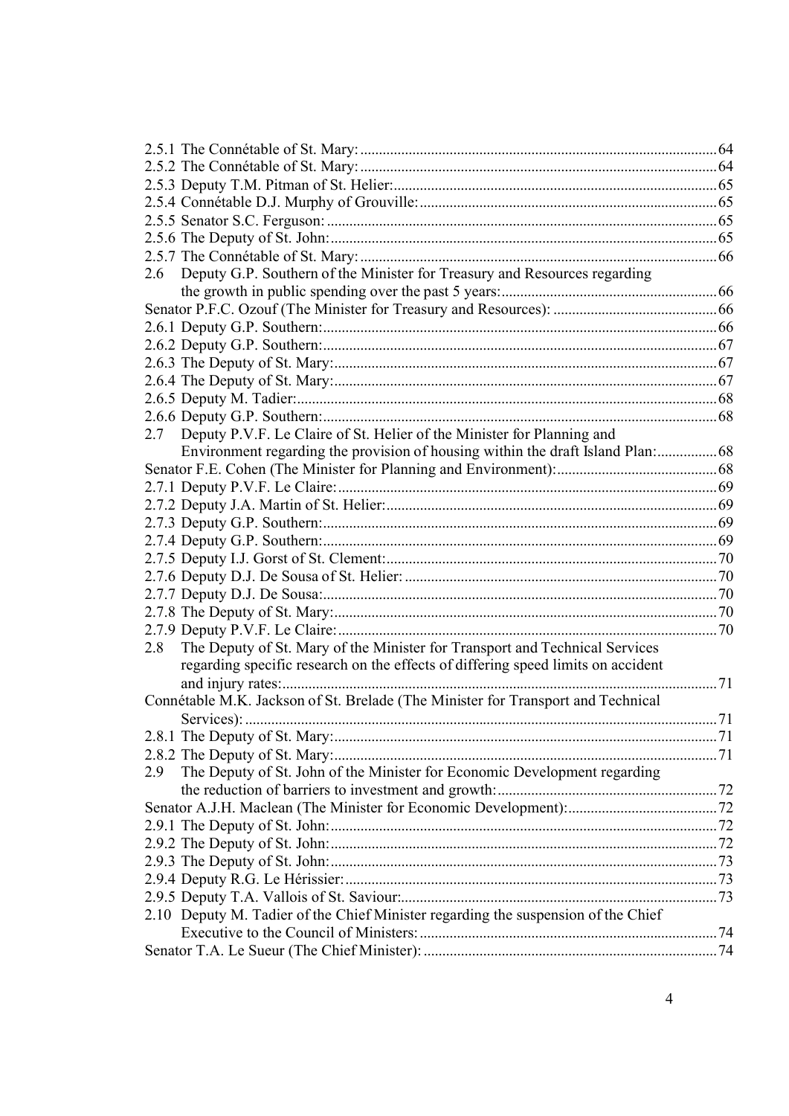| Deputy G.P. Southern of the Minister for Treasury and Resources regarding<br>2.6   |  |
|------------------------------------------------------------------------------------|--|
|                                                                                    |  |
|                                                                                    |  |
|                                                                                    |  |
|                                                                                    |  |
|                                                                                    |  |
|                                                                                    |  |
|                                                                                    |  |
|                                                                                    |  |
| Deputy P.V.F. Le Claire of St. Helier of the Minister for Planning and<br>2.7      |  |
| Environment regarding the provision of housing within the draft Island Plan: 68    |  |
|                                                                                    |  |
|                                                                                    |  |
|                                                                                    |  |
|                                                                                    |  |
|                                                                                    |  |
|                                                                                    |  |
|                                                                                    |  |
|                                                                                    |  |
|                                                                                    |  |
|                                                                                    |  |
| The Deputy of St. Mary of the Minister for Transport and Technical Services<br>2.8 |  |
| regarding specific research on the effects of differing speed limits on accident   |  |
|                                                                                    |  |
| Connétable M.K. Jackson of St. Brelade (The Minister for Transport and Technical   |  |
|                                                                                    |  |
|                                                                                    |  |
|                                                                                    |  |
| The Deputy of St. John of the Minister for Economic Development regarding<br>2.9   |  |
|                                                                                    |  |
|                                                                                    |  |
|                                                                                    |  |
|                                                                                    |  |
|                                                                                    |  |
|                                                                                    |  |
|                                                                                    |  |
| 2.10 Deputy M. Tadier of the Chief Minister regarding the suspension of the Chief  |  |
|                                                                                    |  |
|                                                                                    |  |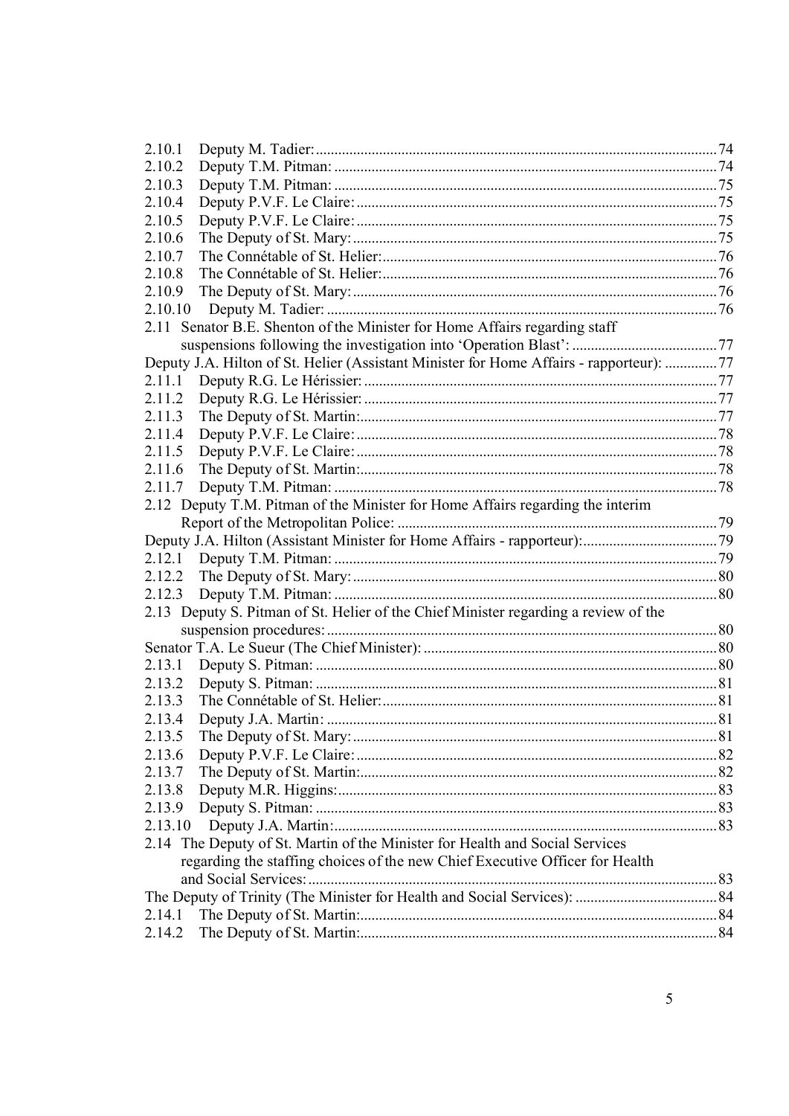| 2.10.1  |                                                                                         |  |
|---------|-----------------------------------------------------------------------------------------|--|
| 2.10.2  |                                                                                         |  |
| 2.10.3  |                                                                                         |  |
| 2.10.4  |                                                                                         |  |
| 2.10.5  |                                                                                         |  |
| 2.10.6  |                                                                                         |  |
| 2.10.7  |                                                                                         |  |
| 2.10.8  |                                                                                         |  |
| 2.10.9  |                                                                                         |  |
| 2.10.10 |                                                                                         |  |
|         | 2.11 Senator B.E. Shenton of the Minister for Home Affairs regarding staff              |  |
|         |                                                                                         |  |
|         | Deputy J.A. Hilton of St. Helier (Assistant Minister for Home Affairs - rapporteur): 77 |  |
|         |                                                                                         |  |
| 2.11.2  |                                                                                         |  |
| 2.11.3  |                                                                                         |  |
| 2.11.4  |                                                                                         |  |
| 2.11.5  |                                                                                         |  |
| 2.11.6  |                                                                                         |  |
| 2.11.7  |                                                                                         |  |
|         | 2.12 Deputy T.M. Pitman of the Minister for Home Affairs regarding the interim          |  |
|         |                                                                                         |  |
|         |                                                                                         |  |
|         |                                                                                         |  |
| 2.12.2  |                                                                                         |  |
| 2.12.3  |                                                                                         |  |
|         | 2.13 Deputy S. Pitman of St. Helier of the Chief Minister regarding a review of the     |  |
|         |                                                                                         |  |
|         |                                                                                         |  |
| 2.13.1  |                                                                                         |  |
| 2.13.2  |                                                                                         |  |
| 2.13.3  |                                                                                         |  |
| 2.13.4  |                                                                                         |  |
| 2.13.5  |                                                                                         |  |
| 2.13.6  |                                                                                         |  |
| 2.13.7  |                                                                                         |  |
| 2.13.8  |                                                                                         |  |
| 2.13.9  |                                                                                         |  |
| 2.13.10 |                                                                                         |  |
|         | 2.14 The Deputy of St. Martin of the Minister for Health and Social Services            |  |
|         | regarding the staffing choices of the new Chief Executive Officer for Health            |  |
|         |                                                                                         |  |
| 2.14.1  |                                                                                         |  |
| 2.14.2  |                                                                                         |  |
|         |                                                                                         |  |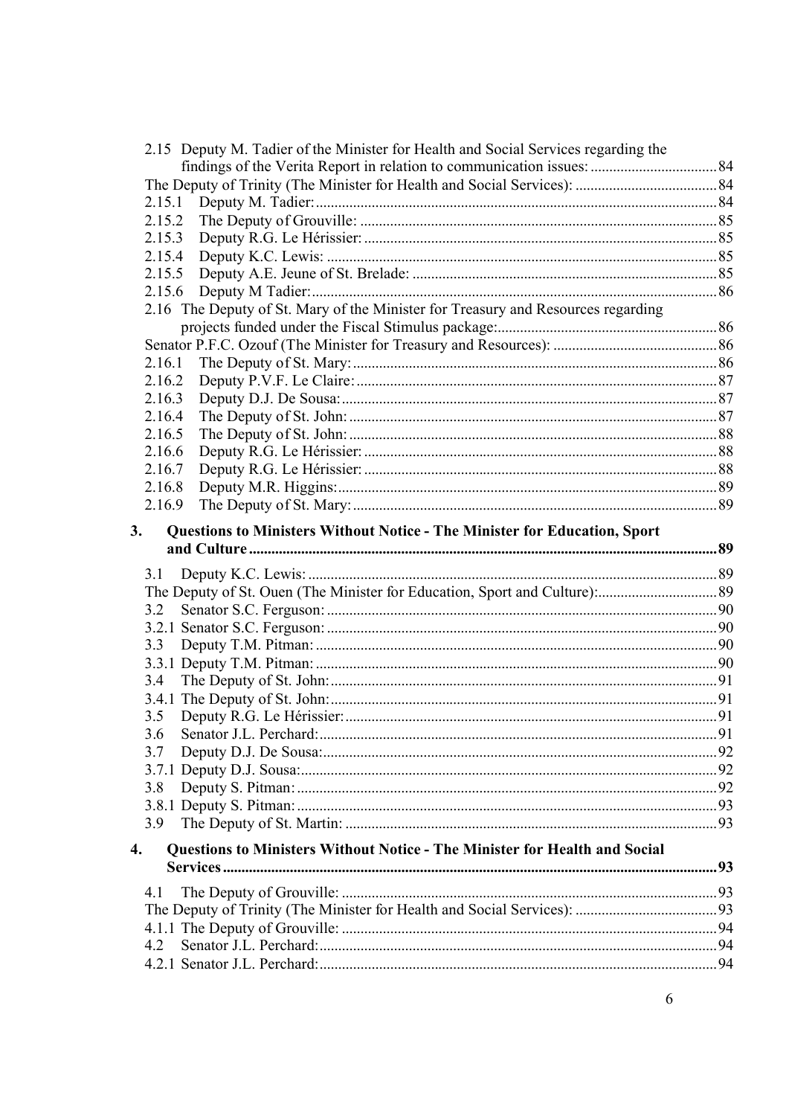|    | 2.15 Deputy M. Tadier of the Minister for Health and Social Services regarding the |  |
|----|------------------------------------------------------------------------------------|--|
|    |                                                                                    |  |
|    |                                                                                    |  |
|    | 2.15.1                                                                             |  |
|    | 2.15.2                                                                             |  |
|    | 2.15.3                                                                             |  |
|    |                                                                                    |  |
|    |                                                                                    |  |
|    |                                                                                    |  |
|    | 2.16 The Deputy of St. Mary of the Minister for Treasury and Resources regarding   |  |
|    |                                                                                    |  |
|    |                                                                                    |  |
|    | 2.16.1                                                                             |  |
|    | 2.16.2                                                                             |  |
|    | 2.16.3                                                                             |  |
|    | 2.16.4                                                                             |  |
|    | 2.16.5                                                                             |  |
|    | 2.16.6                                                                             |  |
|    | 2.16.7                                                                             |  |
|    | 2.16.8                                                                             |  |
|    | 2.16.9                                                                             |  |
| 3. | Questions to Ministers Without Notice - The Minister for Education, Sport          |  |
|    |                                                                                    |  |
|    |                                                                                    |  |
|    | 3.1                                                                                |  |
|    |                                                                                    |  |
|    | 3.2                                                                                |  |
|    |                                                                                    |  |
|    | 3.3                                                                                |  |
|    |                                                                                    |  |
|    | 3.4                                                                                |  |
|    |                                                                                    |  |
|    | 3.5                                                                                |  |
|    |                                                                                    |  |
|    | 3.7                                                                                |  |
|    |                                                                                    |  |
|    | 3.8                                                                                |  |
|    |                                                                                    |  |
|    | 3.9                                                                                |  |
| 4. | Questions to Ministers Without Notice - The Minister for Health and Social         |  |
|    |                                                                                    |  |
|    | 4.1                                                                                |  |
|    |                                                                                    |  |
|    |                                                                                    |  |
|    | 4.2                                                                                |  |
|    |                                                                                    |  |
|    |                                                                                    |  |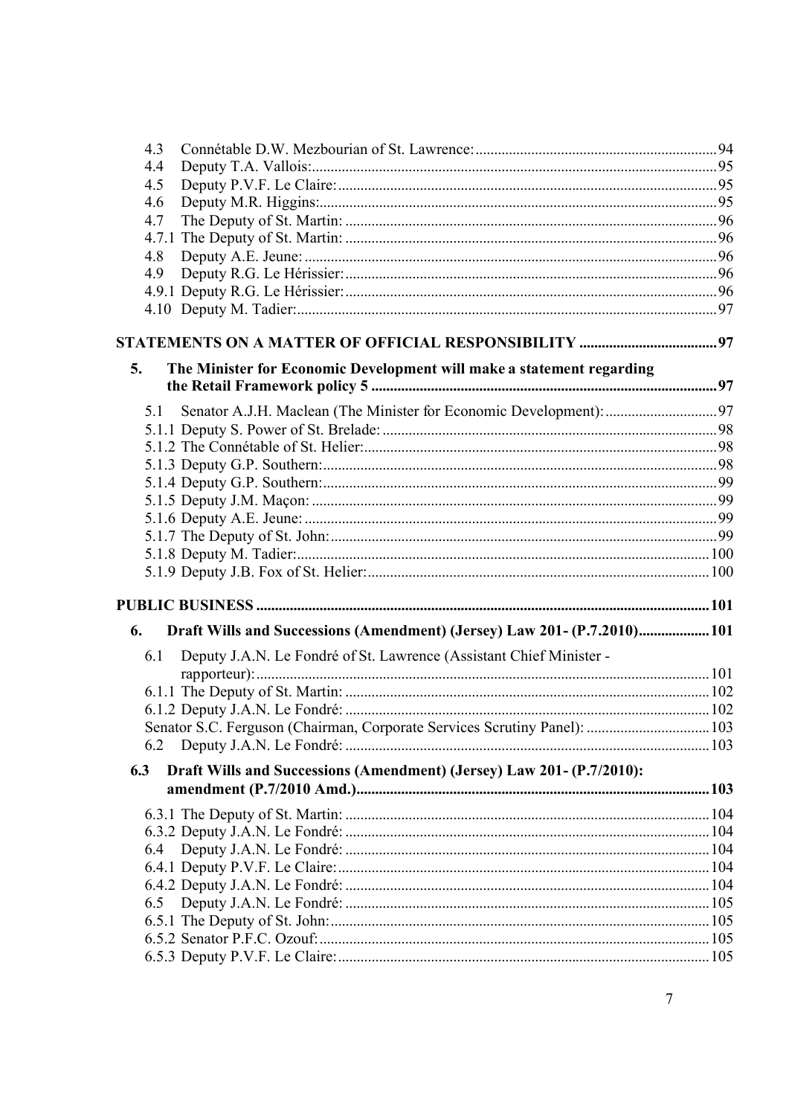| 4.3 |                                                                           |  |
|-----|---------------------------------------------------------------------------|--|
| 4.4 |                                                                           |  |
| 4.5 |                                                                           |  |
| 4.6 |                                                                           |  |
| 4.7 |                                                                           |  |
|     |                                                                           |  |
| 4.8 |                                                                           |  |
| 4.9 |                                                                           |  |
|     |                                                                           |  |
|     |                                                                           |  |
|     |                                                                           |  |
| 5.  | The Minister for Economic Development will make a statement regarding     |  |
|     |                                                                           |  |
| 5.1 |                                                                           |  |
|     |                                                                           |  |
|     |                                                                           |  |
|     |                                                                           |  |
|     |                                                                           |  |
|     |                                                                           |  |
|     |                                                                           |  |
|     |                                                                           |  |
|     |                                                                           |  |
|     |                                                                           |  |
|     |                                                                           |  |
| 6.  | Draft Wills and Successions (Amendment) (Jersey) Law 201- (P.7.2010) 101  |  |
| 6.1 | Deputy J.A.N. Le Fondré of St. Lawrence (Assistant Chief Minister -       |  |
|     |                                                                           |  |
|     |                                                                           |  |
|     |                                                                           |  |
|     | Senator S.C. Ferguson (Chairman, Corporate Services Scrutiny Panel):  103 |  |
|     |                                                                           |  |
| 6.3 | Draft Wills and Successions (Amendment) (Jersey) Law 201- (P.7/2010):     |  |
|     |                                                                           |  |
|     |                                                                           |  |
|     |                                                                           |  |
| 6.4 |                                                                           |  |
|     |                                                                           |  |
|     |                                                                           |  |
|     |                                                                           |  |
|     |                                                                           |  |
|     |                                                                           |  |
|     |                                                                           |  |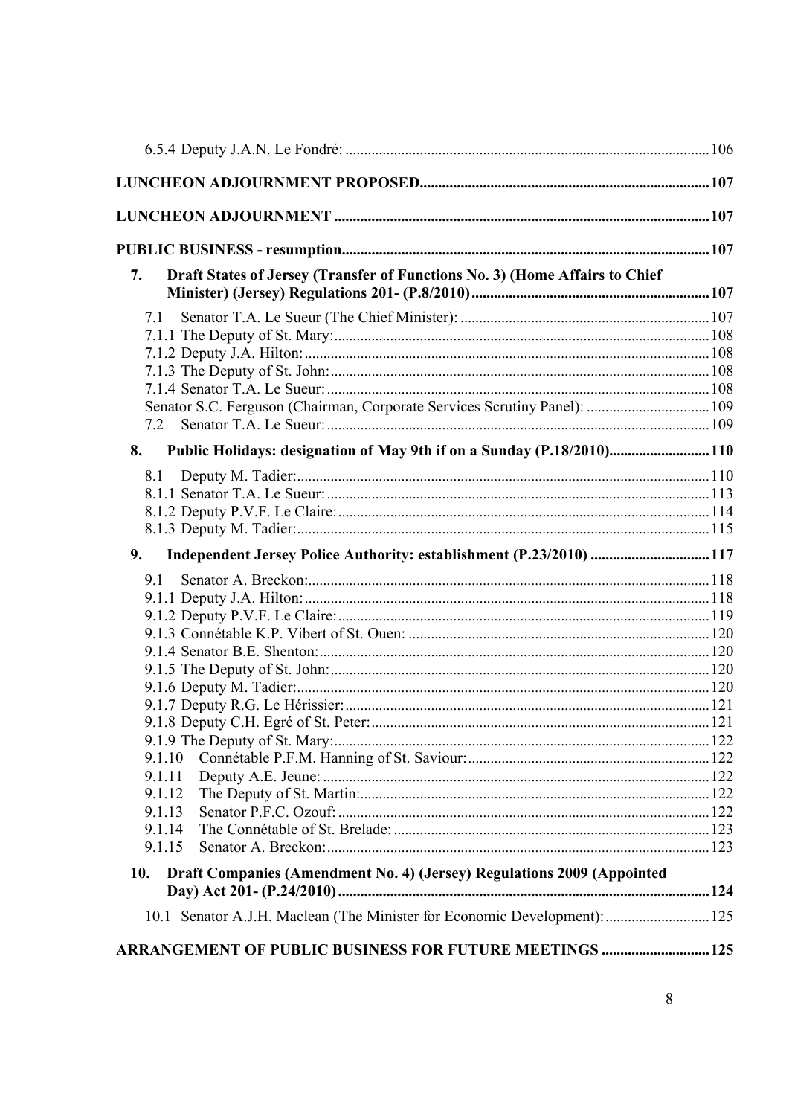| Draft States of Jersey (Transfer of Functions No. 3) (Home Affairs to Chief<br>7. |  |
|-----------------------------------------------------------------------------------|--|
| 7.1                                                                               |  |
|                                                                                   |  |
|                                                                                   |  |
|                                                                                   |  |
|                                                                                   |  |
| Senator S.C. Ferguson (Chairman, Corporate Services Scrutiny Panel):  109         |  |
| Public Holidays: designation of May 9th if on a Sunday (P.18/2010) 110<br>8.      |  |
| 8.1                                                                               |  |
|                                                                                   |  |
|                                                                                   |  |
|                                                                                   |  |
| Independent Jersey Police Authority: establishment (P.23/2010)  117<br>9.         |  |
| 9.1                                                                               |  |
|                                                                                   |  |
|                                                                                   |  |
|                                                                                   |  |
|                                                                                   |  |
|                                                                                   |  |
|                                                                                   |  |
|                                                                                   |  |
|                                                                                   |  |
| 9.1.10                                                                            |  |
| 9.1.11                                                                            |  |
| 9.1.12                                                                            |  |
| 9.1.13                                                                            |  |
| 9.1.14                                                                            |  |
| 9.1.15                                                                            |  |
| Draft Companies (Amendment No. 4) (Jersey) Regulations 2009 (Appointed<br>10.     |  |
| 10.1 Senator A.J.H. Maclean (The Minister for Economic Development):  125         |  |
| ARRANGEMENT OF PUBLIC BUSINESS FOR FUTURE MEETINGS  125                           |  |
|                                                                                   |  |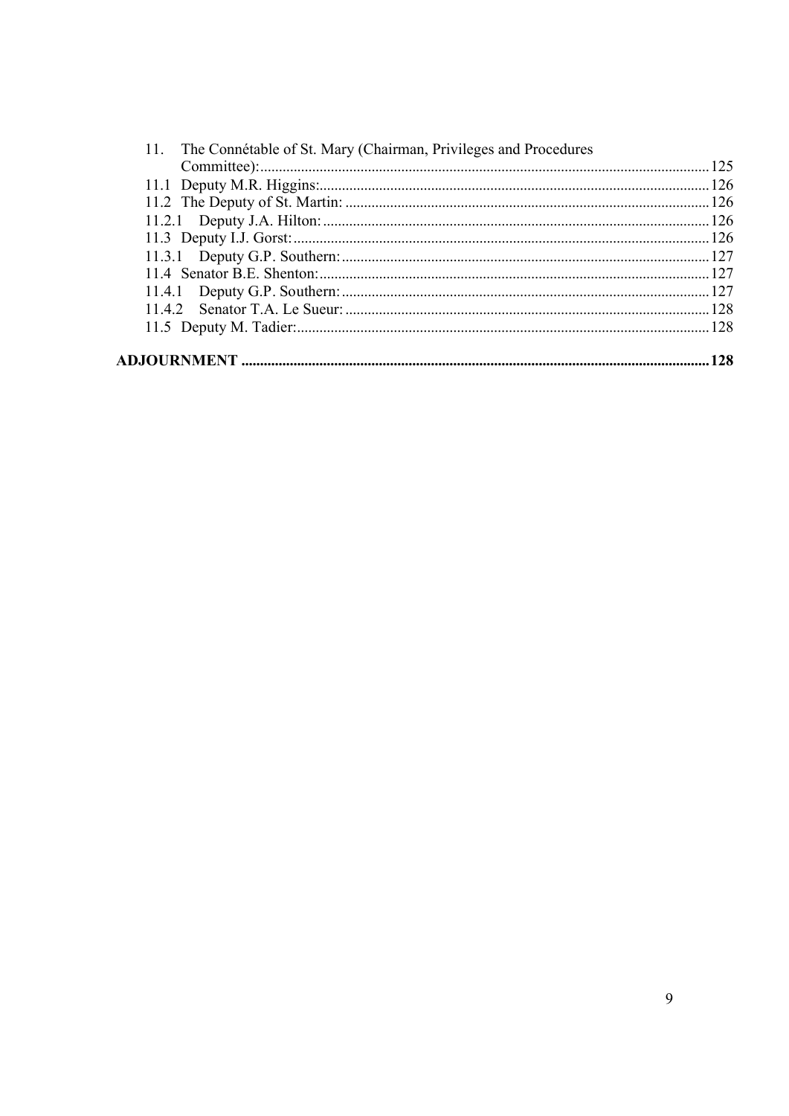|  | 11. The Connétable of St. Mary (Chairman, Privileges and Procedures |  |
|--|---------------------------------------------------------------------|--|
|  |                                                                     |  |
|  |                                                                     |  |
|  |                                                                     |  |
|  |                                                                     |  |
|  |                                                                     |  |
|  |                                                                     |  |
|  |                                                                     |  |
|  |                                                                     |  |
|  |                                                                     |  |
|  |                                                                     |  |
|  |                                                                     |  |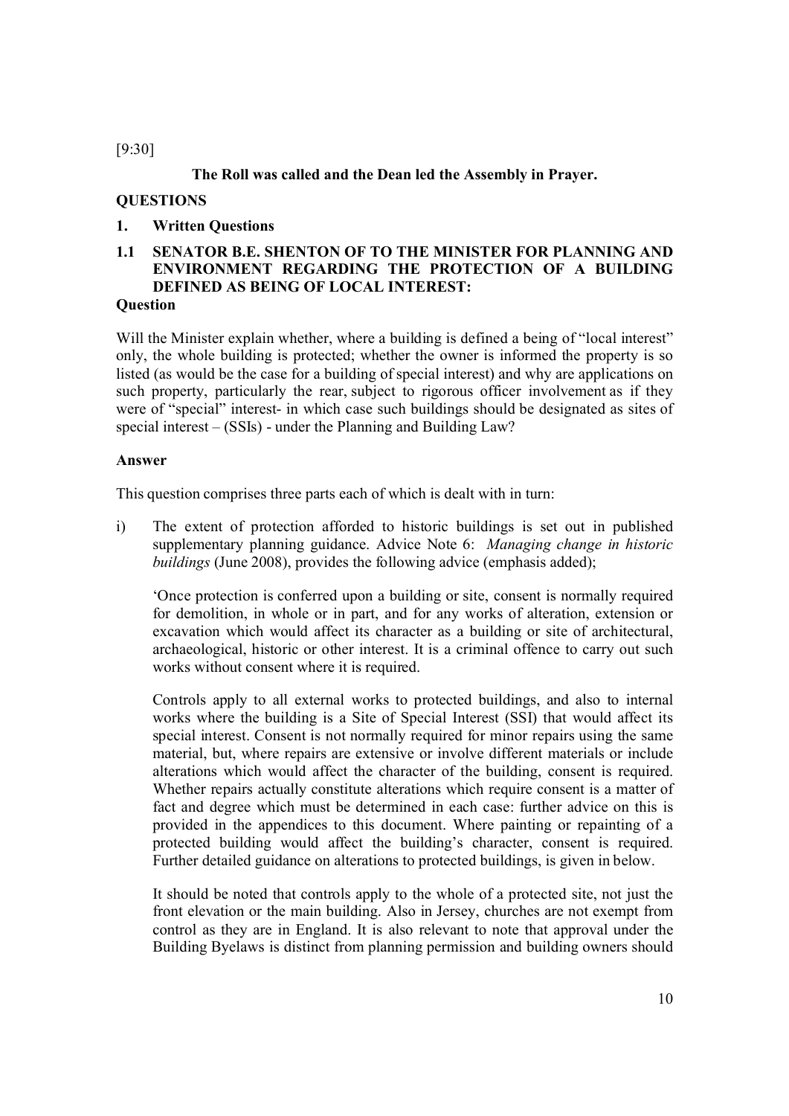[9:30]

**The Roll was called and the Dean led the Assembly in Prayer.**

## **QUESTIONS**

## **1. Written Questions**

## **1.1 SENATOR B.E. SHENTON OF TO THE MINISTER FOR PLANNING AND ENVIRONMENT REGARDING THE PROTECTION OF A BUILDING DEFINED AS BEING OF LOCAL INTEREST:**

## **Question**

Will the Minister explain whether, where a building is defined a being of "local interest" only, the whole building is protected; whether the owner is informed the property is so listed (as would be the case for a building of special interest) and why are applications on such property, particularly the rear, subject to rigorous officer involvement as if they were of "special" interest- in which case such buildings should be designated as sites of special interest – (SSIs) - under the Planning and Building Law?

#### **Answer**

This question comprises three parts each of which is dealt with in turn:

i) The extent of protection afforded to historic buildings is set out in published supplementary planning guidance. Advice Note 6: *Managing change in historic buildings* (June 2008), provides the following advice (emphasis added);

'Once protection is conferred upon a building or site, consent is normally required for demolition, in whole or in part, and for any works of alteration, extension or excavation which would affect its character as a building or site of architectural, archaeological, historic or other interest. It is a criminal offence to carry out such works without consent where it is required.

Controls apply to all external works to protected buildings, and also to internal works where the building is a Site of Special Interest (SSI) that would affect its special interest. Consent is not normally required for minor repairs using the same material, but, where repairs are extensive or involve different materials or include alterations which would affect the character of the building, consent is required. Whether repairs actually constitute alterations which require consent is a matter of fact and degree which must be determined in each case: further advice on this is provided in the appendices to this document. Where painting or repainting of a protected building would affect the building's character, consent is required. Further detailed guidance on alterations to protected buildings, is given in below.

It should be noted that controls apply to the whole of a protected site, not just the front elevation or the main building. Also in Jersey, churches are not exempt from control as they are in England. It is also relevant to note that approval under the Building Byelaws is distinct from planning permission and building owners should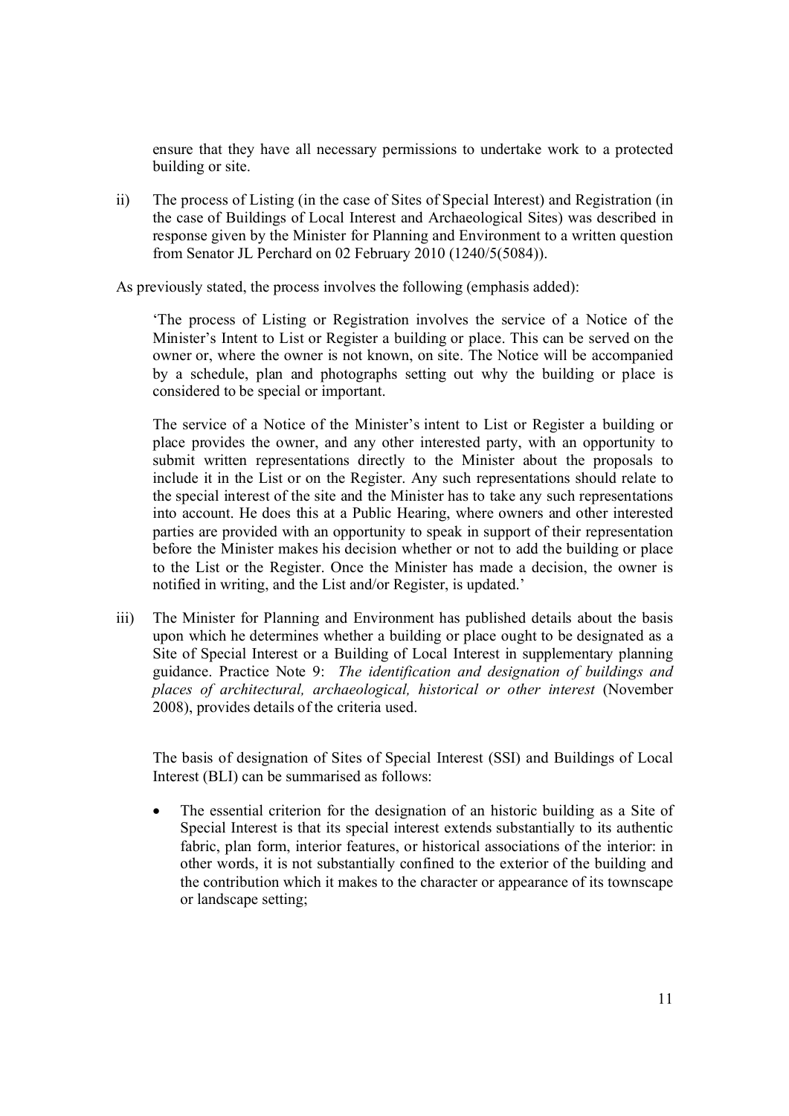ensure that they have all necessary permissions to undertake work to a protected building or site.

ii) The process of Listing (in the case of Sites of Special Interest) and Registration (in the case of Buildings of Local Interest and Archaeological Sites) was described in response given by the Minister for Planning and Environment to a written question from Senator JL Perchard on 02 February 2010 (1240/5(5084)).

As previously stated, the process involves the following (emphasis added):

'The process of Listing or Registration involves the service of a Notice of the Minister's Intent to List or Register a building or place. This can be served on the owner or, where the owner is not known, on site. The Notice will be accompanied by a schedule, plan and photographs setting out why the building or place is considered to be special or important.

The service of a Notice of the Minister's intent to List or Register a building or place provides the owner, and any other interested party, with an opportunity to submit written representations directly to the Minister about the proposals to include it in the List or on the Register. Any such representations should relate to the special interest of the site and the Minister has to take any such representations into account. He does this at a Public Hearing, where owners and other interested parties are provided with an opportunity to speak in support of their representation before the Minister makes his decision whether or not to add the building or place to the List or the Register. Once the Minister has made a decision, the owner is notified in writing, and the List and/or Register, is updated.'

iii) The Minister for Planning and Environment has published details about the basis upon which he determines whether a building or place ought to be designated as a Site of Special Interest or a Building of Local Interest in supplementary planning guidance. Practice Note 9: *The identification and designation of buildings and places of architectural, archaeological, historical or other interest* (November 2008), provides details of the criteria used.

The basis of designation of Sites of Special Interest (SSI) and Buildings of Local Interest (BLI) can be summarised as follows:

 The essential criterion for the designation of an historic building as a Site of Special Interest is that its special interest extends substantially to its authentic fabric, plan form, interior features, or historical associations of the interior: in other words, it is not substantially confined to the exterior of the building and the contribution which it makes to the character or appearance of its townscape or landscape setting;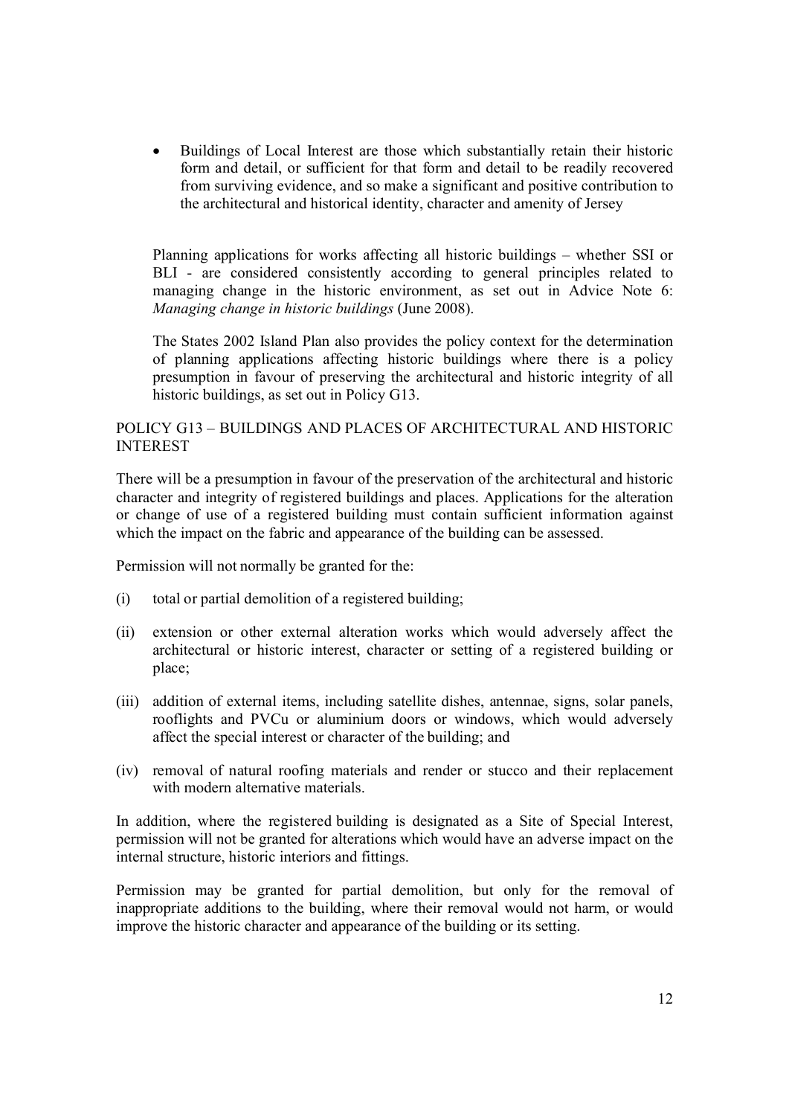Buildings of Local Interest are those which substantially retain their historic form and detail, or sufficient for that form and detail to be readily recovered from surviving evidence, and so make a significant and positive contribution to the architectural and historical identity, character and amenity of Jersey

Planning applications for works affecting all historic buildings – whether SSI or BLI - are considered consistently according to general principles related to managing change in the historic environment, as set out in Advice Note 6: *Managing change in historic buildings* (June 2008).

The States 2002 Island Plan also provides the policy context for the determination of planning applications affecting historic buildings where there is a policy presumption in favour of preserving the architectural and historic integrity of all historic buildings, as set out in Policy G13.

#### POLICY G13 – BUILDINGS AND PLACES OF ARCHITECTURAL AND HISTORIC INTEREST

There will be a presumption in favour of the preservation of the architectural and historic character and integrity of registered buildings and places. Applications for the alteration or change of use of a registered building must contain sufficient information against which the impact on the fabric and appearance of the building can be assessed.

Permission will not normally be granted for the:

- (i) total or partial demolition of a registered building;
- (ii) extension or other external alteration works which would adversely affect the architectural or historic interest, character or setting of a registered building or place;
- (iii) addition of external items, including satellite dishes, antennae, signs, solar panels, rooflights and PVCu or aluminium doors or windows, which would adversely affect the special interest or character of the building; and
- (iv) removal of natural roofing materials and render or stucco and their replacement with modern alternative materials.

In addition, where the registered building is designated as a Site of Special Interest, permission will not be granted for alterations which would have an adverse impact on the internal structure, historic interiors and fittings.

Permission may be granted for partial demolition, but only for the removal of inappropriate additions to the building, where their removal would not harm, or would improve the historic character and appearance of the building or its setting.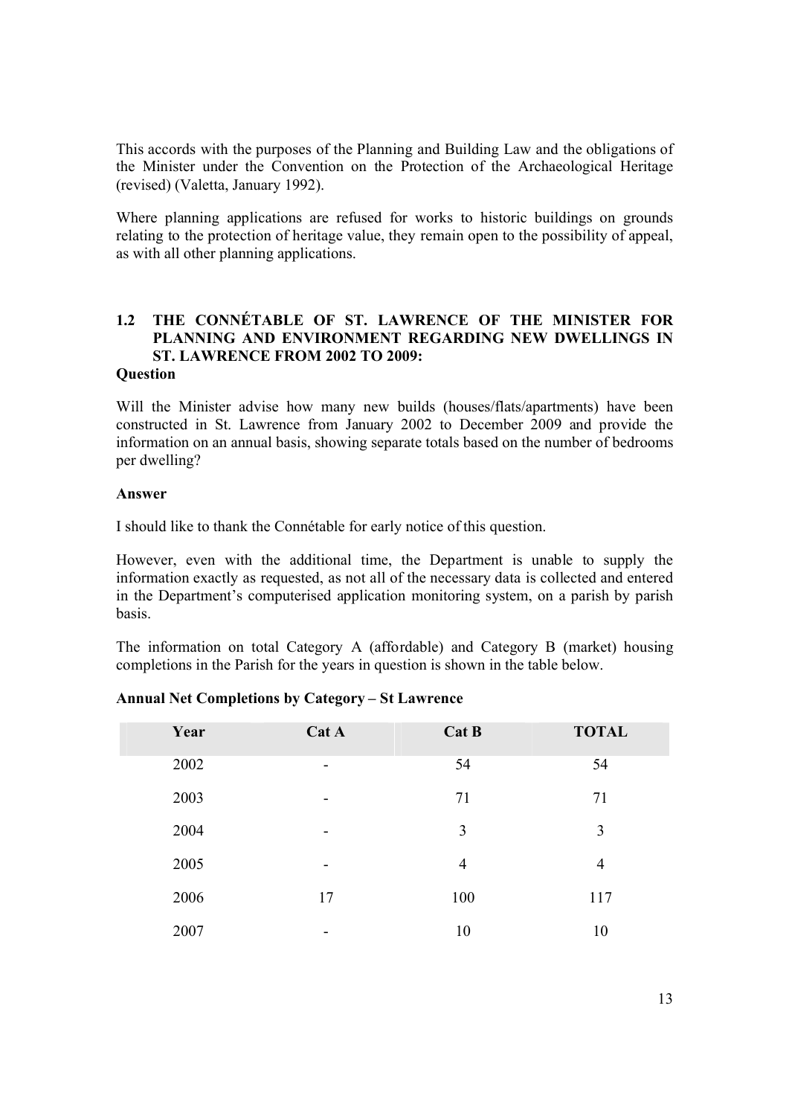This accords with the purposes of the Planning and Building Law and the obligations of the Minister under the Convention on the Protection of the Archaeological Heritage (revised) (Valetta, January 1992).

Where planning applications are refused for works to historic buildings on grounds relating to the protection of heritage value, they remain open to the possibility of appeal, as with all other planning applications.

## **1.2 THE CONNÉTABLE OF ST. LAWRENCE OF THE MINISTER FOR PLANNING AND ENVIRONMENT REGARDING NEW DWELLINGS IN ST. LAWRENCE FROM 2002 TO 2009:**

#### **Question**

Will the Minister advise how many new builds (houses/flats/apartments) have been constructed in St. Lawrence from January 2002 to December 2009 and provide the information on an annual basis, showing separate totals based on the number of bedrooms per dwelling?

#### **Answer**

I should like to thank the Connétable for early notice of this question.

However, even with the additional time, the Department is unable to supply the information exactly as requested, as not all of the necessary data is collected and entered in the Department's computerised application monitoring system, on a parish by parish basis.

The information on total Category A (affordable) and Category B (market) housing completions in the Parish for the years in question is shown in the table below.

| Year | Cat A                    | Cat B          | <b>TOTAL</b>   |
|------|--------------------------|----------------|----------------|
| 2002 | $\overline{\phantom{a}}$ | 54             | 54             |
| 2003 | $\overline{\phantom{a}}$ | 71             | 71             |
| 2004 | $\,$                     | 3              | 3              |
| 2005 | $\overline{\phantom{a}}$ | $\overline{4}$ | $\overline{4}$ |
| 2006 | 17                       | 100            | 117            |
| 2007 | $\,$                     | 10             | 10             |

#### **Annual Net Completions by Category – St Lawrence**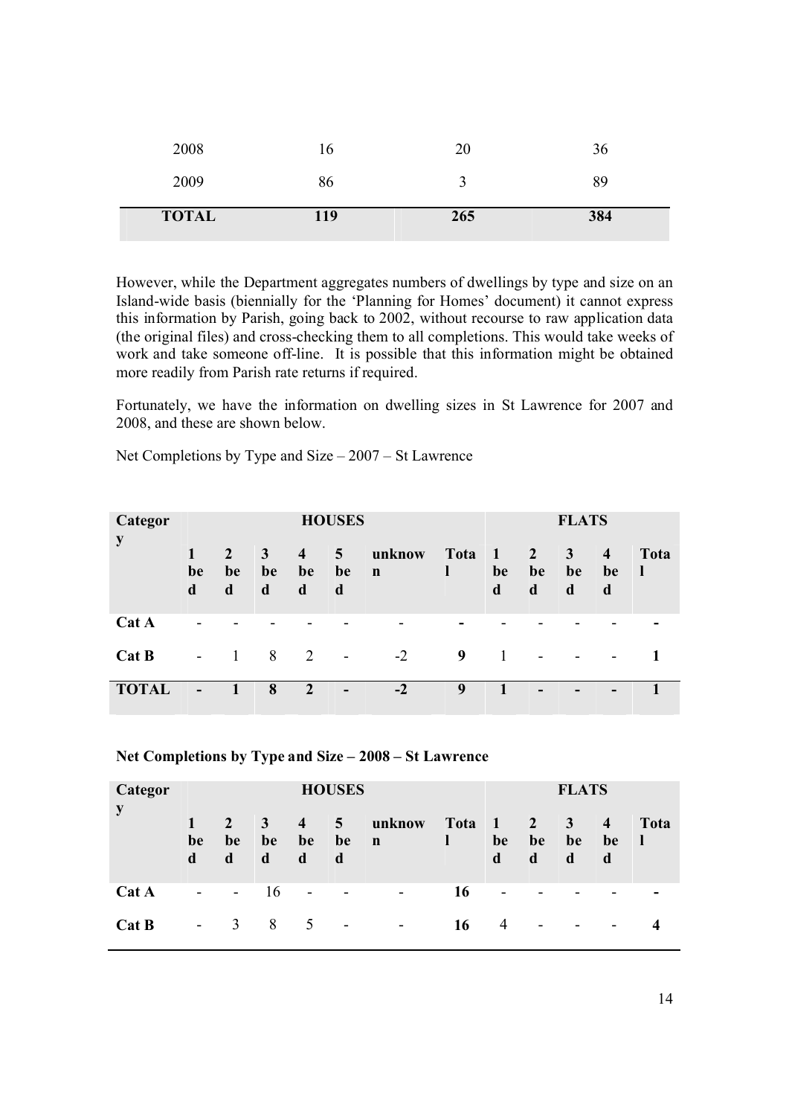| <b>TOTAL</b> | 119 | 265 | 384 |
|--------------|-----|-----|-----|
| 2009         | 86  |     | 89  |
| 2008         | 16  | 20  | 36  |

However, while the Department aggregates numbers of dwellings by type and size on an Island-wide basis (biennially for the 'Planning for Homes' document) it cannot express this information by Parish, going back to 2002, without recourse to raw application data (the original files) and cross-checking them to all completions. This would take weeks of work and take someone off-line. It is possible that this information might be obtained more readily from Parish rate returns if required.

Fortunately, we have the information on dwelling sizes in St Lawrence for 2007 and 2008, and these are shown below.

Net Completions by Type and Size – 2007 – St Lawrence

| Categor      | <b>HOUSES</b>            |                        |                         |                           |                           |                       |           |                           | <b>FLATS</b>          |                              |                                    |            |
|--------------|--------------------------|------------------------|-------------------------|---------------------------|---------------------------|-----------------------|-----------|---------------------------|-----------------------|------------------------------|------------------------------------|------------|
| y            | 1<br>be<br>d             | $2^{\circ}$<br>be<br>d | $\mathbf{3}$<br>be<br>d | $\overline{4}$<br>be<br>d | 5 <sup>5</sup><br>be<br>d | unknow<br>$\mathbf n$ | Tota<br>ı | $\blacksquare$<br>be<br>d | $\sqrt{2}$<br>be<br>d | $\mathbf{3}$<br>be<br>d      | $\overline{\mathbf{4}}$<br>be<br>d | Tota<br>-1 |
| Cat A        | $\qquad \qquad$          |                        |                         |                           |                           |                       |           |                           |                       |                              |                                    |            |
| Cat B        | $\overline{\phantom{a}}$ | -1                     | 8                       | 2                         | $\overline{\phantom{a}}$  | $-2$                  | 9         | $\overline{1}$            |                       | $\qquad \qquad \blacksquare$ | $\overline{\phantom{a}}$           |            |
| <b>TOTAL</b> |                          | 1                      | 8                       | $\boldsymbol{2}$          |                           | $-2$                  | 9         |                           |                       | $\overline{\phantom{0}}$     | -                                  |            |

#### **Net Completions by Type and Size – 2008 – St Lawrence**

| Categor<br>y | <b>HOUSES</b>            |                                  |                         |                           |                           |                          |           |                                   | <b>FLATS</b>             |                          |                           |                      |  |
|--------------|--------------------------|----------------------------------|-------------------------|---------------------------|---------------------------|--------------------------|-----------|-----------------------------------|--------------------------|--------------------------|---------------------------|----------------------|--|
|              | $\mathbf{T}$<br>be<br>d  | $2^{\circ}$<br>be<br>$\mathbf d$ | $\mathbf{3}$<br>be<br>d | $\overline{4}$<br>be<br>d | 5 <sup>5</sup><br>be<br>d | unknow<br>$\mathbf n$    | Tota<br>1 | $\triangle \mathbf{V}$<br>be<br>d | $\sqrt{2}$<br>be<br>d    | $\mathbf{3}$<br>be<br>d  | $\overline{4}$<br>be<br>d | Tota<br>$\mathbf{I}$ |  |
| Cat A        | $\overline{\phantom{a}}$ | $\sim$                           | 16                      | $\blacksquare$            | $\overline{\phantom{a}}$  | $\overline{\phantom{a}}$ | 16        | $\overline{\phantom{a}}$          |                          |                          | $\overline{\phantom{0}}$  |                      |  |
| Cat B        | $\overline{\phantom{a}}$ | 3                                | 8                       | 5                         | $\overline{\phantom{a}}$  | $\overline{\phantom{a}}$ | 16        | $\overline{4}$                    | $\overline{\phantom{a}}$ | $\overline{\phantom{a}}$ | $\overline{\phantom{a}}$  |                      |  |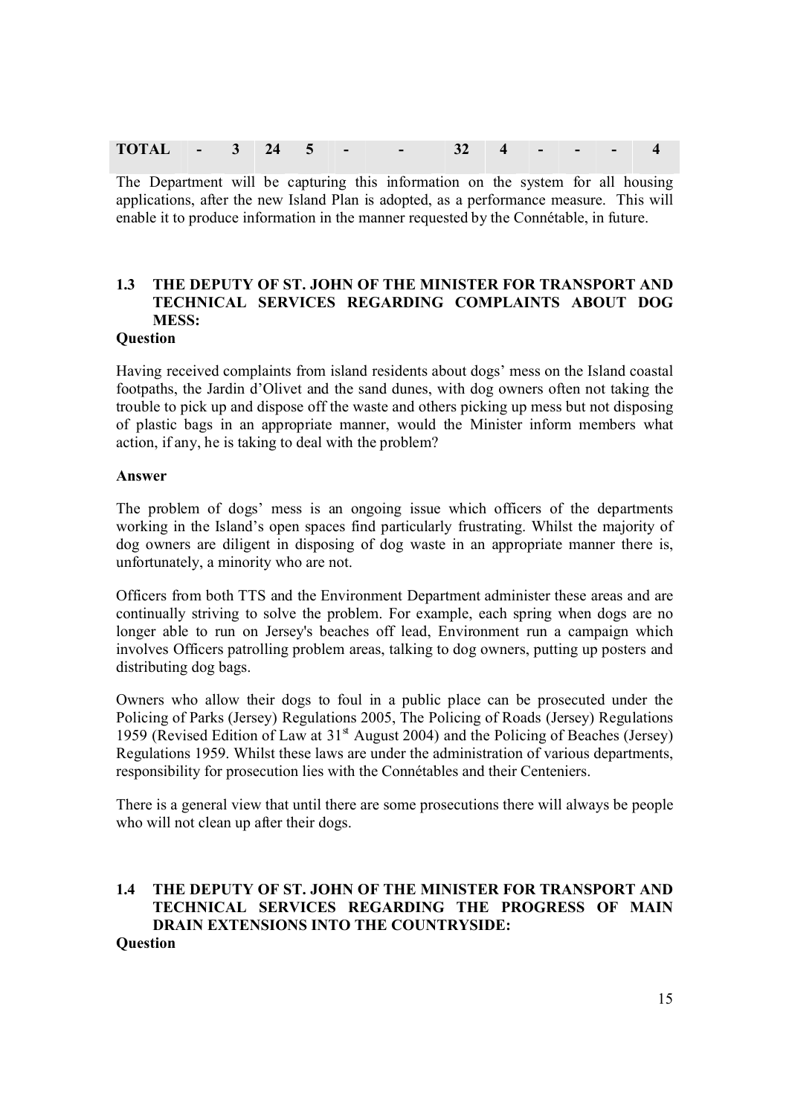| TOT <sup>1</sup><br>$\overline{\phantom{a}}$ | $\overline{\phantom{0}}$ |  |  |  |  |  |  |  |  |  |  |  |
|----------------------------------------------|--------------------------|--|--|--|--|--|--|--|--|--|--|--|
|----------------------------------------------|--------------------------|--|--|--|--|--|--|--|--|--|--|--|

The Department will be capturing this information on the system for all housing applications, after the new Island Plan is adopted, as a performance measure. This will enable it to produce information in the manner requested by the Connétable, in future.

## **1.3 THE DEPUTY OF ST. JOHN OF THE MINISTER FOR TRANSPORT AND TECHNICAL SERVICES REGARDING COMPLAINTS ABOUT DOG MESS:**

#### **Question**

Having received complaints from island residents about dogs' mess on the Island coastal footpaths, the Jardin d'Olivet and the sand dunes, with dog owners often not taking the trouble to pick up and dispose off the waste and others picking up mess but not disposing of plastic bags in an appropriate manner, would the Minister inform members what action, if any, he is taking to deal with the problem?

#### **Answer**

The problem of dogs' mess is an ongoing issue which officers of the departments working in the Island's open spaces find particularly frustrating. Whilst the majority of dog owners are diligent in disposing of dog waste in an appropriate manner there is, unfortunately, a minority who are not.

Officers from both TTS and the Environment Department administer these areas and are continually striving to solve the problem. For example, each spring when dogs are no longer able to run on Jersey's beaches off lead, Environment run a campaign which involves Officers patrolling problem areas, talking to dog owners, putting up posters and distributing dog bags.

Owners who allow their dogs to foul in a public place can be prosecuted under the Policing of Parks (Jersey) Regulations 2005, The Policing of Roads (Jersey) Regulations 1959 (Revised Edition of Law at  $31<sup>st</sup>$  August 2004) and the Policing of Beaches (Jersey) Regulations 1959. Whilst these laws are under the administration of various departments, responsibility for prosecution lies with the Connétables and their Centeniers.

There is a general view that until there are some prosecutions there will always be people who will not clean up after their dogs.

#### **1.4 THE DEPUTY OF ST. JOHN OF THE MINISTER FOR TRANSPORT AND TECHNICAL SERVICES REGARDING THE PROGRESS OF MAIN DRAIN EXTENSIONS INTO THE COUNTRYSIDE: Question**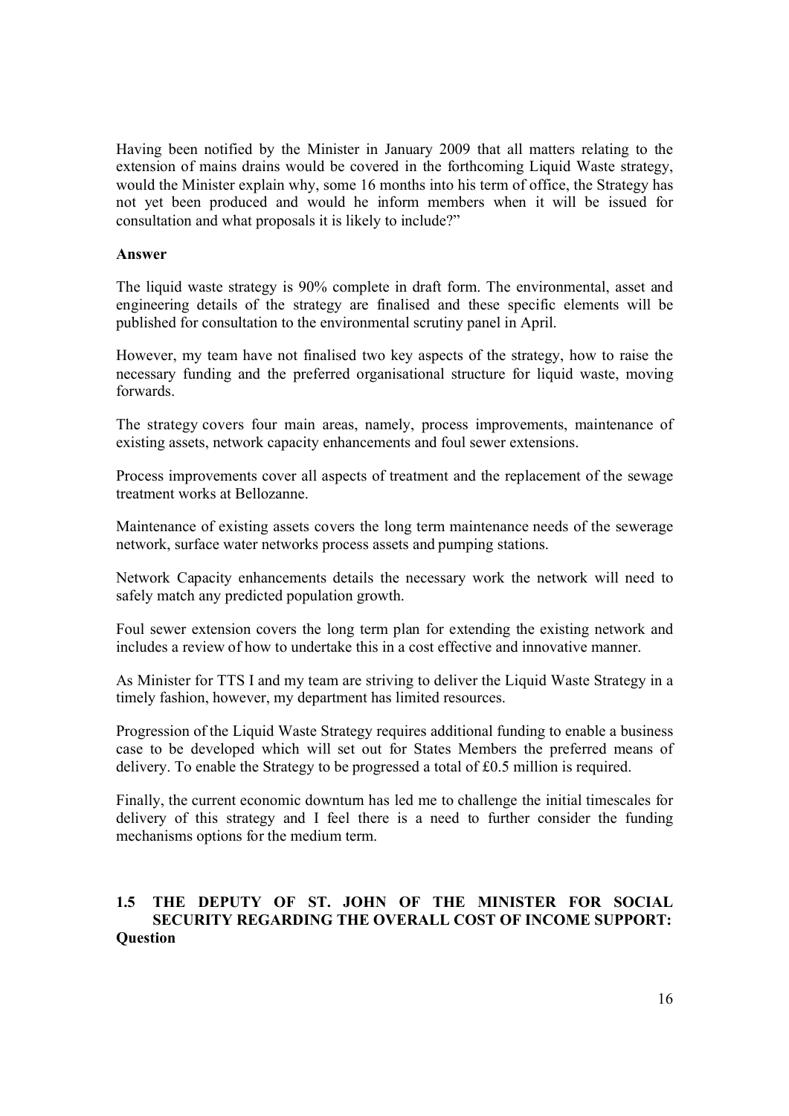Having been notified by the Minister in January 2009 that all matters relating to the extension of mains drains would be covered in the forthcoming Liquid Waste strategy, would the Minister explain why, some 16 months into his term of office, the Strategy has not yet been produced and would he inform members when it will be issued for consultation and what proposals it is likely to include?"

#### **Answer**

The liquid waste strategy is 90% complete in draft form. The environmental, asset and engineering details of the strategy are finalised and these specific elements will be published for consultation to the environmental scrutiny panel in April.

However, my team have not finalised two key aspects of the strategy, how to raise the necessary funding and the preferred organisational structure for liquid waste, moving forwards.

The strategy covers four main areas, namely, process improvements, maintenance of existing assets, network capacity enhancements and foul sewer extensions.

Process improvements cover all aspects of treatment and the replacement of the sewage treatment works at Bellozanne.

Maintenance of existing assets covers the long term maintenance needs of the sewerage network, surface water networks process assets and pumping stations.

Network Capacity enhancements details the necessary work the network will need to safely match any predicted population growth.

Foul sewer extension covers the long term plan for extending the existing network and includes a review of how to undertake this in a cost effective and innovative manner.

As Minister for TTS I and my team are striving to deliver the Liquid Waste Strategy in a timely fashion, however, my department has limited resources.

Progression of the Liquid Waste Strategy requires additional funding to enable a business case to be developed which will set out for States Members the preferred means of delivery. To enable the Strategy to be progressed a total of £0.5 million is required.

Finally, the current economic downturn has led me to challenge the initial timescales for delivery of this strategy and I feel there is a need to further consider the funding mechanisms options for the medium term.

#### **1.5 THE DEPUTY OF ST. JOHN OF THE MINISTER FOR SOCIAL SECURITY REGARDING THE OVERALL COST OF INCOME SUPPORT: Question**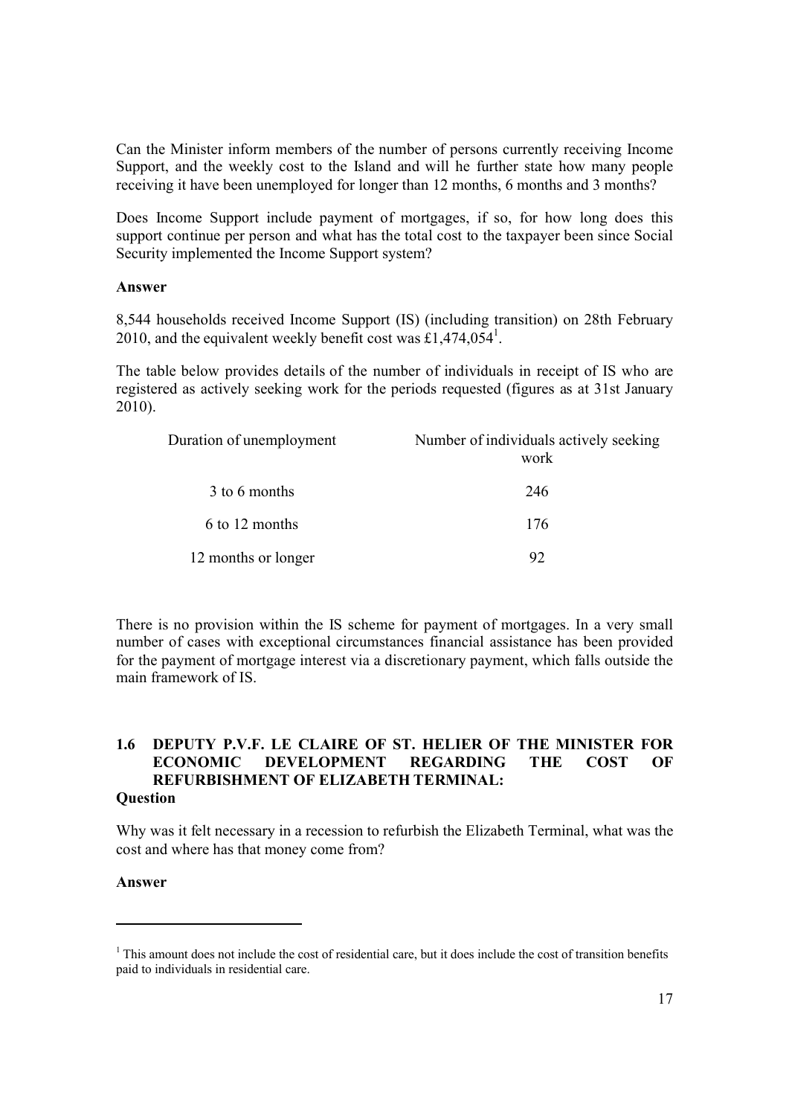Can the Minister inform members of the number of persons currently receiving Income Support, and the weekly cost to the Island and will he further state how many people receiving it have been unemployed for longer than 12 months, 6 months and 3 months?

Does Income Support include payment of mortgages, if so, for how long does this support continue per person and what has the total cost to the taxpayer been since Social Security implemented the Income Support system?

#### **Answer**

8,544 households received Income Support (IS) (including transition) on 28th February 2010, and the equivalent weekly benefit cost was £1,474,054<sup>1</sup>.

The table below provides details of the number of individuals in receipt of IS who are registered as actively seeking work for the periods requested (figures as at 31st January 2010).

| Duration of unemployment | Number of individuals actively seeking<br>work |
|--------------------------|------------------------------------------------|
| 3 to 6 months            | 246                                            |
| 6 to 12 months           | 176                                            |
| 12 months or longer      | 92                                             |

There is no provision within the IS scheme for payment of mortgages. In a very small number of cases with exceptional circumstances financial assistance has been provided for the payment of mortgage interest via a discretionary payment, which falls outside the main framework of IS

#### **1.6 DEPUTY P.V.F. LE CLAIRE OF ST. HELIER OF THE MINISTER FOR ECONOMIC DEVELOPMENT REGARDING THE COST OF REFURBISHMENT OF ELIZABETH TERMINAL: Question**

#### Why was it felt necessary in a recession to refurbish the Elizabeth Terminal, what was the cost and where has that money come from?

#### **Answer**

l

 $1$ <sup>1</sup> This amount does not include the cost of residential care, but it does include the cost of transition benefits paid to individuals in residential care.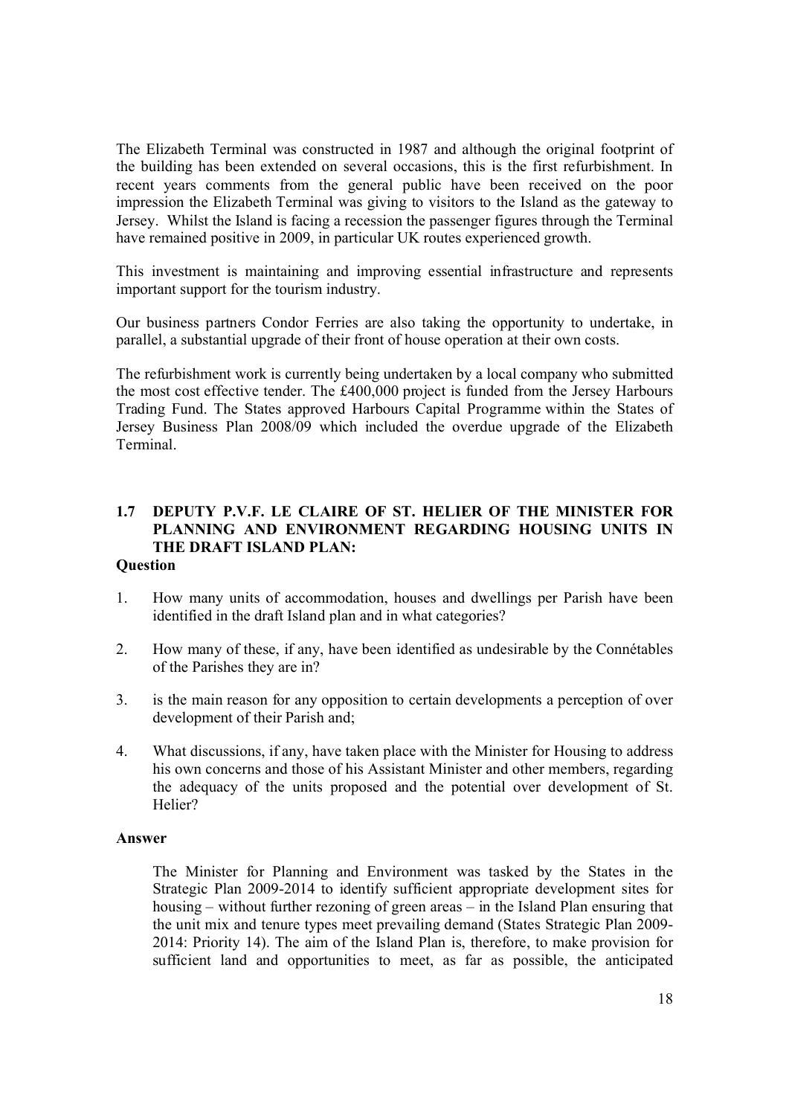The Elizabeth Terminal was constructed in 1987 and although the original footprint of the building has been extended on several occasions, this is the first refurbishment. In recent years comments from the general public have been received on the poor impression the Elizabeth Terminal was giving to visitors to the Island as the gateway to Jersey. Whilst the Island is facing a recession the passenger figures through the Terminal have remained positive in 2009, in particular UK routes experienced growth.

This investment is maintaining and improving essential infrastructure and represents important support for the tourism industry.

Our business partners Condor Ferries are also taking the opportunity to undertake, in parallel, a substantial upgrade of their front of house operation at their own costs.

The refurbishment work is currently being undertaken by a local company who submitted the most cost effective tender. The £400,000 project is funded from the Jersey Harbours Trading Fund. The States approved Harbours Capital Programme within the States of Jersey Business Plan 2008/09 which included the overdue upgrade of the Elizabeth Terminal.

## **1.7 DEPUTY P.V.F. LE CLAIRE OF ST. HELIER OF THE MINISTER FOR PLANNING AND ENVIRONMENT REGARDING HOUSING UNITS IN THE DRAFT ISLAND PLAN:**

#### **Question**

- 1. How many units of accommodation, houses and dwellings per Parish have been identified in the draft Island plan and in what categories?
- 2. How many of these, if any, have been identified as undesirable by the Connétables of the Parishes they are in?
- 3. is the main reason for any opposition to certain developments a perception of over development of their Parish and;
- 4. What discussions, if any, have taken place with the Minister for Housing to address his own concerns and those of his Assistant Minister and other members, regarding the adequacy of the units proposed and the potential over development of St. Helier?

#### **Answer**

The Minister for Planning and Environment was tasked by the States in the Strategic Plan 2009-2014 to identify sufficient appropriate development sites for housing – without further rezoning of green areas – in the Island Plan ensuring that the unit mix and tenure types meet prevailing demand (States Strategic Plan 2009- 2014: Priority 14). The aim of the Island Plan is, therefore, to make provision for sufficient land and opportunities to meet, as far as possible, the anticipated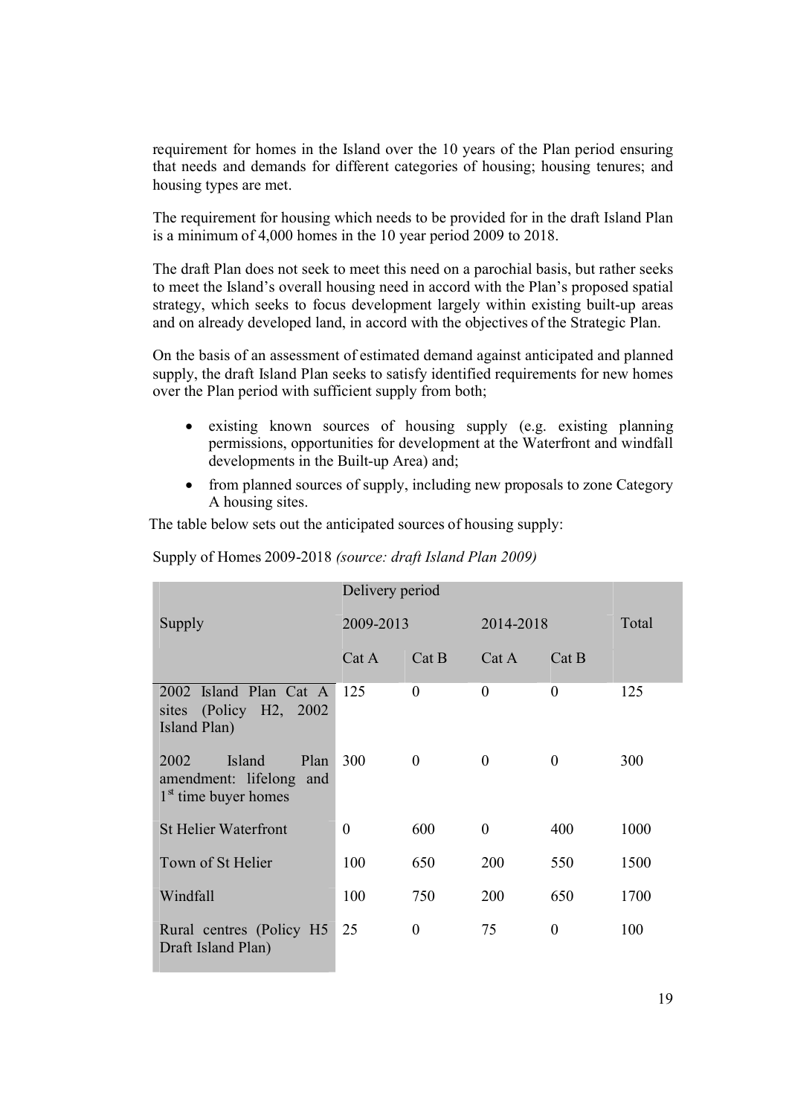requirement for homes in the Island over the 10 years of the Plan period ensuring that needs and demands for different categories of housing; housing tenures; and housing types are met.

The requirement for housing which needs to be provided for in the draft Island Plan is a minimum of 4,000 homes in the 10 year period 2009 to 2018.

The draft Plan does not seek to meet this need on a parochial basis, but rather seeks to meet the Island's overall housing need in accord with the Plan's proposed spatial strategy, which seeks to focus development largely within existing built-up areas and on already developed land, in accord with the objectives of the Strategic Plan.

On the basis of an assessment of estimated demand against anticipated and planned supply, the draft Island Plan seeks to satisfy identified requirements for new homes over the Plan period with sufficient supply from both;

- existing known sources of housing supply (e.g. existing planning permissions, opportunities for development at the Waterfront and windfall developments in the Built-up Area) and;
- from planned sources of supply, including new proposals to zone Category A housing sites.

The table below sets out the anticipated sources of housing supply:

|                                                                             | Delivery period |                  |                |                  |      |
|-----------------------------------------------------------------------------|-----------------|------------------|----------------|------------------|------|
| Supply                                                                      | 2009-2013       |                  | 2014-2018      | Total            |      |
|                                                                             | Cat A           | Cat B            | Cat A          | Cat B            |      |
| 2002 Island Plan Cat A<br>sites (Policy H2, 2002)<br>Island Plan)           | 125             | $\overline{0}$   | $\theta$       | $\overline{0}$   | 125  |
| Island<br>Plan<br>2002<br>amendment: lifelong and<br>$1st$ time buyer homes | 300             | $\Omega$         | $\Omega$       | $\Omega$         | 300  |
| <b>St Helier Waterfront</b>                                                 | 0               | 600              | $\overline{0}$ | 400              | 1000 |
| Town of St Helier                                                           | 100             | 650              | 200            | 550              | 1500 |
| Windfall                                                                    | 100             | 750              | 200            | 650              | 1700 |
| Rural centres (Policy H5<br>Draft Island Plan)                              | 25              | $\boldsymbol{0}$ | 75             | $\boldsymbol{0}$ | 100  |

Supply of Homes 2009-2018 *(source: draft Island Plan 2009)*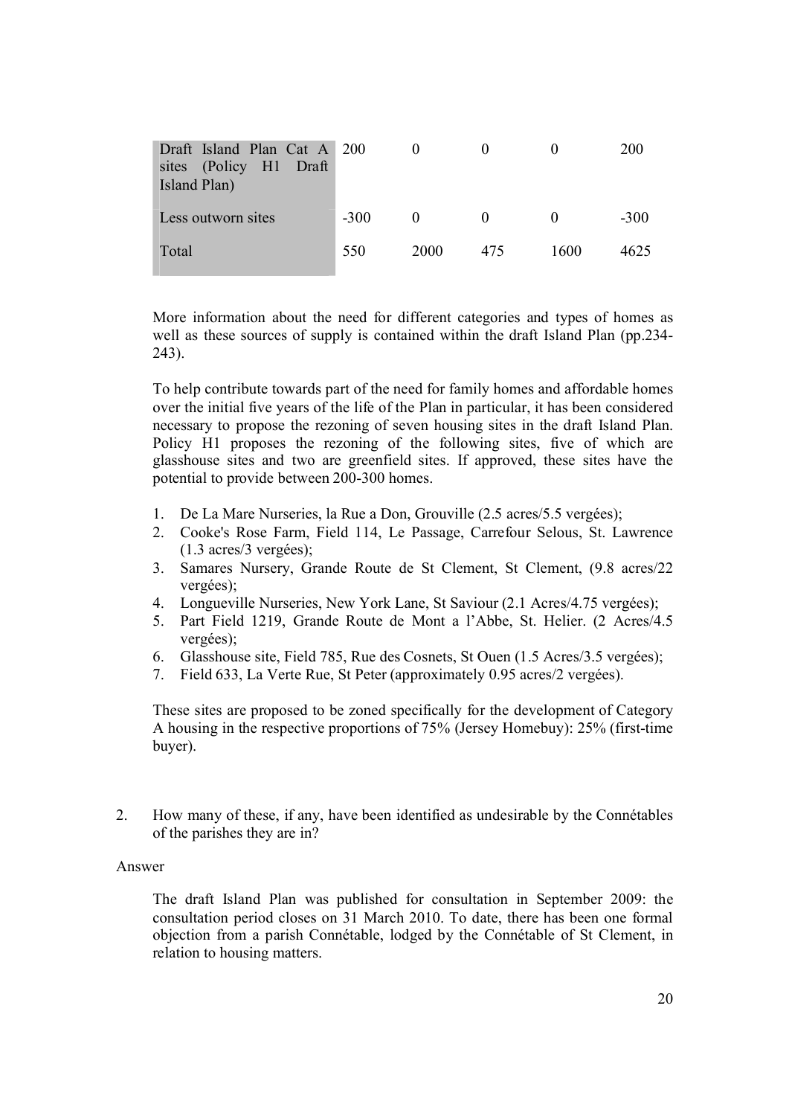| Draft Island Plan Cat A 200<br>sites (Policy H1 Draft<br>Island Plan) |        |          |          |      | 200    |
|-----------------------------------------------------------------------|--------|----------|----------|------|--------|
| Less outworn sites                                                    | $-300$ | $\theta$ | $\Omega$ |      | $-300$ |
| Total                                                                 | 550    | 2000     | 475      | 1600 | 4625   |

More information about the need for different categories and types of homes as well as these sources of supply is contained within the draft Island Plan (pp.234- 243).

To help contribute towards part of the need for family homes and affordable homes over the initial five years of the life of the Plan in particular, it has been considered necessary to propose the rezoning of seven housing sites in the draft Island Plan. Policy H1 proposes the rezoning of the following sites, five of which are glasshouse sites and two are greenfield sites. If approved, these sites have the potential to provide between 200-300 homes.

- 1. De La Mare Nurseries, la Rue a Don, Grouville (2.5 acres/5.5 vergées);
- 2. Cooke's Rose Farm, Field 114, Le Passage, Carrefour Selous, St. Lawrence (1.3 acres/3 vergées);
- 3. Samares Nursery, Grande Route de St Clement, St Clement, (9.8 acres/22 vergées);
- 4. Longueville Nurseries, New York Lane, St Saviour (2.1 Acres/4.75 vergées);
- 5. Part Field 1219, Grande Route de Mont a l'Abbe, St. Helier. (2 Acres/4.5 vergées);
- 6. Glasshouse site, Field 785, Rue des Cosnets, St Ouen (1.5 Acres/3.5 vergées);
- 7. Field 633, La Verte Rue, St Peter (approximately 0.95 acres/2 vergées).

These sites are proposed to be zoned specifically for the development of Category A housing in the respective proportions of 75% (Jersey Homebuy): 25% (first-time buyer).

2. How many of these, if any, have been identified as undesirable by the Connétables of the parishes they are in?

#### Answer

The draft Island Plan was published for consultation in September 2009: the consultation period closes on 31 March 2010. To date, there has been one formal objection from a parish Connétable, lodged by the Connétable of St Clement, in relation to housing matters.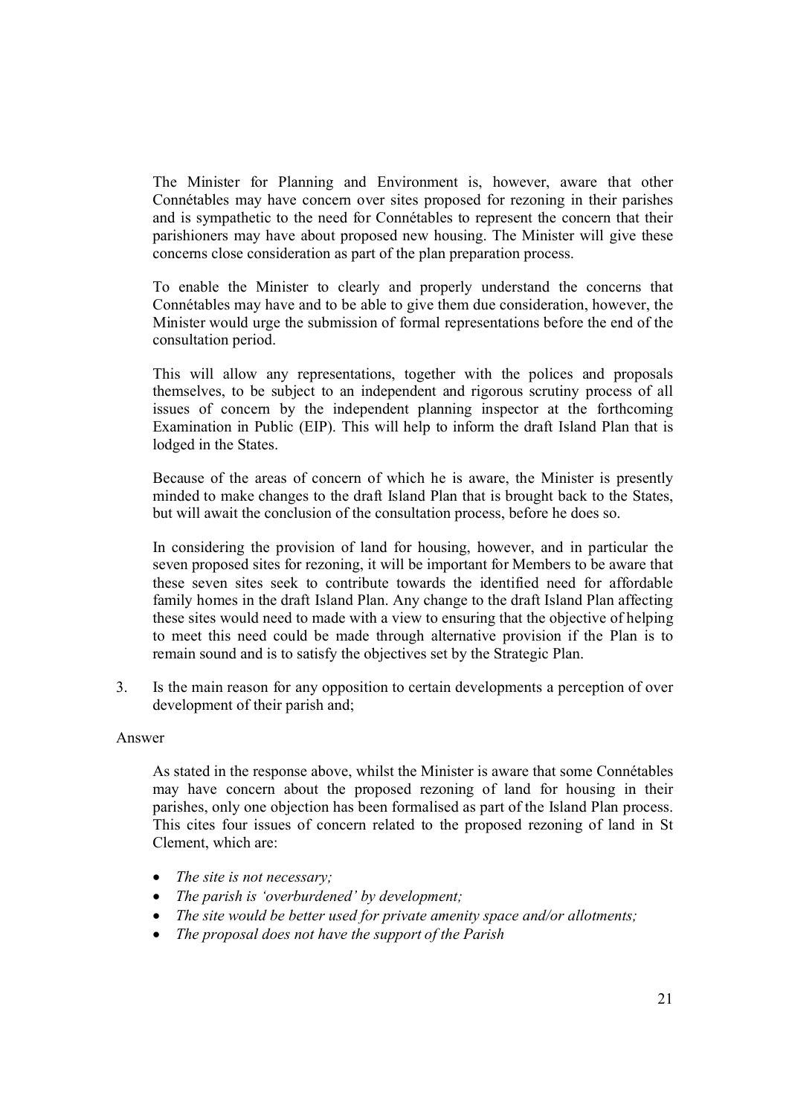The Minister for Planning and Environment is, however, aware that other Connétables may have concern over sites proposed for rezoning in their parishes and is sympathetic to the need for Connétables to represent the concern that their parishioners may have about proposed new housing. The Minister will give these concerns close consideration as part of the plan preparation process.

To enable the Minister to clearly and properly understand the concerns that Connétables may have and to be able to give them due consideration, however, the Minister would urge the submission of formal representations before the end of the consultation period.

This will allow any representations, together with the polices and proposals themselves, to be subject to an independent and rigorous scrutiny process of all issues of concern by the independent planning inspector at the forthcoming Examination in Public (EIP). This will help to inform the draft Island Plan that is lodged in the States.

Because of the areas of concern of which he is aware, the Minister is presently minded to make changes to the draft Island Plan that is brought back to the States, but will await the conclusion of the consultation process, before he does so.

In considering the provision of land for housing, however, and in particular the seven proposed sites for rezoning, it will be important for Members to be aware that these seven sites seek to contribute towards the identified need for affordable family homes in the draft Island Plan. Any change to the draft Island Plan affecting these sites would need to made with a view to ensuring that the objective of helping to meet this need could be made through alternative provision if the Plan is to remain sound and is to satisfy the objectives set by the Strategic Plan.

3. Is the main reason for any opposition to certain developments a perception of over development of their parish and;

#### Answer

As stated in the response above, whilst the Minister is aware that some Connétables may have concern about the proposed rezoning of land for housing in their parishes, only one objection has been formalised as part of the Island Plan process. This cites four issues of concern related to the proposed rezoning of land in St Clement, which are:

- *The site is not necessary;*
- *The parish is 'overburdened' by development;*
- *The site would be better used for private amenity space and/or allotments;*
- *The proposal does not have the support of the Parish*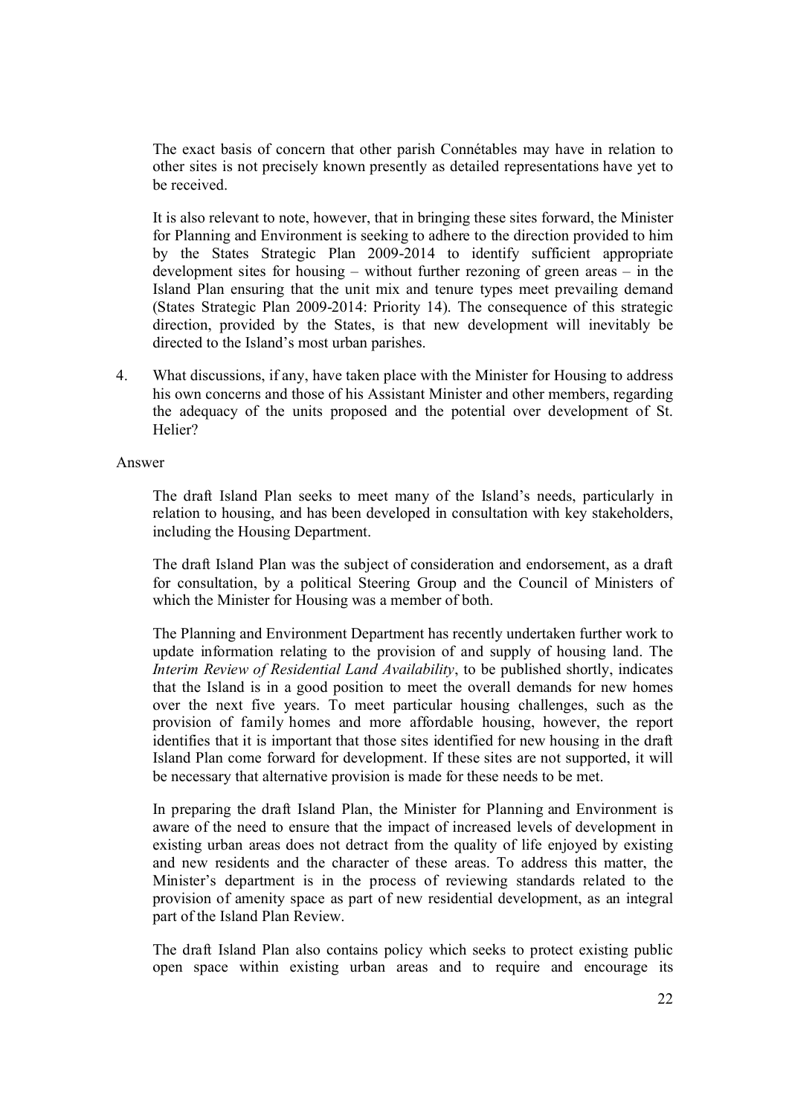The exact basis of concern that other parish Connétables may have in relation to other sites is not precisely known presently as detailed representations have yet to be received.

It is also relevant to note, however, that in bringing these sites forward, the Minister for Planning and Environment is seeking to adhere to the direction provided to him by the States Strategic Plan 2009-2014 to identify sufficient appropriate development sites for housing – without further rezoning of green areas – in the Island Plan ensuring that the unit mix and tenure types meet prevailing demand (States Strategic Plan 2009-2014: Priority 14). The consequence of this strategic direction, provided by the States, is that new development will inevitably be directed to the Island's most urban parishes.

4. What discussions, if any, have taken place with the Minister for Housing to address his own concerns and those of his Assistant Minister and other members, regarding the adequacy of the units proposed and the potential over development of St. Helier?

Answer

The draft Island Plan seeks to meet many of the Island's needs, particularly in relation to housing, and has been developed in consultation with key stakeholders, including the Housing Department.

The draft Island Plan was the subject of consideration and endorsement, as a draft for consultation, by a political Steering Group and the Council of Ministers of which the Minister for Housing was a member of both.

The Planning and Environment Department has recently undertaken further work to update information relating to the provision of and supply of housing land. The *Interim Review of Residential Land Availability*, to be published shortly, indicates that the Island is in a good position to meet the overall demands for new homes over the next five years. To meet particular housing challenges, such as the provision of family homes and more affordable housing, however, the report identifies that it is important that those sites identified for new housing in the draft Island Plan come forward for development. If these sites are not supported, it will be necessary that alternative provision is made for these needs to be met.

In preparing the draft Island Plan, the Minister for Planning and Environment is aware of the need to ensure that the impact of increased levels of development in existing urban areas does not detract from the quality of life enjoyed by existing and new residents and the character of these areas. To address this matter, the Minister's department is in the process of reviewing standards related to the provision of amenity space as part of new residential development, as an integral part of the Island Plan Review.

The draft Island Plan also contains policy which seeks to protect existing public open space within existing urban areas and to require and encourage its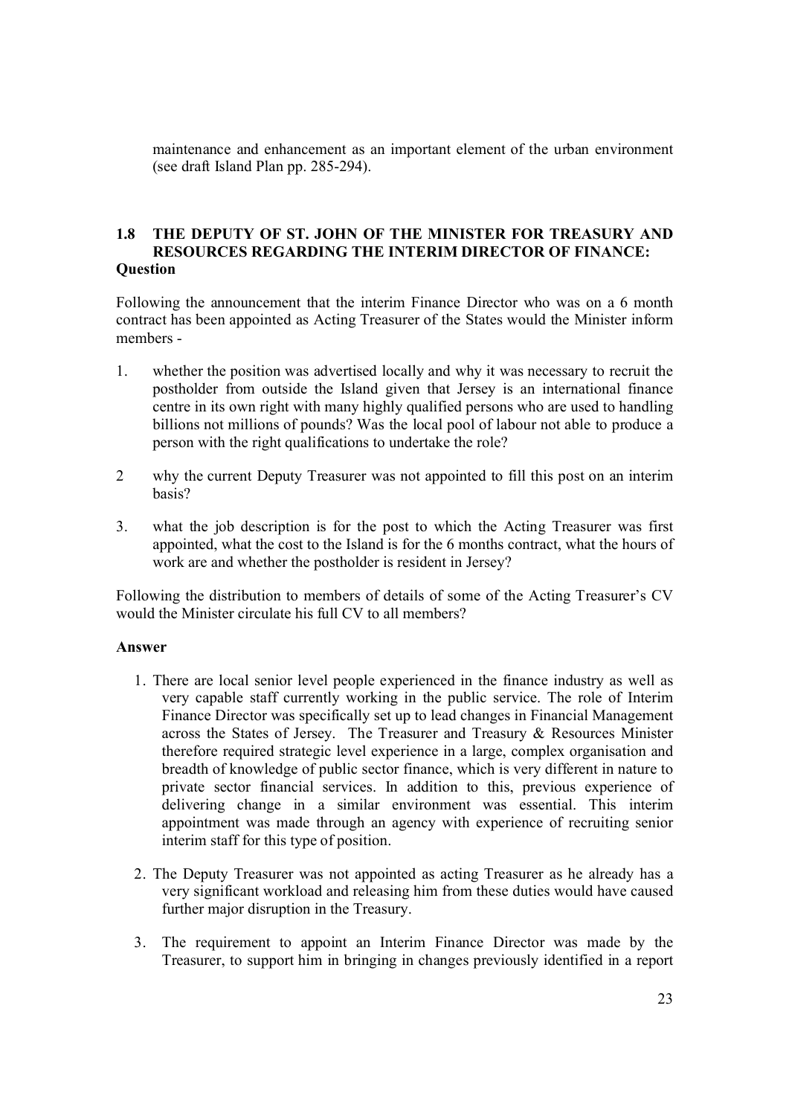maintenance and enhancement as an important element of the urban environment (see draft Island Plan pp. 285-294).

#### **1.8 THE DEPUTY OF ST. JOHN OF THE MINISTER FOR TREASURY AND RESOURCES REGARDING THE INTERIM DIRECTOR OF FINANCE: Question**

Following the announcement that the interim Finance Director who was on a 6 month contract has been appointed as Acting Treasurer of the States would the Minister inform members -

- 1. whether the position was advertised locally and why it was necessary to recruit the postholder from outside the Island given that Jersey is an international finance centre in its own right with many highly qualified persons who are used to handling billions not millions of pounds? Was the local pool of labour not able to produce a person with the right qualifications to undertake the role?
- 2 why the current Deputy Treasurer was not appointed to fill this post on an interim basis?
- 3. what the job description is for the post to which the Acting Treasurer was first appointed, what the cost to the Island is for the 6 months contract, what the hours of work are and whether the postholder is resident in Jersey?

Following the distribution to members of details of some of the Acting Treasurer's CV would the Minister circulate his full CV to all members?

#### **Answer**

- 1. There are local senior level people experienced in the finance industry as well as very capable staff currently working in the public service. The role of Interim Finance Director was specifically set up to lead changes in Financial Management across the States of Jersey. The Treasurer and Treasury & Resources Minister therefore required strategic level experience in a large, complex organisation and breadth of knowledge of public sector finance, which is very different in nature to private sector financial services. In addition to this, previous experience of delivering change in a similar environment was essential. This interim appointment was made through an agency with experience of recruiting senior interim staff for this type of position.
- 2. The Deputy Treasurer was not appointed as acting Treasurer as he already has a very significant workload and releasing him from these duties would have caused further major disruption in the Treasury.
- 3. The requirement to appoint an Interim Finance Director was made by the Treasurer, to support him in bringing in changes previously identified in a report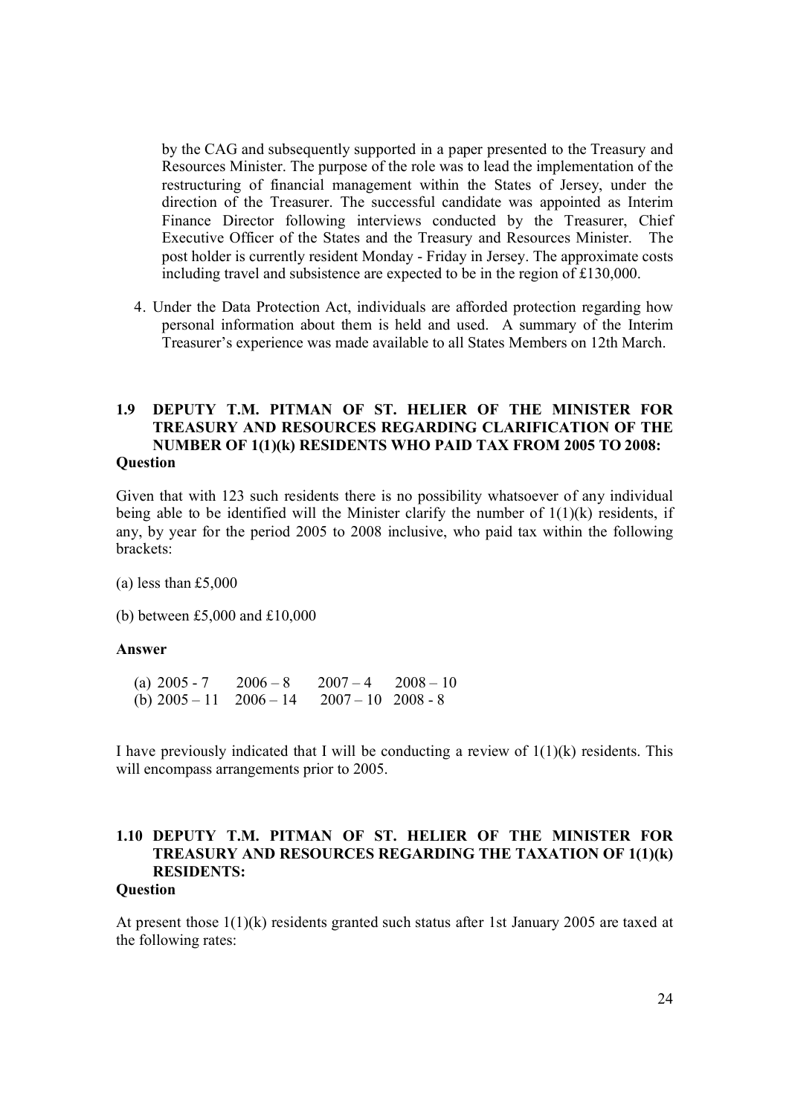by the CAG and subsequently supported in a paper presented to the Treasury and Resources Minister. The purpose of the role was to lead the implementation of the restructuring of financial management within the States of Jersey, under the direction of the Treasurer. The successful candidate was appointed as Interim Finance Director following interviews conducted by the Treasurer, Chief Executive Officer of the States and the Treasury and Resources Minister. The post holder is currently resident Monday - Friday in Jersey. The approximate costs including travel and subsistence are expected to be in the region of £130,000.

4. Under the Data Protection Act, individuals are afforded protection regarding how personal information about them is held and used. A summary of the Interim Treasurer's experience was made available to all States Members on 12th March.

#### **1.9 DEPUTY T.M. PITMAN OF ST. HELIER OF THE MINISTER FOR TREASURY AND RESOURCES REGARDING CLARIFICATION OF THE NUMBER OF 1(1)(k) RESIDENTS WHO PAID TAX FROM 2005 TO 2008: Question**

Given that with 123 such residents there is no possibility whatsoever of any individual being able to be identified will the Minister clarify the number of  $1(1)(k)$  residents, if any, by year for the period 2005 to 2008 inclusive, who paid tax within the following brackets:

(a) less than £5,000

(b) between £5,000 and £10,000

#### **Answer**

(a)  $2005 - 7$   $2006 - 8$   $2007 - 4$   $2008 - 10$ (b)  $2005 - 11$   $2006 - 14$   $2007 - 10$   $2008 - 8$ 

I have previously indicated that I will be conducting a review of  $1(1)(k)$  residents. This will encompass arrangements prior to 2005.

## **1.10 DEPUTY T.M. PITMAN OF ST. HELIER OF THE MINISTER FOR TREASURY AND RESOURCES REGARDING THE TAXATION OF 1(1)(k) RESIDENTS:**

#### **Question**

At present those  $1(1)(k)$  residents granted such status after 1st January 2005 are taxed at the following rates: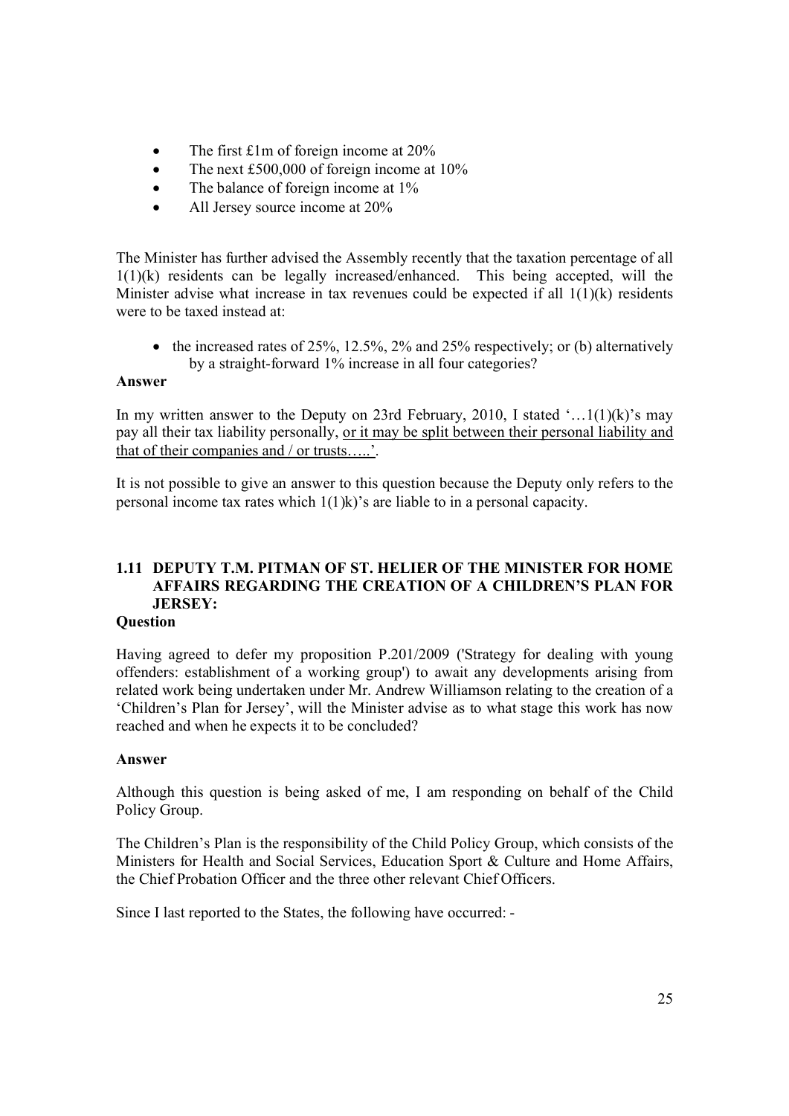- The first £1m of foreign income at 20%
- The next £500,000 of foreign income at 10%
- The balance of foreign income at 1%
- All Jersey source income at 20%

The Minister has further advised the Assembly recently that the taxation percentage of all 1(1)(k) residents can be legally increased/enhanced. This being accepted, will the Minister advise what increase in tax revenues could be expected if all  $1(1)(k)$  residents were to be taxed instead at:

• the increased rates of 25%, 12.5%, 2% and 25% respectively; or (b) alternatively by a straight-forward 1% increase in all four categories?

#### **Answer**

In my written answer to the Deputy on 23rd February, 2010, I stated  $\ldots$  1(1)(k)'s may pay all their tax liability personally, or it may be split between their personal liability and that of their companies and / or trusts…..'.

It is not possible to give an answer to this question because the Deputy only refers to the personal income tax rates which 1(1)k)'s are liable to in a personal capacity.

## **1.11 DEPUTY T.M. PITMAN OF ST. HELIER OF THE MINISTER FOR HOME AFFAIRS REGARDING THE CREATION OF A CHILDREN'S PLAN FOR JERSEY:**

#### **Question**

Having agreed to defer my proposition P.201/2009 ('Strategy for dealing with young offenders: establishment of a working group') to await any developments arising from related work being undertaken under Mr. Andrew Williamson relating to the creation of a 'Children's Plan for Jersey', will the Minister advise as to what stage this work has now reached and when he expects it to be concluded?

#### **Answer**

Although this question is being asked of me, I am responding on behalf of the Child Policy Group.

The Children's Plan is the responsibility of the Child Policy Group, which consists of the Ministers for Health and Social Services, Education Sport & Culture and Home Affairs, the Chief Probation Officer and the three other relevant Chief Officers.

Since I last reported to the States, the following have occurred: -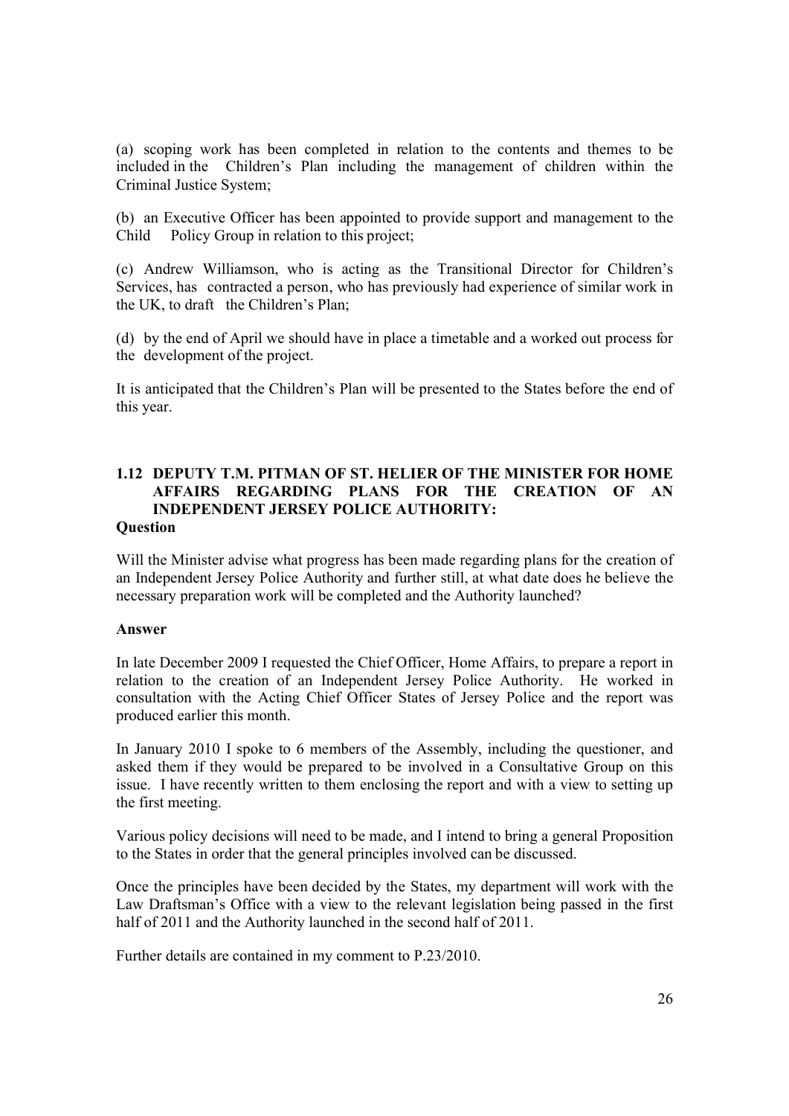(a) scoping work has been completed in relation to the contents and themes to be included in the Children's Plan including the management of children within the Criminal Justice System;

(b) an Executive Officer has been appointed to provide support and management to the Child Policy Group in relation to this project;

(c) Andrew Williamson, who is acting as the Transitional Director for Children's Services, has contracted a person, who has previously had experience of similar work in the UK, to draft the Children's Plan;

(d) by the end of April we should have in place a timetable and a worked out process for the development of the project.

It is anticipated that the Children's Plan will be presented to the States before the end of this year.

## **1.12 DEPUTY T.M. PITMAN OF ST. HELIER OF THE MINISTER FOR HOME AFFAIRS REGARDING PLANS FOR THE CREATION OF AN INDEPENDENT JERSEY POLICE AUTHORITY:**

#### **Question**

Will the Minister advise what progress has been made regarding plans for the creation of an Independent Jersey Police Authority and further still, at what date does he believe the necessary preparation work will be completed and the Authority launched?

#### **Answer**

In late December 2009 I requested the Chief Officer, Home Affairs, to prepare a report in relation to the creation of an Independent Jersey Police Authority. He worked in consultation with the Acting Chief Officer States of Jersey Police and the report was produced earlier this month.

In January 2010 I spoke to 6 members of the Assembly, including the questioner, and asked them if they would be prepared to be involved in a Consultative Group on this issue. I have recently written to them enclosing the report and with a view to setting up the first meeting.

Various policy decisions will need to be made, and I intend to bring a general Proposition to the States in order that the general principles involved can be discussed.

Once the principles have been decided by the States, my department will work with the Law Draftsman's Office with a view to the relevant legislation being passed in the first half of 2011 and the Authority launched in the second half of 2011.

Further details are contained in my comment to P.23/2010.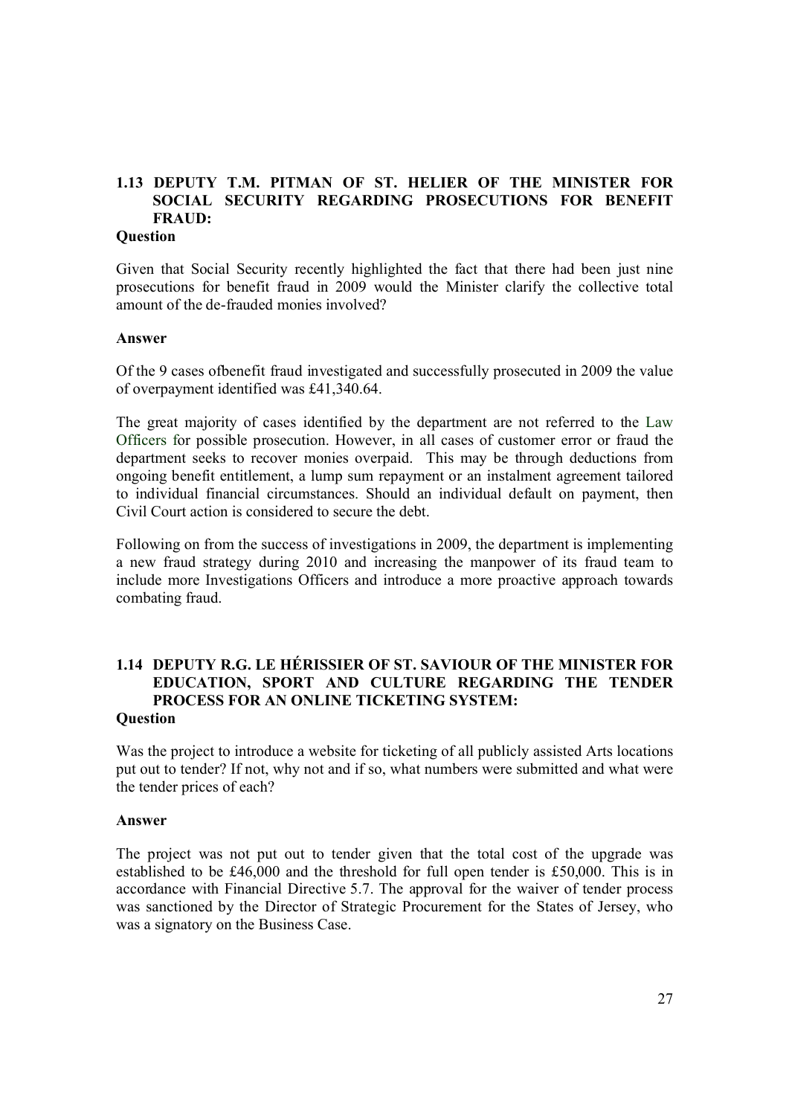## **1.13 DEPUTY T.M. PITMAN OF ST. HELIER OF THE MINISTER FOR SOCIAL SECURITY REGARDING PROSECUTIONS FOR BENEFIT FRAUD:**

#### **Question**

Given that Social Security recently highlighted the fact that there had been just nine prosecutions for benefit fraud in 2009 would the Minister clarify the collective total amount of the de-frauded monies involved?

#### **Answer**

Of the 9 cases ofbenefit fraud investigated and successfully prosecuted in 2009 the value of overpayment identified was £41,340.64.

The great majority of cases identified by the department are not referred to the Law Officers for possible prosecution. However, in all cases of customer error or fraud the department seeks to recover monies overpaid. This may be through deductions from ongoing benefit entitlement, a lump sum repayment or an instalment agreement tailored to individual financial circumstances. Should an individual default on payment, then Civil Court action is considered to secure the debt.

Following on from the success of investigations in 2009, the department is implementing a new fraud strategy during 2010 and increasing the manpower of its fraud team to include more Investigations Officers and introduce a more proactive approach towards combating fraud.

## **1.14 DEPUTY R.G. LE HÉRISSIER OF ST. SAVIOUR OF THE MINISTER FOR EDUCATION, SPORT AND CULTURE REGARDING THE TENDER PROCESS FOR AN ONLINE TICKETING SYSTEM:**

#### **Question**

Was the project to introduce a website for ticketing of all publicly assisted Arts locations put out to tender? If not, why not and if so, what numbers were submitted and what were the tender prices of each?

#### **Answer**

The project was not put out to tender given that the total cost of the upgrade was established to be £46,000 and the threshold for full open tender is £50,000. This is in accordance with Financial Directive 5.7. The approval for the waiver of tender process was sanctioned by the Director of Strategic Procurement for the States of Jersey, who was a signatory on the Business Case.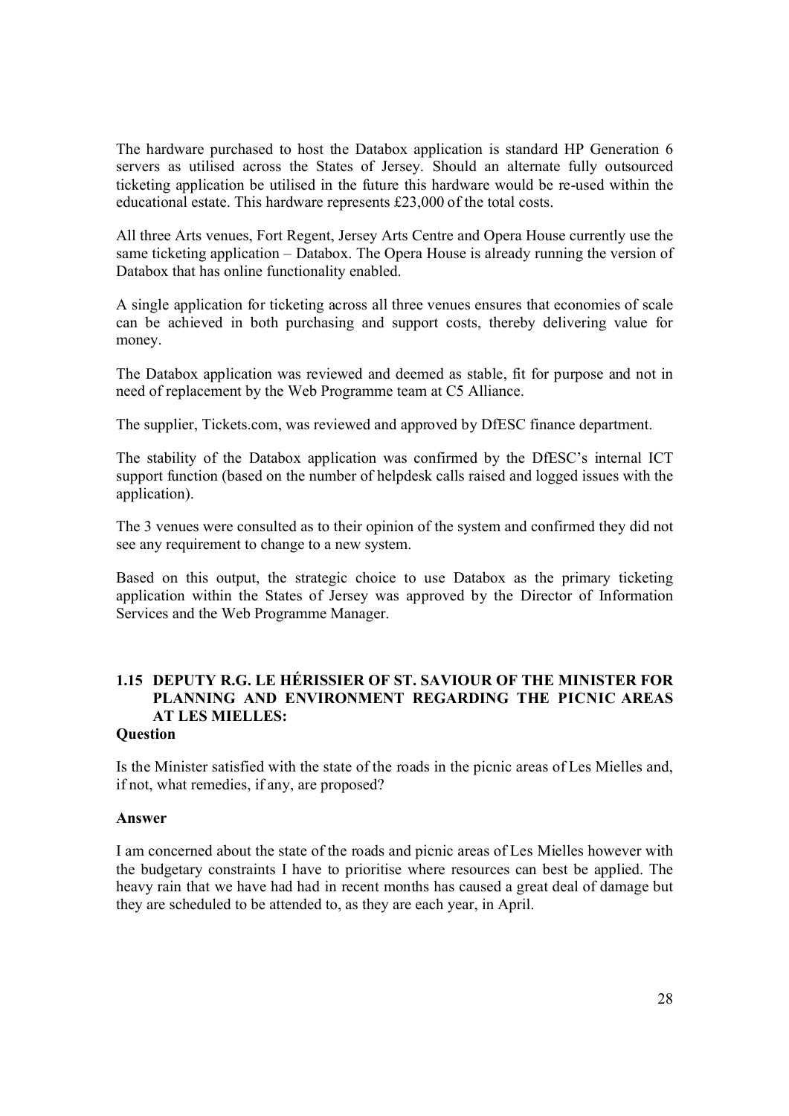The hardware purchased to host the Databox application is standard HP Generation 6 servers as utilised across the States of Jersey. Should an alternate fully outsourced ticketing application be utilised in the future this hardware would be re-used within the educational estate. This hardware represents £23,000 of the total costs.

All three Arts venues, Fort Regent, Jersey Arts Centre and Opera House currently use the same ticketing application – Databox. The Opera House is already running the version of Databox that has online functionality enabled.

A single application for ticketing across all three venues ensures that economies of scale can be achieved in both purchasing and support costs, thereby delivering value for money.

The Databox application was reviewed and deemed as stable, fit for purpose and not in need of replacement by the Web Programme team at C5 Alliance.

The supplier, Tickets.com, was reviewed and approved by DfESC finance department.

The stability of the Databox application was confirmed by the DfESC's internal ICT support function (based on the number of helpdesk calls raised and logged issues with the application).

The 3 venues were consulted as to their opinion of the system and confirmed they did not see any requirement to change to a new system.

Based on this output, the strategic choice to use Databox as the primary ticketing application within the States of Jersey was approved by the Director of Information Services and the Web Programme Manager.

## **1.15 DEPUTY R.G. LE HÉRISSIER OF ST. SAVIOUR OF THE MINISTER FOR PLANNING AND ENVIRONMENT REGARDING THE PICNIC AREAS AT LES MIELLES:**

#### **Question**

Is the Minister satisfied with the state of the roads in the picnic areas of Les Mielles and, if not, what remedies, if any, are proposed?

#### **Answer**

I am concerned about the state of the roads and picnic areas of Les Mielles however with the budgetary constraints I have to prioritise where resources can best be applied. The heavy rain that we have had had in recent months has caused a great deal of damage but they are scheduled to be attended to, as they are each year, in April.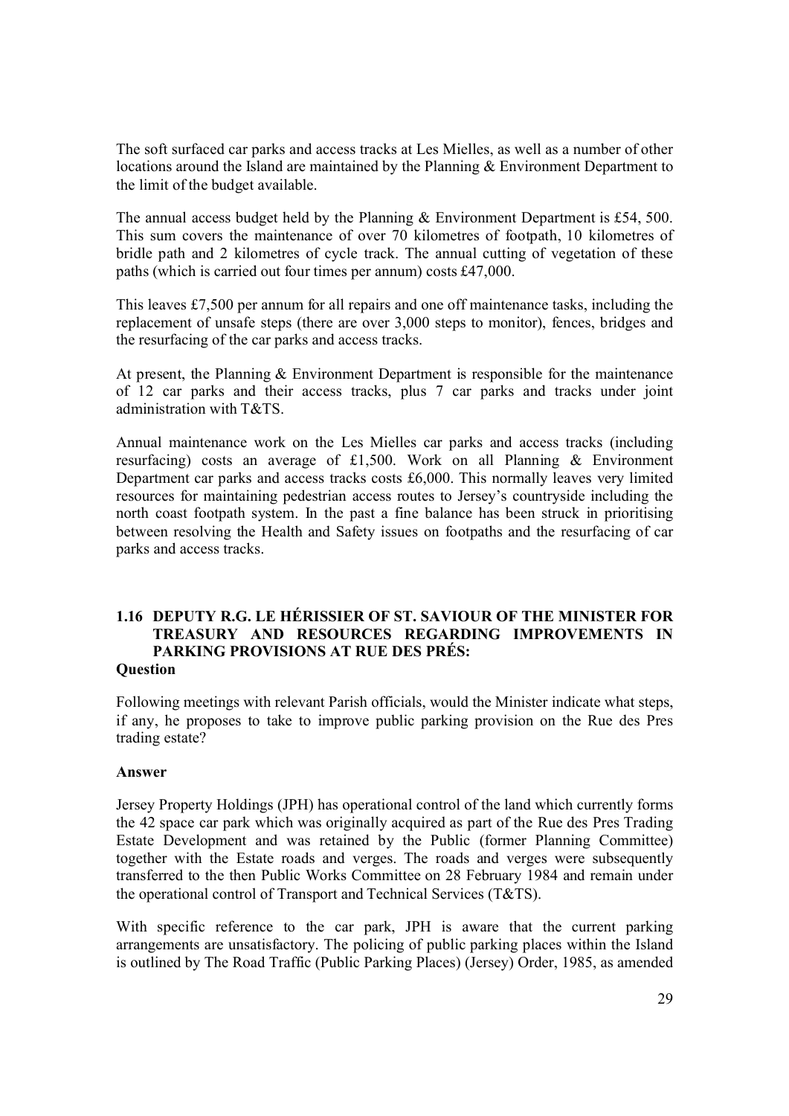The soft surfaced car parks and access tracks at Les Mielles, as well as a number of other locations around the Island are maintained by the Planning & Environment Department to the limit of the budget available.

The annual access budget held by the Planning & Environment Department is £54, 500. This sum covers the maintenance of over 70 kilometres of footpath, 10 kilometres of bridle path and 2 kilometres of cycle track. The annual cutting of vegetation of these paths (which is carried out four times per annum) costs £47,000.

This leaves £7,500 per annum for all repairs and one off maintenance tasks, including the replacement of unsafe steps (there are over 3,000 steps to monitor), fences, bridges and the resurfacing of the car parks and access tracks.

At present, the Planning & Environment Department is responsible for the maintenance of 12 car parks and their access tracks, plus 7 car parks and tracks under joint administration with T&TS.

Annual maintenance work on the Les Mielles car parks and access tracks (including resurfacing) costs an average of £1,500. Work on all Planning  $\&$  Environment Department car parks and access tracks costs £6,000. This normally leaves very limited resources for maintaining pedestrian access routes to Jersey's countryside including the north coast footpath system. In the past a fine balance has been struck in prioritising between resolving the Health and Safety issues on footpaths and the resurfacing of car parks and access tracks.

#### **1.16 DEPUTY R.G. LE HÉRISSIER OF ST. SAVIOUR OF THE MINISTER FOR TREASURY AND RESOURCES REGARDING IMPROVEMENTS IN PARKING PROVISIONS AT RUE DES PRÉS: Question**

Following meetings with relevant Parish officials, would the Minister indicate what steps, if any, he proposes to take to improve public parking provision on the Rue des Pres trading estate?

#### **Answer**

Jersey Property Holdings (JPH) has operational control of the land which currently forms the 42 space car park which was originally acquired as part of the Rue des Pres Trading Estate Development and was retained by the Public (former Planning Committee) together with the Estate roads and verges. The roads and verges were subsequently transferred to the then Public Works Committee on 28 February 1984 and remain under the operational control of Transport and Technical Services (T&TS).

With specific reference to the car park, JPH is aware that the current parking arrangements are unsatisfactory. The policing of public parking places within the Island is outlined by The Road Traffic (Public Parking Places) (Jersey) Order, 1985, as amended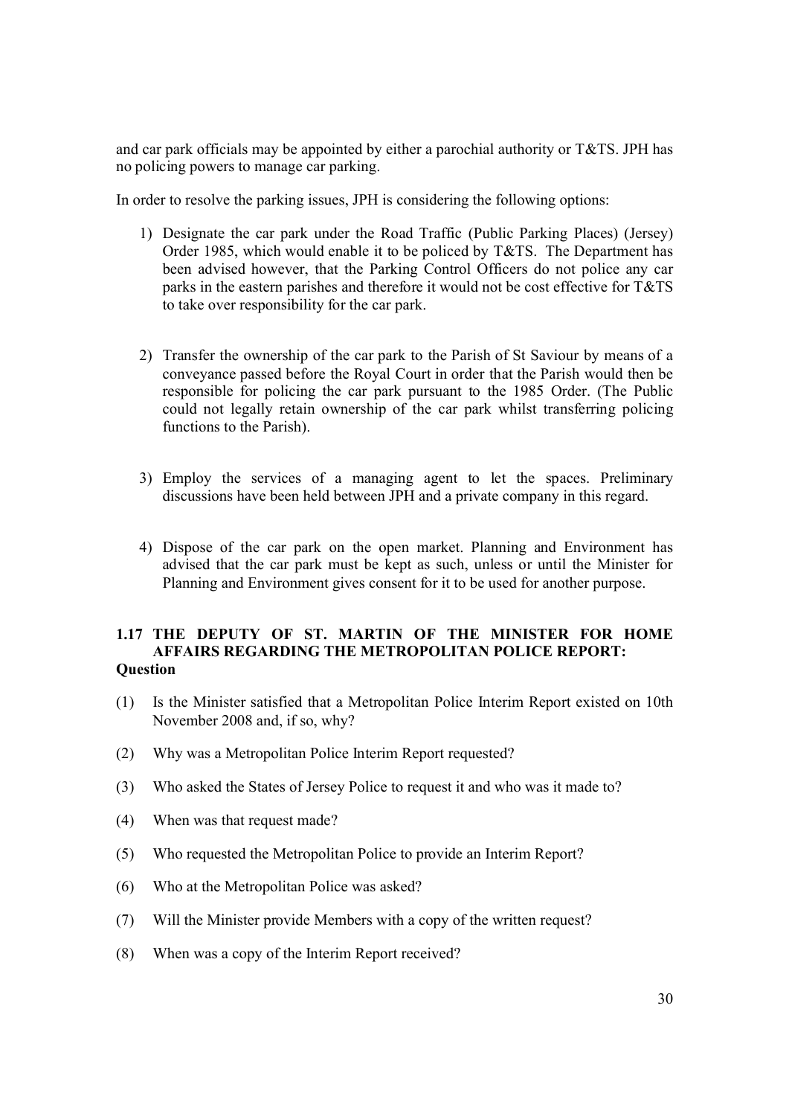and car park officials may be appointed by either a parochial authority or T&TS. JPH has no policing powers to manage car parking.

In order to resolve the parking issues, JPH is considering the following options:

- 1) Designate the car park under the Road Traffic (Public Parking Places) (Jersey) Order 1985, which would enable it to be policed by T&TS. The Department has been advised however, that the Parking Control Officers do not police any car parks in the eastern parishes and therefore it would not be cost effective for  $T&TS$ to take over responsibility for the car park.
- 2) Transfer the ownership of the car park to the Parish of St Saviour by means of a conveyance passed before the Royal Court in order that the Parish would then be responsible for policing the car park pursuant to the 1985 Order. (The Public could not legally retain ownership of the car park whilst transferring policing functions to the Parish).
- 3) Employ the services of a managing agent to let the spaces. Preliminary discussions have been held between JPH and a private company in this regard.
- 4) Dispose of the car park on the open market. Planning and Environment has advised that the car park must be kept as such, unless or until the Minister for Planning and Environment gives consent for it to be used for another purpose.

#### **1.17 THE DEPUTY OF ST. MARTIN OF THE MINISTER FOR HOME AFFAIRS REGARDING THE METROPOLITAN POLICE REPORT: Question**

- (1) Is the Minister satisfied that a Metropolitan Police Interim Report existed on 10th November 2008 and, if so, why?
- (2) Why was a Metropolitan Police Interim Report requested?
- (3) Who asked the States of Jersey Police to request it and who was it made to?
- (4) When was that request made?
- (5) Who requested the Metropolitan Police to provide an Interim Report?
- (6) Who at the Metropolitan Police was asked?
- (7) Will the Minister provide Members with a copy of the written request?
- (8) When was a copy of the Interim Report received?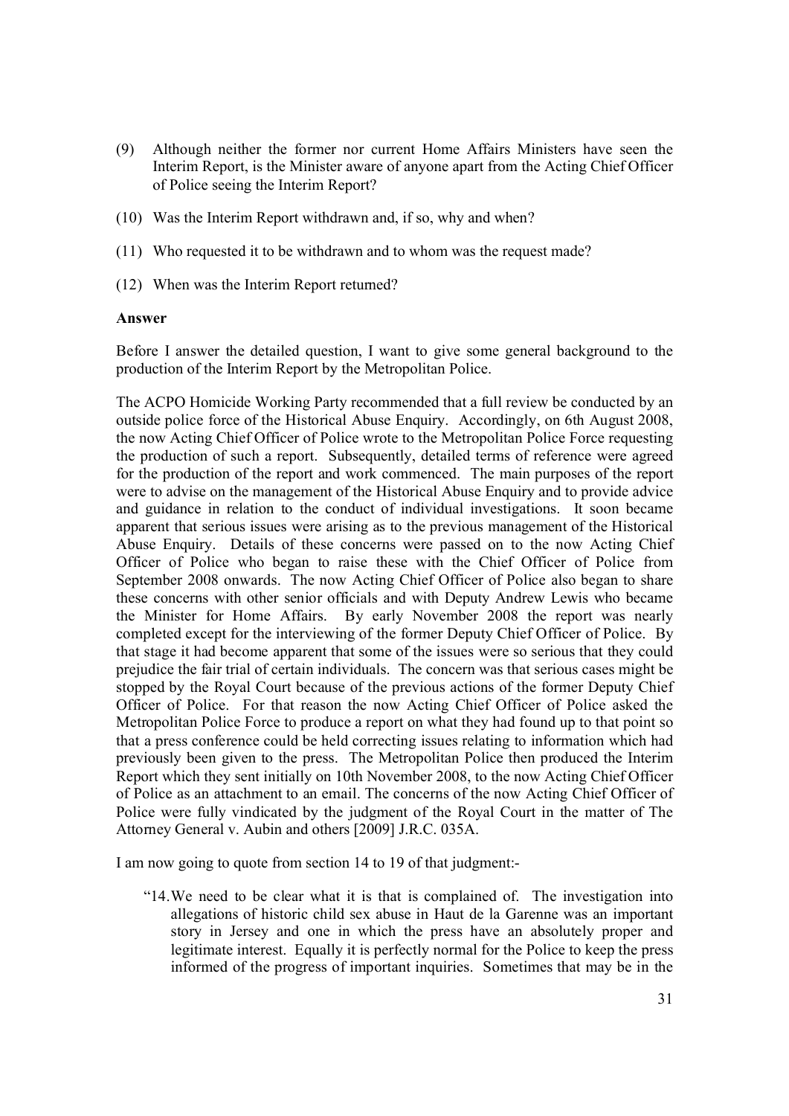- (9) Although neither the former nor current Home Affairs Ministers have seen the Interim Report, is the Minister aware of anyone apart from the Acting Chief Officer of Police seeing the Interim Report?
- (10) Was the Interim Report withdrawn and, if so, why and when?
- (11) Who requested it to be withdrawn and to whom was the request made?
- (12) When was the Interim Report returned?

#### **Answer**

Before I answer the detailed question, I want to give some general background to the production of the Interim Report by the Metropolitan Police.

The ACPO Homicide Working Party recommended that a full review be conducted by an outside police force of the Historical Abuse Enquiry. Accordingly, on 6th August 2008, the now Acting Chief Officer of Police wrote to the Metropolitan Police Force requesting the production of such a report. Subsequently, detailed terms of reference were agreed for the production of the report and work commenced. The main purposes of the report were to advise on the management of the Historical Abuse Enquiry and to provide advice and guidance in relation to the conduct of individual investigations. It soon became apparent that serious issues were arising as to the previous management of the Historical Abuse Enquiry. Details of these concerns were passed on to the now Acting Chief Officer of Police who began to raise these with the Chief Officer of Police from September 2008 onwards. The now Acting Chief Officer of Police also began to share these concerns with other senior officials and with Deputy Andrew Lewis who became the Minister for Home Affairs. By early November 2008 the report was nearly completed except for the interviewing of the former Deputy Chief Officer of Police. By that stage it had become apparent that some of the issues were so serious that they could prejudice the fair trial of certain individuals. The concern was that serious cases might be stopped by the Royal Court because of the previous actions of the former Deputy Chief Officer of Police. For that reason the now Acting Chief Officer of Police asked the Metropolitan Police Force to produce a report on what they had found up to that point so that a press conference could be held correcting issues relating to information which had previously been given to the press. The Metropolitan Police then produced the Interim Report which they sent initially on 10th November 2008, to the now Acting Chief Officer of Police as an attachment to an email. The concerns of the now Acting Chief Officer of Police were fully vindicated by the judgment of the Royal Court in the matter of The Attorney General v. Aubin and others [2009] J.R.C. 035A.

I am now going to quote from section 14 to 19 of that judgment:-

"14.We need to be clear what it is that is complained of. The investigation into allegations of historic child sex abuse in Haut de la Garenne was an important story in Jersey and one in which the press have an absolutely proper and legitimate interest. Equally it is perfectly normal for the Police to keep the press informed of the progress of important inquiries. Sometimes that may be in the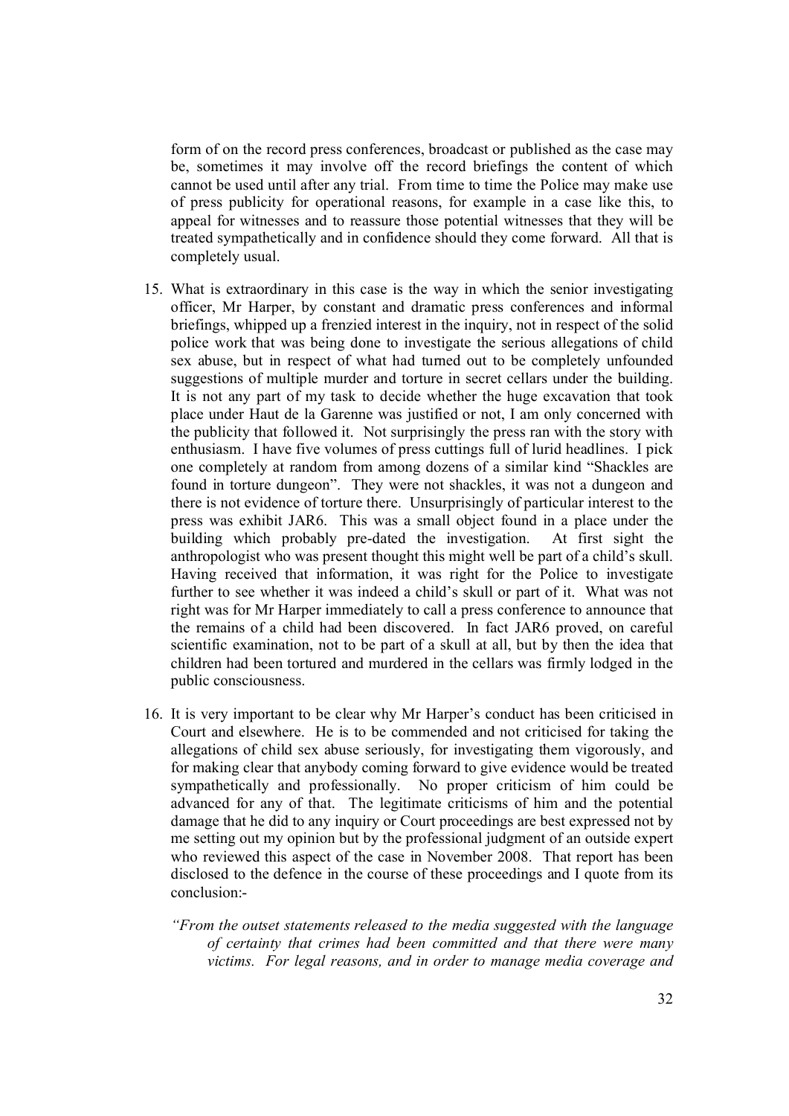form of on the record press conferences, broadcast or published as the case may be, sometimes it may involve off the record briefings the content of which cannot be used until after any trial. From time to time the Police may make use of press publicity for operational reasons, for example in a case like this, to appeal for witnesses and to reassure those potential witnesses that they will be treated sympathetically and in confidence should they come forward. All that is completely usual.

- 15. What is extraordinary in this case is the way in which the senior investigating officer, Mr Harper, by constant and dramatic press conferences and informal briefings, whipped up a frenzied interest in the inquiry, not in respect of the solid police work that was being done to investigate the serious allegations of child sex abuse, but in respect of what had turned out to be completely unfounded suggestions of multiple murder and torture in secret cellars under the building. It is not any part of my task to decide whether the huge excavation that took place under Haut de la Garenne was justified or not, I am only concerned with the publicity that followed it. Not surprisingly the press ran with the story with enthusiasm. I have five volumes of press cuttings full of lurid headlines. I pick one completely at random from among dozens of a similar kind "Shackles are found in torture dungeon". They were not shackles, it was not a dungeon and there is not evidence of torture there. Unsurprisingly of particular interest to the press was exhibit JAR6. This was a small object found in a place under the building which probably pre-dated the investigation. At first sight the anthropologist who was present thought this might well be part of a child's skull. Having received that information, it was right for the Police to investigate further to see whether it was indeed a child's skull or part of it. What was not right was for Mr Harper immediately to call a press conference to announce that the remains of a child had been discovered. In fact JAR6 proved, on careful scientific examination, not to be part of a skull at all, but by then the idea that children had been tortured and murdered in the cellars was firmly lodged in the public consciousness.
- 16. It is very important to be clear why Mr Harper's conduct has been criticised in Court and elsewhere. He is to be commended and not criticised for taking the allegations of child sex abuse seriously, for investigating them vigorously, and for making clear that anybody coming forward to give evidence would be treated sympathetically and professionally. No proper criticism of him could be advanced for any of that. The legitimate criticisms of him and the potential damage that he did to any inquiry or Court proceedings are best expressed not by me setting out my opinion but by the professional judgment of an outside expert who reviewed this aspect of the case in November 2008. That report has been disclosed to the defence in the course of these proceedings and I quote from its conclusion:-
	- *"From the outset statements released to the media suggested with the language of certainty that crimes had been committed and that there were many victims. For legal reasons, and in order to manage media coverage and*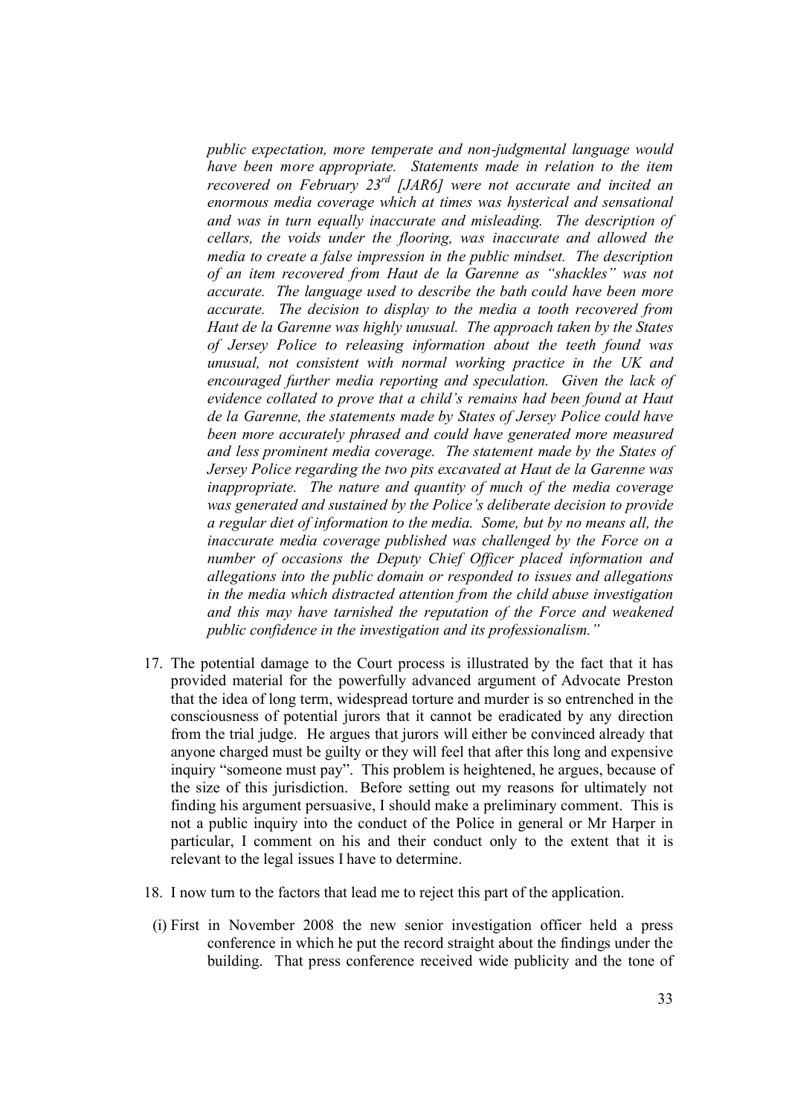*public expectation, more temperate and non-judgmental language would have been more appropriate. Statements made in relation to the item recovered on February 23rd [JAR6] were not accurate and incited an enormous media coverage which at times was hysterical and sensational and was in turn equally inaccurate and misleading. The description of cellars, the voids under the flooring, was inaccurate and allowed the media to create a false impression in the public mindset. The description of an item recovered from Haut de la Garenne as "shackles" was not accurate. The language used to describe the bath could have been more accurate. The decision to display to the media a tooth recovered from Haut de la Garenne was highly unusual. The approach taken by the States of Jersey Police to releasing information about the teeth found was unusual, not consistent with normal working practice in the UK and encouraged further media reporting and speculation. Given the lack of evidence collated to prove that a child's remains had been found at Haut de la Garenne, the statements made by States of Jersey Police could have been more accurately phrased and could have generated more measured and less prominent media coverage. The statement made by the States of Jersey Police regarding the two pits excavated at Haut de la Garenne was inappropriate. The nature and quantity of much of the media coverage was generated and sustained by the Police's deliberate decision to provide a regular diet of information to the media. Some, but by no means all, the inaccurate media coverage published was challenged by the Force on a number of occasions the Deputy Chief Officer placed information and allegations into the public domain or responded to issues and allegations in the media which distracted attention from the child abuse investigation and this may have tarnished the reputation of the Force and weakened public confidence in the investigation and its professionalism."*

- 17. The potential damage to the Court process is illustrated by the fact that it has provided material for the powerfully advanced argument of Advocate Preston that the idea of long term, widespread torture and murder is so entrenched in the consciousness of potential jurors that it cannot be eradicated by any direction from the trial judge. He argues that jurors will either be convinced already that anyone charged must be guilty or they will feel that after this long and expensive inquiry "someone must pay". This problem is heightened, he argues, because of the size of this jurisdiction. Before setting out my reasons for ultimately not finding his argument persuasive, I should make a preliminary comment. This is not a public inquiry into the conduct of the Police in general or Mr Harper in particular, I comment on his and their conduct only to the extent that it is relevant to the legal issues I have to determine.
- 18. I now turn to the factors that lead me to reject this part of the application.
- (i) First in November 2008 the new senior investigation officer held a press conference in which he put the record straight about the findings under the building. That press conference received wide publicity and the tone of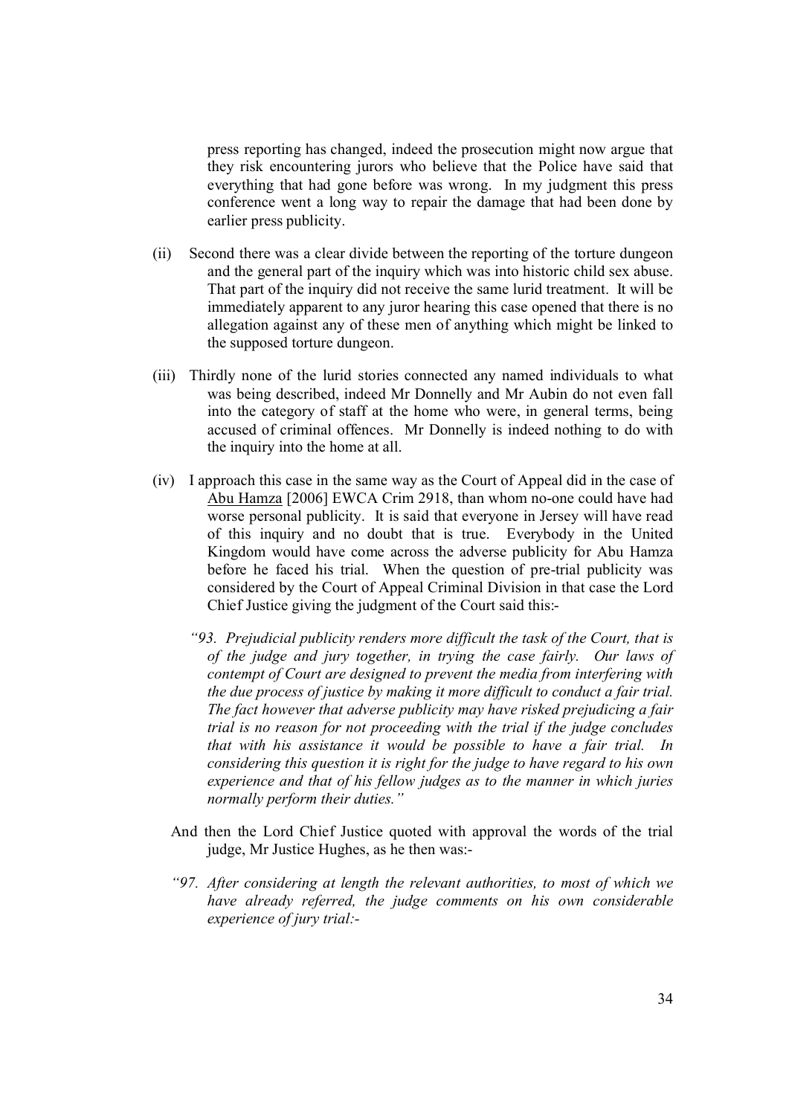press reporting has changed, indeed the prosecution might now argue that they risk encountering jurors who believe that the Police have said that everything that had gone before was wrong. In my judgment this press conference went a long way to repair the damage that had been done by earlier press publicity.

- (ii) Second there was a clear divide between the reporting of the torture dungeon and the general part of the inquiry which was into historic child sex abuse. That part of the inquiry did not receive the same lurid treatment. It will be immediately apparent to any juror hearing this case opened that there is no allegation against any of these men of anything which might be linked to the supposed torture dungeon.
- (iii) Thirdly none of the lurid stories connected any named individuals to what was being described, indeed Mr Donnelly and Mr Aubin do not even fall into the category of staff at the home who were, in general terms, being accused of criminal offences. Mr Donnelly is indeed nothing to do with the inquiry into the home at all.
- (iv) I approach this case in the same way as the Court of Appeal did in the case of Abu Hamza [2006] EWCA Crim 2918, than whom no-one could have had worse personal publicity. It is said that everyone in Jersey will have read of this inquiry and no doubt that is true. Everybody in the United Kingdom would have come across the adverse publicity for Abu Hamza before he faced his trial. When the question of pre-trial publicity was considered by the Court of Appeal Criminal Division in that case the Lord Chief Justice giving the judgment of the Court said this:-
	- *"93. Prejudicial publicity renders more difficult the task of the Court, that is of the judge and jury together, in trying the case fairly. Our laws of contempt of Court are designed to prevent the media from interfering with the due process of justice by making it more difficult to conduct a fair trial. The fact however that adverse publicity may have risked prejudicing a fair trial is no reason for not proceeding with the trial if the judge concludes that with his assistance it would be possible to have a fair trial. In considering this question it is right for the judge to have regard to his own experience and that of his fellow judges as to the manner in which juries normally perform their duties."*
	- And then the Lord Chief Justice quoted with approval the words of the trial judge, Mr Justice Hughes, as he then was:-
	- *"97. After considering at length the relevant authorities, to most of which we have already referred, the judge comments on his own considerable experience of jury trial:-*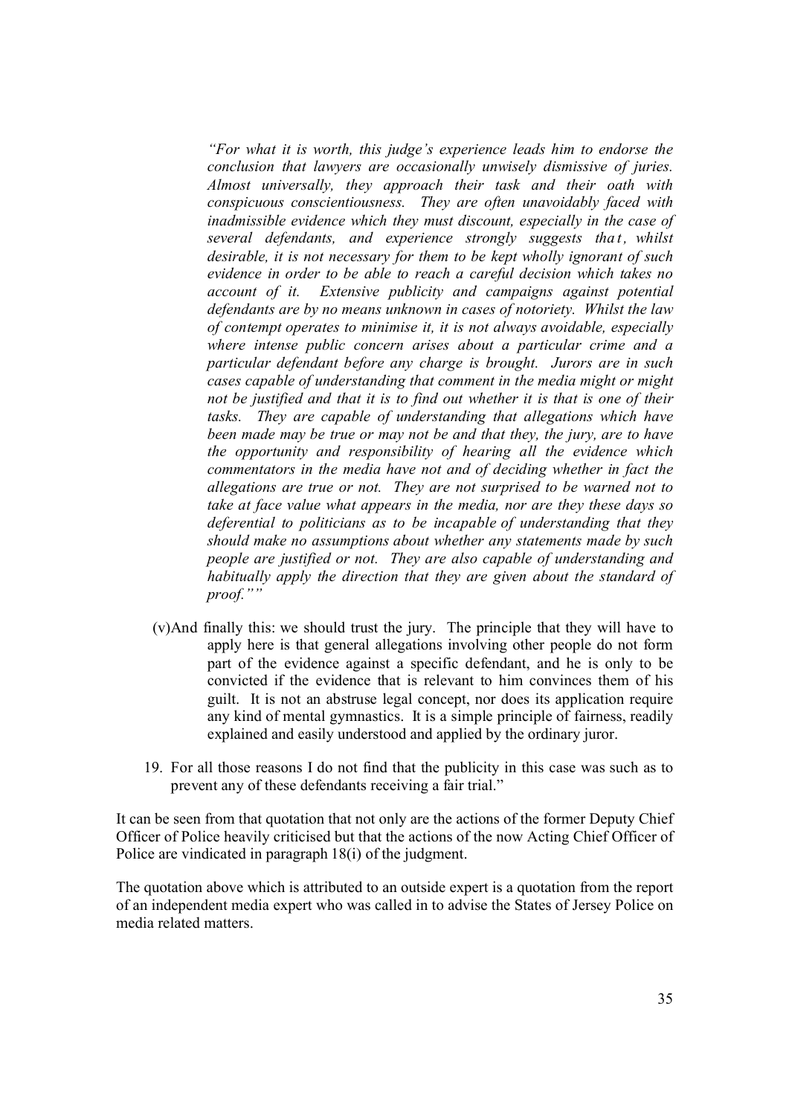*"For what it is worth, this judge's experience leads him to endorse the conclusion that lawyers are occasionally unwisely dismissive of juries. Almost universally, they approach their task and their oath with conspicuous conscientiousness. They are often unavoidably faced with inadmissible evidence which they must discount, especially in the case of several defendants, and experience strongly suggests that, whilst desirable, it is not necessary for them to be kept wholly ignorant of such evidence in order to be able to reach a careful decision which takes no account of it. Extensive publicity and campaigns against potential defendants are by no means unknown in cases of notoriety. Whilst the law of contempt operates to minimise it, it is not always avoidable, especially where intense public concern arises about a particular crime and a particular defendant before any charge is brought. Jurors are in such cases capable of understanding that comment in the media might or might not be justified and that it is to find out whether it is that is one of their tasks. They are capable of understanding that allegations which have been made may be true or may not be and that they, the jury, are to have the opportunity and responsibility of hearing all the evidence which commentators in the media have not and of deciding whether in fact the allegations are true or not. They are not surprised to be warned not to take at face value what appears in the media, nor are they these days so deferential to politicians as to be incapable of understanding that they should make no assumptions about whether any statements made by such people are justified or not. They are also capable of understanding and habitually apply the direction that they are given about the standard of proof.""*

- (v)And finally this: we should trust the jury. The principle that they will have to apply here is that general allegations involving other people do not form part of the evidence against a specific defendant, and he is only to be convicted if the evidence that is relevant to him convinces them of his guilt. It is not an abstruse legal concept, nor does its application require any kind of mental gymnastics. It is a simple principle of fairness, readily explained and easily understood and applied by the ordinary juror.
- 19. For all those reasons I do not find that the publicity in this case was such as to prevent any of these defendants receiving a fair trial."

It can be seen from that quotation that not only are the actions of the former Deputy Chief Officer of Police heavily criticised but that the actions of the now Acting Chief Officer of Police are vindicated in paragraph 18(i) of the judgment.

The quotation above which is attributed to an outside expert is a quotation from the report of an independent media expert who was called in to advise the States of Jersey Police on media related matters.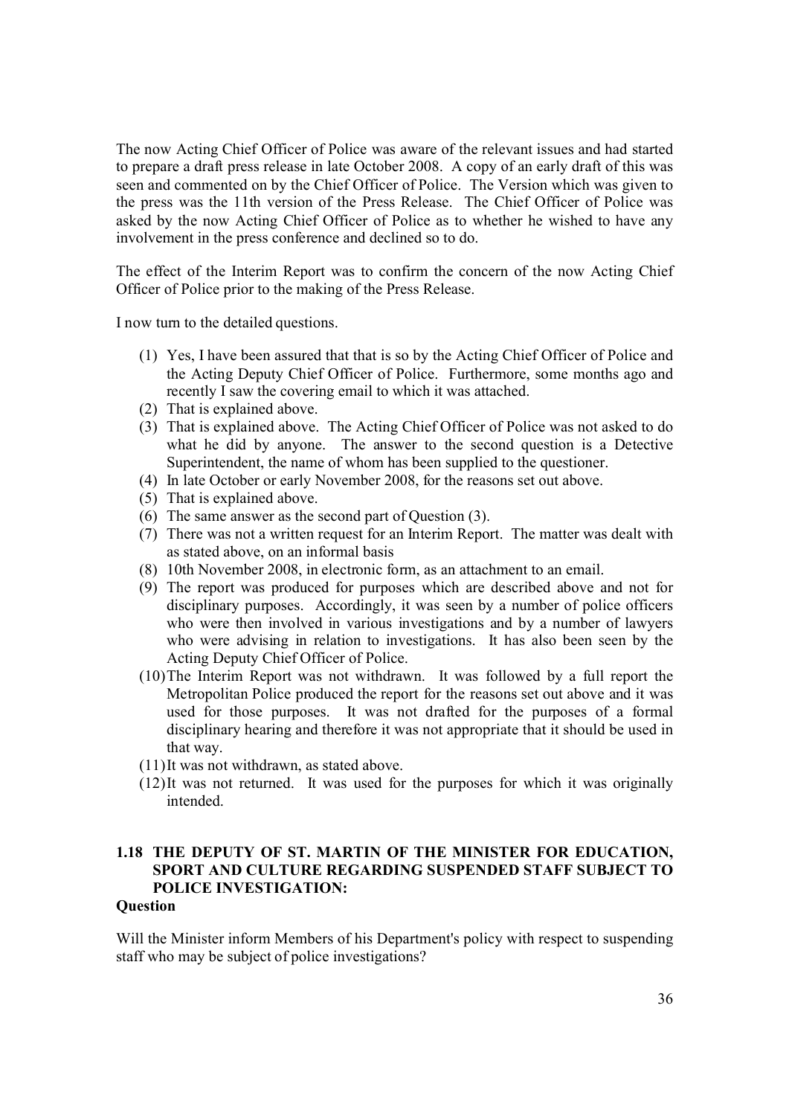The now Acting Chief Officer of Police was aware of the relevant issues and had started to prepare a draft press release in late October 2008. A copy of an early draft of this was seen and commented on by the Chief Officer of Police. The Version which was given to the press was the 11th version of the Press Release. The Chief Officer of Police was asked by the now Acting Chief Officer of Police as to whether he wished to have any involvement in the press conference and declined so to do.

The effect of the Interim Report was to confirm the concern of the now Acting Chief Officer of Police prior to the making of the Press Release.

I now turn to the detailed questions.

- (1) Yes, I have been assured that that is so by the Acting Chief Officer of Police and the Acting Deputy Chief Officer of Police. Furthermore, some months ago and recently I saw the covering email to which it was attached.
- (2) That is explained above.
- (3) That is explained above. The Acting Chief Officer of Police was not asked to do what he did by anyone. The answer to the second question is a Detective Superintendent, the name of whom has been supplied to the questioner.
- (4) In late October or early November 2008, for the reasons set out above.
- (5) That is explained above.
- (6) The same answer as the second part of Question (3).
- (7) There was not a written request for an Interim Report. The matter was dealt with as stated above, on an informal basis
- (8) 10th November 2008, in electronic form, as an attachment to an email.
- (9) The report was produced for purposes which are described above and not for disciplinary purposes. Accordingly, it was seen by a number of police officers who were then involved in various investigations and by a number of lawyers who were advising in relation to investigations. It has also been seen by the Acting Deputy Chief Officer of Police.
- (10)The Interim Report was not withdrawn. It was followed by a full report the Metropolitan Police produced the report for the reasons set out above and it was used for those purposes. It was not drafted for the purposes of a formal disciplinary hearing and therefore it was not appropriate that it should be used in that way.
- (11)It was not withdrawn, as stated above.
- (12)It was not returned. It was used for the purposes for which it was originally intended.

### **1.18 THE DEPUTY OF ST. MARTIN OF THE MINISTER FOR EDUCATION, SPORT AND CULTURE REGARDING SUSPENDED STAFF SUBJECT TO POLICE INVESTIGATION:**

#### **Question**

Will the Minister inform Members of his Department's policy with respect to suspending staff who may be subject of police investigations?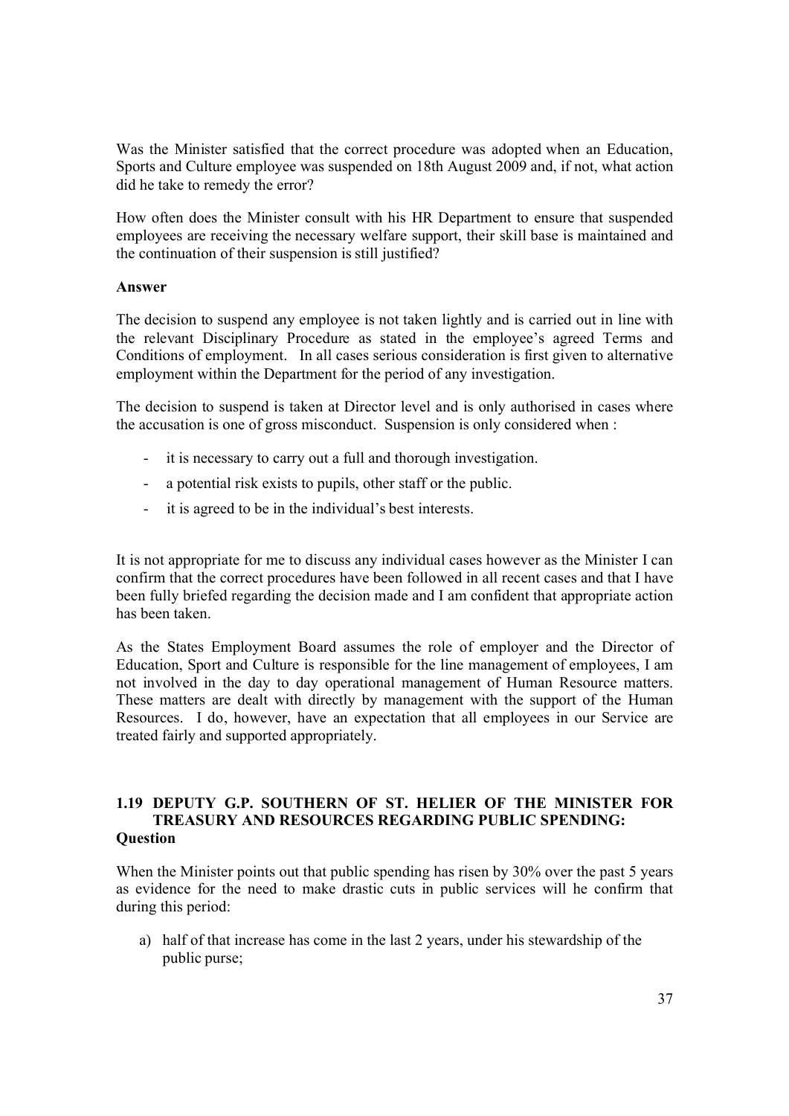Was the Minister satisfied that the correct procedure was adopted when an Education, Sports and Culture employee was suspended on 18th August 2009 and, if not, what action did he take to remedy the error?

How often does the Minister consult with his HR Department to ensure that suspended employees are receiving the necessary welfare support, their skill base is maintained and the continuation of their suspension is still justified?

#### **Answer**

The decision to suspend any employee is not taken lightly and is carried out in line with the relevant Disciplinary Procedure as stated in the employee's agreed Terms and Conditions of employment. In all cases serious consideration is first given to alternative employment within the Department for the period of any investigation.

The decision to suspend is taken at Director level and is only authorised in cases where the accusation is one of gross misconduct. Suspension is only considered when :

- it is necessary to carry out a full and thorough investigation.
- a potential risk exists to pupils, other staff or the public.
- it is agreed to be in the individual's best interests.

It is not appropriate for me to discuss any individual cases however as the Minister I can confirm that the correct procedures have been followed in all recent cases and that I have been fully briefed regarding the decision made and I am confident that appropriate action has been taken.

As the States Employment Board assumes the role of employer and the Director of Education, Sport and Culture is responsible for the line management of employees, I am not involved in the day to day operational management of Human Resource matters. These matters are dealt with directly by management with the support of the Human Resources. I do, however, have an expectation that all employees in our Service are treated fairly and supported appropriately.

#### **1.19 DEPUTY G.P. SOUTHERN OF ST. HELIER OF THE MINISTER FOR TREASURY AND RESOURCES REGARDING PUBLIC SPENDING: Question**

When the Minister points out that public spending has risen by 30% over the past 5 years as evidence for the need to make drastic cuts in public services will he confirm that during this period:

a) half of that increase has come in the last 2 years, under his stewardship of the public purse;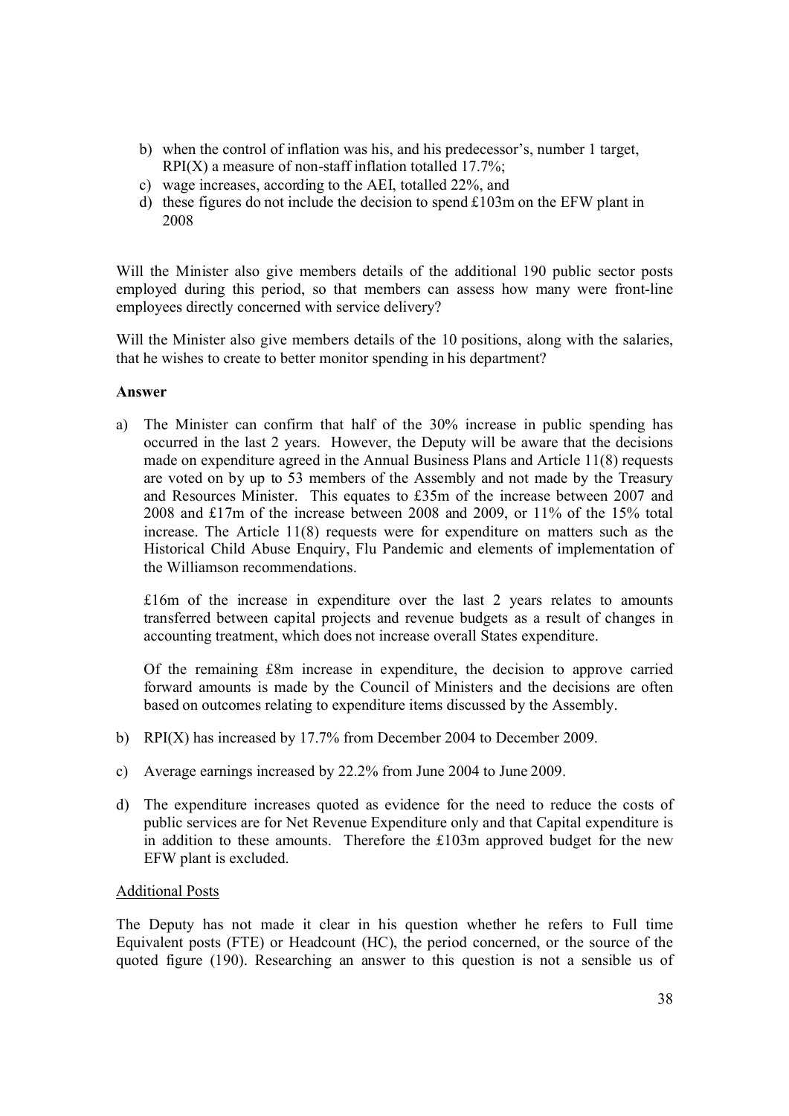- b) when the control of inflation was his, and his predecessor's, number 1 target,  $RPI(X)$  a measure of non-staff inflation totalled 17.7%;
- c) wage increases, according to the AEI, totalled 22%, and
- d) these figures do not include the decision to spend £103m on the EFW plant in 2008

Will the Minister also give members details of the additional 190 public sector posts employed during this period, so that members can assess how many were front-line employees directly concerned with service delivery?

Will the Minister also give members details of the 10 positions, along with the salaries, that he wishes to create to better monitor spending in his department?

#### **Answer**

a) The Minister can confirm that half of the 30% increase in public spending has occurred in the last 2 years. However, the Deputy will be aware that the decisions made on expenditure agreed in the Annual Business Plans and Article 11(8) requests are voted on by up to 53 members of the Assembly and not made by the Treasury and Resources Minister. This equates to £35m of the increase between 2007 and 2008 and £17m of the increase between 2008 and 2009, or 11% of the 15% total increase. The Article 11(8) requests were for expenditure on matters such as the Historical Child Abuse Enquiry, Flu Pandemic and elements of implementation of the Williamson recommendations.

£16m of the increase in expenditure over the last 2 years relates to amounts transferred between capital projects and revenue budgets as a result of changes in accounting treatment, which does not increase overall States expenditure.

Of the remaining £8m increase in expenditure, the decision to approve carried forward amounts is made by the Council of Ministers and the decisions are often based on outcomes relating to expenditure items discussed by the Assembly.

- b) RPI(X) has increased by 17.7% from December 2004 to December 2009.
- c) Average earnings increased by 22.2% from June 2004 to June 2009.
- d) The expenditure increases quoted as evidence for the need to reduce the costs of public services are for Net Revenue Expenditure only and that Capital expenditure is in addition to these amounts. Therefore the £103m approved budget for the new EFW plant is excluded.

#### Additional Posts

The Deputy has not made it clear in his question whether he refers to Full time Equivalent posts (FTE) or Headcount (HC), the period concerned, or the source of the quoted figure (190). Researching an answer to this question is not a sensible us of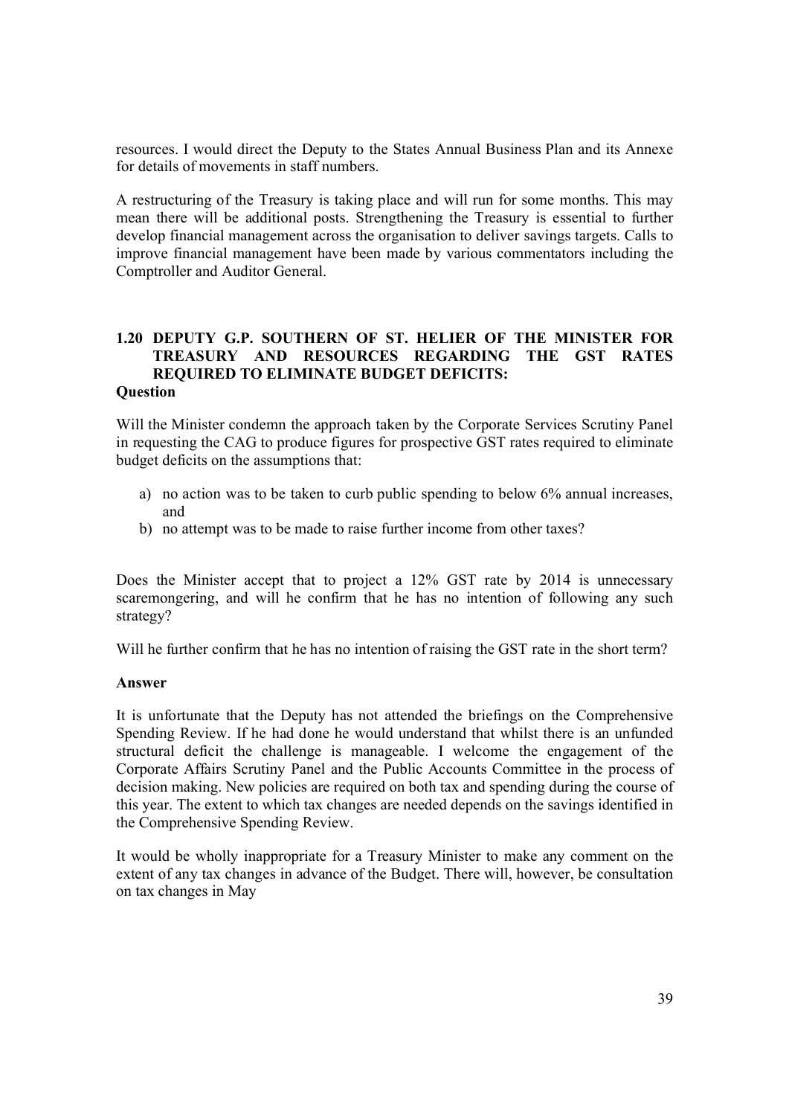resources. I would direct the Deputy to the States Annual Business Plan and its Annexe for details of movements in staff numbers.

A restructuring of the Treasury is taking place and will run for some months. This may mean there will be additional posts. Strengthening the Treasury is essential to further develop financial management across the organisation to deliver savings targets. Calls to improve financial management have been made by various commentators including the Comptroller and Auditor General.

#### **1.20 DEPUTY G.P. SOUTHERN OF ST. HELIER OF THE MINISTER FOR TREASURY AND RESOURCES REGARDING THE GST RATES REQUIRED TO ELIMINATE BUDGET DEFICITS: Question**

Will the Minister condemn the approach taken by the Corporate Services Scrutiny Panel in requesting the CAG to produce figures for prospective GST rates required to eliminate budget deficits on the assumptions that:

- a) no action was to be taken to curb public spending to below 6% annual increases, and
- b) no attempt was to be made to raise further income from other taxes?

Does the Minister accept that to project a 12% GST rate by 2014 is unnecessary scaremongering, and will he confirm that he has no intention of following any such strategy?

Will he further confirm that he has no intention of raising the GST rate in the short term?

#### **Answer**

It is unfortunate that the Deputy has not attended the briefings on the Comprehensive Spending Review. If he had done he would understand that whilst there is an unfunded structural deficit the challenge is manageable. I welcome the engagement of the Corporate Affairs Scrutiny Panel and the Public Accounts Committee in the process of decision making. New policies are required on both tax and spending during the course of this year. The extent to which tax changes are needed depends on the savings identified in the Comprehensive Spending Review.

It would be wholly inappropriate for a Treasury Minister to make any comment on the extent of any tax changes in advance of the Budget. There will, however, be consultation on tax changes in May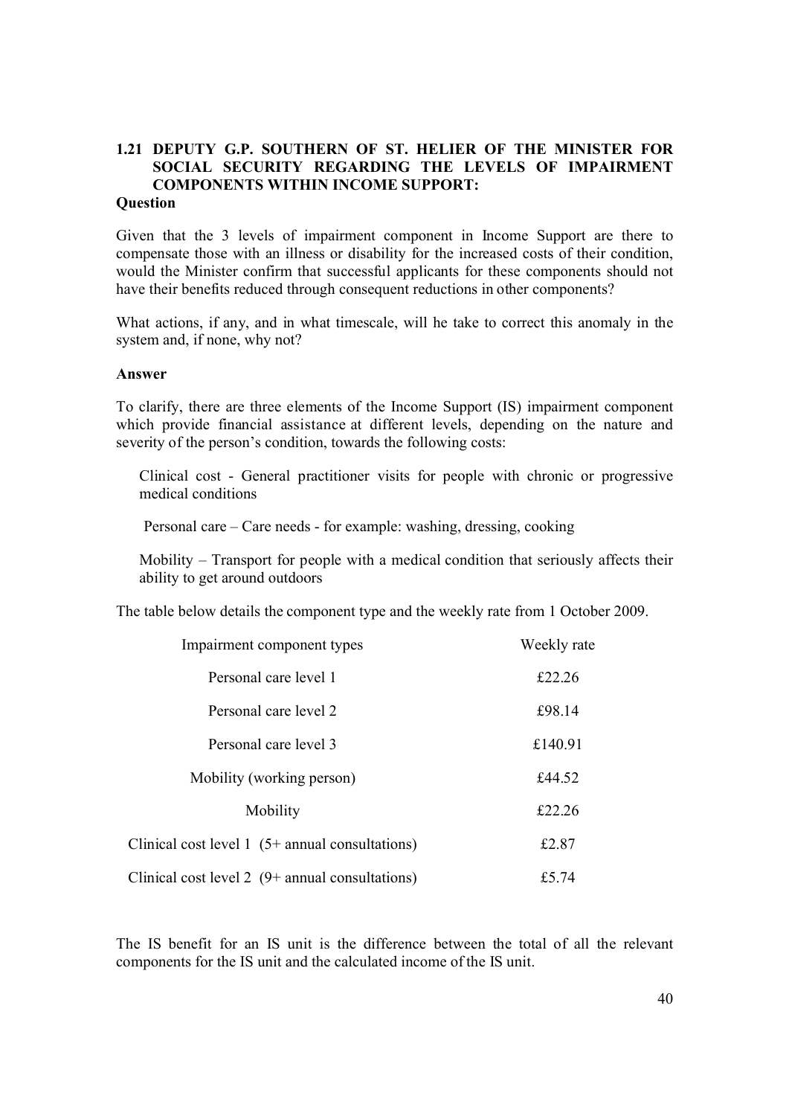## **1.21 DEPUTY G.P. SOUTHERN OF ST. HELIER OF THE MINISTER FOR SOCIAL SECURITY REGARDING THE LEVELS OF IMPAIRMENT COMPONENTS WITHIN INCOME SUPPORT:**

#### **Question**

Given that the 3 levels of impairment component in Income Support are there to compensate those with an illness or disability for the increased costs of their condition, would the Minister confirm that successful applicants for these components should not have their benefits reduced through consequent reductions in other components?

What actions, if any, and in what timescale, will he take to correct this anomaly in the system and, if none, why not?

#### **Answer**

To clarify, there are three elements of the Income Support (IS) impairment component which provide financial assistance at different levels, depending on the nature and severity of the person's condition, towards the following costs:

Clinical cost - General practitioner visits for people with chronic or progressive medical conditions

Personal care – Care needs - for example: washing, dressing, cooking

Mobility – Transport for people with a medical condition that seriously affects their ability to get around outdoors

The table below details the component type and the weekly rate from 1 October 2009.

| Impairment component types                                       | Weekly rate |
|------------------------------------------------------------------|-------------|
| Personal care level 1                                            | £22.26      |
| Personal care level 2                                            | £98.14      |
| Personal care level 3                                            | £140.91     |
| Mobility (working person)                                        | £44.52      |
| Mobility                                                         | £22.26      |
| Clinical cost level $1 \left(5 + \text{annual constants}\right)$ | £2.87       |
| Clinical cost level $2(9+$ annual consultations)                 | £5.74       |

The IS benefit for an IS unit is the difference between the total of all the relevant components for the IS unit and the calculated income of the IS unit.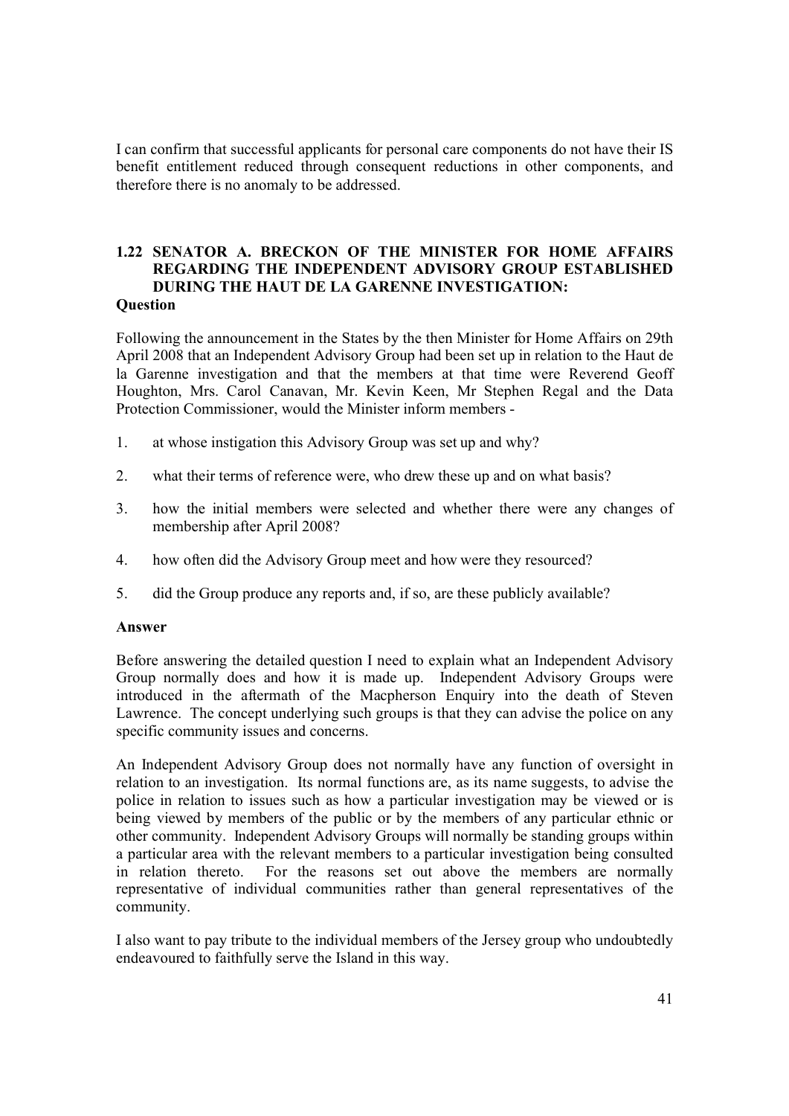I can confirm that successful applicants for personal care components do not have their IS benefit entitlement reduced through consequent reductions in other components, and therefore there is no anomaly to be addressed.

#### **1.22 SENATOR A. BRECKON OF THE MINISTER FOR HOME AFFAIRS REGARDING THE INDEPENDENT ADVISORY GROUP ESTABLISHED DURING THE HAUT DE LA GARENNE INVESTIGATION: Question**

Following the announcement in the States by the then Minister for Home Affairs on 29th April 2008 that an Independent Advisory Group had been set up in relation to the Haut de la Garenne investigation and that the members at that time were Reverend Geoff Houghton, Mrs. Carol Canavan, Mr. Kevin Keen, Mr Stephen Regal and the Data Protection Commissioner, would the Minister inform members -

- 1. at whose instigation this Advisory Group was set up and why?
- 2. what their terms of reference were, who drew these up and on what basis?
- 3. how the initial members were selected and whether there were any changes of membership after April 2008?
- 4. how often did the Advisory Group meet and how were they resourced?
- 5. did the Group produce any reports and, if so, are these publicly available?

#### **Answer**

Before answering the detailed question I need to explain what an Independent Advisory Group normally does and how it is made up. Independent Advisory Groups were introduced in the aftermath of the Macpherson Enquiry into the death of Steven Lawrence. The concept underlying such groups is that they can advise the police on any specific community issues and concerns.

An Independent Advisory Group does not normally have any function of oversight in relation to an investigation. Its normal functions are, as its name suggests, to advise the police in relation to issues such as how a particular investigation may be viewed or is being viewed by members of the public or by the members of any particular ethnic or other community. Independent Advisory Groups will normally be standing groups within a particular area with the relevant members to a particular investigation being consulted in relation thereto. For the reasons set out above the members are normally representative of individual communities rather than general representatives of the community.

I also want to pay tribute to the individual members of the Jersey group who undoubtedly endeavoured to faithfully serve the Island in this way.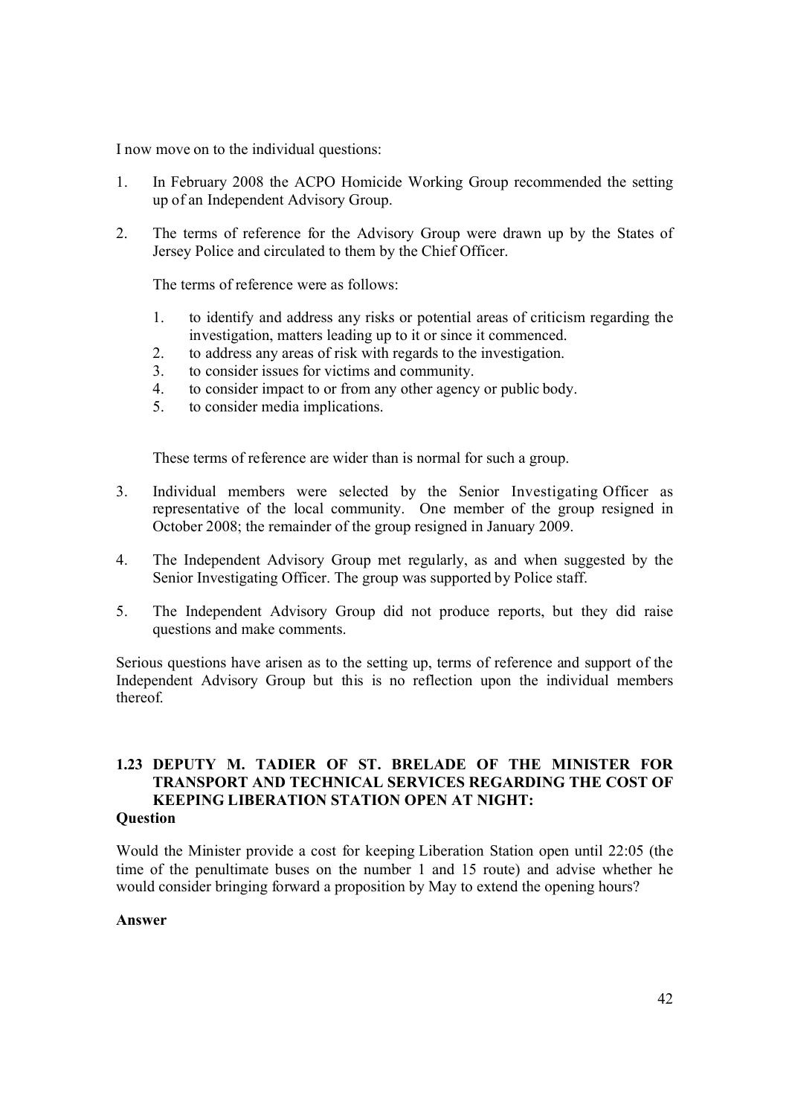I now move on to the individual questions:

- 1. In February 2008 the ACPO Homicide Working Group recommended the setting up of an Independent Advisory Group.
- 2. The terms of reference for the Advisory Group were drawn up by the States of Jersey Police and circulated to them by the Chief Officer.

The terms of reference were as follows:

- 1. to identify and address any risks or potential areas of criticism regarding the investigation, matters leading up to it or since it commenced.
- 2. to address any areas of risk with regards to the investigation.
- 3. to consider issues for victims and community.
- 4. to consider impact to or from any other agency or public body.
- 5. to consider media implications.

These terms of reference are wider than is normal for such a group.

- 3. Individual members were selected by the Senior Investigating Officer as representative of the local community. One member of the group resigned in October 2008; the remainder of the group resigned in January 2009.
- 4. The Independent Advisory Group met regularly, as and when suggested by the Senior Investigating Officer. The group was supported by Police staff.
- 5. The Independent Advisory Group did not produce reports, but they did raise questions and make comments.

Serious questions have arisen as to the setting up, terms of reference and support of the Independent Advisory Group but this is no reflection upon the individual members thereof.

#### **1.23 DEPUTY M. TADIER OF ST. BRELADE OF THE MINISTER FOR TRANSPORT AND TECHNICAL SERVICES REGARDING THE COST OF KEEPING LIBERATION STATION OPEN AT NIGHT: Question**

Would the Minister provide a cost for keeping Liberation Station open until 22:05 (the time of the penultimate buses on the number 1 and 15 route) and advise whether he would consider bringing forward a proposition by May to extend the opening hours?

#### **Answer**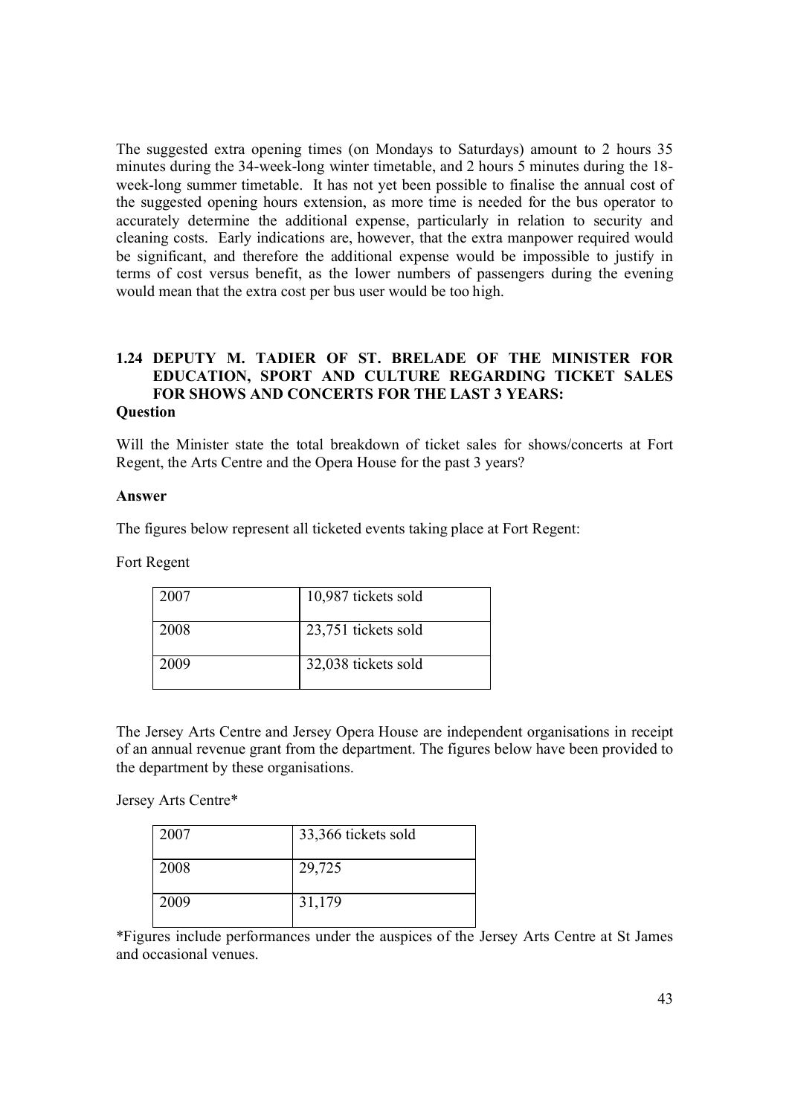The suggested extra opening times (on Mondays to Saturdays) amount to 2 hours 35 minutes during the 34-week-long winter timetable, and 2 hours 5 minutes during the 18 week-long summer timetable. It has not yet been possible to finalise the annual cost of the suggested opening hours extension, as more time is needed for the bus operator to accurately determine the additional expense, particularly in relation to security and cleaning costs. Early indications are, however, that the extra manpower required would be significant, and therefore the additional expense would be impossible to justify in terms of cost versus benefit, as the lower numbers of passengers during the evening would mean that the extra cost per bus user would be too high.

#### **1.24 DEPUTY M. TADIER OF ST. BRELADE OF THE MINISTER FOR EDUCATION, SPORT AND CULTURE REGARDING TICKET SALES FOR SHOWS AND CONCERTS FOR THE LAST 3 YEARS: Question**

Will the Minister state the total breakdown of ticket sales for shows/concerts at Fort Regent, the Arts Centre and the Opera House for the past 3 years?

#### **Answer**

The figures below represent all ticketed events taking place at Fort Regent:

Fort Regent

| 2007 | 10,987 tickets sold |
|------|---------------------|
| 2008 | 23,751 tickets sold |
| 2009 | 32,038 tickets sold |

The Jersey Arts Centre and Jersey Opera House are independent organisations in receipt of an annual revenue grant from the department. The figures below have been provided to the department by these organisations.

Jersey Arts Centre\*

| 2007 | 33,366 tickets sold |
|------|---------------------|
| 2008 | 29,725              |
| 2009 | 31,179              |

\*Figures include performances under the auspices of the Jersey Arts Centre at St James and occasional venues.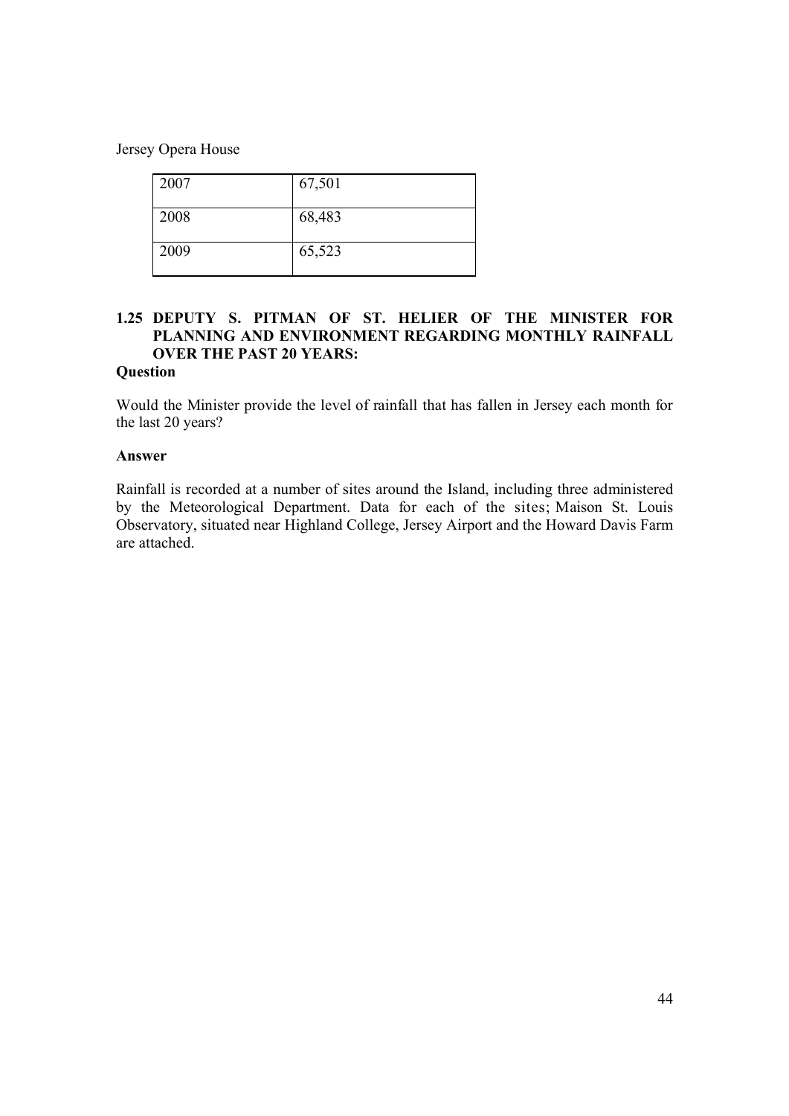Jersey Opera House

| 2007 | 67,501 |
|------|--------|
| 2008 | 68,483 |
| 2009 | 65,523 |

#### **1.25 DEPUTY S. PITMAN OF ST. HELIER OF THE MINISTER FOR PLANNING AND ENVIRONMENT REGARDING MONTHLY RAINFALL OVER THE PAST 20 YEARS:**

#### **Question**

Would the Minister provide the level of rainfall that has fallen in Jersey each month for the last 20 years?

#### **Answer**

Rainfall is recorded at a number of sites around the Island, including three administered by the Meteorological Department. Data for each of the sites; Maison St. Louis Observatory, situated near Highland College, Jersey Airport and the Howard Davis Farm are attached.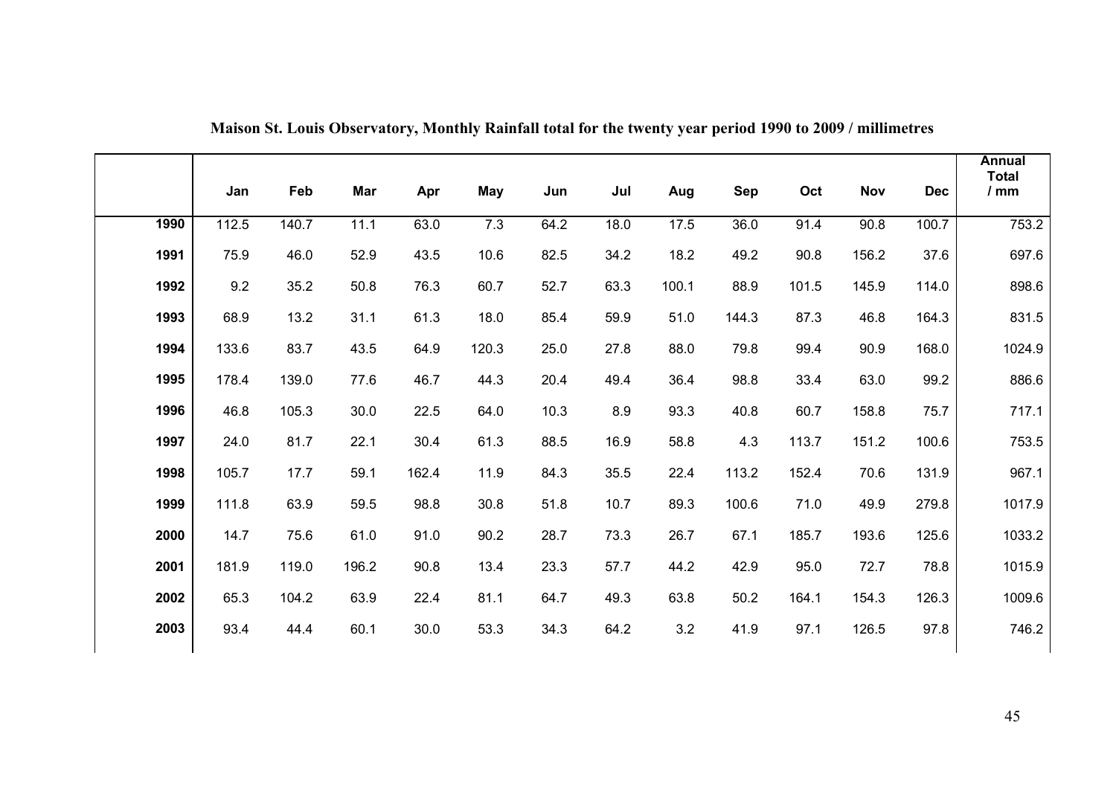|      | Jan   | Feb   | Mar   | Apr   | May   | Jun  | Jul  | Aug     | <b>Sep</b> | Oct   | Nov   | <b>Dec</b> | <b>Annual</b><br><b>Total</b><br>$/$ mm |
|------|-------|-------|-------|-------|-------|------|------|---------|------------|-------|-------|------------|-----------------------------------------|
| 1990 | 112.5 | 140.7 | 11.1  | 63.0  | 7.3   | 64.2 | 18.0 | 17.5    | 36.0       | 91.4  | 90.8  | 100.7      | 753.2                                   |
| 1991 | 75.9  | 46.0  | 52.9  | 43.5  | 10.6  | 82.5 | 34.2 | 18.2    | 49.2       | 90.8  | 156.2 | 37.6       | 697.6                                   |
| 1992 | 9.2   | 35.2  | 50.8  | 76.3  | 60.7  | 52.7 | 63.3 | 100.1   | 88.9       | 101.5 | 145.9 | 114.0      | 898.6                                   |
| 1993 | 68.9  | 13.2  | 31.1  | 61.3  | 18.0  | 85.4 | 59.9 | 51.0    | 144.3      | 87.3  | 46.8  | 164.3      | 831.5                                   |
| 1994 | 133.6 | 83.7  | 43.5  | 64.9  | 120.3 | 25.0 | 27.8 | 88.0    | 79.8       | 99.4  | 90.9  | 168.0      | 1024.9                                  |
| 1995 | 178.4 | 139.0 | 77.6  | 46.7  | 44.3  | 20.4 | 49.4 | 36.4    | 98.8       | 33.4  | 63.0  | 99.2       | 886.6                                   |
| 1996 | 46.8  | 105.3 | 30.0  | 22.5  | 64.0  | 10.3 | 8.9  | 93.3    | 40.8       | 60.7  | 158.8 | 75.7       | 717.1                                   |
| 1997 | 24.0  | 81.7  | 22.1  | 30.4  | 61.3  | 88.5 | 16.9 | 58.8    | 4.3        | 113.7 | 151.2 | 100.6      | 753.5                                   |
| 1998 | 105.7 | 17.7  | 59.1  | 162.4 | 11.9  | 84.3 | 35.5 | 22.4    | 113.2      | 152.4 | 70.6  | 131.9      | 967.1                                   |
| 1999 | 111.8 | 63.9  | 59.5  | 98.8  | 30.8  | 51.8 | 10.7 | 89.3    | 100.6      | 71.0  | 49.9  | 279.8      | 1017.9                                  |
| 2000 | 14.7  | 75.6  | 61.0  | 91.0  | 90.2  | 28.7 | 73.3 | 26.7    | 67.1       | 185.7 | 193.6 | 125.6      | 1033.2                                  |
| 2001 | 181.9 | 119.0 | 196.2 | 90.8  | 13.4  | 23.3 | 57.7 | 44.2    | 42.9       | 95.0  | 72.7  | 78.8       | 1015.9                                  |
| 2002 | 65.3  | 104.2 | 63.9  | 22.4  | 81.1  | 64.7 | 49.3 | 63.8    | 50.2       | 164.1 | 154.3 | 126.3      | 1009.6                                  |
| 2003 | 93.4  | 44.4  | 60.1  | 30.0  | 53.3  | 34.3 | 64.2 | $3.2\,$ | 41.9       | 97.1  | 126.5 | 97.8       | 746.2                                   |

**Maison St. Louis Observatory, Monthly Rainfall total for the twenty year period 1990 to 2009 / millimetres**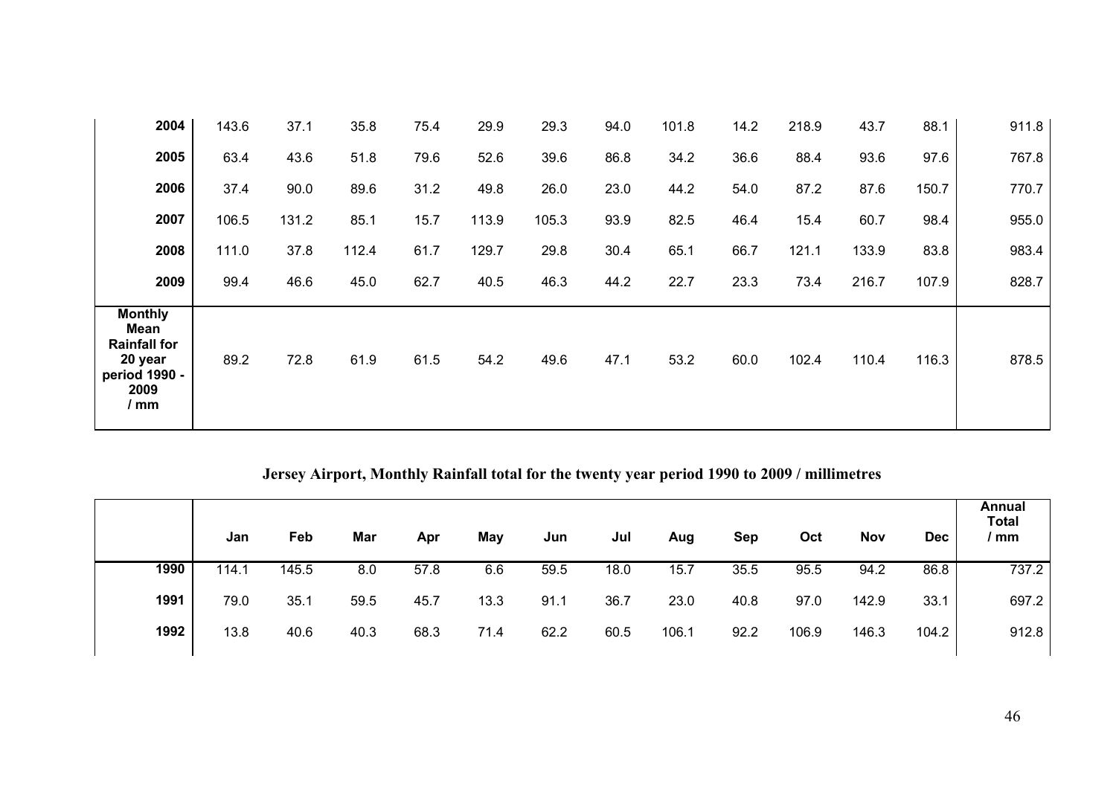| 2004                                                                                      | 143.6 | 37.1  | 35.8  | 75.4 | 29.9  | 29.3  | 94.0 | 101.8 | 14.2 | 218.9 | 43.7  | 88.1  | 911.8 |
|-------------------------------------------------------------------------------------------|-------|-------|-------|------|-------|-------|------|-------|------|-------|-------|-------|-------|
| 2005                                                                                      | 63.4  | 43.6  | 51.8  | 79.6 | 52.6  | 39.6  | 86.8 | 34.2  | 36.6 | 88.4  | 93.6  | 97.6  | 767.8 |
| 2006                                                                                      | 37.4  | 90.0  | 89.6  | 31.2 | 49.8  | 26.0  | 23.0 | 44.2  | 54.0 | 87.2  | 87.6  | 150.7 | 770.7 |
| 2007                                                                                      | 106.5 | 131.2 | 85.1  | 15.7 | 113.9 | 105.3 | 93.9 | 82.5  | 46.4 | 15.4  | 60.7  | 98.4  | 955.0 |
| 2008                                                                                      | 111.0 | 37.8  | 112.4 | 61.7 | 129.7 | 29.8  | 30.4 | 65.1  | 66.7 | 121.1 | 133.9 | 83.8  | 983.4 |
| 2009                                                                                      | 99.4  | 46.6  | 45.0  | 62.7 | 40.5  | 46.3  | 44.2 | 22.7  | 23.3 | 73.4  | 216.7 | 107.9 | 828.7 |
| <b>Monthly</b><br>Mean<br><b>Rainfall for</b><br>20 year<br>period 1990 -<br>2009<br>/ mm | 89.2  | 72.8  | 61.9  | 61.5 | 54.2  | 49.6  | 47.1 | 53.2  | 60.0 | 102.4 | 110.4 | 116.3 | 878.5 |

**Jersey Airport, Monthly Rainfall total for the twenty year period 1990 to 2009 / millimetres**

|      | Jan   | Feb   | Mar  | Apr  | May  | Jun  | Jul  | Aug   | Sep  | Oct   | <b>Nov</b> | <b>Dec</b> | Annual<br><b>Total</b><br>/mm |
|------|-------|-------|------|------|------|------|------|-------|------|-------|------------|------------|-------------------------------|
| 1990 | 114.1 | 145.5 | 8.0  | 57.8 | 6.6  | 59.5 | 18.0 | 15.7  | 35.5 | 95.5  | 94.2       | 86.8       | 737.2                         |
| 1991 | 79.0  | 35.1  | 59.5 | 45.7 | 13.3 | 91.1 | 36.7 | 23.0  | 40.8 | 97.0  | 142.9      | 33.1       | 697.2                         |
| 1992 | 13.8  | 40.6  | 40.3 | 68.3 | 71.4 | 62.2 | 60.5 | 106.1 | 92.2 | 106.9 | 146.3      | 104.2      | 912.8                         |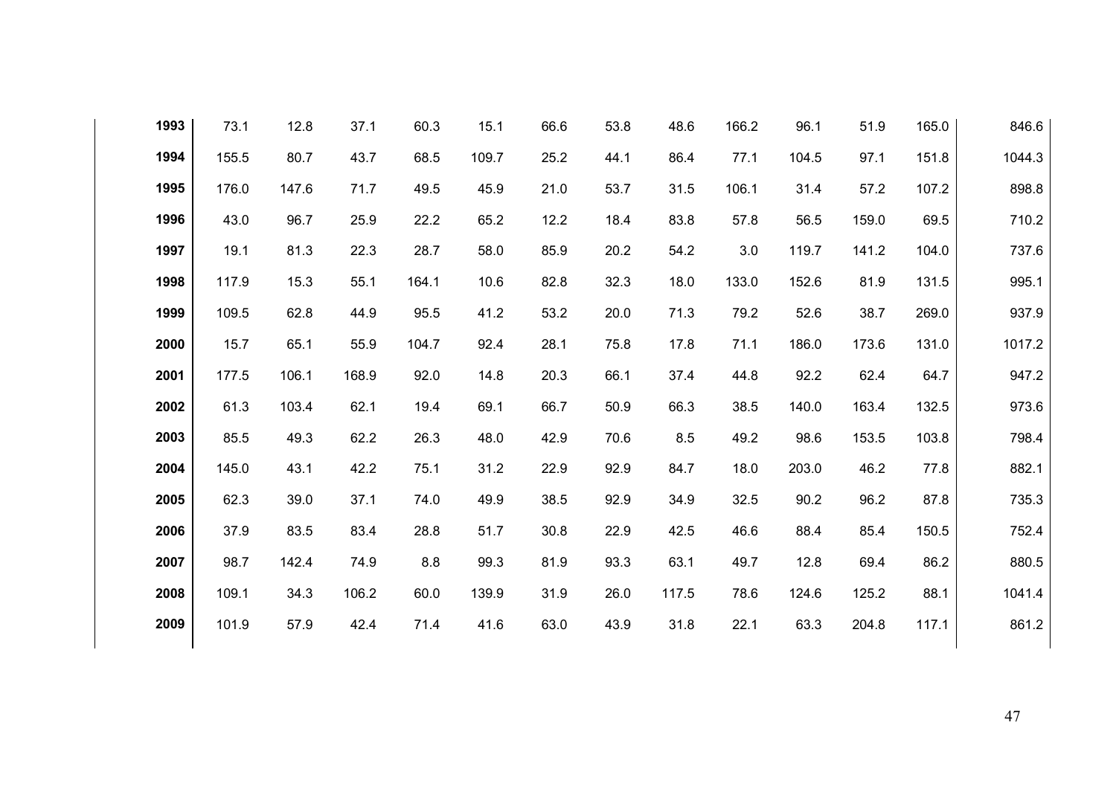| 1993 | 73.1  | 12.8  | 37.1  | 60.3  | 15.1  | 66.6 | 53.8 | 48.6  | 166.2 | 96.1  | 51.9  | 165.0 | 846.6  |
|------|-------|-------|-------|-------|-------|------|------|-------|-------|-------|-------|-------|--------|
| 1994 | 155.5 | 80.7  | 43.7  | 68.5  | 109.7 | 25.2 | 44.1 | 86.4  | 77.1  | 104.5 | 97.1  | 151.8 | 1044.3 |
| 1995 | 176.0 | 147.6 | 71.7  | 49.5  | 45.9  | 21.0 | 53.7 | 31.5  | 106.1 | 31.4  | 57.2  | 107.2 | 898.8  |
| 1996 | 43.0  | 96.7  | 25.9  | 22.2  | 65.2  | 12.2 | 18.4 | 83.8  | 57.8  | 56.5  | 159.0 | 69.5  | 710.2  |
| 1997 | 19.1  | 81.3  | 22.3  | 28.7  | 58.0  | 85.9 | 20.2 | 54.2  | 3.0   | 119.7 | 141.2 | 104.0 | 737.6  |
| 1998 | 117.9 | 15.3  | 55.1  | 164.1 | 10.6  | 82.8 | 32.3 | 18.0  | 133.0 | 152.6 | 81.9  | 131.5 | 995.1  |
| 1999 | 109.5 | 62.8  | 44.9  | 95.5  | 41.2  | 53.2 | 20.0 | 71.3  | 79.2  | 52.6  | 38.7  | 269.0 | 937.9  |
| 2000 | 15.7  | 65.1  | 55.9  | 104.7 | 92.4  | 28.1 | 75.8 | 17.8  | 71.1  | 186.0 | 173.6 | 131.0 | 1017.2 |
| 2001 | 177.5 | 106.1 | 168.9 | 92.0  | 14.8  | 20.3 | 66.1 | 37.4  | 44.8  | 92.2  | 62.4  | 64.7  | 947.2  |
| 2002 | 61.3  | 103.4 | 62.1  | 19.4  | 69.1  | 66.7 | 50.9 | 66.3  | 38.5  | 140.0 | 163.4 | 132.5 | 973.6  |
| 2003 | 85.5  | 49.3  | 62.2  | 26.3  | 48.0  | 42.9 | 70.6 | 8.5   | 49.2  | 98.6  | 153.5 | 103.8 | 798.4  |
| 2004 | 145.0 | 43.1  | 42.2  | 75.1  | 31.2  | 22.9 | 92.9 | 84.7  | 18.0  | 203.0 | 46.2  | 77.8  | 882.1  |
| 2005 | 62.3  | 39.0  | 37.1  | 74.0  | 49.9  | 38.5 | 92.9 | 34.9  | 32.5  | 90.2  | 96.2  | 87.8  | 735.3  |
| 2006 | 37.9  | 83.5  | 83.4  | 28.8  | 51.7  | 30.8 | 22.9 | 42.5  | 46.6  | 88.4  | 85.4  | 150.5 | 752.4  |
| 2007 | 98.7  | 142.4 | 74.9  | 8.8   | 99.3  | 81.9 | 93.3 | 63.1  | 49.7  | 12.8  | 69.4  | 86.2  | 880.5  |
| 2008 | 109.1 | 34.3  | 106.2 | 60.0  | 139.9 | 31.9 | 26.0 | 117.5 | 78.6  | 124.6 | 125.2 | 88.1  | 1041.4 |
| 2009 | 101.9 | 57.9  | 42.4  | 71.4  | 41.6  | 63.0 | 43.9 | 31.8  | 22.1  | 63.3  | 204.8 | 117.1 | 861.2  |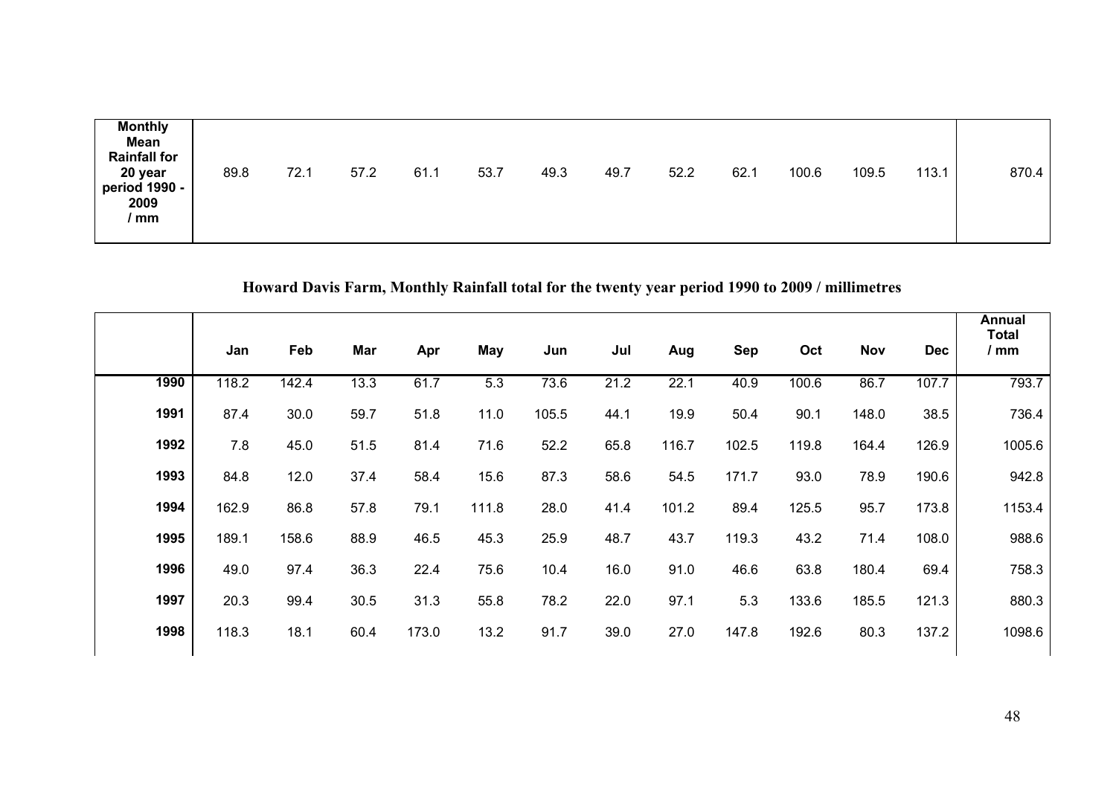| <b>Monthly</b><br><b>Mean</b><br><b>Rainfall for</b><br>20 year<br>period 1990 -<br>2009<br>mm | 89.8 | 72.1 | 57.2 | 61.1 | 53.7 | 49.3 | 49.7 | 52.2 | 62.1 | 100.6 | 109.5 | 113.1 | 870.4 |
|------------------------------------------------------------------------------------------------|------|------|------|------|------|------|------|------|------|-------|-------|-------|-------|
|------------------------------------------------------------------------------------------------|------|------|------|------|------|------|------|------|------|-------|-------|-------|-------|

# **Howard Davis Farm, Monthly Rainfall total for the twenty year period 1990 to 2009 / millimetres**

|      | Jan   | Feb   | Mar  | Apr   | May   | Jun   | Jul  | Aug   | Sep   | Oct   | <b>Nov</b> | <b>Dec</b> | Annual<br><b>Total</b><br>/ mm |
|------|-------|-------|------|-------|-------|-------|------|-------|-------|-------|------------|------------|--------------------------------|
| 1990 | 118.2 | 142.4 | 13.3 | 61.7  | 5.3   | 73.6  | 21.2 | 22.1  | 40.9  | 100.6 | 86.7       | 107.7      | 793.7                          |
| 1991 | 87.4  | 30.0  | 59.7 | 51.8  | 11.0  | 105.5 | 44.1 | 19.9  | 50.4  | 90.1  | 148.0      | 38.5       | 736.4                          |
| 1992 | 7.8   | 45.0  | 51.5 | 81.4  | 71.6  | 52.2  | 65.8 | 116.7 | 102.5 | 119.8 | 164.4      | 126.9      | 1005.6                         |
| 1993 | 84.8  | 12.0  | 37.4 | 58.4  | 15.6  | 87.3  | 58.6 | 54.5  | 171.7 | 93.0  | 78.9       | 190.6      | 942.8                          |
| 1994 | 162.9 | 86.8  | 57.8 | 79.1  | 111.8 | 28.0  | 41.4 | 101.2 | 89.4  | 125.5 | 95.7       | 173.8      | 1153.4                         |
| 1995 | 189.1 | 158.6 | 88.9 | 46.5  | 45.3  | 25.9  | 48.7 | 43.7  | 119.3 | 43.2  | 71.4       | 108.0      | 988.6                          |
| 1996 | 49.0  | 97.4  | 36.3 | 22.4  | 75.6  | 10.4  | 16.0 | 91.0  | 46.6  | 63.8  | 180.4      | 69.4       | 758.3                          |
| 1997 | 20.3  | 99.4  | 30.5 | 31.3  | 55.8  | 78.2  | 22.0 | 97.1  | 5.3   | 133.6 | 185.5      | 121.3      | 880.3                          |
| 1998 | 118.3 | 18.1  | 60.4 | 173.0 | 13.2  | 91.7  | 39.0 | 27.0  | 147.8 | 192.6 | 80.3       | 137.2      | 1098.6                         |
|      |       |       |      |       |       |       |      |       |       |       |            |            |                                |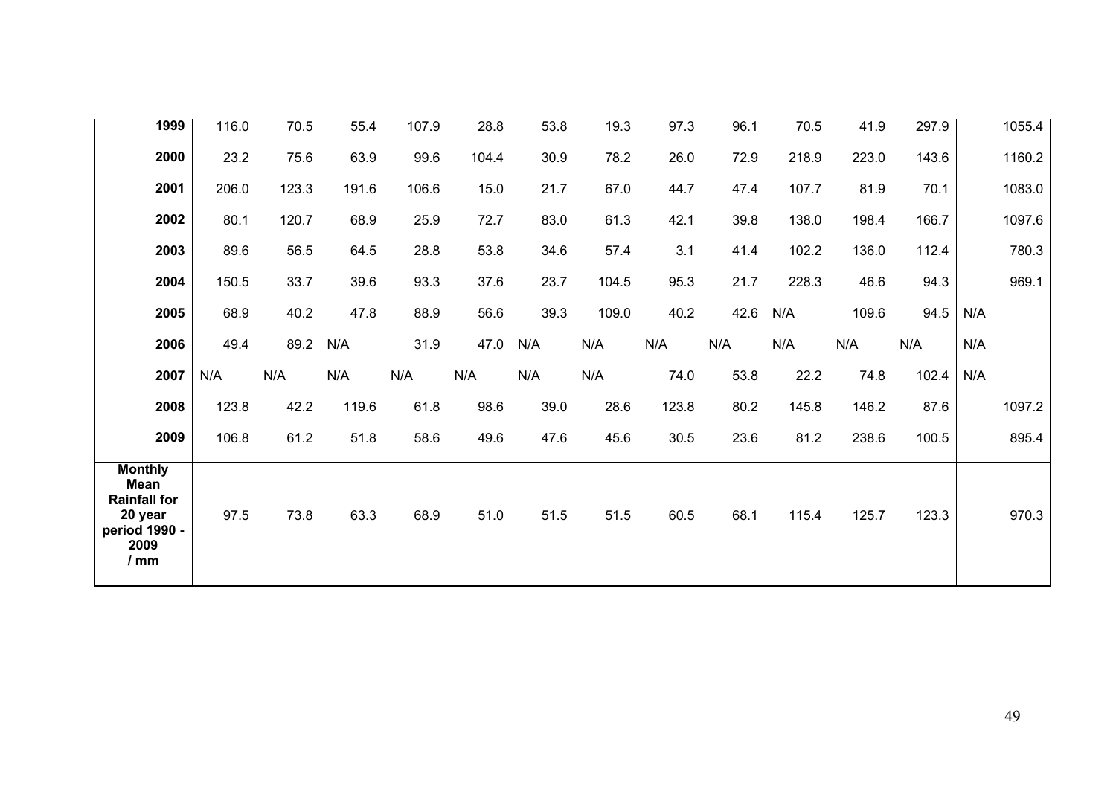| 1999 | 116.0 | 70.5  | 55.4  | 107.9 | 28.8  | 53.8 | 19.3  | 97.3  | 96.1 | 70.5  | 41.9  | 297.9 | 1055.4 |
|------|-------|-------|-------|-------|-------|------|-------|-------|------|-------|-------|-------|--------|
| 2000 | 23.2  | 75.6  | 63.9  | 99.6  | 104.4 | 30.9 | 78.2  | 26.0  | 72.9 | 218.9 | 223.0 | 143.6 | 1160.2 |
| 2001 | 206.0 | 123.3 | 191.6 | 106.6 | 15.0  | 21.7 | 67.0  | 44.7  | 47.4 | 107.7 | 81.9  | 70.1  | 1083.0 |
| 2002 | 80.1  | 120.7 | 68.9  | 25.9  | 72.7  | 83.0 | 61.3  | 42.1  | 39.8 | 138.0 | 198.4 | 166.7 | 1097.6 |
| 2003 | 89.6  | 56.5  | 64.5  | 28.8  | 53.8  | 34.6 | 57.4  | 3.1   | 41.4 | 102.2 | 136.0 | 112.4 | 780.3  |
| 2004 | 150.5 | 33.7  | 39.6  | 93.3  | 37.6  | 23.7 | 104.5 | 95.3  | 21.7 | 228.3 | 46.6  | 94.3  | 969.1  |
| 2005 | 68.9  | 40.2  | 47.8  | 88.9  | 56.6  | 39.3 | 109.0 | 40.2  | 42.6 | N/A   | 109.6 | 94.5  | N/A    |
| 2006 | 49.4  | 89.2  | N/A   | 31.9  | 47.0  | N/A  | N/A   | N/A   | N/A  | N/A   | N/A   | N/A   | N/A    |
|      |       |       |       |       |       |      |       |       |      |       |       |       |        |
| 2007 | N/A   | N/A   | N/A   | N/A   | N/A   | N/A  | N/A   | 74.0  | 53.8 | 22.2  | 74.8  | 102.4 | N/A    |
| 2008 | 123.8 | 42.2  | 119.6 | 61.8  | 98.6  | 39.0 | 28.6  | 123.8 | 80.2 | 145.8 | 146.2 | 87.6  | 1097.2 |
| 2009 | 106.8 | 61.2  | 51.8  | 58.6  | 49.6  | 47.6 | 45.6  | 30.5  | 23.6 | 81.2  | 238.6 | 100.5 | 895.4  |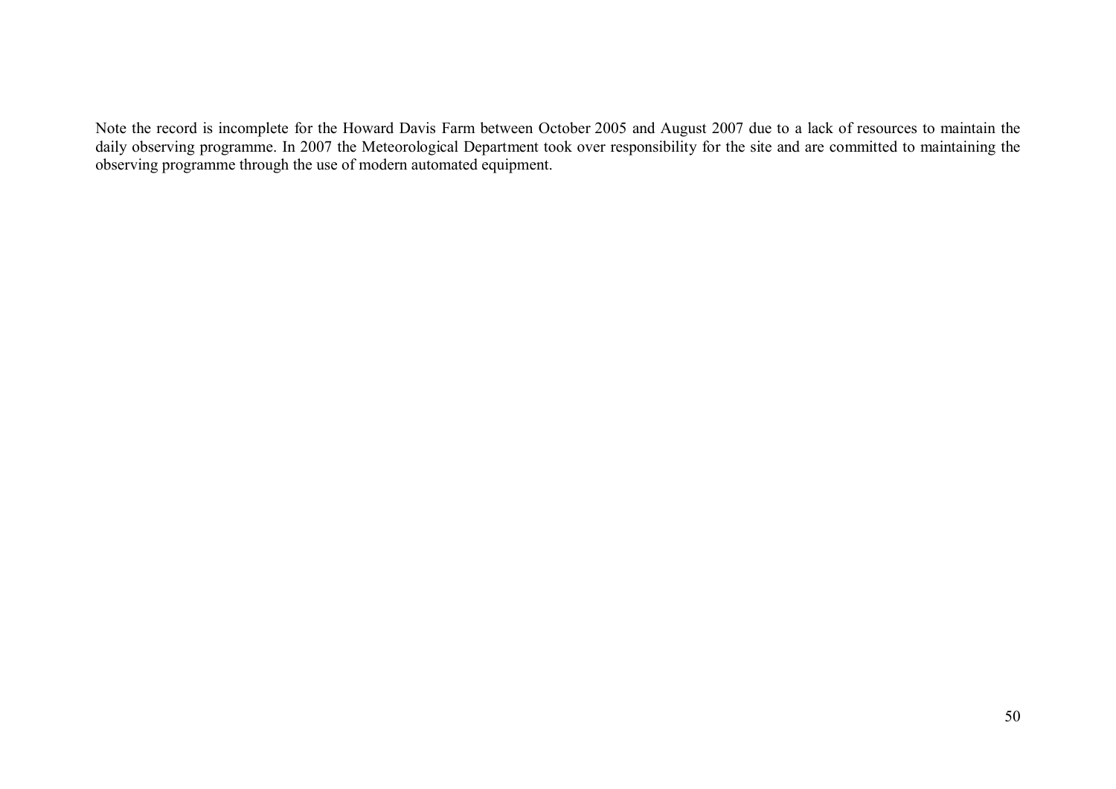Note the record is incomplete for the Howard Davis Farm between October 2005 and August 2007 due to a lack of resources to maintain the daily observing programme. In 2007 the Meteorological Department took over responsibility for the site and are committed to maintaining the observing programme through the use of modern automated equipment.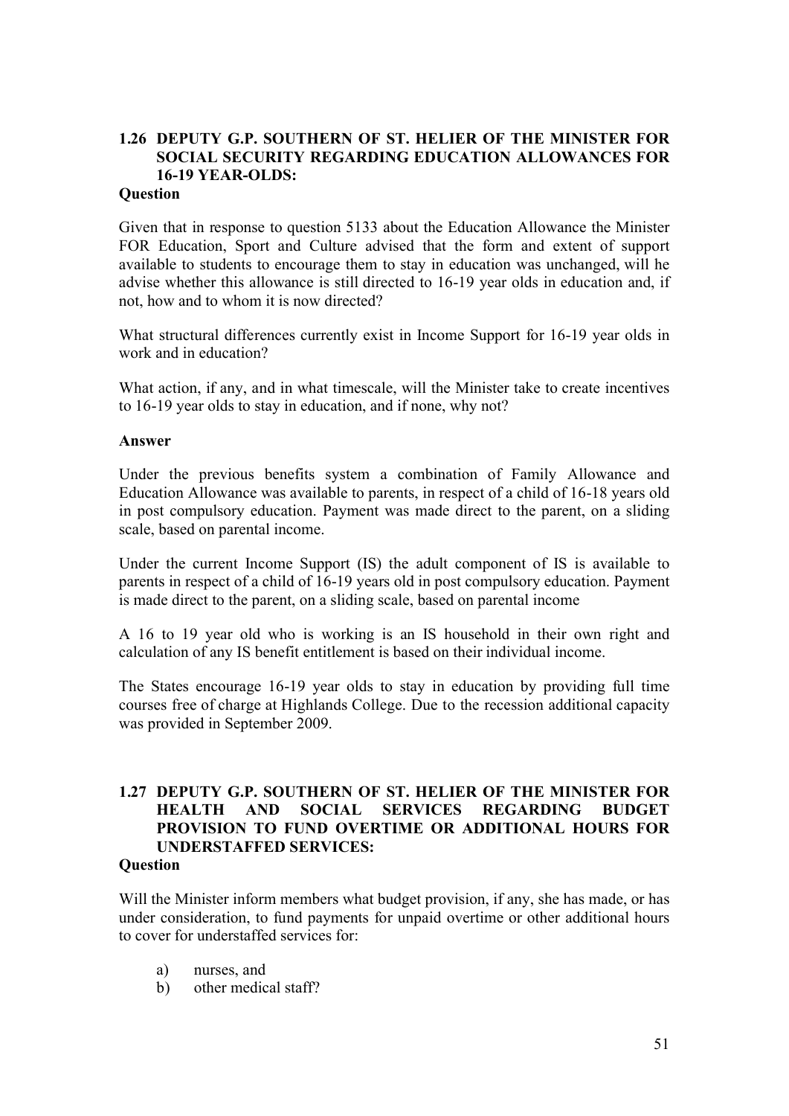## **1.26 DEPUTY G.P. SOUTHERN OF ST. HELIER OF THE MINISTER FOR SOCIAL SECURITY REGARDING EDUCATION ALLOWANCES FOR 16-19 YEAR-OLDS:**

#### **Question**

Given that in response to question 5133 about the Education Allowance the Minister FOR Education, Sport and Culture advised that the form and extent of support available to students to encourage them to stay in education was unchanged, will he advise whether this allowance is still directed to 16-19 year olds in education and, if not, how and to whom it is now directed?

What structural differences currently exist in Income Support for 16-19 year olds in work and in education?

What action, if any, and in what timescale, will the Minister take to create incentives to 16-19 year olds to stay in education, and if none, why not?

#### **Answer**

Under the previous benefits system a combination of Family Allowance and Education Allowance was available to parents, in respect of a child of 16-18 years old in post compulsory education. Payment was made direct to the parent, on a sliding scale, based on parental income.

Under the current Income Support (IS) the adult component of IS is available to parents in respect of a child of 16-19 years old in post compulsory education. Payment is made direct to the parent, on a sliding scale, based on parental income

A 16 to 19 year old who is working is an IS household in their own right and calculation of any IS benefit entitlement is based on their individual income.

The States encourage 16-19 year olds to stay in education by providing full time courses free of charge at Highlands College. Due to the recession additional capacity was provided in September 2009.

### **1.27 DEPUTY G.P. SOUTHERN OF ST. HELIER OF THE MINISTER FOR HEALTH AND SOCIAL SERVICES REGARDING BUDGET PROVISION TO FUND OVERTIME OR ADDITIONAL HOURS FOR UNDERSTAFFED SERVICES:**

#### **Question**

Will the Minister inform members what budget provision, if any, she has made, or has under consideration, to fund payments for unpaid overtime or other additional hours to cover for understaffed services for:

- a) nurses, and
- b) other medical staff?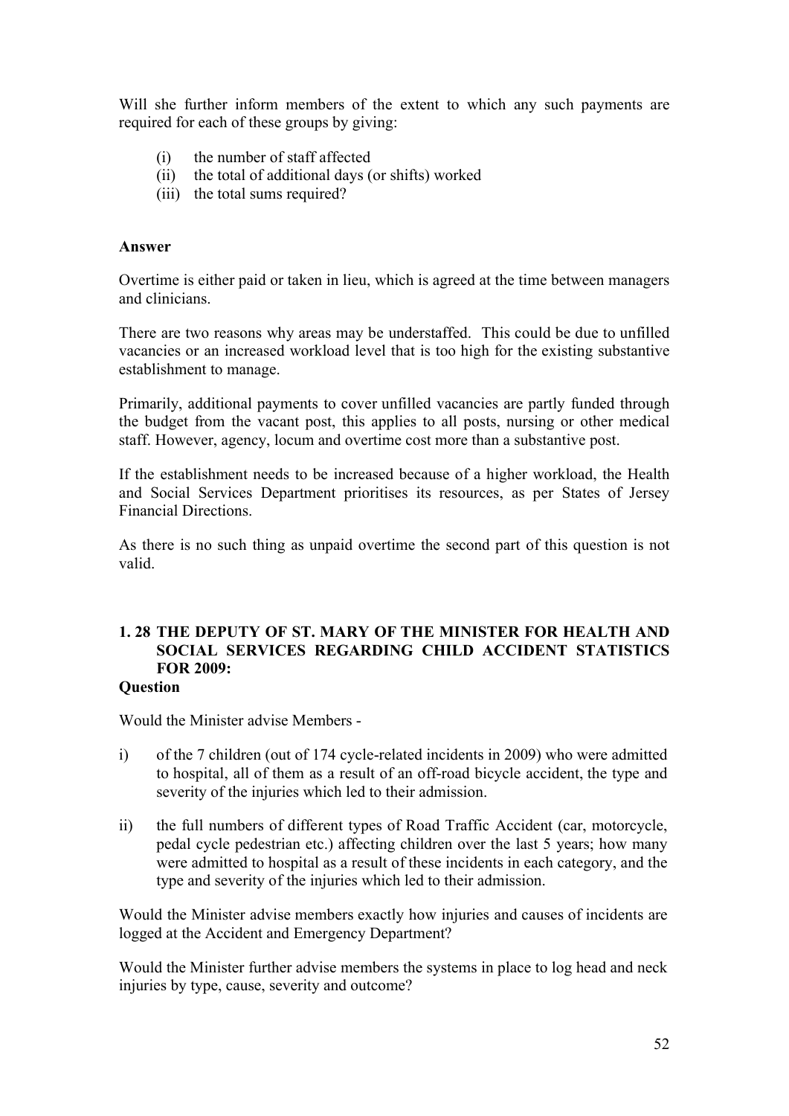Will she further inform members of the extent to which any such payments are required for each of these groups by giving:

- (i) the number of staff affected
- (ii) the total of additional days (or shifts) worked
- (iii) the total sums required?

#### **Answer**

Overtime is either paid or taken in lieu, which is agreed at the time between managers and clinicians.

There are two reasons why areas may be understaffed. This could be due to unfilled vacancies or an increased workload level that is too high for the existing substantive establishment to manage.

Primarily, additional payments to cover unfilled vacancies are partly funded through the budget from the vacant post, this applies to all posts, nursing or other medical staff. However, agency, locum and overtime cost more than a substantive post.

If the establishment needs to be increased because of a higher workload, the Health and Social Services Department prioritises its resources, as per States of Jersey Financial Directions.

As there is no such thing as unpaid overtime the second part of this question is not valid.

## **1. 28 THE DEPUTY OF ST. MARY OF THE MINISTER FOR HEALTH AND SOCIAL SERVICES REGARDING CHILD ACCIDENT STATISTICS FOR 2009:**

#### **Question**

Would the Minister advise Members -

- i) of the 7 children (out of 174 cycle-related incidents in 2009) who were admitted to hospital, all of them as a result of an off-road bicycle accident, the type and severity of the injuries which led to their admission.
- ii) the full numbers of different types of Road Traffic Accident (car, motorcycle, pedal cycle pedestrian etc.) affecting children over the last 5 years; how many were admitted to hospital as a result of these incidents in each category, and the type and severity of the injuries which led to their admission.

Would the Minister advise members exactly how injuries and causes of incidents are logged at the Accident and Emergency Department?

Would the Minister further advise members the systems in place to log head and neck injuries by type, cause, severity and outcome?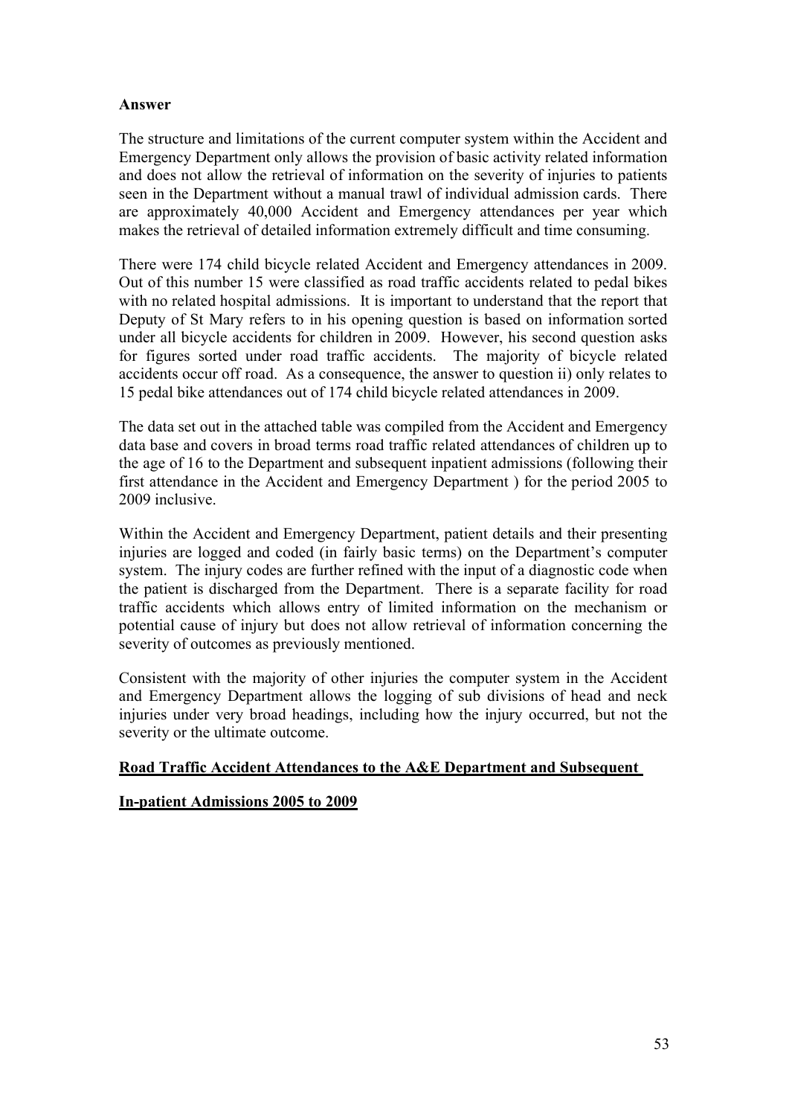#### **Answer**

The structure and limitations of the current computer system within the Accident and Emergency Department only allows the provision of basic activity related information and does not allow the retrieval of information on the severity of injuries to patients seen in the Department without a manual trawl of individual admission cards. There are approximately 40,000 Accident and Emergency attendances per year which makes the retrieval of detailed information extremely difficult and time consuming.

There were 174 child bicycle related Accident and Emergency attendances in 2009. Out of this number 15 were classified as road traffic accidents related to pedal bikes with no related hospital admissions. It is important to understand that the report that Deputy of St Mary refers to in his opening question is based on information sorted under all bicycle accidents for children in 2009. However, his second question asks for figures sorted under road traffic accidents. The majority of bicycle related accidents occur off road. As a consequence, the answer to question ii) only relates to 15 pedal bike attendances out of 174 child bicycle related attendances in 2009.

The data set out in the attached table was compiled from the Accident and Emergency data base and covers in broad terms road traffic related attendances of children up to the age of 16 to the Department and subsequent inpatient admissions (following their first attendance in the Accident and Emergency Department ) for the period 2005 to 2009 inclusive.

Within the Accident and Emergency Department, patient details and their presenting injuries are logged and coded (in fairly basic terms) on the Department's computer system. The injury codes are further refined with the input of a diagnostic code when the patient is discharged from the Department. There is a separate facility for road traffic accidents which allows entry of limited information on the mechanism or potential cause of injury but does not allow retrieval of information concerning the severity of outcomes as previously mentioned.

Consistent with the majority of other injuries the computer system in the Accident and Emergency Department allows the logging of sub divisions of head and neck injuries under very broad headings, including how the injury occurred, but not the severity or the ultimate outcome.

#### **Road Traffic Accident Attendances to the A&E Department and Subsequent**

#### **In-patient Admissions 2005 to 2009**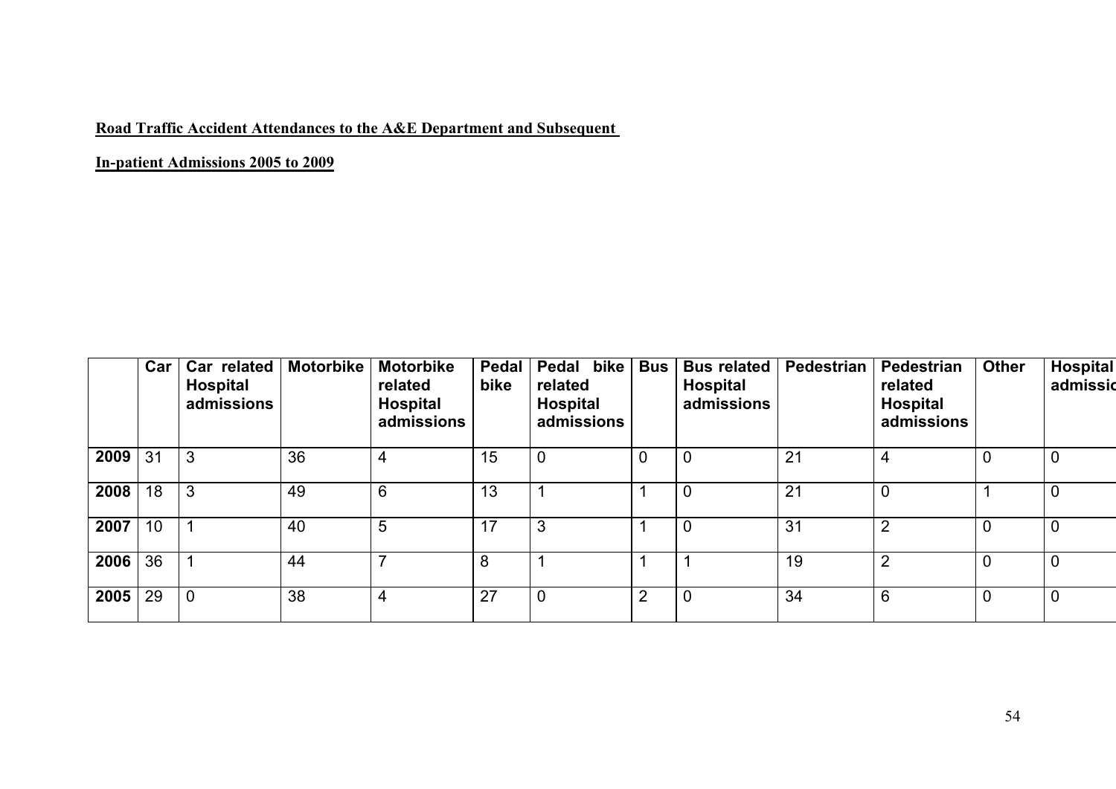## **Road Traffic Accident Attendances to the A&E Department and Subsequent**

**In-patient Admissions 2005 to 2009**

|           | Car | Car related<br><b>Hospital</b><br>admissions | Motorbike | <b>Motorbike</b><br>related<br><b>Hospital</b><br>admissions | Pedal<br>bike | bike<br>Pedal<br>related<br><b>Hospital</b><br>admissions | <b>Bus</b>     | <b>Bus related</b><br><b>Hospital</b><br>admissions | Pedestrian | Pedestrian<br>related<br><b>Hospital</b><br>admissions | <b>Other</b>   | <b>Hospital</b><br>admissid |
|-----------|-----|----------------------------------------------|-----------|--------------------------------------------------------------|---------------|-----------------------------------------------------------|----------------|-----------------------------------------------------|------------|--------------------------------------------------------|----------------|-----------------------------|
| 2009      | 31  | 3                                            | 36        | 4                                                            | 15            | $\overline{0}$                                            | U              | $\mathbf 0$                                         | 21         | $\overline{4}$                                         | 0              |                             |
| 2008      | 18  | 3                                            | 49        | 6                                                            | 13            |                                                           |                | $\mathbf 0$                                         | 21         | 0                                                      |                |                             |
| 2007      | 10  |                                              | 40        | 5                                                            | 17            | 3                                                         |                | $\overline{0}$                                      | 31         | $\overline{2}$                                         | 0              |                             |
| 2006      | 36  |                                              | 44        |                                                              | 8             |                                                           |                |                                                     | 19         | $\overline{2}$                                         | $\overline{0}$ | 0                           |
| 2005   29 |     | $\overline{0}$                               | 38        | 4                                                            | 27            |                                                           | $\overline{2}$ | $\overline{0}$                                      | 34         | 6                                                      | 0              | $\overline{0}$              |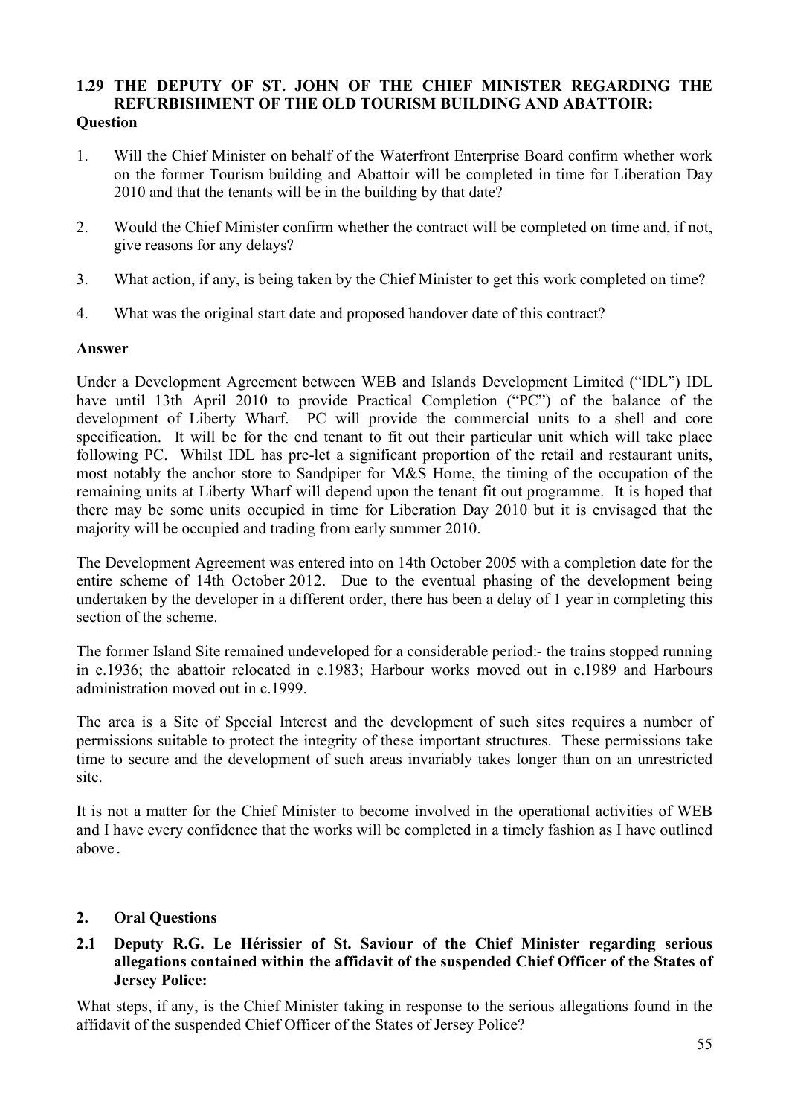#### **1.29 THE DEPUTY OF ST. JOHN OF THE CHIEF MINISTER REGARDING THE REFURBISHMENT OF THE OLD TOURISM BUILDING AND ABATTOIR: Question**

- 1. Will the Chief Minister on behalf of the Waterfront Enterprise Board confirm whether work on the former Tourism building and Abattoir will be completed in time for Liberation Day 2010 and that the tenants will be in the building by that date?
- 2. Would the Chief Minister confirm whether the contract will be completed on time and, if not, give reasons for any delays?
- 3. What action, if any, is being taken by the Chief Minister to get this work completed on time?
- 4. What was the original start date and proposed handover date of this contract?

#### **Answer**

Under a Development Agreement between WEB and Islands Development Limited ("IDL") IDL have until 13th April 2010 to provide Practical Completion ("PC") of the balance of the development of Liberty Wharf. PC will provide the commercial units to a shell and core specification. It will be for the end tenant to fit out their particular unit which will take place following PC. Whilst IDL has pre-let a significant proportion of the retail and restaurant units, most notably the anchor store to Sandpiper for M&S Home, the timing of the occupation of the remaining units at Liberty Wharf will depend upon the tenant fit out programme. It is hoped that there may be some units occupied in time for Liberation Day 2010 but it is envisaged that the majority will be occupied and trading from early summer 2010.

The Development Agreement was entered into on 14th October 2005 with a completion date for the entire scheme of 14th October 2012. Due to the eventual phasing of the development being undertaken by the developer in a different order, there has been a delay of 1 year in completing this section of the scheme.

The former Island Site remained undeveloped for a considerable period:- the trains stopped running in c.1936; the abattoir relocated in c.1983; Harbour works moved out in c.1989 and Harbours administration moved out in c.1999.

The area is a Site of Special Interest and the development of such sites requires a number of permissions suitable to protect the integrity of these important structures. These permissions take time to secure and the development of such areas invariably takes longer than on an unrestricted site.

It is not a matter for the Chief Minister to become involved in the operational activities of WEB and I have every confidence that the works will be completed in a timely fashion as I have outlined above.

#### **2. Oral Questions**

#### **2.1 Deputy R.G. Le Hérissier of St. Saviour of the Chief Minister regarding serious allegations contained within the affidavit of the suspended Chief Officer of the States of Jersey Police:**

What steps, if any, is the Chief Minister taking in response to the serious allegations found in the affidavit of the suspended Chief Officer of the States of Jersey Police?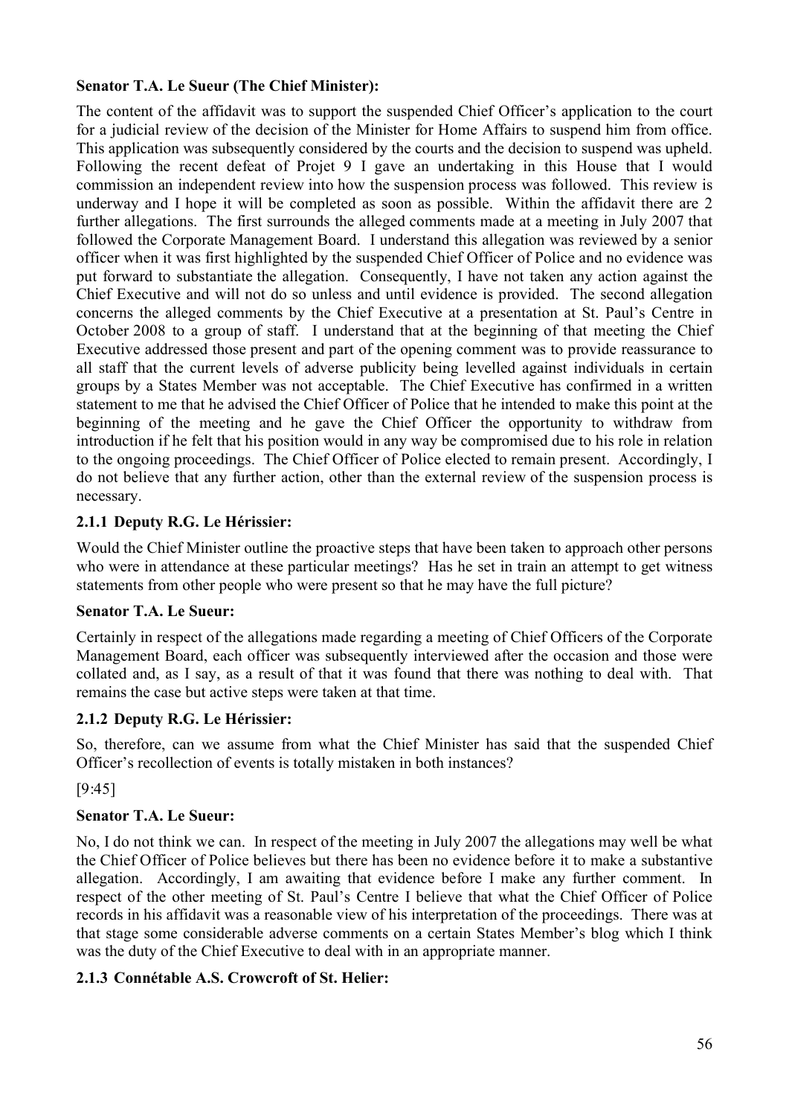### **Senator T.A. Le Sueur (The Chief Minister):**

The content of the affidavit was to support the suspended Chief Officer's application to the court for a judicial review of the decision of the Minister for Home Affairs to suspend him from office. This application was subsequently considered by the courts and the decision to suspend was upheld. Following the recent defeat of Projet 9 I gave an undertaking in this House that I would commission an independent review into how the suspension process was followed. This review is underway and I hope it will be completed as soon as possible. Within the affidavit there are 2 further allegations. The first surrounds the alleged comments made at a meeting in July 2007 that followed the Corporate Management Board. I understand this allegation was reviewed by a senior officer when it was first highlighted by the suspended Chief Officer of Police and no evidence was put forward to substantiate the allegation. Consequently, I have not taken any action against the Chief Executive and will not do so unless and until evidence is provided. The second allegation concerns the alleged comments by the Chief Executive at a presentation at St. Paul's Centre in October 2008 to a group of staff. I understand that at the beginning of that meeting the Chief Executive addressed those present and part of the opening comment was to provide reassurance to all staff that the current levels of adverse publicity being levelled against individuals in certain groups by a States Member was not acceptable. The Chief Executive has confirmed in a written statement to me that he advised the Chief Officer of Police that he intended to make this point at the beginning of the meeting and he gave the Chief Officer the opportunity to withdraw from introduction if he felt that his position would in any way be compromised due to his role in relation to the ongoing proceedings. The Chief Officer of Police elected to remain present. Accordingly, I do not believe that any further action, other than the external review of the suspension process is necessary.

### **2.1.1 Deputy R.G. Le Hérissier:**

Would the Chief Minister outline the proactive steps that have been taken to approach other persons who were in attendance at these particular meetings? Has he set in train an attempt to get witness statements from other people who were present so that he may have the full picture?

#### **Senator T.A. Le Sueur:**

Certainly in respect of the allegations made regarding a meeting of Chief Officers of the Corporate Management Board, each officer was subsequently interviewed after the occasion and those were collated and, as I say, as a result of that it was found that there was nothing to deal with. That remains the case but active steps were taken at that time.

## **2.1.2 Deputy R.G. Le Hérissier:**

So, therefore, can we assume from what the Chief Minister has said that the suspended Chief Officer's recollection of events is totally mistaken in both instances?

#### [9:45]

## **Senator T.A. Le Sueur:**

No, I do not think we can. In respect of the meeting in July 2007 the allegations may well be what the Chief Officer of Police believes but there has been no evidence before it to make a substantive allegation. Accordingly, I am awaiting that evidence before I make any further comment. In respect of the other meeting of St. Paul's Centre I believe that what the Chief Officer of Police records in his affidavit was a reasonable view of his interpretation of the proceedings. There was at that stage some considerable adverse comments on a certain States Member's blog which I think was the duty of the Chief Executive to deal with in an appropriate manner.

#### **2.1.3 Connétable A.S. Crowcroft of St. Helier:**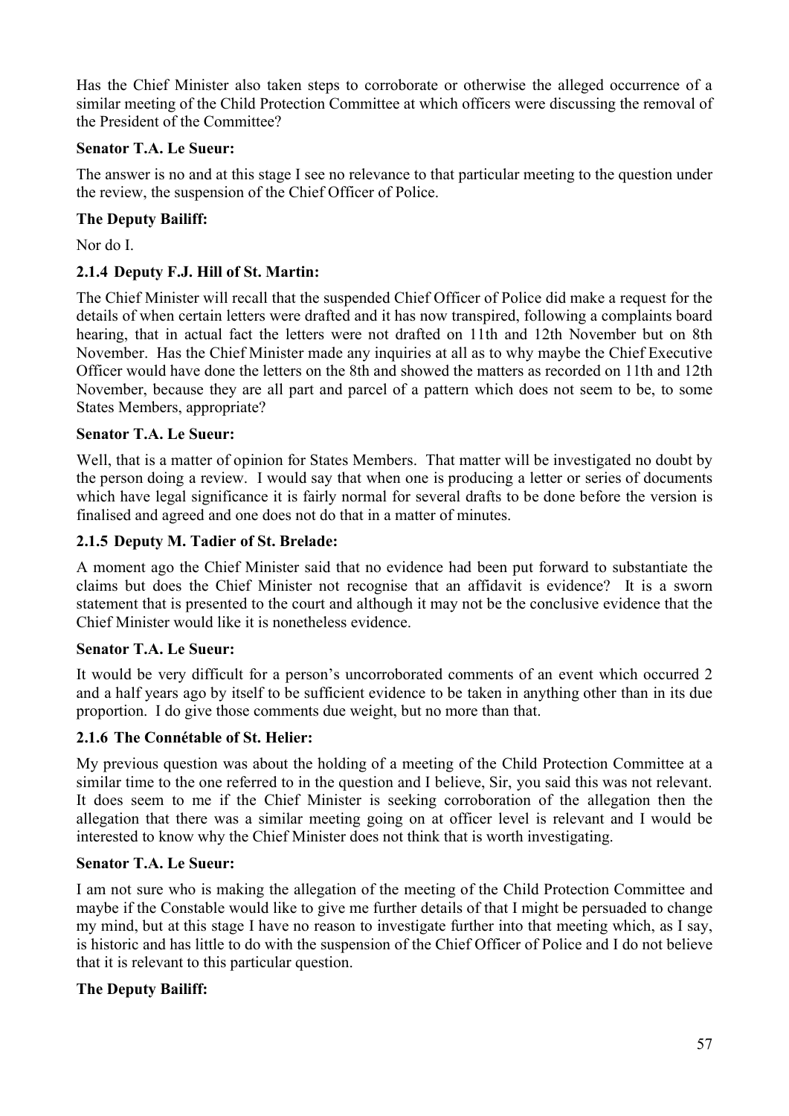Has the Chief Minister also taken steps to corroborate or otherwise the alleged occurrence of a similar meeting of the Child Protection Committee at which officers were discussing the removal of the President of the Committee?

### **Senator T.A. Le Sueur:**

The answer is no and at this stage I see no relevance to that particular meeting to the question under the review, the suspension of the Chief Officer of Police.

### **The Deputy Bailiff:**

Nor do I.

### **2.1.4 Deputy F.J. Hill of St. Martin:**

The Chief Minister will recall that the suspended Chief Officer of Police did make a request for the details of when certain letters were drafted and it has now transpired, following a complaints board hearing, that in actual fact the letters were not drafted on 11th and 12th November but on 8th November. Has the Chief Minister made any inquiries at all as to why maybe the Chief Executive Officer would have done the letters on the 8th and showed the matters as recorded on 11th and 12th November, because they are all part and parcel of a pattern which does not seem to be, to some States Members, appropriate?

#### **Senator T.A. Le Sueur:**

Well, that is a matter of opinion for States Members. That matter will be investigated no doubt by the person doing a review. I would say that when one is producing a letter or series of documents which have legal significance it is fairly normal for several drafts to be done before the version is finalised and agreed and one does not do that in a matter of minutes.

#### **2.1.5 Deputy M. Tadier of St. Brelade:**

A moment ago the Chief Minister said that no evidence had been put forward to substantiate the claims but does the Chief Minister not recognise that an affidavit is evidence? It is a sworn statement that is presented to the court and although it may not be the conclusive evidence that the Chief Minister would like it is nonetheless evidence.

#### **Senator T.A. Le Sueur:**

It would be very difficult for a person's uncorroborated comments of an event which occurred 2 and a half years ago by itself to be sufficient evidence to be taken in anything other than in its due proportion. I do give those comments due weight, but no more than that.

#### **2.1.6 The Connétable of St. Helier:**

My previous question was about the holding of a meeting of the Child Protection Committee at a similar time to the one referred to in the question and I believe, Sir, you said this was not relevant. It does seem to me if the Chief Minister is seeking corroboration of the allegation then the allegation that there was a similar meeting going on at officer level is relevant and I would be interested to know why the Chief Minister does not think that is worth investigating.

#### **Senator T.A. Le Sueur:**

I am not sure who is making the allegation of the meeting of the Child Protection Committee and maybe if the Constable would like to give me further details of that I might be persuaded to change my mind, but at this stage I have no reason to investigate further into that meeting which, as I say, is historic and has little to do with the suspension of the Chief Officer of Police and I do not believe that it is relevant to this particular question.

#### **The Deputy Bailiff:**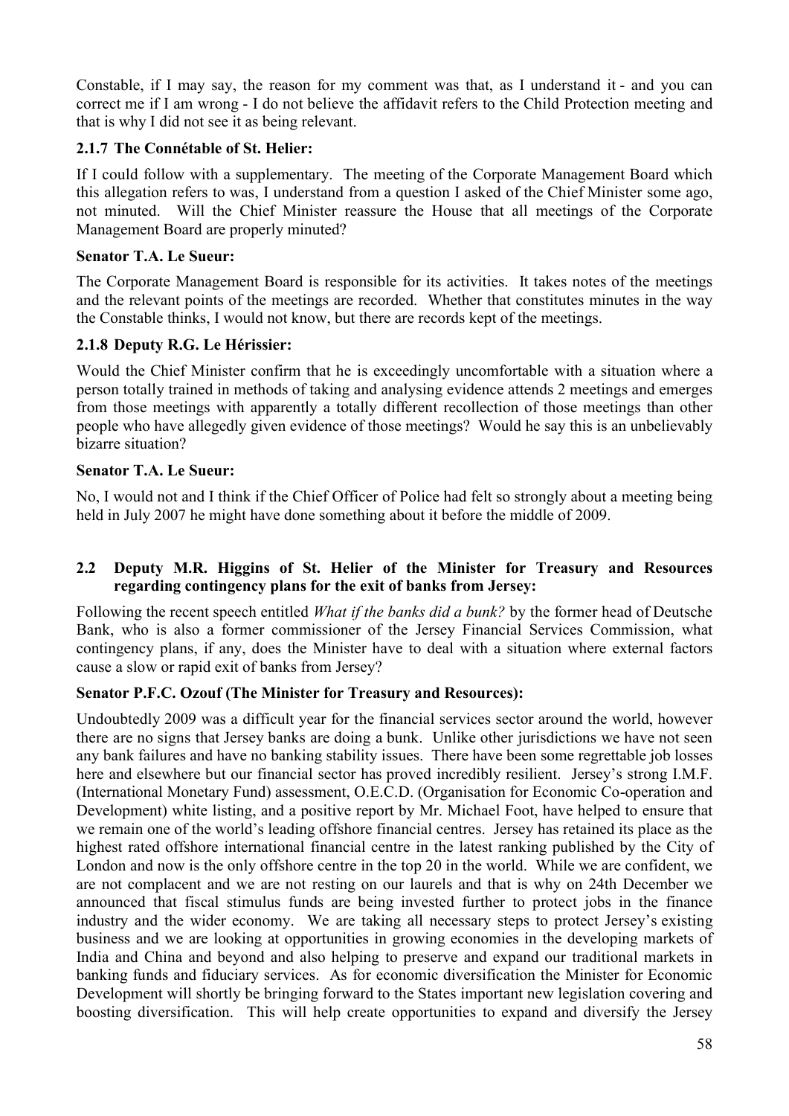Constable, if I may say, the reason for my comment was that, as I understand it - and you can correct me if I am wrong - I do not believe the affidavit refers to the Child Protection meeting and that is why I did not see it as being relevant.

### **2.1.7 The Connétable of St. Helier:**

If I could follow with a supplementary. The meeting of the Corporate Management Board which this allegation refers to was, I understand from a question I asked of the Chief Minister some ago, not minuted. Will the Chief Minister reassure the House that all meetings of the Corporate Management Board are properly minuted?

#### **Senator T.A. Le Sueur:**

The Corporate Management Board is responsible for its activities. It takes notes of the meetings and the relevant points of the meetings are recorded. Whether that constitutes minutes in the way the Constable thinks, I would not know, but there are records kept of the meetings.

### **2.1.8 Deputy R.G. Le Hérissier:**

Would the Chief Minister confirm that he is exceedingly uncomfortable with a situation where a person totally trained in methods of taking and analysing evidence attends 2 meetings and emerges from those meetings with apparently a totally different recollection of those meetings than other people who have allegedly given evidence of those meetings? Would he say this is an unbelievably bizarre situation?

#### **Senator T.A. Le Sueur:**

No, I would not and I think if the Chief Officer of Police had felt so strongly about a meeting being held in July 2007 he might have done something about it before the middle of 2009.

#### **2.2 Deputy M.R. Higgins of St. Helier of the Minister for Treasury and Resources regarding contingency plans for the exit of banks from Jersey:**

Following the recent speech entitled *What if the banks did a bunk?* by the former head of Deutsche Bank, who is also a former commissioner of the Jersey Financial Services Commission, what contingency plans, if any, does the Minister have to deal with a situation where external factors cause a slow or rapid exit of banks from Jersey?

#### **Senator P.F.C. Ozouf (The Minister for Treasury and Resources):**

Undoubtedly 2009 was a difficult year for the financial services sector around the world, however there are no signs that Jersey banks are doing a bunk. Unlike other jurisdictions we have not seen any bank failures and have no banking stability issues. There have been some regrettable job losses here and elsewhere but our financial sector has proved incredibly resilient. Jersey's strong I.M.F. (International Monetary Fund) assessment, O.E.C.D. (Organisation for Economic Co-operation and Development) white listing, and a positive report by Mr. Michael Foot, have helped to ensure that we remain one of the world's leading offshore financial centres. Jersey has retained its place as the highest rated offshore international financial centre in the latest ranking published by the City of London and now is the only offshore centre in the top 20 in the world. While we are confident, we are not complacent and we are not resting on our laurels and that is why on 24th December we announced that fiscal stimulus funds are being invested further to protect jobs in the finance industry and the wider economy. We are taking all necessary steps to protect Jersey's existing business and we are looking at opportunities in growing economies in the developing markets of India and China and beyond and also helping to preserve and expand our traditional markets in banking funds and fiduciary services. As for economic diversification the Minister for Economic Development will shortly be bringing forward to the States important new legislation covering and boosting diversification. This will help create opportunities to expand and diversify the Jersey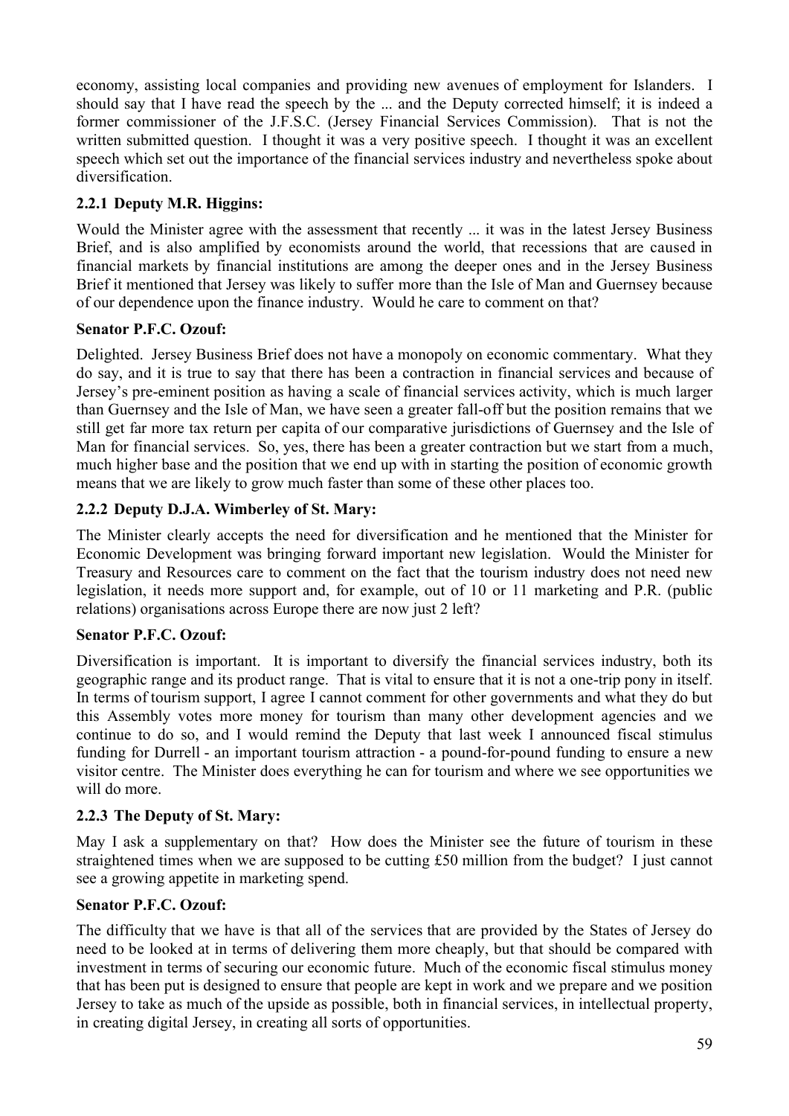economy, assisting local companies and providing new avenues of employment for Islanders. I should say that I have read the speech by the ... and the Deputy corrected himself; it is indeed a former commissioner of the J.F.S.C. (Jersey Financial Services Commission). That is not the written submitted question. I thought it was a very positive speech. I thought it was an excellent speech which set out the importance of the financial services industry and nevertheless spoke about diversification.

## **2.2.1 Deputy M.R. Higgins:**

Would the Minister agree with the assessment that recently ... it was in the latest Jersey Business Brief, and is also amplified by economists around the world, that recessions that are caused in financial markets by financial institutions are among the deeper ones and in the Jersey Business Brief it mentioned that Jersey was likely to suffer more than the Isle of Man and Guernsey because of our dependence upon the finance industry. Would he care to comment on that?

## **Senator P.F.C. Ozouf:**

Delighted. Jersey Business Brief does not have a monopoly on economic commentary. What they do say, and it is true to say that there has been a contraction in financial services and because of Jersey's pre-eminent position as having a scale of financial services activity, which is much larger than Guernsey and the Isle of Man, we have seen a greater fall-off but the position remains that we still get far more tax return per capita of our comparative jurisdictions of Guernsey and the Isle of Man for financial services. So, yes, there has been a greater contraction but we start from a much, much higher base and the position that we end up with in starting the position of economic growth means that we are likely to grow much faster than some of these other places too.

## **2.2.2 Deputy D.J.A. Wimberley of St. Mary:**

The Minister clearly accepts the need for diversification and he mentioned that the Minister for Economic Development was bringing forward important new legislation. Would the Minister for Treasury and Resources care to comment on the fact that the tourism industry does not need new legislation, it needs more support and, for example, out of 10 or 11 marketing and P.R. (public relations) organisations across Europe there are now just 2 left?

## **Senator P.F.C. Ozouf:**

Diversification is important. It is important to diversify the financial services industry, both its geographic range and its product range. That is vital to ensure that it is not a one-trip pony in itself. In terms of tourism support, I agree I cannot comment for other governments and what they do but this Assembly votes more money for tourism than many other development agencies and we continue to do so, and I would remind the Deputy that last week I announced fiscal stimulus funding for Durrell - an important tourism attraction - a pound-for-pound funding to ensure a new visitor centre. The Minister does everything he can for tourism and where we see opportunities we will do more.

## **2.2.3 The Deputy of St. Mary:**

May I ask a supplementary on that? How does the Minister see the future of tourism in these straightened times when we are supposed to be cutting £50 million from the budget? I just cannot see a growing appetite in marketing spend.

## **Senator P.F.C. Ozouf:**

The difficulty that we have is that all of the services that are provided by the States of Jersey do need to be looked at in terms of delivering them more cheaply, but that should be compared with investment in terms of securing our economic future. Much of the economic fiscal stimulus money that has been put is designed to ensure that people are kept in work and we prepare and we position Jersey to take as much of the upside as possible, both in financial services, in intellectual property, in creating digital Jersey, in creating all sorts of opportunities.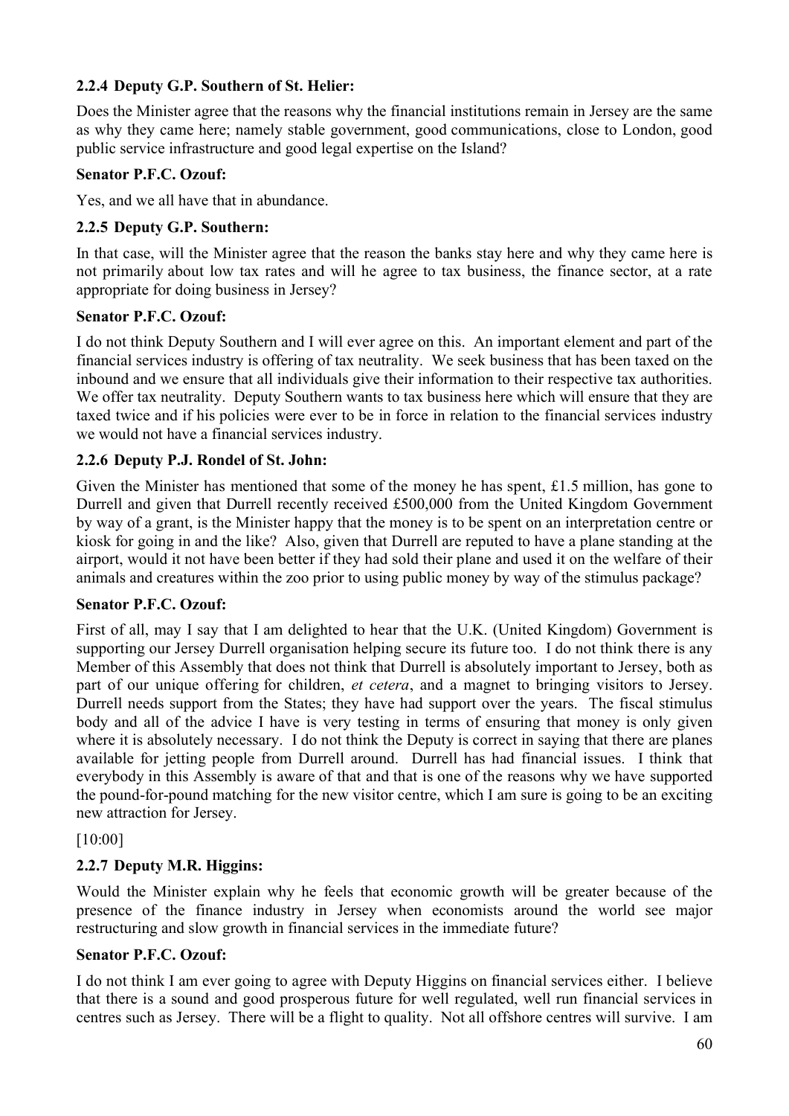## **2.2.4 Deputy G.P. Southern of St. Helier:**

Does the Minister agree that the reasons why the financial institutions remain in Jersey are the same as why they came here; namely stable government, good communications, close to London, good public service infrastructure and good legal expertise on the Island?

### **Senator P.F.C. Ozouf:**

Yes, and we all have that in abundance.

### **2.2.5 Deputy G.P. Southern:**

In that case, will the Minister agree that the reason the banks stay here and why they came here is not primarily about low tax rates and will he agree to tax business, the finance sector, at a rate appropriate for doing business in Jersey?

#### **Senator P.F.C. Ozouf:**

I do not think Deputy Southern and I will ever agree on this. An important element and part of the financial services industry is offering of tax neutrality. We seek business that has been taxed on the inbound and we ensure that all individuals give their information to their respective tax authorities. We offer tax neutrality. Deputy Southern wants to tax business here which will ensure that they are taxed twice and if his policies were ever to be in force in relation to the financial services industry we would not have a financial services industry.

#### **2.2.6 Deputy P.J. Rondel of St. John:**

Given the Minister has mentioned that some of the money he has spent, £1.5 million, has gone to Durrell and given that Durrell recently received £500,000 from the United Kingdom Government by way of a grant, is the Minister happy that the money is to be spent on an interpretation centre or kiosk for going in and the like? Also, given that Durrell are reputed to have a plane standing at the airport, would it not have been better if they had sold their plane and used it on the welfare of their animals and creatures within the zoo prior to using public money by way of the stimulus package?

#### **Senator P.F.C. Ozouf:**

First of all, may I say that I am delighted to hear that the U.K. (United Kingdom) Government is supporting our Jersey Durrell organisation helping secure its future too. I do not think there is any Member of this Assembly that does not think that Durrell is absolutely important to Jersey, both as part of our unique offering for children, *et cetera*, and a magnet to bringing visitors to Jersey. Durrell needs support from the States; they have had support over the years. The fiscal stimulus body and all of the advice I have is very testing in terms of ensuring that money is only given where it is absolutely necessary. I do not think the Deputy is correct in saying that there are planes available for jetting people from Durrell around. Durrell has had financial issues. I think that everybody in this Assembly is aware of that and that is one of the reasons why we have supported the pound-for-pound matching for the new visitor centre, which I am sure is going to be an exciting new attraction for Jersey.

#### [10:00]

## **2.2.7 Deputy M.R. Higgins:**

Would the Minister explain why he feels that economic growth will be greater because of the presence of the finance industry in Jersey when economists around the world see major restructuring and slow growth in financial services in the immediate future?

#### **Senator P.F.C. Ozouf:**

I do not think I am ever going to agree with Deputy Higgins on financial services either. I believe that there is a sound and good prosperous future for well regulated, well run financial services in centres such as Jersey. There will be a flight to quality. Not all offshore centres will survive. I am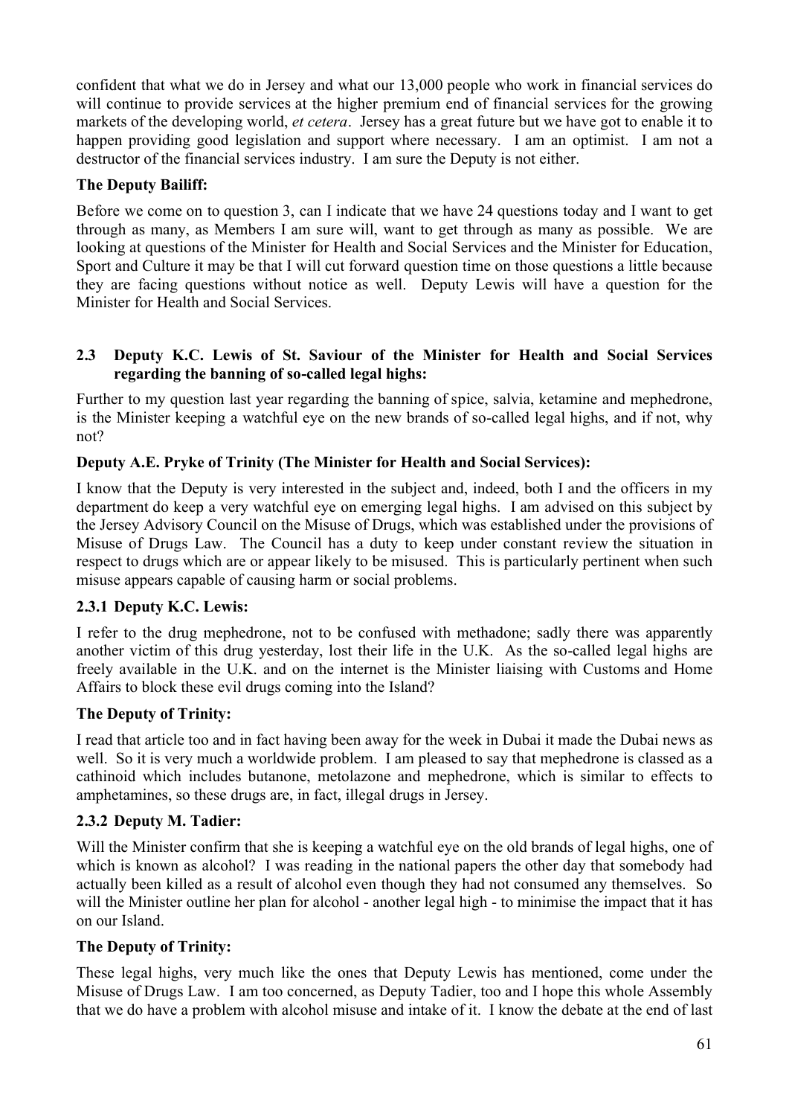confident that what we do in Jersey and what our 13,000 people who work in financial services do will continue to provide services at the higher premium end of financial services for the growing markets of the developing world, *et cetera*. Jersey has a great future but we have got to enable it to happen providing good legislation and support where necessary. I am an optimist. I am not a destructor of the financial services industry. I am sure the Deputy is not either.

## **The Deputy Bailiff:**

Before we come on to question 3, can I indicate that we have 24 questions today and I want to get through as many, as Members I am sure will, want to get through as many as possible. We are looking at questions of the Minister for Health and Social Services and the Minister for Education, Sport and Culture it may be that I will cut forward question time on those questions a little because they are facing questions without notice as well. Deputy Lewis will have a question for the Minister for Health and Social Services.

### **2.3 Deputy K.C. Lewis of St. Saviour of the Minister for Health and Social Services regarding the banning of so-called legal highs:**

Further to my question last year regarding the banning of spice, salvia, ketamine and mephedrone, is the Minister keeping a watchful eye on the new brands of so-called legal highs, and if not, why not?

## **Deputy A.E. Pryke of Trinity (The Minister for Health and Social Services):**

I know that the Deputy is very interested in the subject and, indeed, both I and the officers in my department do keep a very watchful eye on emerging legal highs. I am advised on this subject by the Jersey Advisory Council on the Misuse of Drugs, which was established under the provisions of Misuse of Drugs Law. The Council has a duty to keep under constant review the situation in respect to drugs which are or appear likely to be misused. This is particularly pertinent when such misuse appears capable of causing harm or social problems.

## **2.3.1 Deputy K.C. Lewis:**

I refer to the drug mephedrone, not to be confused with methadone; sadly there was apparently another victim of this drug yesterday, lost their life in the U.K. As the so-called legal highs are freely available in the U.K. and on the internet is the Minister liaising with Customs and Home Affairs to block these evil drugs coming into the Island?

## **The Deputy of Trinity:**

I read that article too and in fact having been away for the week in Dubai it made the Dubai news as well. So it is very much a worldwide problem. I am pleased to say that mephedrone is classed as a cathinoid which includes butanone, metolazone and mephedrone, which is similar to effects to amphetamines, so these drugs are, in fact, illegal drugs in Jersey.

## **2.3.2 Deputy M. Tadier:**

Will the Minister confirm that she is keeping a watchful eye on the old brands of legal highs, one of which is known as alcohol? I was reading in the national papers the other day that somebody had actually been killed as a result of alcohol even though they had not consumed any themselves. So will the Minister outline her plan for alcohol - another legal high - to minimise the impact that it has on our Island.

## **The Deputy of Trinity:**

These legal highs, very much like the ones that Deputy Lewis has mentioned, come under the Misuse of Drugs Law. I am too concerned, as Deputy Tadier, too and I hope this whole Assembly that we do have a problem with alcohol misuse and intake of it. I know the debate at the end of last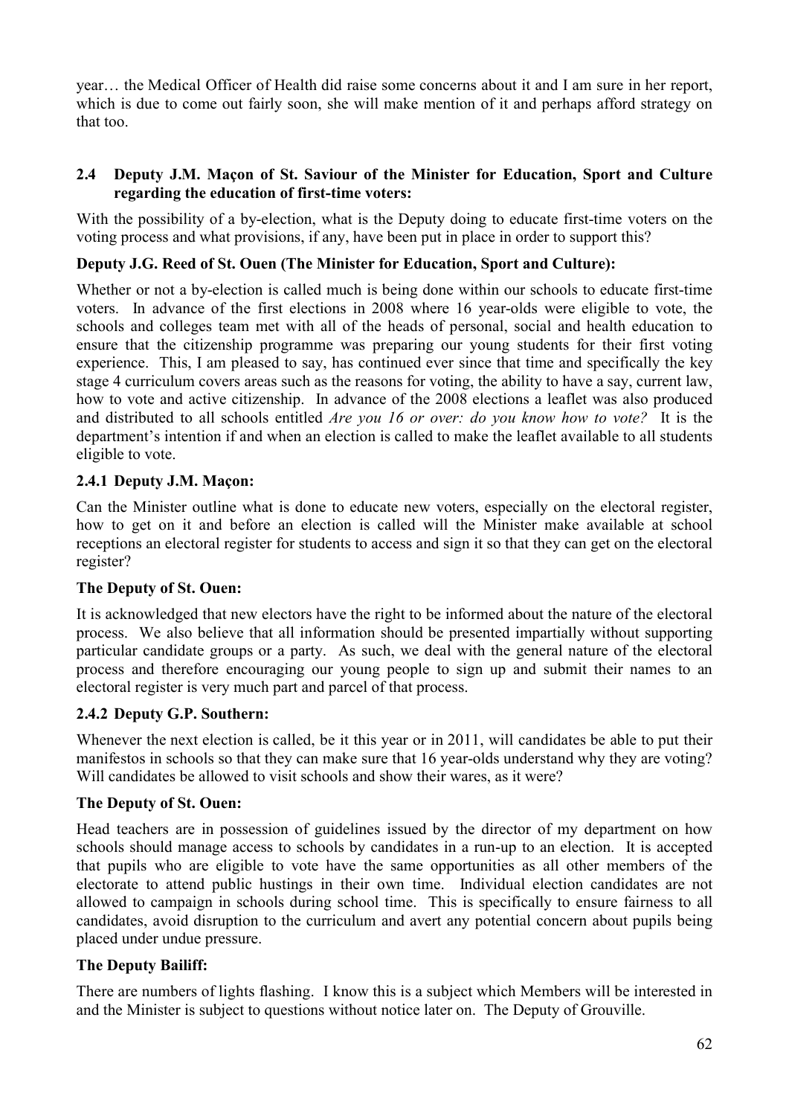year… the Medical Officer of Health did raise some concerns about it and I am sure in her report, which is due to come out fairly soon, she will make mention of it and perhaps afford strategy on that too.

#### **2.4 Deputy J.M. Maçon of St. Saviour of the Minister for Education, Sport and Culture regarding the education of first-time voters:**

With the possibility of a by-election, what is the Deputy doing to educate first-time voters on the voting process and what provisions, if any, have been put in place in order to support this?

### **Deputy J.G. Reed of St. Ouen (The Minister for Education, Sport and Culture):**

Whether or not a by-election is called much is being done within our schools to educate first-time voters. In advance of the first elections in 2008 where 16 year-olds were eligible to vote, the schools and colleges team met with all of the heads of personal, social and health education to ensure that the citizenship programme was preparing our young students for their first voting experience. This, I am pleased to say, has continued ever since that time and specifically the key stage 4 curriculum covers areas such as the reasons for voting, the ability to have a say, current law, how to vote and active citizenship. In advance of the 2008 elections a leaflet was also produced and distributed to all schools entitled *Are you 16 or over: do you know how to vote?* It is the department's intention if and when an election is called to make the leaflet available to all students eligible to vote.

#### **2.4.1 Deputy J.M. Maçon:**

Can the Minister outline what is done to educate new voters, especially on the electoral register, how to get on it and before an election is called will the Minister make available at school receptions an electoral register for students to access and sign it so that they can get on the electoral register?

#### **The Deputy of St. Ouen:**

It is acknowledged that new electors have the right to be informed about the nature of the electoral process. We also believe that all information should be presented impartially without supporting particular candidate groups or a party. As such, we deal with the general nature of the electoral process and therefore encouraging our young people to sign up and submit their names to an electoral register is very much part and parcel of that process.

#### **2.4.2 Deputy G.P. Southern:**

Whenever the next election is called, be it this year or in 2011, will candidates be able to put their manifestos in schools so that they can make sure that 16 year-olds understand why they are voting? Will candidates be allowed to visit schools and show their wares, as it were?

#### **The Deputy of St. Ouen:**

Head teachers are in possession of guidelines issued by the director of my department on how schools should manage access to schools by candidates in a run-up to an election. It is accepted that pupils who are eligible to vote have the same opportunities as all other members of the electorate to attend public hustings in their own time. Individual election candidates are not allowed to campaign in schools during school time. This is specifically to ensure fairness to all candidates, avoid disruption to the curriculum and avert any potential concern about pupils being placed under undue pressure.

#### **The Deputy Bailiff:**

There are numbers of lights flashing. I know this is a subject which Members will be interested in and the Minister is subject to questions without notice later on. The Deputy of Grouville.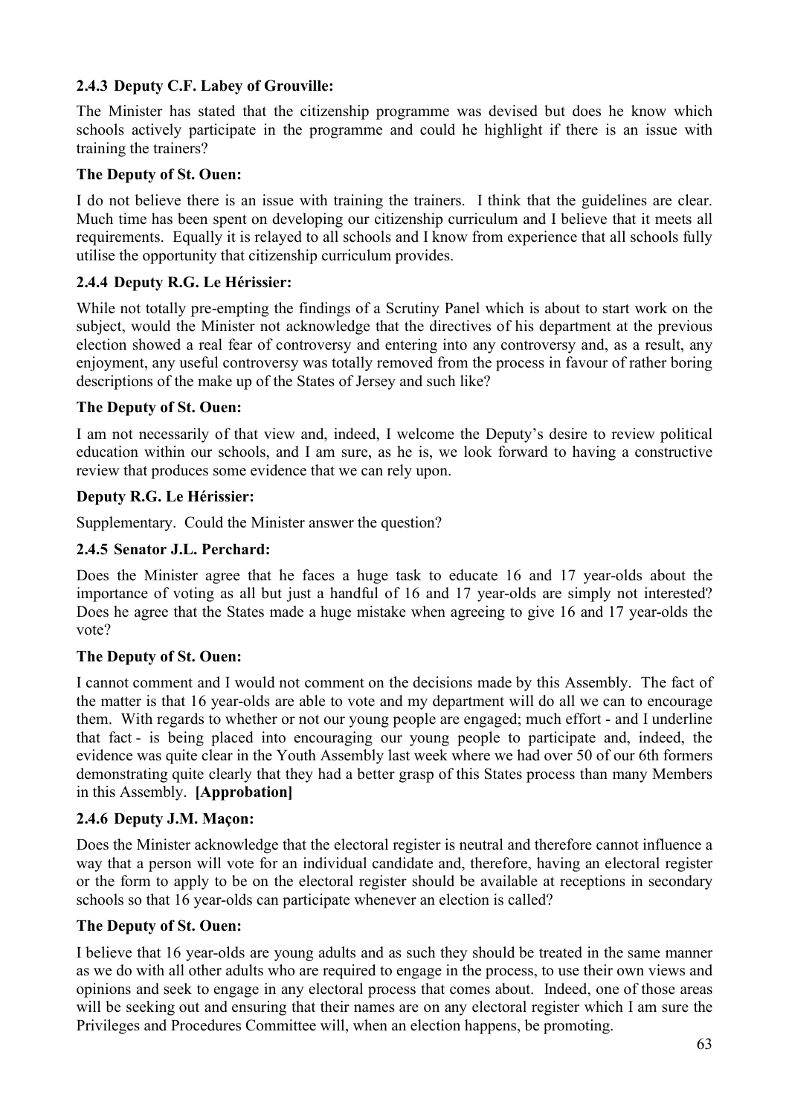## **2.4.3 Deputy C.F. Labey of Grouville:**

The Minister has stated that the citizenship programme was devised but does he know which schools actively participate in the programme and could he highlight if there is an issue with training the trainers?

#### **The Deputy of St. Ouen:**

I do not believe there is an issue with training the trainers. I think that the guidelines are clear. Much time has been spent on developing our citizenship curriculum and I believe that it meets all requirements. Equally it is relayed to all schools and I know from experience that all schools fully utilise the opportunity that citizenship curriculum provides.

#### **2.4.4 Deputy R.G. Le Hérissier:**

While not totally pre-empting the findings of a Scrutiny Panel which is about to start work on the subject, would the Minister not acknowledge that the directives of his department at the previous election showed a real fear of controversy and entering into any controversy and, as a result, any enjoyment, any useful controversy was totally removed from the process in favour of rather boring descriptions of the make up of the States of Jersey and such like?

#### **The Deputy of St. Ouen:**

I am not necessarily of that view and, indeed, I welcome the Deputy's desire to review political education within our schools, and I am sure, as he is, we look forward to having a constructive review that produces some evidence that we can rely upon.

#### **Deputy R.G. Le Hérissier:**

Supplementary. Could the Minister answer the question?

#### **2.4.5 Senator J.L. Perchard:**

Does the Minister agree that he faces a huge task to educate 16 and 17 year-olds about the importance of voting as all but just a handful of 16 and 17 year-olds are simply not interested? Does he agree that the States made a huge mistake when agreeing to give 16 and 17 year-olds the vote?

#### **The Deputy of St. Ouen:**

I cannot comment and I would not comment on the decisions made by this Assembly. The fact of the matter is that 16 year-olds are able to vote and my department will do all we can to encourage them. With regards to whether or not our young people are engaged; much effort - and I underline that fact - is being placed into encouraging our young people to participate and, indeed, the evidence was quite clear in the Youth Assembly last week where we had over 50 of our 6th formers demonstrating quite clearly that they had a better grasp of this States process than many Members in this Assembly. **[Approbation]** 

#### **2.4.6 Deputy J.M. Maçon:**

Does the Minister acknowledge that the electoral register is neutral and therefore cannot influence a way that a person will vote for an individual candidate and, therefore, having an electoral register or the form to apply to be on the electoral register should be available at receptions in secondary schools so that 16 year-olds can participate whenever an election is called?

#### **The Deputy of St. Ouen:**

I believe that 16 year-olds are young adults and as such they should be treated in the same manner as we do with all other adults who are required to engage in the process, to use their own views and opinions and seek to engage in any electoral process that comes about. Indeed, one of those areas will be seeking out and ensuring that their names are on any electoral register which I am sure the Privileges and Procedures Committee will, when an election happens, be promoting.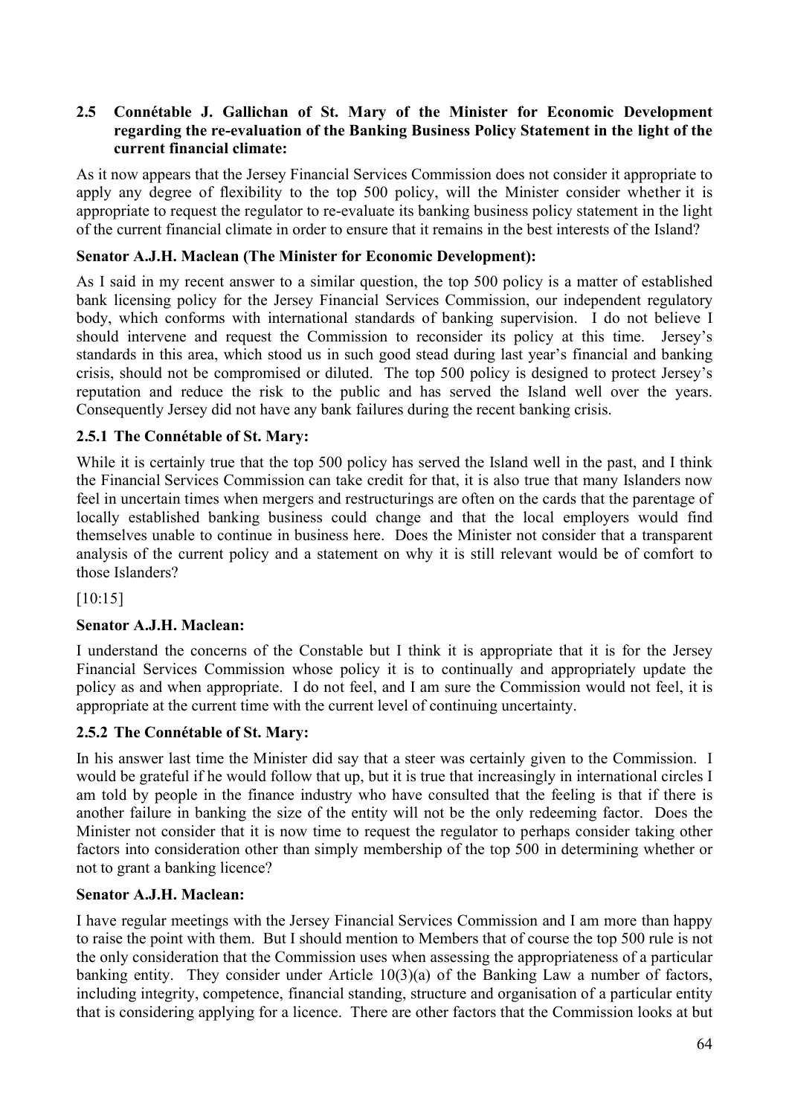#### **2.5 Connétable J. Gallichan of St. Mary of the Minister for Economic Development regarding the re-evaluation of the Banking Business Policy Statement in the light of the current financial climate:**

As it now appears that the Jersey Financial Services Commission does not consider it appropriate to apply any degree of flexibility to the top 500 policy, will the Minister consider whether it is appropriate to request the regulator to re-evaluate its banking business policy statement in the light of the current financial climate in order to ensure that it remains in the best interests of the Island?

### **Senator A.J.H. Maclean (The Minister for Economic Development):**

As I said in my recent answer to a similar question, the top 500 policy is a matter of established bank licensing policy for the Jersey Financial Services Commission, our independent regulatory body, which conforms with international standards of banking supervision. I do not believe I should intervene and request the Commission to reconsider its policy at this time. Jersey's standards in this area, which stood us in such good stead during last year's financial and banking crisis, should not be compromised or diluted. The top 500 policy is designed to protect Jersey's reputation and reduce the risk to the public and has served the Island well over the years. Consequently Jersey did not have any bank failures during the recent banking crisis.

#### **2.5.1 The Connétable of St. Mary:**

While it is certainly true that the top 500 policy has served the Island well in the past, and I think the Financial Services Commission can take credit for that, it is also true that many Islanders now feel in uncertain times when mergers and restructurings are often on the cards that the parentage of locally established banking business could change and that the local employers would find themselves unable to continue in business here. Does the Minister not consider that a transparent analysis of the current policy and a statement on why it is still relevant would be of comfort to those Islanders?

[10:15]

## **Senator A.J.H. Maclean:**

I understand the concerns of the Constable but I think it is appropriate that it is for the Jersey Financial Services Commission whose policy it is to continually and appropriately update the policy as and when appropriate. I do not feel, and I am sure the Commission would not feel, it is appropriate at the current time with the current level of continuing uncertainty.

#### **2.5.2 The Connétable of St. Mary:**

In his answer last time the Minister did say that a steer was certainly given to the Commission. I would be grateful if he would follow that up, but it is true that increasingly in international circles I am told by people in the finance industry who have consulted that the feeling is that if there is another failure in banking the size of the entity will not be the only redeeming factor. Does the Minister not consider that it is now time to request the regulator to perhaps consider taking other factors into consideration other than simply membership of the top 500 in determining whether or not to grant a banking licence?

#### **Senator A.J.H. Maclean:**

I have regular meetings with the Jersey Financial Services Commission and I am more than happy to raise the point with them. But I should mention to Members that of course the top 500 rule is not the only consideration that the Commission uses when assessing the appropriateness of a particular banking entity. They consider under Article 10(3)(a) of the Banking Law a number of factors, including integrity, competence, financial standing, structure and organisation of a particular entity that is considering applying for a licence. There are other factors that the Commission looks at but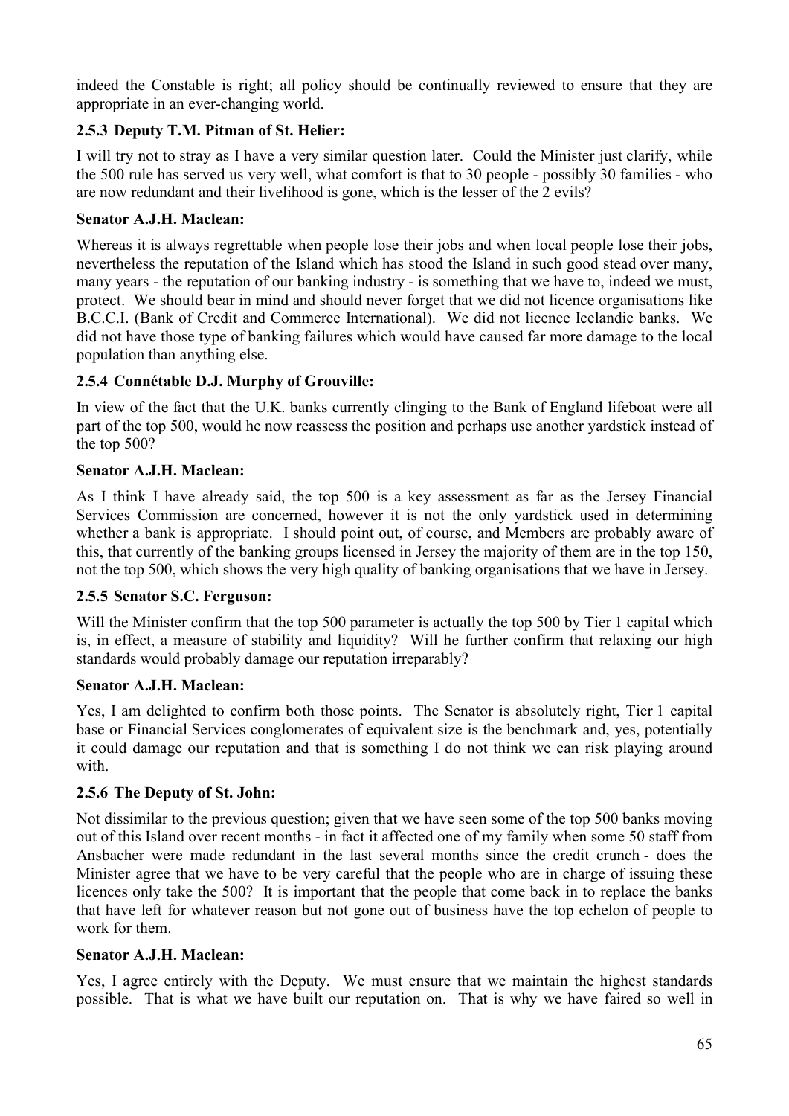indeed the Constable is right; all policy should be continually reviewed to ensure that they are appropriate in an ever-changing world.

## **2.5.3 Deputy T.M. Pitman of St. Helier:**

I will try not to stray as I have a very similar question later. Could the Minister just clarify, while the 500 rule has served us very well, what comfort is that to 30 people - possibly 30 families - who are now redundant and their livelihood is gone, which is the lesser of the 2 evils?

## **Senator A.J.H. Maclean:**

Whereas it is always regrettable when people lose their jobs and when local people lose their jobs, nevertheless the reputation of the Island which has stood the Island in such good stead over many, many years - the reputation of our banking industry - is something that we have to, indeed we must, protect. We should bear in mind and should never forget that we did not licence organisations like B.C.C.I. (Bank of Credit and Commerce International). We did not licence Icelandic banks. We did not have those type of banking failures which would have caused far more damage to the local population than anything else.

## **2.5.4 Connétable D.J. Murphy of Grouville:**

In view of the fact that the U.K. banks currently clinging to the Bank of England lifeboat were all part of the top 500, would he now reassess the position and perhaps use another yardstick instead of the top 500?

## **Senator A.J.H. Maclean:**

As I think I have already said, the top 500 is a key assessment as far as the Jersey Financial Services Commission are concerned, however it is not the only yardstick used in determining whether a bank is appropriate. I should point out, of course, and Members are probably aware of this, that currently of the banking groups licensed in Jersey the majority of them are in the top 150, not the top 500, which shows the very high quality of banking organisations that we have in Jersey.

## **2.5.5 Senator S.C. Ferguson:**

Will the Minister confirm that the top 500 parameter is actually the top 500 by Tier 1 capital which is, in effect, a measure of stability and liquidity? Will he further confirm that relaxing our high standards would probably damage our reputation irreparably?

## **Senator A.J.H. Maclean:**

Yes, I am delighted to confirm both those points. The Senator is absolutely right, Tier 1 capital base or Financial Services conglomerates of equivalent size is the benchmark and, yes, potentially it could damage our reputation and that is something I do not think we can risk playing around with.

## **2.5.6 The Deputy of St. John:**

Not dissimilar to the previous question; given that we have seen some of the top 500 banks moving out of this Island over recent months - in fact it affected one of my family when some 50 staff from Ansbacher were made redundant in the last several months since the credit crunch - does the Minister agree that we have to be very careful that the people who are in charge of issuing these licences only take the 500? It is important that the people that come back in to replace the banks that have left for whatever reason but not gone out of business have the top echelon of people to work for them.

## **Senator A.J.H. Maclean:**

Yes, I agree entirely with the Deputy. We must ensure that we maintain the highest standards possible. That is what we have built our reputation on. That is why we have faired so well in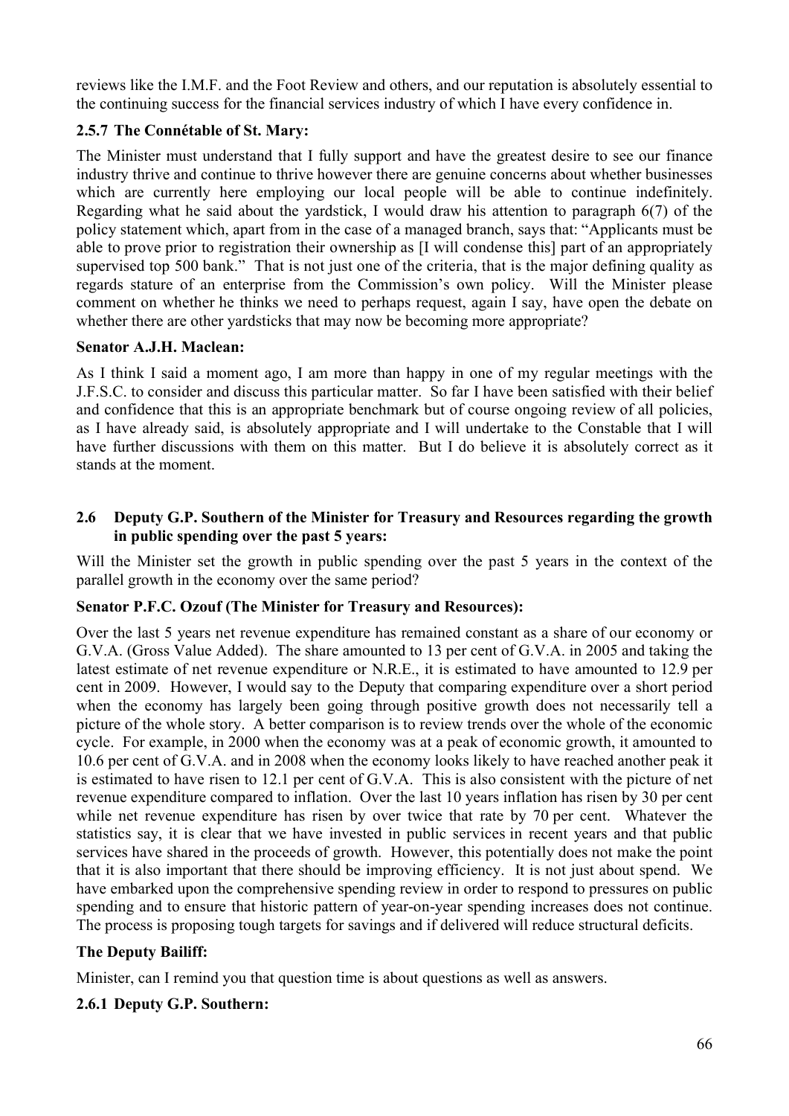reviews like the I.M.F. and the Foot Review and others, and our reputation is absolutely essential to the continuing success for the financial services industry of which I have every confidence in.

## **2.5.7 The Connétable of St. Mary:**

The Minister must understand that I fully support and have the greatest desire to see our finance industry thrive and continue to thrive however there are genuine concerns about whether businesses which are currently here employing our local people will be able to continue indefinitely. Regarding what he said about the yardstick, I would draw his attention to paragraph 6(7) of the policy statement which, apart from in the case of a managed branch, says that: "Applicants must be able to prove prior to registration their ownership as [I will condense this] part of an appropriately supervised top 500 bank." That is not just one of the criteria, that is the major defining quality as regards stature of an enterprise from the Commission's own policy. Will the Minister please comment on whether he thinks we need to perhaps request, again I say, have open the debate on whether there are other yardsticks that may now be becoming more appropriate?

#### **Senator A.J.H. Maclean:**

As I think I said a moment ago, I am more than happy in one of my regular meetings with the J.F.S.C. to consider and discuss this particular matter. So far I have been satisfied with their belief and confidence that this is an appropriate benchmark but of course ongoing review of all policies, as I have already said, is absolutely appropriate and I will undertake to the Constable that I will have further discussions with them on this matter. But I do believe it is absolutely correct as it stands at the moment.

### **2.6 Deputy G.P. Southern of the Minister for Treasury and Resources regarding the growth in public spending over the past 5 years:**

Will the Minister set the growth in public spending over the past 5 years in the context of the parallel growth in the economy over the same period?

#### **Senator P.F.C. Ozouf (The Minister for Treasury and Resources):**

Over the last 5 years net revenue expenditure has remained constant as a share of our economy or G.V.A. (Gross Value Added). The share amounted to 13 per cent of G.V.A. in 2005 and taking the latest estimate of net revenue expenditure or N.R.E., it is estimated to have amounted to 12.9 per cent in 2009. However, I would say to the Deputy that comparing expenditure over a short period when the economy has largely been going through positive growth does not necessarily tell a picture of the whole story. A better comparison is to review trends over the whole of the economic cycle. For example, in 2000 when the economy was at a peak of economic growth, it amounted to 10.6 per cent of G.V.A. and in 2008 when the economy looks likely to have reached another peak it is estimated to have risen to 12.1 per cent of G.V.A. This is also consistent with the picture of net revenue expenditure compared to inflation. Over the last 10 years inflation has risen by 30 per cent while net revenue expenditure has risen by over twice that rate by 70 per cent. Whatever the statistics say, it is clear that we have invested in public services in recent years and that public services have shared in the proceeds of growth. However, this potentially does not make the point that it is also important that there should be improving efficiency. It is not just about spend. We have embarked upon the comprehensive spending review in order to respond to pressures on public spending and to ensure that historic pattern of year-on-year spending increases does not continue. The process is proposing tough targets for savings and if delivered will reduce structural deficits.

#### **The Deputy Bailiff:**

Minister, can I remind you that question time is about questions as well as answers.

#### **2.6.1 Deputy G.P. Southern:**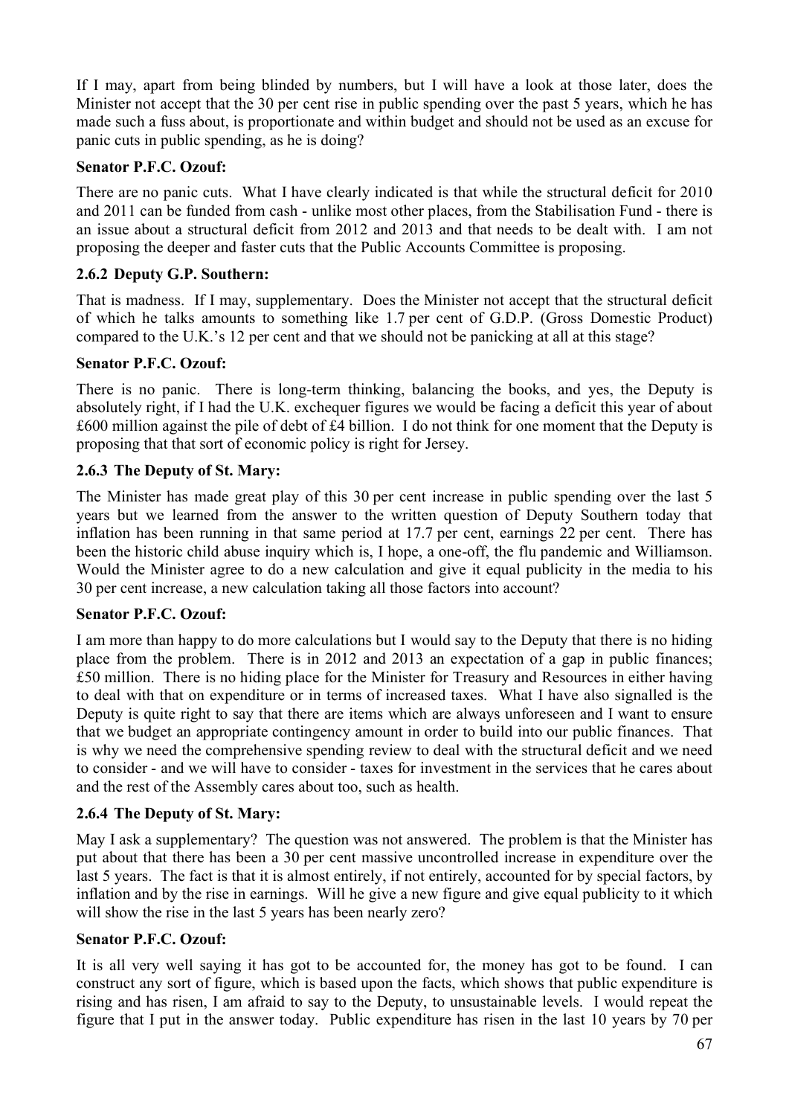If I may, apart from being blinded by numbers, but I will have a look at those later, does the Minister not accept that the 30 per cent rise in public spending over the past 5 years, which he has made such a fuss about, is proportionate and within budget and should not be used as an excuse for panic cuts in public spending, as he is doing?

### **Senator P.F.C. Ozouf:**

There are no panic cuts. What I have clearly indicated is that while the structural deficit for 2010 and 2011 can be funded from cash - unlike most other places, from the Stabilisation Fund - there is an issue about a structural deficit from 2012 and 2013 and that needs to be dealt with. I am not proposing the deeper and faster cuts that the Public Accounts Committee is proposing.

### **2.6.2 Deputy G.P. Southern:**

That is madness. If I may, supplementary. Does the Minister not accept that the structural deficit of which he talks amounts to something like 1.7 per cent of G.D.P. (Gross Domestic Product) compared to the U.K.'s 12 per cent and that we should not be panicking at all at this stage?

## **Senator P.F.C. Ozouf:**

There is no panic. There is long-term thinking, balancing the books, and yes, the Deputy is absolutely right, if I had the U.K. exchequer figures we would be facing a deficit this year of about £600 million against the pile of debt of £4 billion. I do not think for one moment that the Deputy is proposing that that sort of economic policy is right for Jersey.

### **2.6.3 The Deputy of St. Mary:**

The Minister has made great play of this 30 per cent increase in public spending over the last 5 years but we learned from the answer to the written question of Deputy Southern today that inflation has been running in that same period at 17.7 per cent, earnings 22 per cent. There has been the historic child abuse inquiry which is, I hope, a one-off, the flu pandemic and Williamson. Would the Minister agree to do a new calculation and give it equal publicity in the media to his 30 per cent increase, a new calculation taking all those factors into account?

#### **Senator P.F.C. Ozouf:**

I am more than happy to do more calculations but I would say to the Deputy that there is no hiding place from the problem. There is in 2012 and 2013 an expectation of a gap in public finances; £50 million. There is no hiding place for the Minister for Treasury and Resources in either having to deal with that on expenditure or in terms of increased taxes. What I have also signalled is the Deputy is quite right to say that there are items which are always unforeseen and I want to ensure that we budget an appropriate contingency amount in order to build into our public finances. That is why we need the comprehensive spending review to deal with the structural deficit and we need to consider - and we will have to consider - taxes for investment in the services that he cares about and the rest of the Assembly cares about too, such as health.

## **2.6.4 The Deputy of St. Mary:**

May I ask a supplementary? The question was not answered. The problem is that the Minister has put about that there has been a 30 per cent massive uncontrolled increase in expenditure over the last 5 years. The fact is that it is almost entirely, if not entirely, accounted for by special factors, by inflation and by the rise in earnings. Will he give a new figure and give equal publicity to it which will show the rise in the last 5 years has been nearly zero?

#### **Senator P.F.C. Ozouf:**

It is all very well saying it has got to be accounted for, the money has got to be found. I can construct any sort of figure, which is based upon the facts, which shows that public expenditure is rising and has risen, I am afraid to say to the Deputy, to unsustainable levels. I would repeat the figure that I put in the answer today. Public expenditure has risen in the last 10 years by 70 per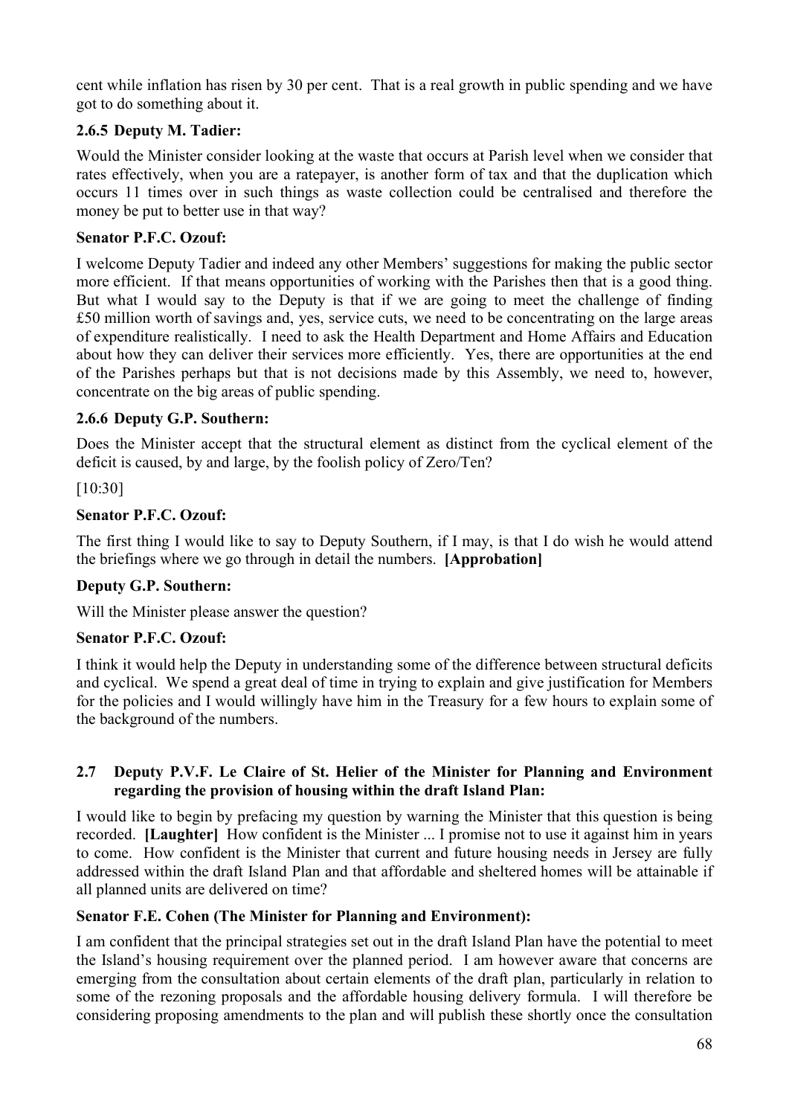cent while inflation has risen by 30 per cent. That is a real growth in public spending and we have got to do something about it.

## **2.6.5 Deputy M. Tadier:**

Would the Minister consider looking at the waste that occurs at Parish level when we consider that rates effectively, when you are a ratepayer, is another form of tax and that the duplication which occurs 11 times over in such things as waste collection could be centralised and therefore the money be put to better use in that way?

## **Senator P.F.C. Ozouf:**

I welcome Deputy Tadier and indeed any other Members' suggestions for making the public sector more efficient. If that means opportunities of working with the Parishes then that is a good thing. But what I would say to the Deputy is that if we are going to meet the challenge of finding £50 million worth of savings and, yes, service cuts, we need to be concentrating on the large areas of expenditure realistically. I need to ask the Health Department and Home Affairs and Education about how they can deliver their services more efficiently. Yes, there are opportunities at the end of the Parishes perhaps but that is not decisions made by this Assembly, we need to, however, concentrate on the big areas of public spending.

## **2.6.6 Deputy G.P. Southern:**

Does the Minister accept that the structural element as distinct from the cyclical element of the deficit is caused, by and large, by the foolish policy of Zero/Ten?

[10:30]

## **Senator P.F.C. Ozouf:**

The first thing I would like to say to Deputy Southern, if I may, is that I do wish he would attend the briefings where we go through in detail the numbers. **[Approbation]**

## **Deputy G.P. Southern:**

Will the Minister please answer the question?

## **Senator P.F.C. Ozouf:**

I think it would help the Deputy in understanding some of the difference between structural deficits and cyclical. We spend a great deal of time in trying to explain and give justification for Members for the policies and I would willingly have him in the Treasury for a few hours to explain some of the background of the numbers.

### **2.7 Deputy P.V.F. Le Claire of St. Helier of the Minister for Planning and Environment regarding the provision of housing within the draft Island Plan:**

I would like to begin by prefacing my question by warning the Minister that this question is being recorded. **[Laughter]** How confident is the Minister ... I promise not to use it against him in years to come. How confident is the Minister that current and future housing needs in Jersey are fully addressed within the draft Island Plan and that affordable and sheltered homes will be attainable if all planned units are delivered on time?

## **Senator F.E. Cohen (The Minister for Planning and Environment):**

I am confident that the principal strategies set out in the draft Island Plan have the potential to meet the Island's housing requirement over the planned period. I am however aware that concerns are emerging from the consultation about certain elements of the draft plan, particularly in relation to some of the rezoning proposals and the affordable housing delivery formula. I will therefore be considering proposing amendments to the plan and will publish these shortly once the consultation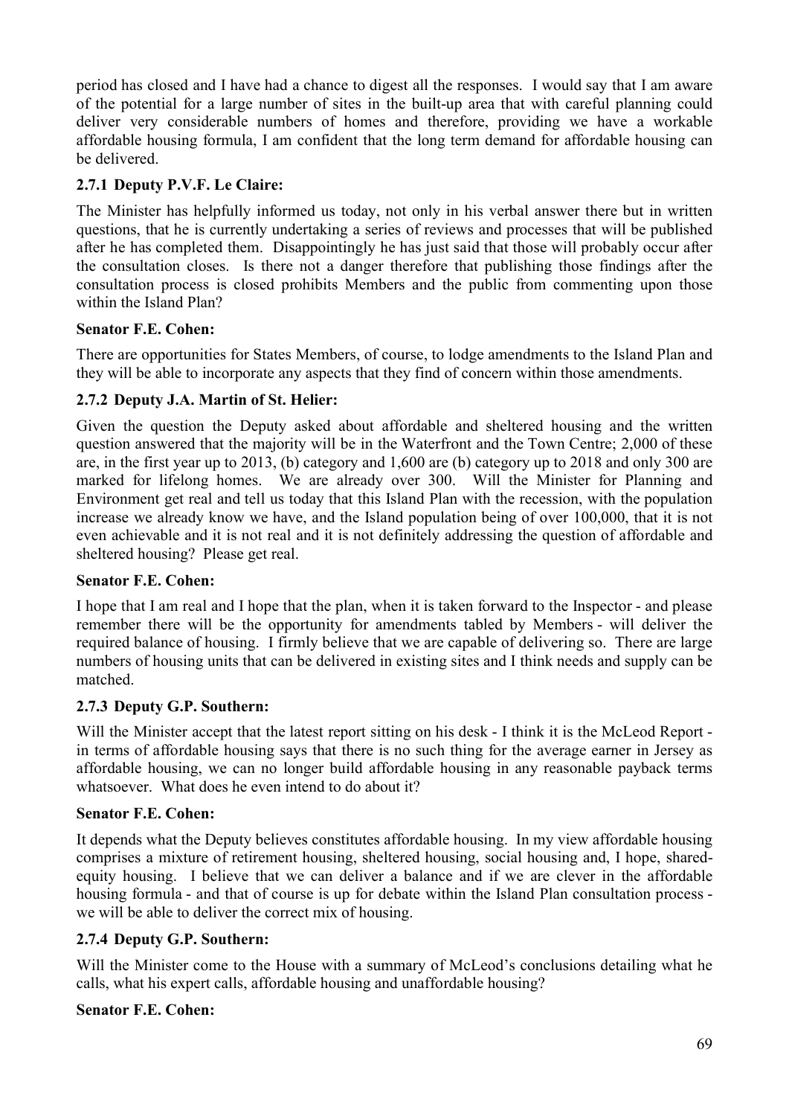period has closed and I have had a chance to digest all the responses. I would say that I am aware of the potential for a large number of sites in the built-up area that with careful planning could deliver very considerable numbers of homes and therefore, providing we have a workable affordable housing formula, I am confident that the long term demand for affordable housing can be delivered.

## **2.7.1 Deputy P.V.F. Le Claire:**

The Minister has helpfully informed us today, not only in his verbal answer there but in written questions, that he is currently undertaking a series of reviews and processes that will be published after he has completed them. Disappointingly he has just said that those will probably occur after the consultation closes. Is there not a danger therefore that publishing those findings after the consultation process is closed prohibits Members and the public from commenting upon those within the Island Plan?

## **Senator F.E. Cohen:**

There are opportunities for States Members, of course, to lodge amendments to the Island Plan and they will be able to incorporate any aspects that they find of concern within those amendments.

## **2.7.2 Deputy J.A. Martin of St. Helier:**

Given the question the Deputy asked about affordable and sheltered housing and the written question answered that the majority will be in the Waterfront and the Town Centre; 2,000 of these are, in the first year up to 2013, (b) category and 1,600 are (b) category up to 2018 and only 300 are marked for lifelong homes. We are already over 300. Will the Minister for Planning and Environment get real and tell us today that this Island Plan with the recession, with the population increase we already know we have, and the Island population being of over 100,000, that it is not even achievable and it is not real and it is not definitely addressing the question of affordable and sheltered housing? Please get real.

## **Senator F.E. Cohen:**

I hope that I am real and I hope that the plan, when it is taken forward to the Inspector - and please remember there will be the opportunity for amendments tabled by Members - will deliver the required balance of housing. I firmly believe that we are capable of delivering so. There are large numbers of housing units that can be delivered in existing sites and I think needs and supply can be matched.

## **2.7.3 Deputy G.P. Southern:**

Will the Minister accept that the latest report sitting on his desk - I think it is the McLeod Report in terms of affordable housing says that there is no such thing for the average earner in Jersey as affordable housing, we can no longer build affordable housing in any reasonable payback terms whatsoever. What does he even intend to do about it?

## **Senator F.E. Cohen:**

It depends what the Deputy believes constitutes affordable housing. In my view affordable housing comprises a mixture of retirement housing, sheltered housing, social housing and, I hope, sharedequity housing. I believe that we can deliver a balance and if we are clever in the affordable housing formula - and that of course is up for debate within the Island Plan consultation process we will be able to deliver the correct mix of housing.

## **2.7.4 Deputy G.P. Southern:**

Will the Minister come to the House with a summary of McLeod's conclusions detailing what he calls, what his expert calls, affordable housing and unaffordable housing?

## **Senator F.E. Cohen:**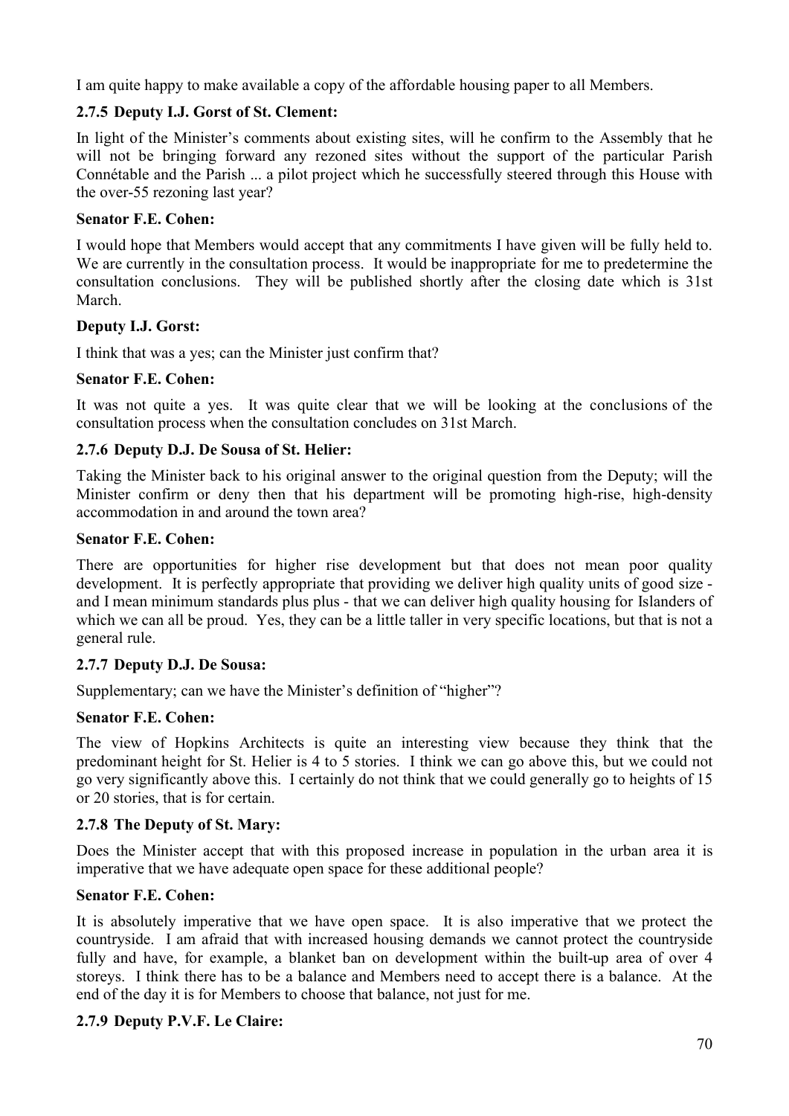I am quite happy to make available a copy of the affordable housing paper to all Members.

## **2.7.5 Deputy I.J. Gorst of St. Clement:**

In light of the Minister's comments about existing sites, will he confirm to the Assembly that he will not be bringing forward any rezoned sites without the support of the particular Parish Connétable and the Parish ... a pilot project which he successfully steered through this House with the over-55 rezoning last year?

### **Senator F.E. Cohen:**

I would hope that Members would accept that any commitments I have given will be fully held to. We are currently in the consultation process. It would be inappropriate for me to predetermine the consultation conclusions. They will be published shortly after the closing date which is 31st March.

### **Deputy I.J. Gorst:**

I think that was a yes; can the Minister just confirm that?

### **Senator F.E. Cohen:**

It was not quite a yes. It was quite clear that we will be looking at the conclusions of the consultation process when the consultation concludes on 31st March.

### **2.7.6 Deputy D.J. De Sousa of St. Helier:**

Taking the Minister back to his original answer to the original question from the Deputy; will the Minister confirm or deny then that his department will be promoting high-rise, high-density accommodation in and around the town area?

### **Senator F.E. Cohen:**

There are opportunities for higher rise development but that does not mean poor quality development. It is perfectly appropriate that providing we deliver high quality units of good size and I mean minimum standards plus plus - that we can deliver high quality housing for Islanders of which we can all be proud. Yes, they can be a little taller in very specific locations, but that is not a general rule.

## **2.7.7 Deputy D.J. De Sousa:**

Supplementary; can we have the Minister's definition of "higher"?

## **Senator F.E. Cohen:**

The view of Hopkins Architects is quite an interesting view because they think that the predominant height for St. Helier is 4 to 5 stories. I think we can go above this, but we could not go very significantly above this. I certainly do not think that we could generally go to heights of 15 or 20 stories, that is for certain.

## **2.7.8 The Deputy of St. Mary:**

Does the Minister accept that with this proposed increase in population in the urban area it is imperative that we have adequate open space for these additional people?

## **Senator F.E. Cohen:**

It is absolutely imperative that we have open space. It is also imperative that we protect the countryside. I am afraid that with increased housing demands we cannot protect the countryside fully and have, for example, a blanket ban on development within the built-up area of over 4 storeys. I think there has to be a balance and Members need to accept there is a balance. At the end of the day it is for Members to choose that balance, not just for me.

#### **2.7.9 Deputy P.V.F. Le Claire:**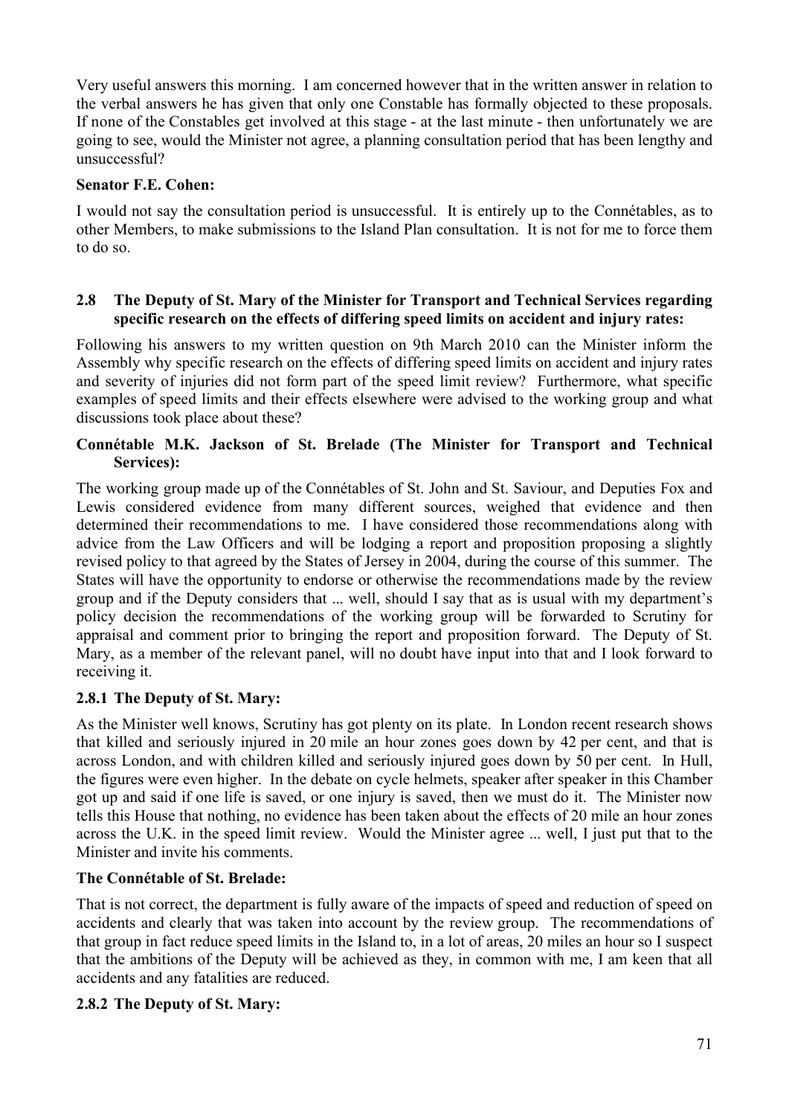Very useful answers this morning. I am concerned however that in the written answer in relation to the verbal answers he has given that only one Constable has formally objected to these proposals. If none of the Constables get involved at this stage - at the last minute - then unfortunately we are going to see, would the Minister not agree, a planning consultation period that has been lengthy and unsuccessful?

### **Senator F.E. Cohen:**

I would not say the consultation period is unsuccessful. It is entirely up to the Connétables, as to other Members, to make submissions to the Island Plan consultation. It is not for me to force them to do so.

#### **2.8 The Deputy of St. Mary of the Minister for Transport and Technical Services regarding specific research on the effects of differing speed limits on accident and injury rates:**

Following his answers to my written question on 9th March 2010 can the Minister inform the Assembly why specific research on the effects of differing speed limits on accident and injury rates and severity of injuries did not form part of the speed limit review? Furthermore, what specific examples of speed limits and their effects elsewhere were advised to the working group and what discussions took place about these?

### **Connétable M.K. Jackson of St. Brelade (The Minister for Transport and Technical Services):**

The working group made up of the Connétables of St. John and St. Saviour, and Deputies Fox and Lewis considered evidence from many different sources, weighed that evidence and then determined their recommendations to me. I have considered those recommendations along with advice from the Law Officers and will be lodging a report and proposition proposing a slightly revised policy to that agreed by the States of Jersey in 2004, during the course of this summer. The States will have the opportunity to endorse or otherwise the recommendations made by the review group and if the Deputy considers that ... well, should I say that as is usual with my department's policy decision the recommendations of the working group will be forwarded to Scrutiny for appraisal and comment prior to bringing the report and proposition forward. The Deputy of St. Mary, as a member of the relevant panel, will no doubt have input into that and I look forward to receiving it.

#### **2.8.1 The Deputy of St. Mary:**

As the Minister well knows, Scrutiny has got plenty on its plate. In London recent research shows that killed and seriously injured in 20 mile an hour zones goes down by 42 per cent, and that is across London, and with children killed and seriously injured goes down by 50 per cent. In Hull, the figures were even higher. In the debate on cycle helmets, speaker after speaker in this Chamber got up and said if one life is saved, or one injury is saved, then we must do it. The Minister now tells this House that nothing, no evidence has been taken about the effects of 20 mile an hour zones across the U.K. in the speed limit review. Would the Minister agree ... well, I just put that to the Minister and invite his comments.

#### **The Connétable of St. Brelade:**

That is not correct, the department is fully aware of the impacts of speed and reduction of speed on accidents and clearly that was taken into account by the review group. The recommendations of that group in fact reduce speed limits in the Island to, in a lot of areas, 20 miles an hour so I suspect that the ambitions of the Deputy will be achieved as they, in common with me, I am keen that all accidents and any fatalities are reduced.

#### **2.8.2 The Deputy of St. Mary:**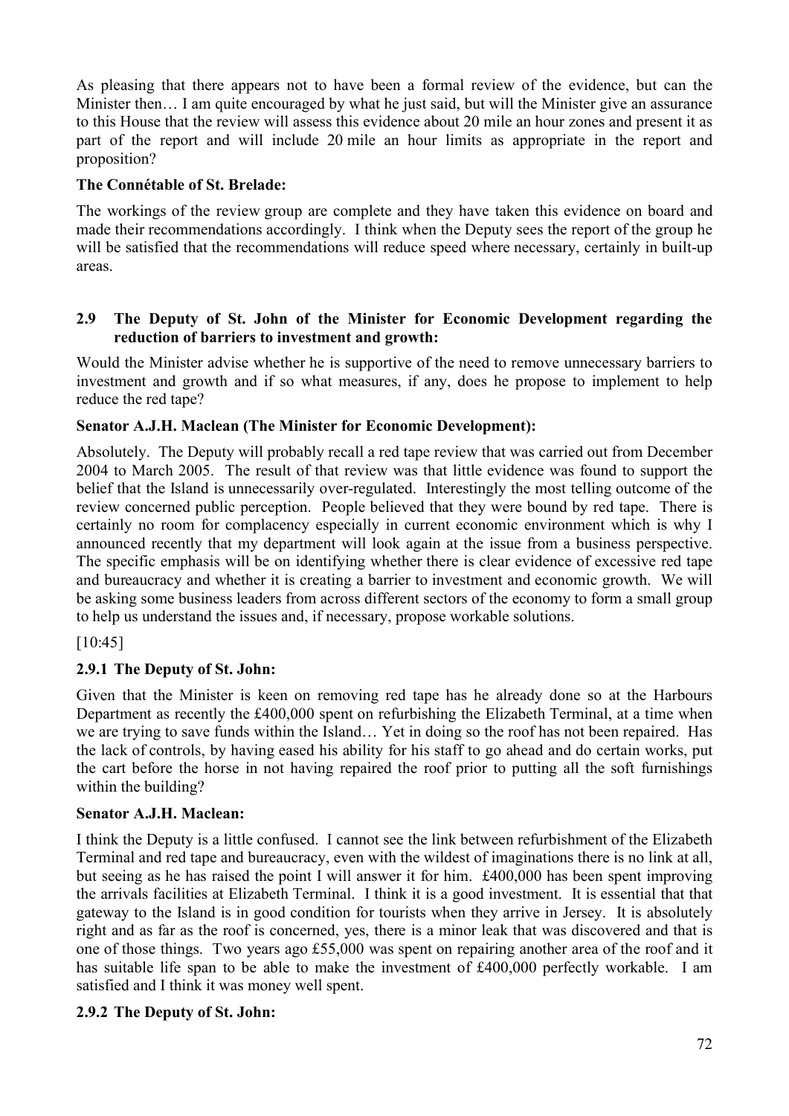As pleasing that there appears not to have been a formal review of the evidence, but can the Minister then… I am quite encouraged by what he just said, but will the Minister give an assurance to this House that the review will assess this evidence about 20 mile an hour zones and present it as part of the report and will include 20 mile an hour limits as appropriate in the report and proposition?

### **The Connétable of St. Brelade:**

The workings of the review group are complete and they have taken this evidence on board and made their recommendations accordingly. I think when the Deputy sees the report of the group he will be satisfied that the recommendations will reduce speed where necessary, certainly in built-up areas.

#### **2.9 The Deputy of St. John of the Minister for Economic Development regarding the reduction of barriers to investment and growth:**

Would the Minister advise whether he is supportive of the need to remove unnecessary barriers to investment and growth and if so what measures, if any, does he propose to implement to help reduce the red tape?

### **Senator A.J.H. Maclean (The Minister for Economic Development):**

Absolutely. The Deputy will probably recall a red tape review that was carried out from December 2004 to March 2005. The result of that review was that little evidence was found to support the belief that the Island is unnecessarily over-regulated. Interestingly the most telling outcome of the review concerned public perception. People believed that they were bound by red tape. There is certainly no room for complacency especially in current economic environment which is why I announced recently that my department will look again at the issue from a business perspective. The specific emphasis will be on identifying whether there is clear evidence of excessive red tape and bureaucracy and whether it is creating a barrier to investment and economic growth. We will be asking some business leaders from across different sectors of the economy to form a small group to help us understand the issues and, if necessary, propose workable solutions.

[10:45]

## **2.9.1 The Deputy of St. John:**

Given that the Minister is keen on removing red tape has he already done so at the Harbours Department as recently the £400,000 spent on refurbishing the Elizabeth Terminal, at a time when we are trying to save funds within the Island… Yet in doing so the roof has not been repaired. Has the lack of controls, by having eased his ability for his staff to go ahead and do certain works, put the cart before the horse in not having repaired the roof prior to putting all the soft furnishings within the building?

#### **Senator A.J.H. Maclean:**

I think the Deputy is a little confused. I cannot see the link between refurbishment of the Elizabeth Terminal and red tape and bureaucracy, even with the wildest of imaginations there is no link at all, but seeing as he has raised the point I will answer it for him. £400,000 has been spent improving the arrivals facilities at Elizabeth Terminal. I think it is a good investment. It is essential that that gateway to the Island is in good condition for tourists when they arrive in Jersey. It is absolutely right and as far as the roof is concerned, yes, there is a minor leak that was discovered and that is one of those things. Two years ago £55,000 was spent on repairing another area of the roof and it has suitable life span to be able to make the investment of £400,000 perfectly workable. I am satisfied and I think it was money well spent.

#### **2.9.2 The Deputy of St. John:**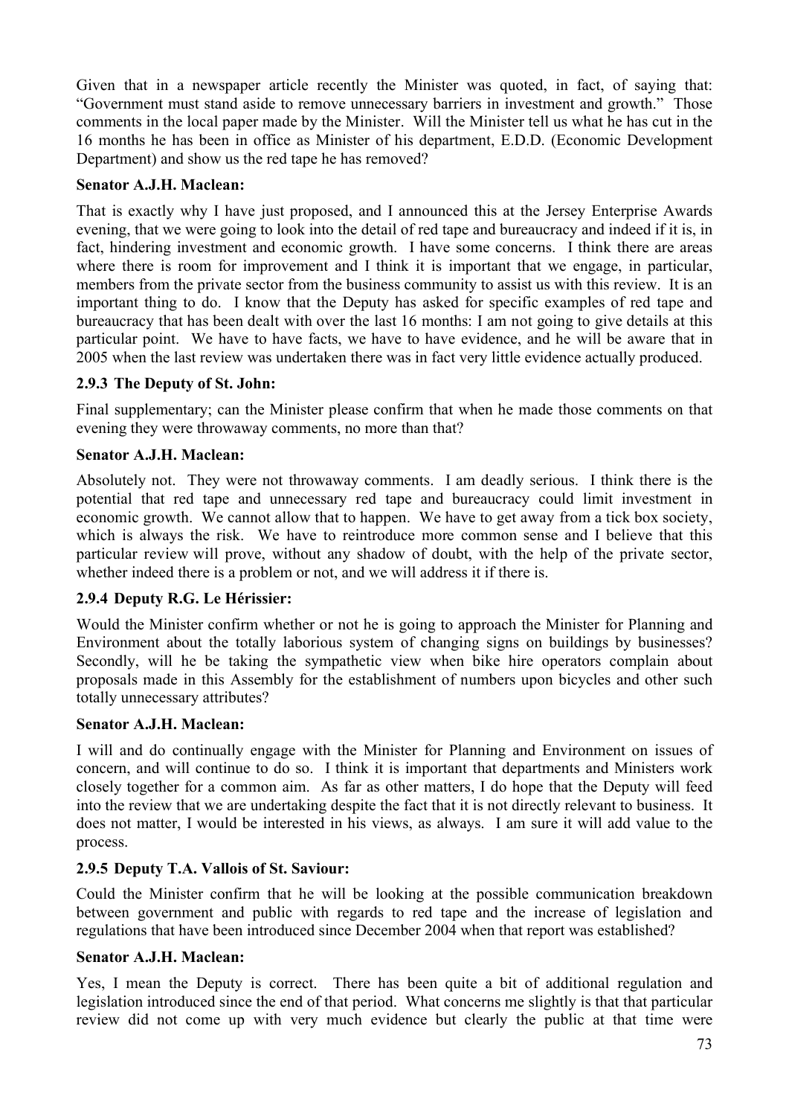Given that in a newspaper article recently the Minister was quoted, in fact, of saying that: "Government must stand aside to remove unnecessary barriers in investment and growth." Those comments in the local paper made by the Minister. Will the Minister tell us what he has cut in the 16 months he has been in office as Minister of his department, E.D.D. (Economic Development Department) and show us the red tape he has removed?

## **Senator A.J.H. Maclean:**

That is exactly why I have just proposed, and I announced this at the Jersey Enterprise Awards evening, that we were going to look into the detail of red tape and bureaucracy and indeed if it is, in fact, hindering investment and economic growth. I have some concerns. I think there are areas where there is room for improvement and I think it is important that we engage, in particular, members from the private sector from the business community to assist us with this review. It is an important thing to do. I know that the Deputy has asked for specific examples of red tape and bureaucracy that has been dealt with over the last 16 months: I am not going to give details at this particular point. We have to have facts, we have to have evidence, and he will be aware that in 2005 when the last review was undertaken there was in fact very little evidence actually produced.

### **2.9.3 The Deputy of St. John:**

Final supplementary; can the Minister please confirm that when he made those comments on that evening they were throwaway comments, no more than that?

### **Senator A.J.H. Maclean:**

Absolutely not. They were not throwaway comments. I am deadly serious. I think there is the potential that red tape and unnecessary red tape and bureaucracy could limit investment in economic growth. We cannot allow that to happen. We have to get away from a tick box society, which is always the risk. We have to reintroduce more common sense and I believe that this particular review will prove, without any shadow of doubt, with the help of the private sector, whether indeed there is a problem or not, and we will address it if there is.

### **2.9.4 Deputy R.G. Le Hérissier:**

Would the Minister confirm whether or not he is going to approach the Minister for Planning and Environment about the totally laborious system of changing signs on buildings by businesses? Secondly, will he be taking the sympathetic view when bike hire operators complain about proposals made in this Assembly for the establishment of numbers upon bicycles and other such totally unnecessary attributes?

#### **Senator A.J.H. Maclean:**

I will and do continually engage with the Minister for Planning and Environment on issues of concern, and will continue to do so. I think it is important that departments and Ministers work closely together for a common aim. As far as other matters, I do hope that the Deputy will feed into the review that we are undertaking despite the fact that it is not directly relevant to business. It does not matter, I would be interested in his views, as always. I am sure it will add value to the process.

### **2.9.5 Deputy T.A. Vallois of St. Saviour:**

Could the Minister confirm that he will be looking at the possible communication breakdown between government and public with regards to red tape and the increase of legislation and regulations that have been introduced since December 2004 when that report was established?

#### **Senator A.J.H. Maclean:**

Yes, I mean the Deputy is correct. There has been quite a bit of additional regulation and legislation introduced since the end of that period. What concerns me slightly is that that particular review did not come up with very much evidence but clearly the public at that time were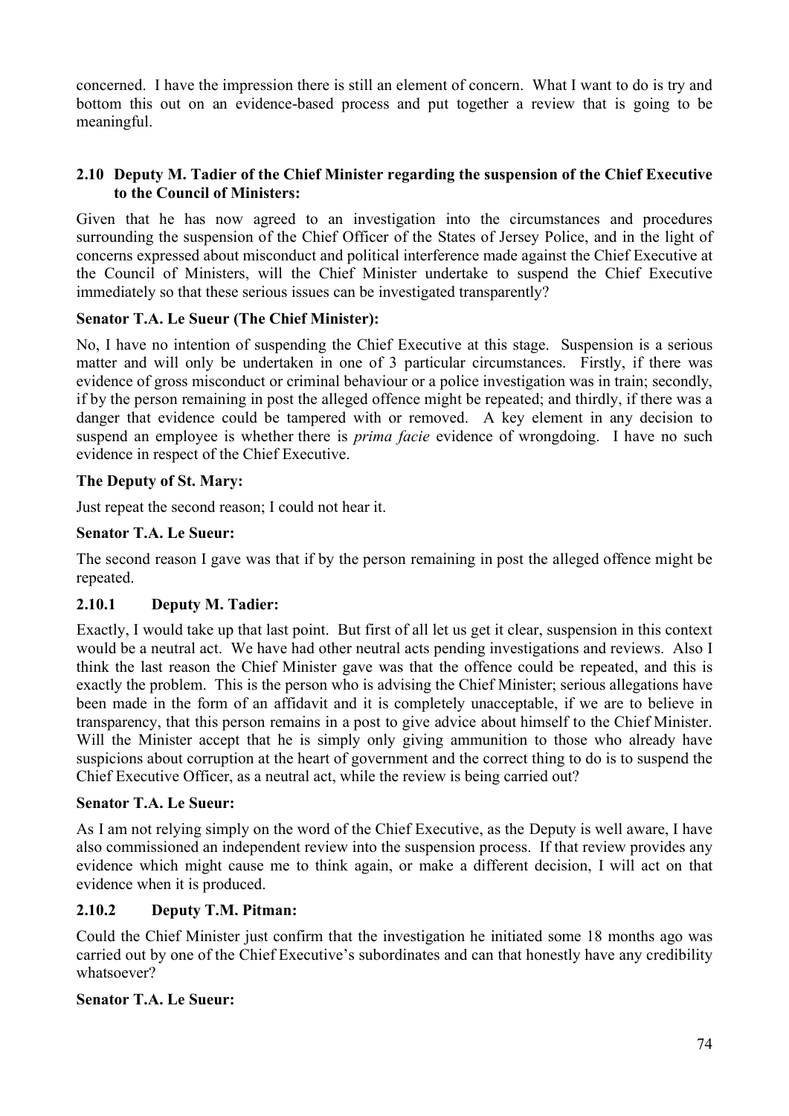concerned. I have the impression there is still an element of concern. What I want to do is try and bottom this out on an evidence-based process and put together a review that is going to be meaningful.

## **2.10 Deputy M. Tadier of the Chief Minister regarding the suspension of the Chief Executive to the Council of Ministers:**

Given that he has now agreed to an investigation into the circumstances and procedures surrounding the suspension of the Chief Officer of the States of Jersey Police, and in the light of concerns expressed about misconduct and political interference made against the Chief Executive at the Council of Ministers, will the Chief Minister undertake to suspend the Chief Executive immediately so that these serious issues can be investigated transparently?

## **Senator T.A. Le Sueur (The Chief Minister):**

No, I have no intention of suspending the Chief Executive at this stage. Suspension is a serious matter and will only be undertaken in one of 3 particular circumstances. Firstly, if there was evidence of gross misconduct or criminal behaviour or a police investigation was in train; secondly, if by the person remaining in post the alleged offence might be repeated; and thirdly, if there was a danger that evidence could be tampered with or removed. A key element in any decision to suspend an employee is whether there is *prima facie* evidence of wrongdoing. I have no such evidence in respect of the Chief Executive.

## **The Deputy of St. Mary:**

Just repeat the second reason; I could not hear it.

## **Senator T.A. Le Sueur:**

The second reason I gave was that if by the person remaining in post the alleged offence might be repeated.

# **2.10.1 Deputy M. Tadier:**

Exactly, I would take up that last point. But first of all let us get it clear, suspension in this context would be a neutral act. We have had other neutral acts pending investigations and reviews. Also I think the last reason the Chief Minister gave was that the offence could be repeated, and this is exactly the problem. This is the person who is advising the Chief Minister; serious allegations have been made in the form of an affidavit and it is completely unacceptable, if we are to believe in transparency, that this person remains in a post to give advice about himself to the Chief Minister. Will the Minister accept that he is simply only giving ammunition to those who already have suspicions about corruption at the heart of government and the correct thing to do is to suspend the Chief Executive Officer, as a neutral act, while the review is being carried out?

### **Senator T.A. Le Sueur:**

As I am not relying simply on the word of the Chief Executive, as the Deputy is well aware, I have also commissioned an independent review into the suspension process. If that review provides any evidence which might cause me to think again, or make a different decision, I will act on that evidence when it is produced.

### **2.10.2 Deputy T.M. Pitman:**

Could the Chief Minister just confirm that the investigation he initiated some 18 months ago was carried out by one of the Chief Executive's subordinates and can that honestly have any credibility whatsoever?

### **Senator T.A. Le Sueur:**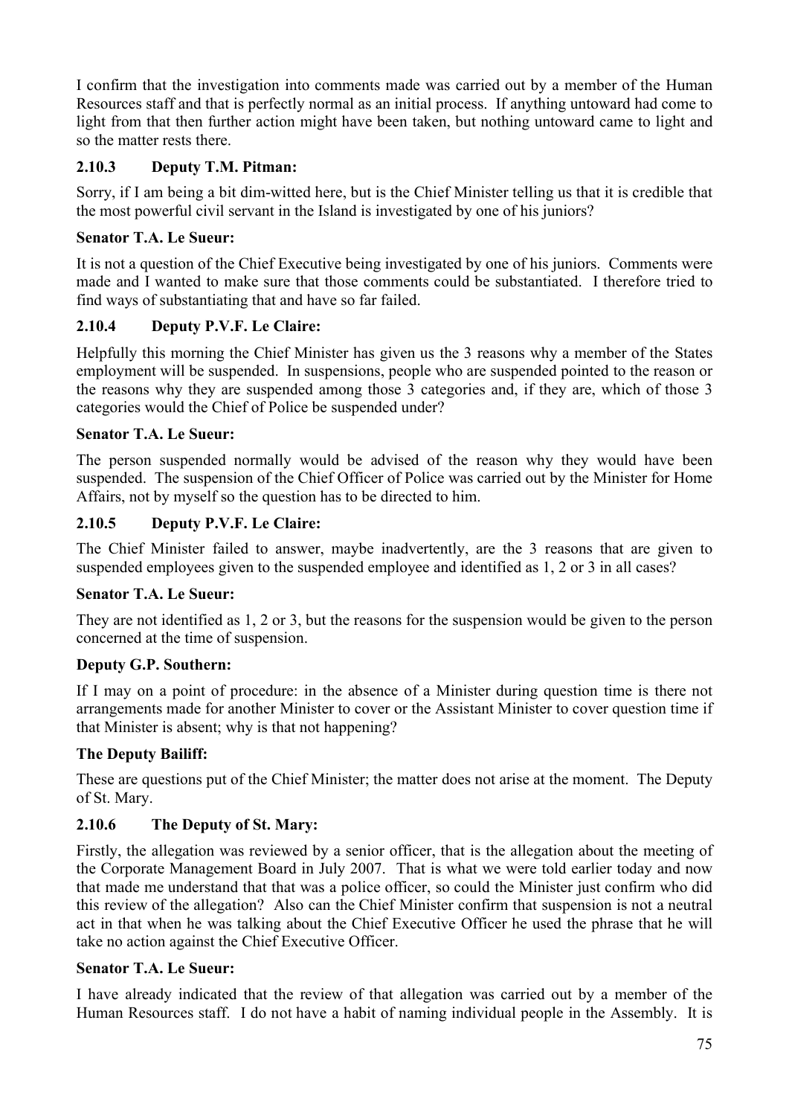I confirm that the investigation into comments made was carried out by a member of the Human Resources staff and that is perfectly normal as an initial process. If anything untoward had come to light from that then further action might have been taken, but nothing untoward came to light and so the matter rests there.

# **2.10.3 Deputy T.M. Pitman:**

Sorry, if I am being a bit dim-witted here, but is the Chief Minister telling us that it is credible that the most powerful civil servant in the Island is investigated by one of his juniors?

## **Senator T.A. Le Sueur:**

It is not a question of the Chief Executive being investigated by one of his juniors. Comments were made and I wanted to make sure that those comments could be substantiated. I therefore tried to find ways of substantiating that and have so far failed.

## **2.10.4 Deputy P.V.F. Le Claire:**

Helpfully this morning the Chief Minister has given us the 3 reasons why a member of the States employment will be suspended. In suspensions, people who are suspended pointed to the reason or the reasons why they are suspended among those 3 categories and, if they are, which of those 3 categories would the Chief of Police be suspended under?

### **Senator T.A. Le Sueur:**

The person suspended normally would be advised of the reason why they would have been suspended. The suspension of the Chief Officer of Police was carried out by the Minister for Home Affairs, not by myself so the question has to be directed to him.

## **2.10.5 Deputy P.V.F. Le Claire:**

The Chief Minister failed to answer, maybe inadvertently, are the 3 reasons that are given to suspended employees given to the suspended employee and identified as 1, 2 or 3 in all cases?

### **Senator T.A. Le Sueur:**

They are not identified as 1, 2 or 3, but the reasons for the suspension would be given to the person concerned at the time of suspension.

### **Deputy G.P. Southern:**

If I may on a point of procedure: in the absence of a Minister during question time is there not arrangements made for another Minister to cover or the Assistant Minister to cover question time if that Minister is absent; why is that not happening?

### **The Deputy Bailiff:**

These are questions put of the Chief Minister; the matter does not arise at the moment. The Deputy of St. Mary.

# **2.10.6 The Deputy of St. Mary:**

Firstly, the allegation was reviewed by a senior officer, that is the allegation about the meeting of the Corporate Management Board in July 2007. That is what we were told earlier today and now that made me understand that that was a police officer, so could the Minister just confirm who did this review of the allegation? Also can the Chief Minister confirm that suspension is not a neutral act in that when he was talking about the Chief Executive Officer he used the phrase that he will take no action against the Chief Executive Officer.

### **Senator T.A. Le Sueur:**

I have already indicated that the review of that allegation was carried out by a member of the Human Resources staff. I do not have a habit of naming individual people in the Assembly. It is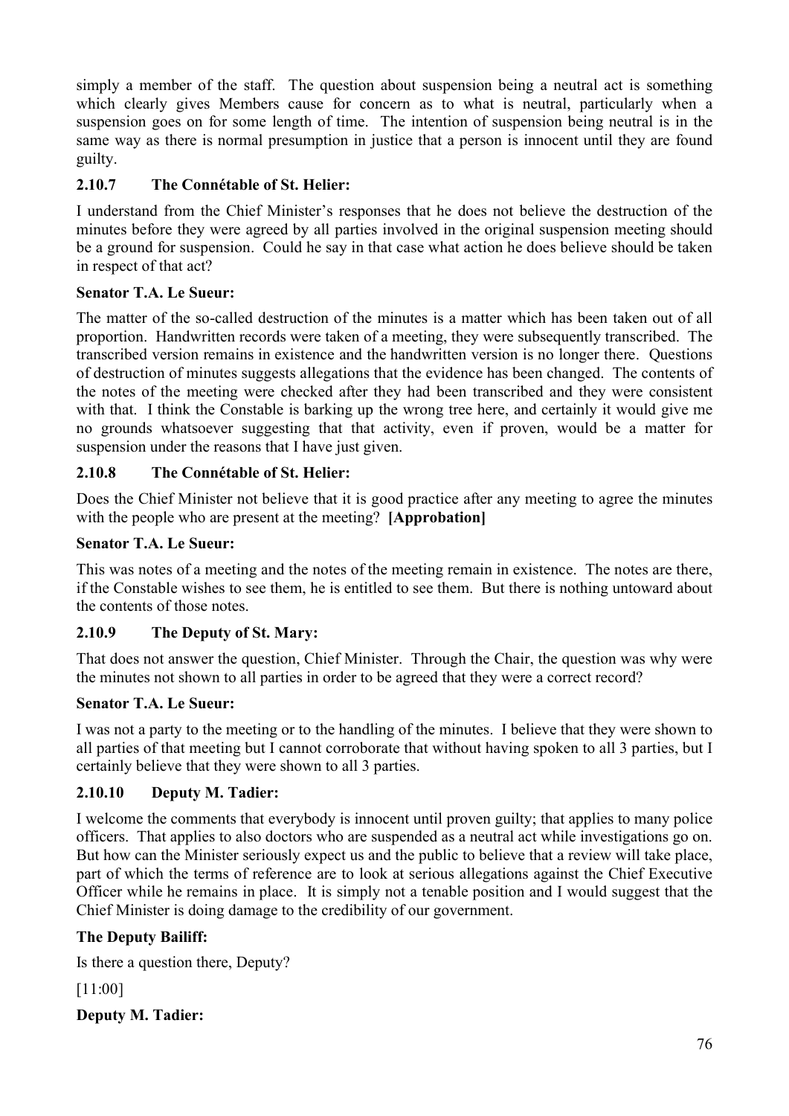simply a member of the staff. The question about suspension being a neutral act is something which clearly gives Members cause for concern as to what is neutral, particularly when a suspension goes on for some length of time. The intention of suspension being neutral is in the same way as there is normal presumption in justice that a person is innocent until they are found guilty.

# **2.10.7 The Connétable of St. Helier:**

I understand from the Chief Minister's responses that he does not believe the destruction of the minutes before they were agreed by all parties involved in the original suspension meeting should be a ground for suspension. Could he say in that case what action he does believe should be taken in respect of that act?

# **Senator T.A. Le Sueur:**

The matter of the so-called destruction of the minutes is a matter which has been taken out of all proportion. Handwritten records were taken of a meeting, they were subsequently transcribed. The transcribed version remains in existence and the handwritten version is no longer there. Questions of destruction of minutes suggests allegations that the evidence has been changed. The contents of the notes of the meeting were checked after they had been transcribed and they were consistent with that. I think the Constable is barking up the wrong tree here, and certainly it would give me no grounds whatsoever suggesting that that activity, even if proven, would be a matter for suspension under the reasons that I have just given.

# **2.10.8 The Connétable of St. Helier:**

Does the Chief Minister not believe that it is good practice after any meeting to agree the minutes with the people who are present at the meeting? **[Approbation]**

# **Senator T.A. Le Sueur:**

This was notes of a meeting and the notes of the meeting remain in existence. The notes are there, if the Constable wishes to see them, he is entitled to see them. But there is nothing untoward about the contents of those notes.

# **2.10.9 The Deputy of St. Mary:**

That does not answer the question, Chief Minister. Through the Chair, the question was why were the minutes not shown to all parties in order to be agreed that they were a correct record?

# **Senator T.A. Le Sueur:**

I was not a party to the meeting or to the handling of the minutes. I believe that they were shown to all parties of that meeting but I cannot corroborate that without having spoken to all 3 parties, but I certainly believe that they were shown to all 3 parties.

# **2.10.10 Deputy M. Tadier:**

I welcome the comments that everybody is innocent until proven guilty; that applies to many police officers. That applies to also doctors who are suspended as a neutral act while investigations go on. But how can the Minister seriously expect us and the public to believe that a review will take place, part of which the terms of reference are to look at serious allegations against the Chief Executive Officer while he remains in place. It is simply not a tenable position and I would suggest that the Chief Minister is doing damage to the credibility of our government.

# **The Deputy Bailiff:**

Is there a question there, Deputy?

[11:00]

**Deputy M. Tadier:**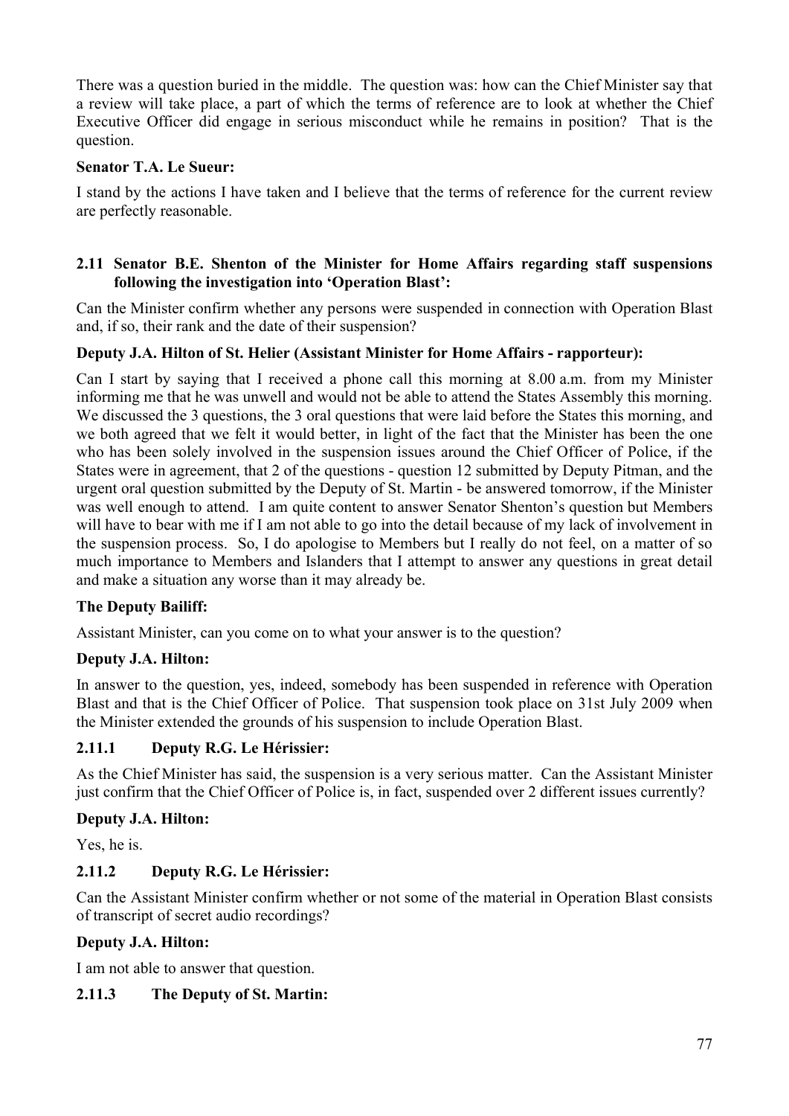There was a question buried in the middle. The question was: how can the Chief Minister say that a review will take place, a part of which the terms of reference are to look at whether the Chief Executive Officer did engage in serious misconduct while he remains in position? That is the question.

## **Senator T.A. Le Sueur:**

I stand by the actions I have taken and I believe that the terms of reference for the current review are perfectly reasonable.

### **2.11 Senator B.E. Shenton of the Minister for Home Affairs regarding staff suspensions following the investigation into 'Operation Blast':**

Can the Minister confirm whether any persons were suspended in connection with Operation Blast and, if so, their rank and the date of their suspension?

## **Deputy J.A. Hilton of St. Helier (Assistant Minister for Home Affairs - rapporteur):**

Can I start by saying that I received a phone call this morning at 8.00 a.m. from my Minister informing me that he was unwell and would not be able to attend the States Assembly this morning. We discussed the 3 questions, the 3 oral questions that were laid before the States this morning, and we both agreed that we felt it would better, in light of the fact that the Minister has been the one who has been solely involved in the suspension issues around the Chief Officer of Police, if the States were in agreement, that 2 of the questions - question 12 submitted by Deputy Pitman, and the urgent oral question submitted by the Deputy of St. Martin - be answered tomorrow, if the Minister was well enough to attend. I am quite content to answer Senator Shenton's question but Members will have to bear with me if I am not able to go into the detail because of my lack of involvement in the suspension process. So, I do apologise to Members but I really do not feel, on a matter of so much importance to Members and Islanders that I attempt to answer any questions in great detail and make a situation any worse than it may already be.

### **The Deputy Bailiff:**

Assistant Minister, can you come on to what your answer is to the question?

### **Deputy J.A. Hilton:**

In answer to the question, yes, indeed, somebody has been suspended in reference with Operation Blast and that is the Chief Officer of Police. That suspension took place on 31st July 2009 when the Minister extended the grounds of his suspension to include Operation Blast.

### **2.11.1 Deputy R.G. Le Hérissier:**

As the Chief Minister has said, the suspension is a very serious matter. Can the Assistant Minister just confirm that the Chief Officer of Police is, in fact, suspended over 2 different issues currently?

# **Deputy J.A. Hilton:**

Yes, he is.

# **2.11.2 Deputy R.G. Le Hérissier:**

Can the Assistant Minister confirm whether or not some of the material in Operation Blast consists of transcript of secret audio recordings?

### **Deputy J.A. Hilton:**

I am not able to answer that question.

### **2.11.3 The Deputy of St. Martin:**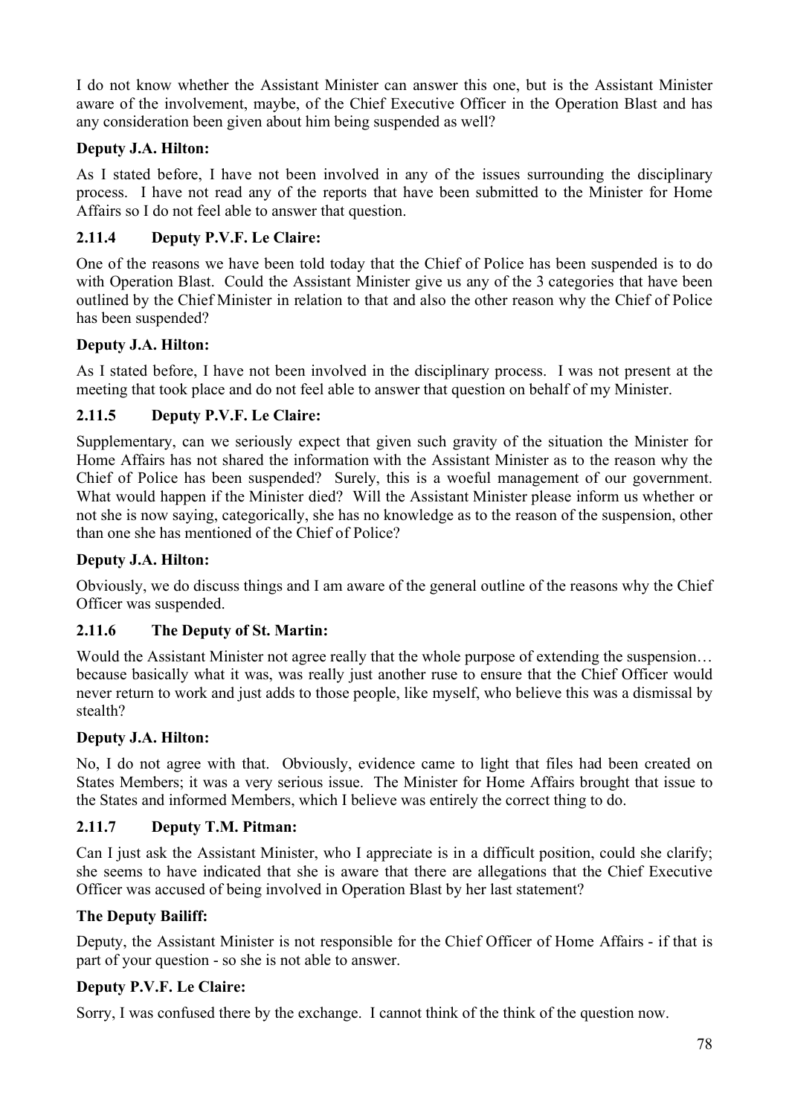I do not know whether the Assistant Minister can answer this one, but is the Assistant Minister aware of the involvement, maybe, of the Chief Executive Officer in the Operation Blast and has any consideration been given about him being suspended as well?

## **Deputy J.A. Hilton:**

As I stated before, I have not been involved in any of the issues surrounding the disciplinary process. I have not read any of the reports that have been submitted to the Minister for Home Affairs so I do not feel able to answer that question.

## **2.11.4 Deputy P.V.F. Le Claire:**

One of the reasons we have been told today that the Chief of Police has been suspended is to do with Operation Blast. Could the Assistant Minister give us any of the 3 categories that have been outlined by the Chief Minister in relation to that and also the other reason why the Chief of Police has been suspended?

### **Deputy J.A. Hilton:**

As I stated before, I have not been involved in the disciplinary process. I was not present at the meeting that took place and do not feel able to answer that question on behalf of my Minister.

### **2.11.5 Deputy P.V.F. Le Claire:**

Supplementary, can we seriously expect that given such gravity of the situation the Minister for Home Affairs has not shared the information with the Assistant Minister as to the reason why the Chief of Police has been suspended? Surely, this is a woeful management of our government. What would happen if the Minister died? Will the Assistant Minister please inform us whether or not she is now saying, categorically, she has no knowledge as to the reason of the suspension, other than one she has mentioned of the Chief of Police?

#### **Deputy J.A. Hilton:**

Obviously, we do discuss things and I am aware of the general outline of the reasons why the Chief Officer was suspended.

### **2.11.6 The Deputy of St. Martin:**

Would the Assistant Minister not agree really that the whole purpose of extending the suspension… because basically what it was, was really just another ruse to ensure that the Chief Officer would never return to work and just adds to those people, like myself, who believe this was a dismissal by stealth?

### **Deputy J.A. Hilton:**

No, I do not agree with that. Obviously, evidence came to light that files had been created on States Members; it was a very serious issue. The Minister for Home Affairs brought that issue to the States and informed Members, which I believe was entirely the correct thing to do.

### **2.11.7 Deputy T.M. Pitman:**

Can I just ask the Assistant Minister, who I appreciate is in a difficult position, could she clarify; she seems to have indicated that she is aware that there are allegations that the Chief Executive Officer was accused of being involved in Operation Blast by her last statement?

### **The Deputy Bailiff:**

Deputy, the Assistant Minister is not responsible for the Chief Officer of Home Affairs - if that is part of your question - so she is not able to answer.

#### **Deputy P.V.F. Le Claire:**

Sorry, I was confused there by the exchange. I cannot think of the think of the question now.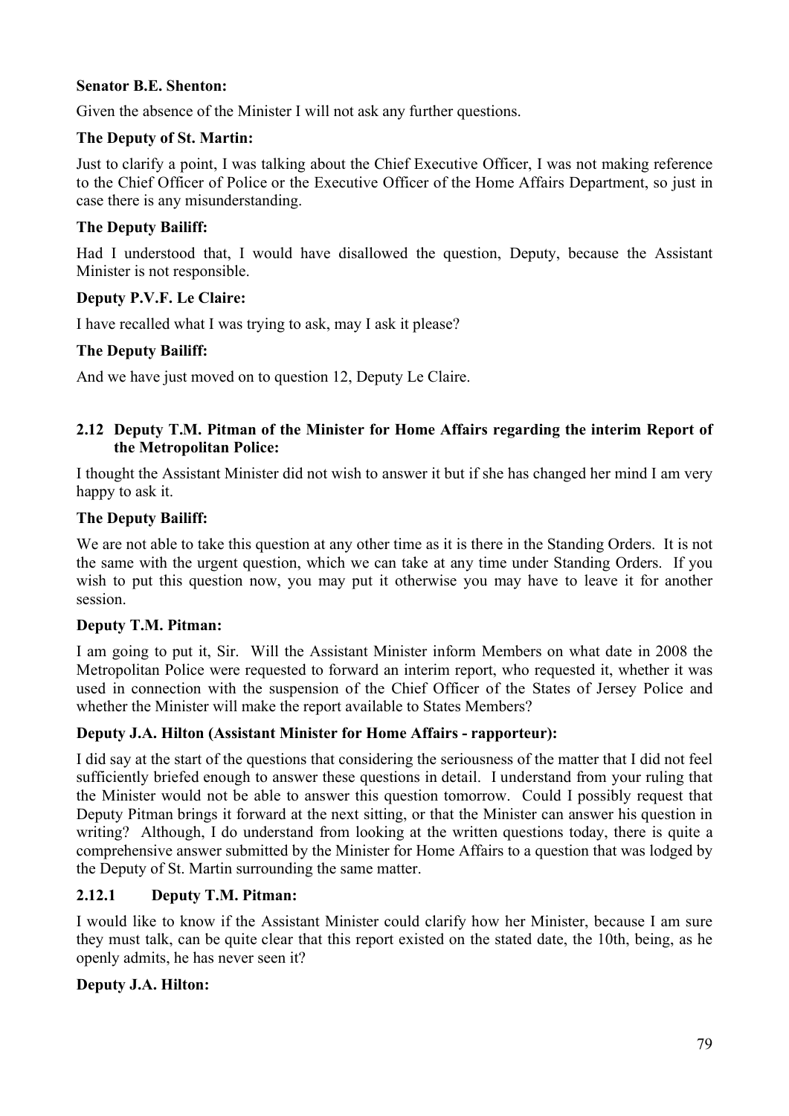## **Senator B.E. Shenton:**

Given the absence of the Minister I will not ask any further questions.

## **The Deputy of St. Martin:**

Just to clarify a point, I was talking about the Chief Executive Officer, I was not making reference to the Chief Officer of Police or the Executive Officer of the Home Affairs Department, so just in case there is any misunderstanding.

# **The Deputy Bailiff:**

Had I understood that, I would have disallowed the question, Deputy, because the Assistant Minister is not responsible.

# **Deputy P.V.F. Le Claire:**

I have recalled what I was trying to ask, may I ask it please?

# **The Deputy Bailiff:**

And we have just moved on to question 12, Deputy Le Claire.

## **2.12 Deputy T.M. Pitman of the Minister for Home Affairs regarding the interim Report of the Metropolitan Police:**

I thought the Assistant Minister did not wish to answer it but if she has changed her mind I am very happy to ask it.

# **The Deputy Bailiff:**

We are not able to take this question at any other time as it is there in the Standing Orders. It is not the same with the urgent question, which we can take at any time under Standing Orders. If you wish to put this question now, you may put it otherwise you may have to leave it for another session.

# **Deputy T.M. Pitman:**

I am going to put it, Sir. Will the Assistant Minister inform Members on what date in 2008 the Metropolitan Police were requested to forward an interim report, who requested it, whether it was used in connection with the suspension of the Chief Officer of the States of Jersey Police and whether the Minister will make the report available to States Members?

# **Deputy J.A. Hilton (Assistant Minister for Home Affairs - rapporteur):**

I did say at the start of the questions that considering the seriousness of the matter that I did not feel sufficiently briefed enough to answer these questions in detail. I understand from your ruling that the Minister would not be able to answer this question tomorrow. Could I possibly request that Deputy Pitman brings it forward at the next sitting, or that the Minister can answer his question in writing? Although, I do understand from looking at the written questions today, there is quite a comprehensive answer submitted by the Minister for Home Affairs to a question that was lodged by the Deputy of St. Martin surrounding the same matter.

# **2.12.1 Deputy T.M. Pitman:**

I would like to know if the Assistant Minister could clarify how her Minister, because I am sure they must talk, can be quite clear that this report existed on the stated date, the 10th, being, as he openly admits, he has never seen it?

# **Deputy J.A. Hilton:**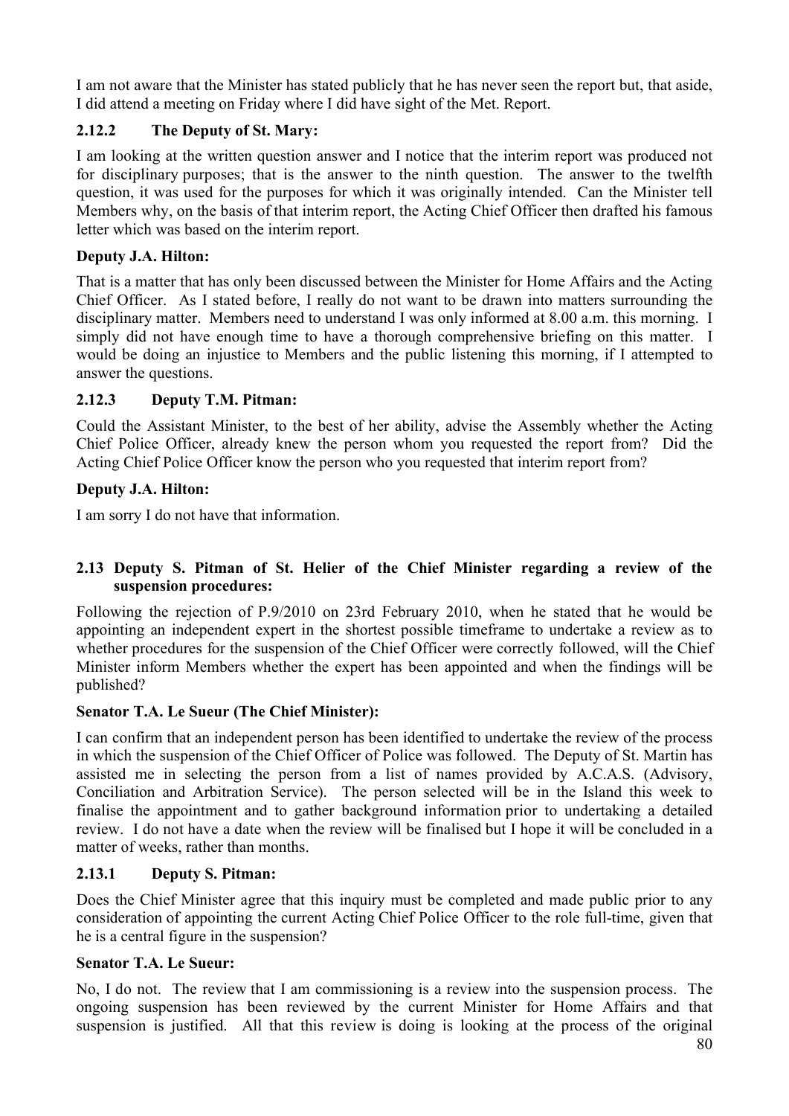I am not aware that the Minister has stated publicly that he has never seen the report but, that aside, I did attend a meeting on Friday where I did have sight of the Met. Report.

# **2.12.2 The Deputy of St. Mary:**

I am looking at the written question answer and I notice that the interim report was produced not for disciplinary purposes; that is the answer to the ninth question. The answer to the twelfth question, it was used for the purposes for which it was originally intended. Can the Minister tell Members why, on the basis of that interim report, the Acting Chief Officer then drafted his famous letter which was based on the interim report.

## **Deputy J.A. Hilton:**

That is a matter that has only been discussed between the Minister for Home Affairs and the Acting Chief Officer. As I stated before, I really do not want to be drawn into matters surrounding the disciplinary matter. Members need to understand I was only informed at 8.00 a.m. this morning. I simply did not have enough time to have a thorough comprehensive briefing on this matter. I would be doing an injustice to Members and the public listening this morning, if I attempted to answer the questions.

## **2.12.3 Deputy T.M. Pitman:**

Could the Assistant Minister, to the best of her ability, advise the Assembly whether the Acting Chief Police Officer, already knew the person whom you requested the report from? Did the Acting Chief Police Officer know the person who you requested that interim report from?

## **Deputy J.A. Hilton:**

I am sorry I do not have that information.

## **2.13 Deputy S. Pitman of St. Helier of the Chief Minister regarding a review of the suspension procedures:**

Following the rejection of P.9/2010 on 23rd February 2010, when he stated that he would be appointing an independent expert in the shortest possible timeframe to undertake a review as to whether procedures for the suspension of the Chief Officer were correctly followed, will the Chief Minister inform Members whether the expert has been appointed and when the findings will be published?

### **Senator T.A. Le Sueur (The Chief Minister):**

I can confirm that an independent person has been identified to undertake the review of the process in which the suspension of the Chief Officer of Police was followed. The Deputy of St. Martin has assisted me in selecting the person from a list of names provided by A.C.A.S. (Advisory, Conciliation and Arbitration Service). The person selected will be in the Island this week to finalise the appointment and to gather background information prior to undertaking a detailed review. I do not have a date when the review will be finalised but I hope it will be concluded in a matter of weeks, rather than months.

# **2.13.1 Deputy S. Pitman:**

Does the Chief Minister agree that this inquiry must be completed and made public prior to any consideration of appointing the current Acting Chief Police Officer to the role full-time, given that he is a central figure in the suspension?

### **Senator T.A. Le Sueur:**

No, I do not. The review that I am commissioning is a review into the suspension process. The ongoing suspension has been reviewed by the current Minister for Home Affairs and that suspension is justified. All that this review is doing is looking at the process of the original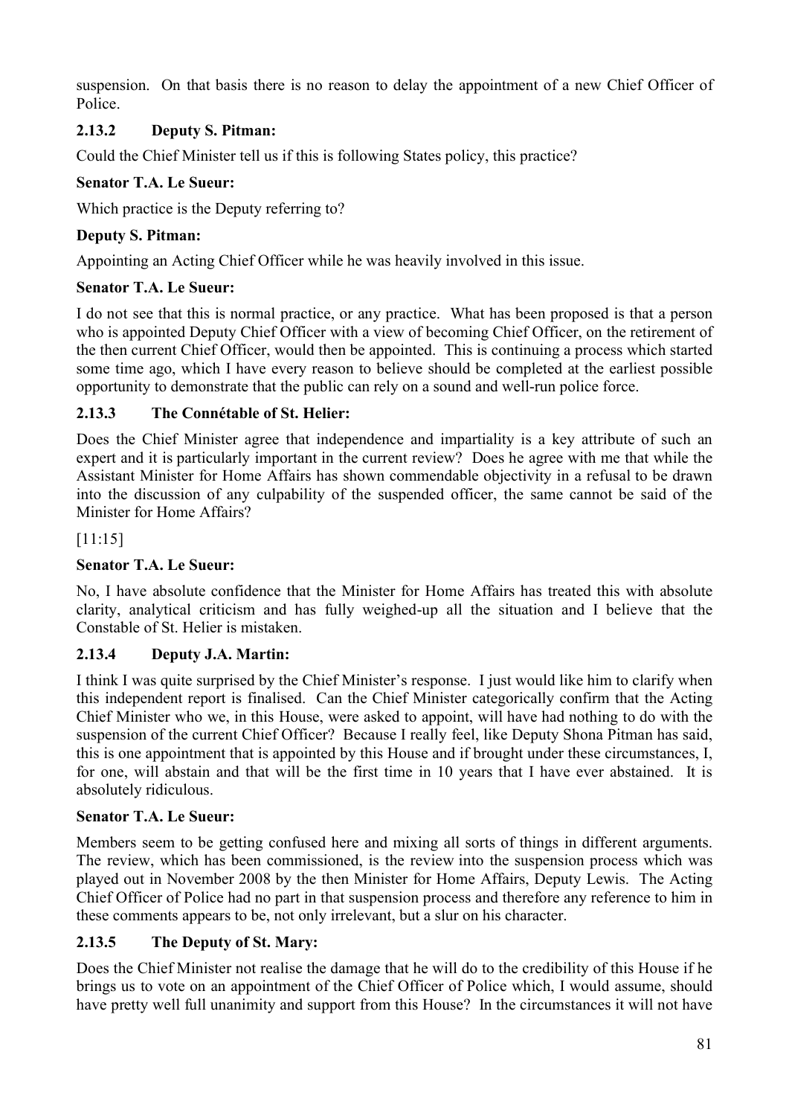suspension. On that basis there is no reason to delay the appointment of a new Chief Officer of Police.

# **2.13.2 Deputy S. Pitman:**

Could the Chief Minister tell us if this is following States policy, this practice?

## **Senator T.A. Le Sueur:**

Which practice is the Deputy referring to?

## **Deputy S. Pitman:**

Appointing an Acting Chief Officer while he was heavily involved in this issue.

## **Senator T.A. Le Sueur:**

I do not see that this is normal practice, or any practice. What has been proposed is that a person who is appointed Deputy Chief Officer with a view of becoming Chief Officer, on the retirement of the then current Chief Officer, would then be appointed. This is continuing a process which started some time ago, which I have every reason to believe should be completed at the earliest possible opportunity to demonstrate that the public can rely on a sound and well-run police force.

## **2.13.3 The Connétable of St. Helier:**

Does the Chief Minister agree that independence and impartiality is a key attribute of such an expert and it is particularly important in the current review? Does he agree with me that while the Assistant Minister for Home Affairs has shown commendable objectivity in a refusal to be drawn into the discussion of any culpability of the suspended officer, the same cannot be said of the Minister for Home Affairs?

[11:15]

# **Senator T.A. Le Sueur:**

No, I have absolute confidence that the Minister for Home Affairs has treated this with absolute clarity, analytical criticism and has fully weighed-up all the situation and I believe that the Constable of St. Helier is mistaken.

# **2.13.4 Deputy J.A. Martin:**

I think I was quite surprised by the Chief Minister's response. I just would like him to clarify when this independent report is finalised. Can the Chief Minister categorically confirm that the Acting Chief Minister who we, in this House, were asked to appoint, will have had nothing to do with the suspension of the current Chief Officer? Because I really feel, like Deputy Shona Pitman has said, this is one appointment that is appointed by this House and if brought under these circumstances, I, for one, will abstain and that will be the first time in 10 years that I have ever abstained. It is absolutely ridiculous.

# **Senator T.A. Le Sueur:**

Members seem to be getting confused here and mixing all sorts of things in different arguments. The review, which has been commissioned, is the review into the suspension process which was played out in November 2008 by the then Minister for Home Affairs, Deputy Lewis. The Acting Chief Officer of Police had no part in that suspension process and therefore any reference to him in these comments appears to be, not only irrelevant, but a slur on his character.

# **2.13.5 The Deputy of St. Mary:**

Does the Chief Minister not realise the damage that he will do to the credibility of this House if he brings us to vote on an appointment of the Chief Officer of Police which, I would assume, should have pretty well full unanimity and support from this House? In the circumstances it will not have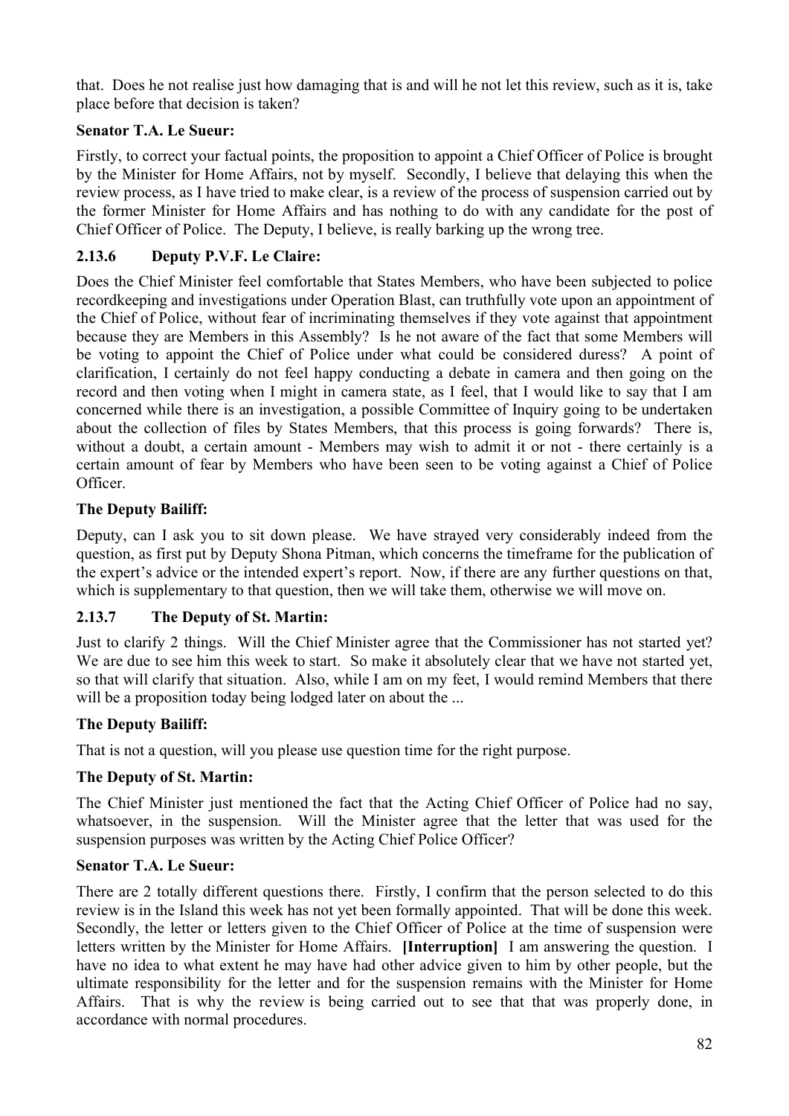that. Does he not realise just how damaging that is and will he not let this review, such as it is, take place before that decision is taken?

# **Senator T.A. Le Sueur:**

Firstly, to correct your factual points, the proposition to appoint a Chief Officer of Police is brought by the Minister for Home Affairs, not by myself. Secondly, I believe that delaying this when the review process, as I have tried to make clear, is a review of the process of suspension carried out by the former Minister for Home Affairs and has nothing to do with any candidate for the post of Chief Officer of Police. The Deputy, I believe, is really barking up the wrong tree.

# **2.13.6 Deputy P.V.F. Le Claire:**

Does the Chief Minister feel comfortable that States Members, who have been subjected to police recordkeeping and investigations under Operation Blast, can truthfully vote upon an appointment of the Chief of Police, without fear of incriminating themselves if they vote against that appointment because they are Members in this Assembly? Is he not aware of the fact that some Members will be voting to appoint the Chief of Police under what could be considered duress? A point of clarification, I certainly do not feel happy conducting a debate in camera and then going on the record and then voting when I might in camera state, as I feel, that I would like to say that I am concerned while there is an investigation, a possible Committee of Inquiry going to be undertaken about the collection of files by States Members, that this process is going forwards? There is, without a doubt, a certain amount - Members may wish to admit it or not - there certainly is a certain amount of fear by Members who have been seen to be voting against a Chief of Police Officer.

# **The Deputy Bailiff:**

Deputy, can I ask you to sit down please. We have strayed very considerably indeed from the question, as first put by Deputy Shona Pitman, which concerns the timeframe for the publication of the expert's advice or the intended expert's report. Now, if there are any further questions on that, which is supplementary to that question, then we will take them, otherwise we will move on.

# **2.13.7 The Deputy of St. Martin:**

Just to clarify 2 things. Will the Chief Minister agree that the Commissioner has not started yet? We are due to see him this week to start. So make it absolutely clear that we have not started yet. so that will clarify that situation. Also, while I am on my feet, I would remind Members that there will be a proposition today being lodged later on about the ...

# **The Deputy Bailiff:**

That is not a question, will you please use question time for the right purpose.

# **The Deputy of St. Martin:**

The Chief Minister just mentioned the fact that the Acting Chief Officer of Police had no say, whatsoever, in the suspension. Will the Minister agree that the letter that was used for the suspension purposes was written by the Acting Chief Police Officer?

# **Senator T.A. Le Sueur:**

There are 2 totally different questions there. Firstly, I confirm that the person selected to do this review is in the Island this week has not yet been formally appointed. That will be done this week. Secondly, the letter or letters given to the Chief Officer of Police at the time of suspension were letters written by the Minister for Home Affairs. **[Interruption]** I am answering the question. I have no idea to what extent he may have had other advice given to him by other people, but the ultimate responsibility for the letter and for the suspension remains with the Minister for Home Affairs. That is why the review is being carried out to see that that was properly done, in accordance with normal procedures.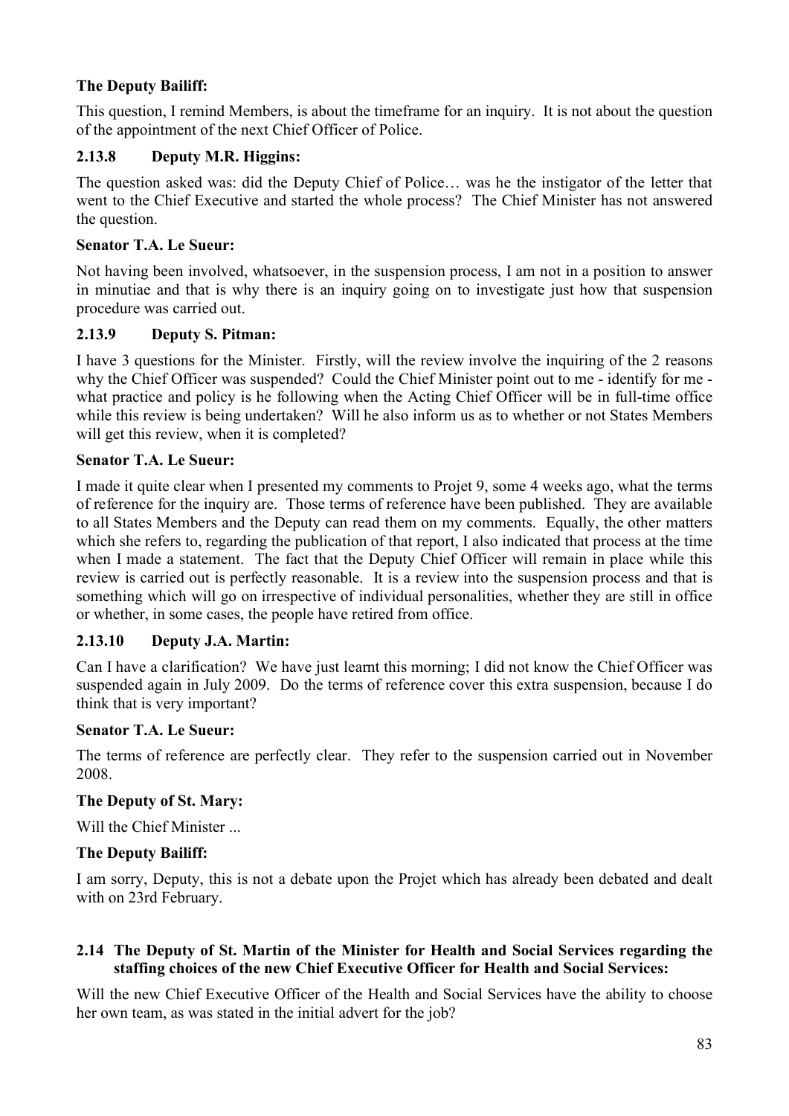# **The Deputy Bailiff:**

This question, I remind Members, is about the timeframe for an inquiry. It is not about the question of the appointment of the next Chief Officer of Police.

## **2.13.8 Deputy M.R. Higgins:**

The question asked was: did the Deputy Chief of Police… was he the instigator of the letter that went to the Chief Executive and started the whole process? The Chief Minister has not answered the question.

## **Senator T.A. Le Sueur:**

Not having been involved, whatsoever, in the suspension process, I am not in a position to answer in minutiae and that is why there is an inquiry going on to investigate just how that suspension procedure was carried out.

## **2.13.9 Deputy S. Pitman:**

I have 3 questions for the Minister. Firstly, will the review involve the inquiring of the 2 reasons why the Chief Officer was suspended? Could the Chief Minister point out to me - identify for me what practice and policy is he following when the Acting Chief Officer will be in full-time office while this review is being undertaken? Will he also inform us as to whether or not States Members will get this review, when it is completed?

### **Senator T.A. Le Sueur:**

I made it quite clear when I presented my comments to Projet 9, some 4 weeks ago, what the terms of reference for the inquiry are. Those terms of reference have been published. They are available to all States Members and the Deputy can read them on my comments. Equally, the other matters which she refers to, regarding the publication of that report, I also indicated that process at the time when I made a statement. The fact that the Deputy Chief Officer will remain in place while this review is carried out is perfectly reasonable. It is a review into the suspension process and that is something which will go on irrespective of individual personalities, whether they are still in office or whether, in some cases, the people have retired from office.

### **2.13.10 Deputy J.A. Martin:**

Can I have a clarification? We have just learnt this morning; I did not know the Chief Officer was suspended again in July 2009. Do the terms of reference cover this extra suspension, because I do think that is very important?

### **Senator T.A. Le Sueur:**

The terms of reference are perfectly clear. They refer to the suspension carried out in November 2008.

### **The Deputy of St. Mary:**

Will the Chief Minister

### **The Deputy Bailiff:**

I am sorry, Deputy, this is not a debate upon the Projet which has already been debated and dealt with on 23rd February.

## **2.14 The Deputy of St. Martin of the Minister for Health and Social Services regarding the staffing choices of the new Chief Executive Officer for Health and Social Services:**

Will the new Chief Executive Officer of the Health and Social Services have the ability to choose her own team, as was stated in the initial advert for the job?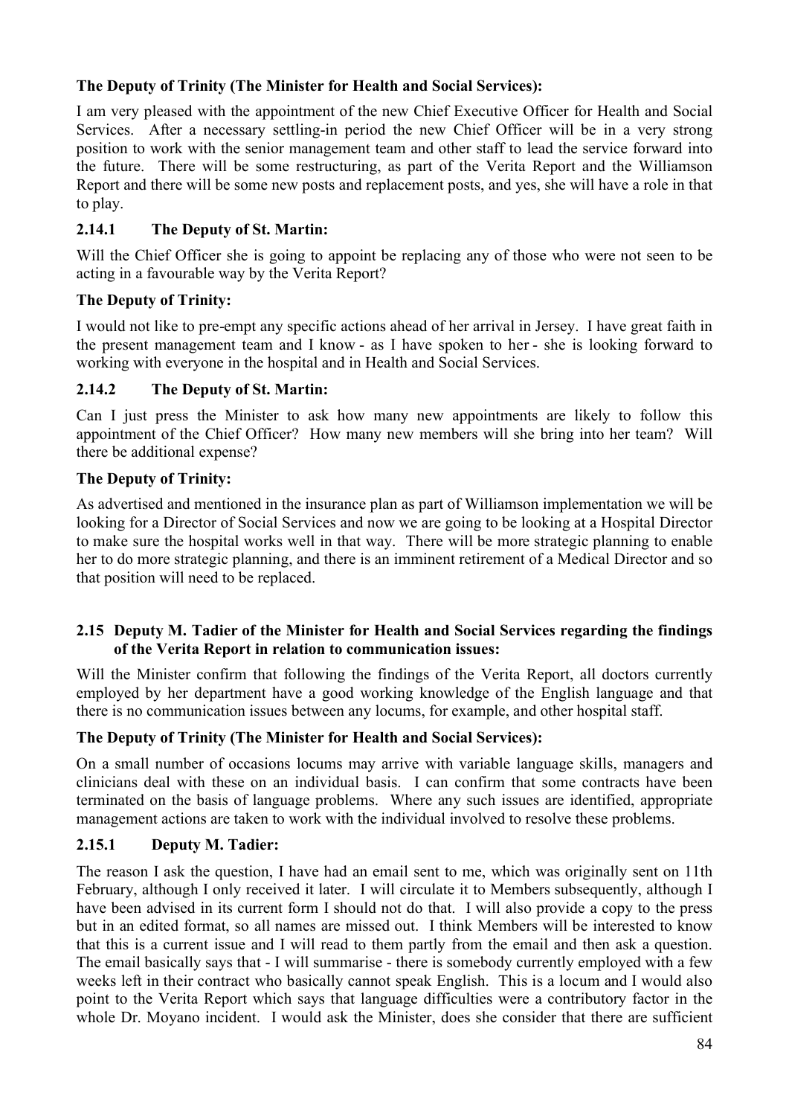# **The Deputy of Trinity (The Minister for Health and Social Services):**

I am very pleased with the appointment of the new Chief Executive Officer for Health and Social Services. After a necessary settling-in period the new Chief Officer will be in a very strong position to work with the senior management team and other staff to lead the service forward into the future. There will be some restructuring, as part of the Verita Report and the Williamson Report and there will be some new posts and replacement posts, and yes, she will have a role in that to play.

# **2.14.1 The Deputy of St. Martin:**

Will the Chief Officer she is going to appoint be replacing any of those who were not seen to be acting in a favourable way by the Verita Report?

# **The Deputy of Trinity:**

I would not like to pre-empt any specific actions ahead of her arrival in Jersey. I have great faith in the present management team and I know - as I have spoken to her - she is looking forward to working with everyone in the hospital and in Health and Social Services.

# **2.14.2 The Deputy of St. Martin:**

Can I just press the Minister to ask how many new appointments are likely to follow this appointment of the Chief Officer? How many new members will she bring into her team? Will there be additional expense?

# **The Deputy of Trinity:**

As advertised and mentioned in the insurance plan as part of Williamson implementation we will be looking for a Director of Social Services and now we are going to be looking at a Hospital Director to make sure the hospital works well in that way. There will be more strategic planning to enable her to do more strategic planning, and there is an imminent retirement of a Medical Director and so that position will need to be replaced.

### **2.15 Deputy M. Tadier of the Minister for Health and Social Services regarding the findings of the Verita Report in relation to communication issues:**

Will the Minister confirm that following the findings of the Verita Report, all doctors currently employed by her department have a good working knowledge of the English language and that there is no communication issues between any locums, for example, and other hospital staff.

# **The Deputy of Trinity (The Minister for Health and Social Services):**

On a small number of occasions locums may arrive with variable language skills, managers and clinicians deal with these on an individual basis. I can confirm that some contracts have been terminated on the basis of language problems. Where any such issues are identified, appropriate management actions are taken to work with the individual involved to resolve these problems.

# **2.15.1 Deputy M. Tadier:**

The reason I ask the question, I have had an email sent to me, which was originally sent on 11th February, although I only received it later. I will circulate it to Members subsequently, although I have been advised in its current form I should not do that. I will also provide a copy to the press but in an edited format, so all names are missed out. I think Members will be interested to know that this is a current issue and I will read to them partly from the email and then ask a question. The email basically says that - I will summarise - there is somebody currently employed with a few weeks left in their contract who basically cannot speak English. This is a locum and I would also point to the Verita Report which says that language difficulties were a contributory factor in the whole Dr. Moyano incident. I would ask the Minister, does she consider that there are sufficient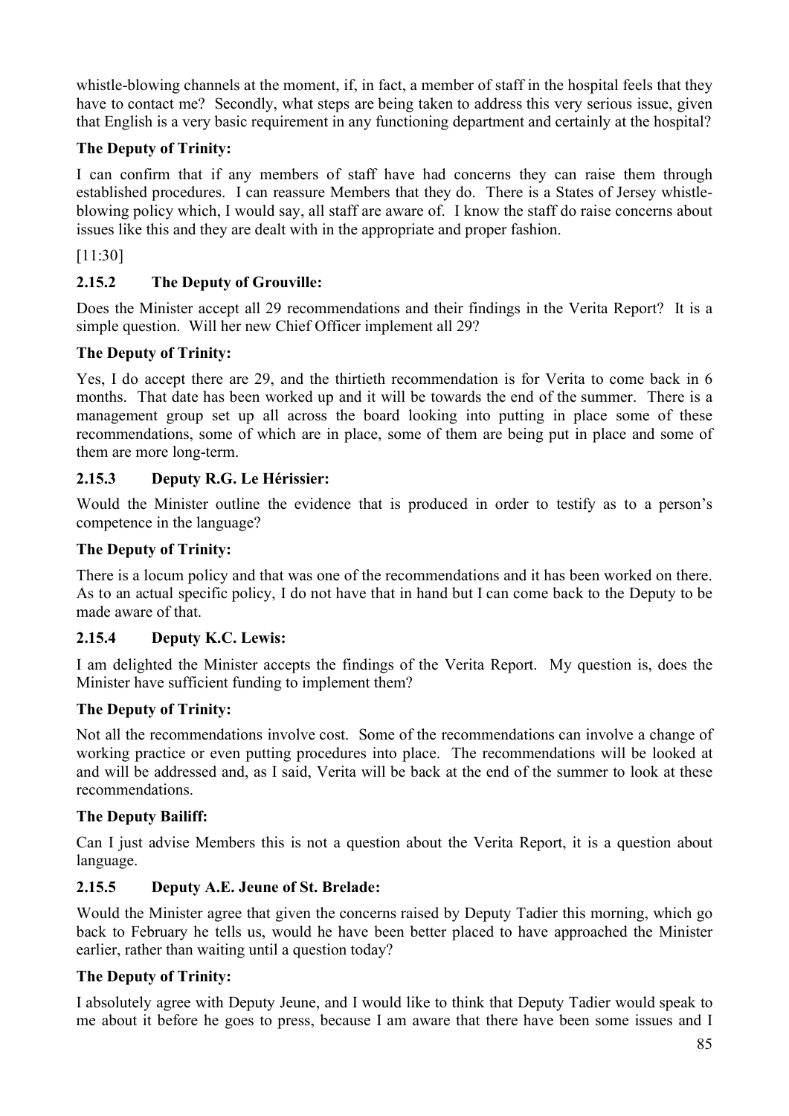whistle-blowing channels at the moment, if, in fact, a member of staff in the hospital feels that they have to contact me? Secondly, what steps are being taken to address this very serious issue, given that English is a very basic requirement in any functioning department and certainly at the hospital?

# **The Deputy of Trinity:**

I can confirm that if any members of staff have had concerns they can raise them through established procedures. I can reassure Members that they do. There is a States of Jersey whistleblowing policy which, I would say, all staff are aware of. I know the staff do raise concerns about issues like this and they are dealt with in the appropriate and proper fashion.

[11:30]

# **2.15.2 The Deputy of Grouville:**

Does the Minister accept all 29 recommendations and their findings in the Verita Report? It is a simple question. Will her new Chief Officer implement all 29?

# **The Deputy of Trinity:**

Yes, I do accept there are 29, and the thirtieth recommendation is for Verita to come back in 6 months. That date has been worked up and it will be towards the end of the summer. There is a management group set up all across the board looking into putting in place some of these recommendations, some of which are in place, some of them are being put in place and some of them are more long-term.

# **2.15.3 Deputy R.G. Le Hérissier:**

Would the Minister outline the evidence that is produced in order to testify as to a person's competence in the language?

# **The Deputy of Trinity:**

There is a locum policy and that was one of the recommendations and it has been worked on there. As to an actual specific policy, I do not have that in hand but I can come back to the Deputy to be made aware of that.

# **2.15.4 Deputy K.C. Lewis:**

I am delighted the Minister accepts the findings of the Verita Report. My question is, does the Minister have sufficient funding to implement them?

# **The Deputy of Trinity:**

Not all the recommendations involve cost. Some of the recommendations can involve a change of working practice or even putting procedures into place. The recommendations will be looked at and will be addressed and, as I said, Verita will be back at the end of the summer to look at these recommendations.

# **The Deputy Bailiff:**

Can I just advise Members this is not a question about the Verita Report, it is a question about language.

# **2.15.5 Deputy A.E. Jeune of St. Brelade:**

Would the Minister agree that given the concerns raised by Deputy Tadier this morning, which go back to February he tells us, would he have been better placed to have approached the Minister earlier, rather than waiting until a question today?

# **The Deputy of Trinity:**

I absolutely agree with Deputy Jeune, and I would like to think that Deputy Tadier would speak to me about it before he goes to press, because I am aware that there have been some issues and I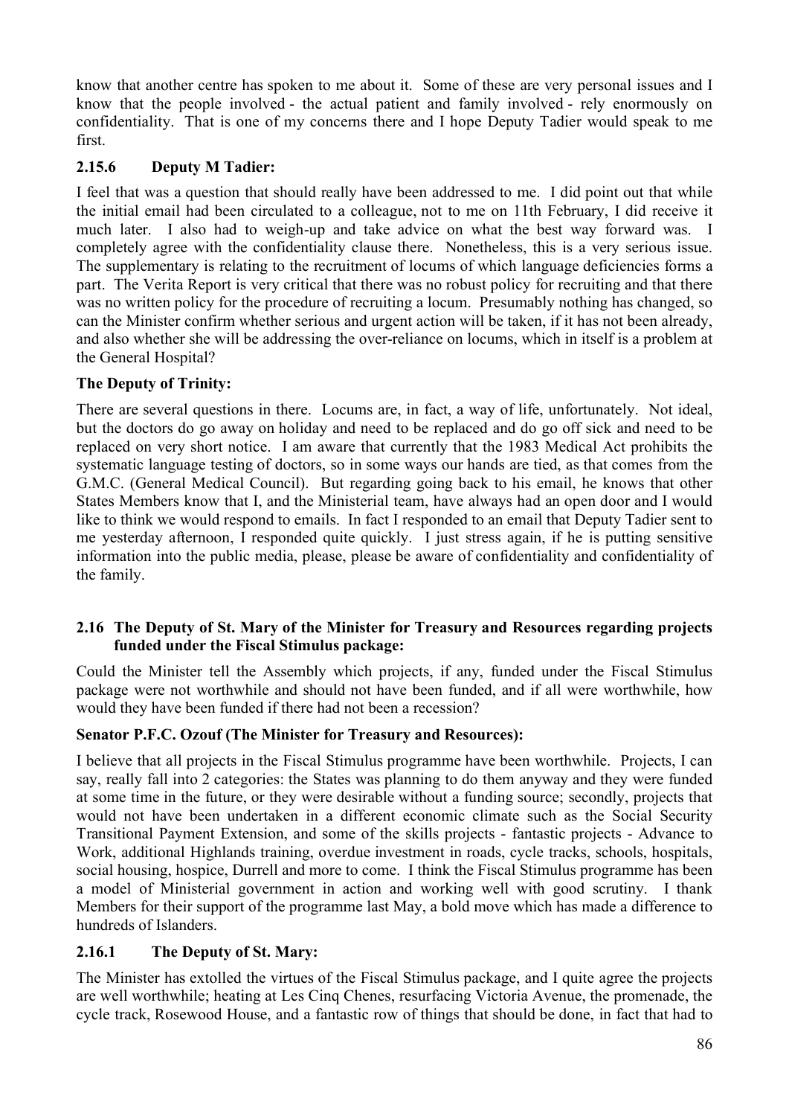know that another centre has spoken to me about it. Some of these are very personal issues and I know that the people involved - the actual patient and family involved - rely enormously on confidentiality. That is one of my concerns there and I hope Deputy Tadier would speak to me first.

## **2.15.6 Deputy M Tadier:**

I feel that was a question that should really have been addressed to me. I did point out that while the initial email had been circulated to a colleague, not to me on 11th February, I did receive it much later. I also had to weigh-up and take advice on what the best way forward was. I completely agree with the confidentiality clause there. Nonetheless, this is a very serious issue. The supplementary is relating to the recruitment of locums of which language deficiencies forms a part. The Verita Report is very critical that there was no robust policy for recruiting and that there was no written policy for the procedure of recruiting a locum. Presumably nothing has changed, so can the Minister confirm whether serious and urgent action will be taken, if it has not been already, and also whether she will be addressing the over-reliance on locums, which in itself is a problem at the General Hospital?

## **The Deputy of Trinity:**

There are several questions in there. Locums are, in fact, a way of life, unfortunately. Not ideal, but the doctors do go away on holiday and need to be replaced and do go off sick and need to be replaced on very short notice. I am aware that currently that the 1983 Medical Act prohibits the systematic language testing of doctors, so in some ways our hands are tied, as that comes from the G.M.C. (General Medical Council). But regarding going back to his email, he knows that other States Members know that I, and the Ministerial team, have always had an open door and I would like to think we would respond to emails. In fact I responded to an email that Deputy Tadier sent to me yesterday afternoon, I responded quite quickly. I just stress again, if he is putting sensitive information into the public media, please, please be aware of confidentiality and confidentiality of the family.

### **2.16 The Deputy of St. Mary of the Minister for Treasury and Resources regarding projects funded under the Fiscal Stimulus package:**

Could the Minister tell the Assembly which projects, if any, funded under the Fiscal Stimulus package were not worthwhile and should not have been funded, and if all were worthwhile, how would they have been funded if there had not been a recession?

### **Senator P.F.C. Ozouf (The Minister for Treasury and Resources):**

I believe that all projects in the Fiscal Stimulus programme have been worthwhile. Projects, I can say, really fall into 2 categories: the States was planning to do them anyway and they were funded at some time in the future, or they were desirable without a funding source; secondly, projects that would not have been undertaken in a different economic climate such as the Social Security Transitional Payment Extension, and some of the skills projects - fantastic projects - Advance to Work, additional Highlands training, overdue investment in roads, cycle tracks, schools, hospitals, social housing, hospice, Durrell and more to come. I think the Fiscal Stimulus programme has been a model of Ministerial government in action and working well with good scrutiny. I thank Members for their support of the programme last May, a bold move which has made a difference to hundreds of Islanders.

# **2.16.1 The Deputy of St. Mary:**

The Minister has extolled the virtues of the Fiscal Stimulus package, and I quite agree the projects are well worthwhile; heating at Les Cinq Chenes, resurfacing Victoria Avenue, the promenade, the cycle track, Rosewood House, and a fantastic row of things that should be done, in fact that had to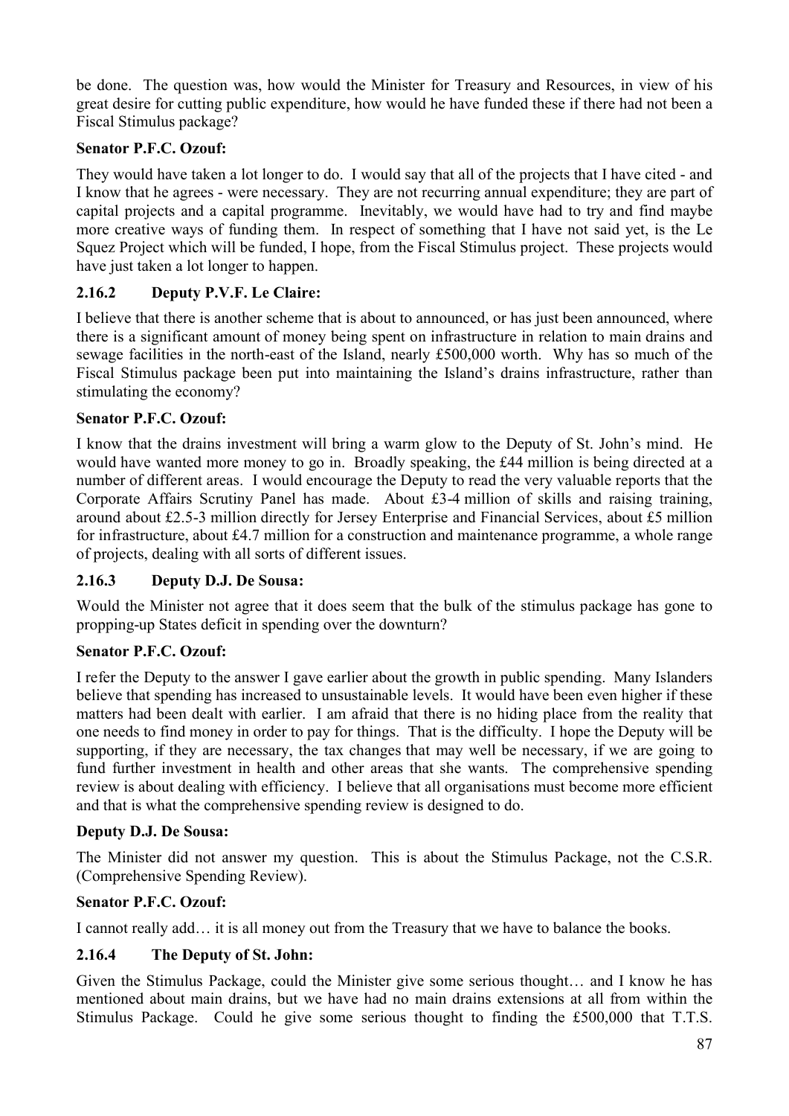be done. The question was, how would the Minister for Treasury and Resources, in view of his great desire for cutting public expenditure, how would he have funded these if there had not been a Fiscal Stimulus package?

# **Senator P.F.C. Ozouf:**

They would have taken a lot longer to do. I would say that all of the projects that I have cited - and I know that he agrees - were necessary. They are not recurring annual expenditure; they are part of capital projects and a capital programme. Inevitably, we would have had to try and find maybe more creative ways of funding them. In respect of something that I have not said yet, is the Le Squez Project which will be funded, I hope, from the Fiscal Stimulus project. These projects would have just taken a lot longer to happen.

# **2.16.2 Deputy P.V.F. Le Claire:**

I believe that there is another scheme that is about to announced, or has just been announced, where there is a significant amount of money being spent on infrastructure in relation to main drains and sewage facilities in the north-east of the Island, nearly £500,000 worth. Why has so much of the Fiscal Stimulus package been put into maintaining the Island's drains infrastructure, rather than stimulating the economy?

## **Senator P.F.C. Ozouf:**

I know that the drains investment will bring a warm glow to the Deputy of St. John's mind. He would have wanted more money to go in. Broadly speaking, the £44 million is being directed at a number of different areas. I would encourage the Deputy to read the very valuable reports that the Corporate Affairs Scrutiny Panel has made. About £3-4 million of skills and raising training, around about £2.5-3 million directly for Jersey Enterprise and Financial Services, about £5 million for infrastructure, about £4.7 million for a construction and maintenance programme, a whole range of projects, dealing with all sorts of different issues.

# **2.16.3 Deputy D.J. De Sousa:**

Would the Minister not agree that it does seem that the bulk of the stimulus package has gone to propping-up States deficit in spending over the downturn?

# **Senator P.F.C. Ozouf:**

I refer the Deputy to the answer I gave earlier about the growth in public spending. Many Islanders believe that spending has increased to unsustainable levels. It would have been even higher if these matters had been dealt with earlier. I am afraid that there is no hiding place from the reality that one needs to find money in order to pay for things. That is the difficulty. I hope the Deputy will be supporting, if they are necessary, the tax changes that may well be necessary, if we are going to fund further investment in health and other areas that she wants. The comprehensive spending review is about dealing with efficiency. I believe that all organisations must become more efficient and that is what the comprehensive spending review is designed to do.

# **Deputy D.J. De Sousa:**

The Minister did not answer my question. This is about the Stimulus Package, not the C.S.R. (Comprehensive Spending Review).

# **Senator P.F.C. Ozouf:**

I cannot really add… it is all money out from the Treasury that we have to balance the books.

# **2.16.4 The Deputy of St. John:**

Given the Stimulus Package, could the Minister give some serious thought… and I know he has mentioned about main drains, but we have had no main drains extensions at all from within the Stimulus Package. Could he give some serious thought to finding the £500,000 that T.T.S.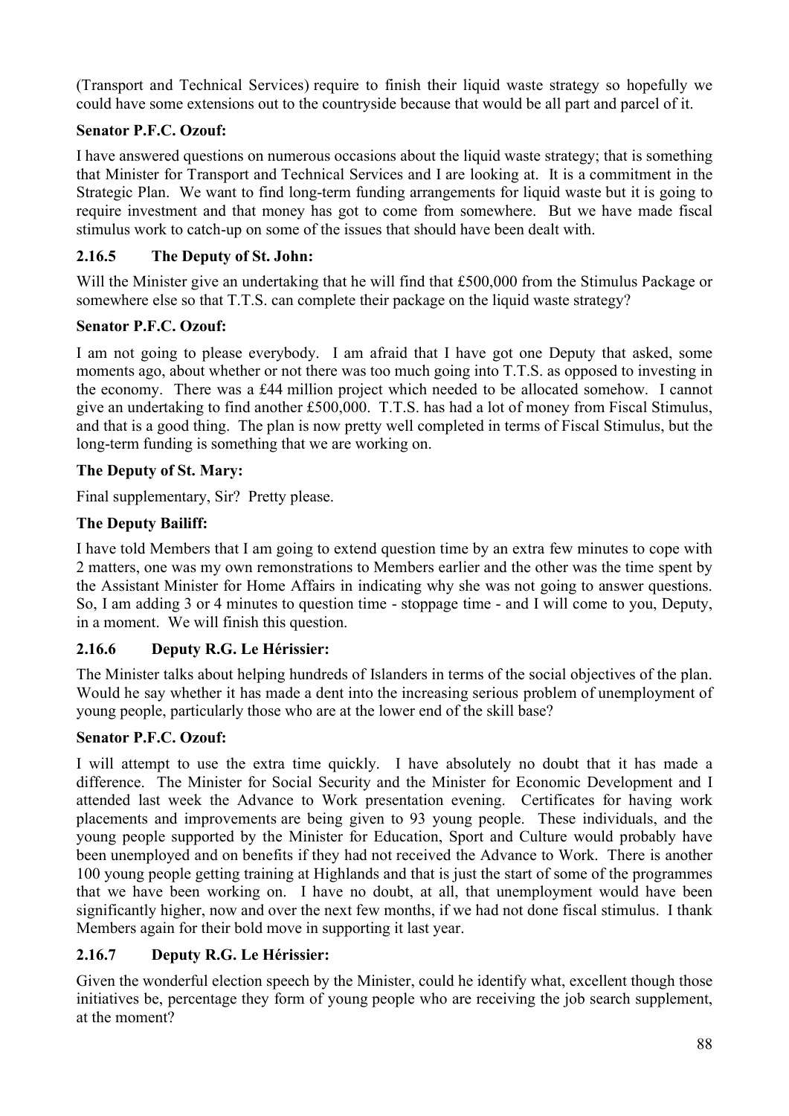(Transport and Technical Services) require to finish their liquid waste strategy so hopefully we could have some extensions out to the countryside because that would be all part and parcel of it.

# **Senator P.F.C. Ozouf:**

I have answered questions on numerous occasions about the liquid waste strategy; that is something that Minister for Transport and Technical Services and I are looking at. It is a commitment in the Strategic Plan. We want to find long-term funding arrangements for liquid waste but it is going to require investment and that money has got to come from somewhere. But we have made fiscal stimulus work to catch-up on some of the issues that should have been dealt with.

# **2.16.5 The Deputy of St. John:**

Will the Minister give an undertaking that he will find that £500,000 from the Stimulus Package or somewhere else so that T.T.S. can complete their package on the liquid waste strategy?

# **Senator P.F.C. Ozouf:**

I am not going to please everybody. I am afraid that I have got one Deputy that asked, some moments ago, about whether or not there was too much going into T.T.S. as opposed to investing in the economy. There was a £44 million project which needed to be allocated somehow. I cannot give an undertaking to find another £500,000. T.T.S. has had a lot of money from Fiscal Stimulus, and that is a good thing. The plan is now pretty well completed in terms of Fiscal Stimulus, but the long-term funding is something that we are working on.

# **The Deputy of St. Mary:**

Final supplementary, Sir? Pretty please.

# **The Deputy Bailiff:**

I have told Members that I am going to extend question time by an extra few minutes to cope with 2 matters, one was my own remonstrations to Members earlier and the other was the time spent by the Assistant Minister for Home Affairs in indicating why she was not going to answer questions. So, I am adding 3 or 4 minutes to question time - stoppage time - and I will come to you, Deputy, in a moment. We will finish this question.

# **2.16.6 Deputy R.G. Le Hérissier:**

The Minister talks about helping hundreds of Islanders in terms of the social objectives of the plan. Would he say whether it has made a dent into the increasing serious problem of unemployment of young people, particularly those who are at the lower end of the skill base?

# **Senator P.F.C. Ozouf:**

I will attempt to use the extra time quickly. I have absolutely no doubt that it has made a difference. The Minister for Social Security and the Minister for Economic Development and I attended last week the Advance to Work presentation evening. Certificates for having work placements and improvements are being given to 93 young people. These individuals, and the young people supported by the Minister for Education, Sport and Culture would probably have been unemployed and on benefits if they had not received the Advance to Work. There is another 100 young people getting training at Highlands and that is just the start of some of the programmes that we have been working on. I have no doubt, at all, that unemployment would have been significantly higher, now and over the next few months, if we had not done fiscal stimulus. I thank Members again for their bold move in supporting it last year.

# **2.16.7 Deputy R.G. Le Hérissier:**

Given the wonderful election speech by the Minister, could he identify what, excellent though those initiatives be, percentage they form of young people who are receiving the job search supplement, at the moment?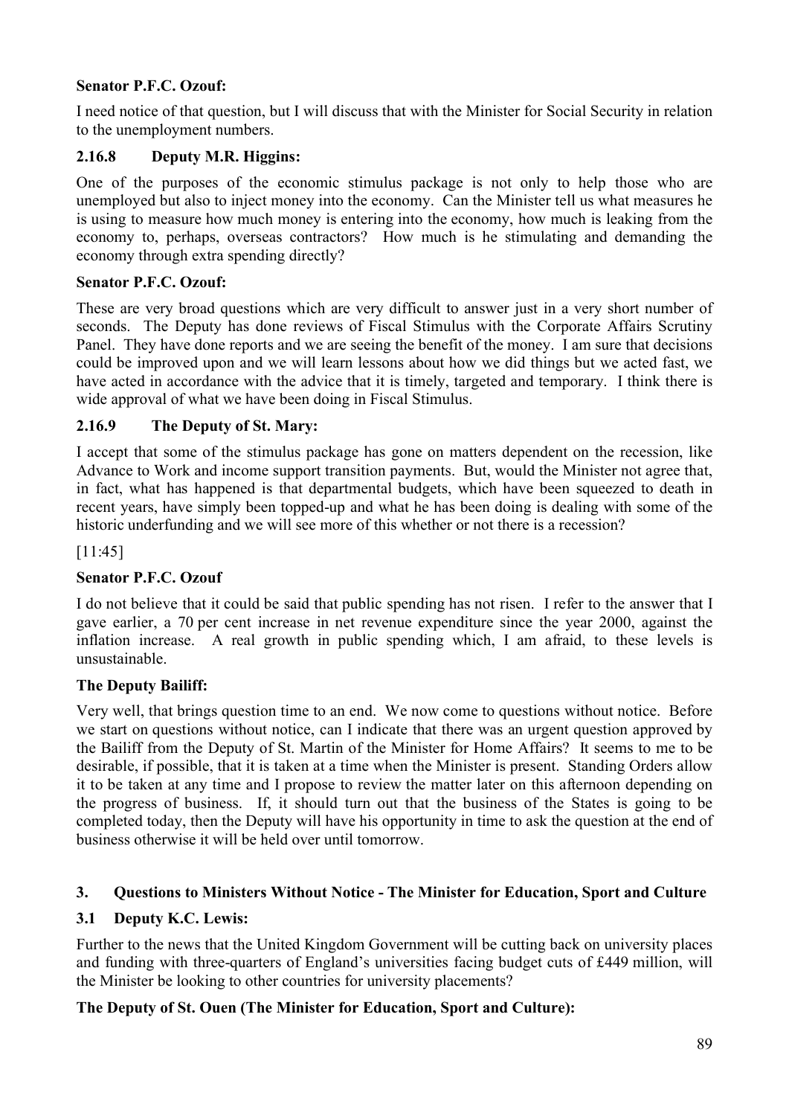# **Senator P.F.C. Ozouf:**

I need notice of that question, but I will discuss that with the Minister for Social Security in relation to the unemployment numbers.

# **2.16.8 Deputy M.R. Higgins:**

One of the purposes of the economic stimulus package is not only to help those who are unemployed but also to inject money into the economy. Can the Minister tell us what measures he is using to measure how much money is entering into the economy, how much is leaking from the economy to, perhaps, overseas contractors? How much is he stimulating and demanding the economy through extra spending directly?

# **Senator P.F.C. Ozouf:**

These are very broad questions which are very difficult to answer just in a very short number of seconds. The Deputy has done reviews of Fiscal Stimulus with the Corporate Affairs Scrutiny Panel. They have done reports and we are seeing the benefit of the money. I am sure that decisions could be improved upon and we will learn lessons about how we did things but we acted fast, we have acted in accordance with the advice that it is timely, targeted and temporary. I think there is wide approval of what we have been doing in Fiscal Stimulus.

# **2.16.9 The Deputy of St. Mary:**

I accept that some of the stimulus package has gone on matters dependent on the recession, like Advance to Work and income support transition payments. But, would the Minister not agree that, in fact, what has happened is that departmental budgets, which have been squeezed to death in recent years, have simply been topped-up and what he has been doing is dealing with some of the historic underfunding and we will see more of this whether or not there is a recession?

[11:45]

# **Senator P.F.C. Ozouf**

I do not believe that it could be said that public spending has not risen. I refer to the answer that I gave earlier, a 70 per cent increase in net revenue expenditure since the year 2000, against the inflation increase. A real growth in public spending which, I am afraid, to these levels is unsustainable.

# **The Deputy Bailiff:**

Very well, that brings question time to an end. We now come to questions without notice. Before we start on questions without notice, can I indicate that there was an urgent question approved by the Bailiff from the Deputy of St. Martin of the Minister for Home Affairs? It seems to me to be desirable, if possible, that it is taken at a time when the Minister is present. Standing Orders allow it to be taken at any time and I propose to review the matter later on this afternoon depending on the progress of business. If, it should turn out that the business of the States is going to be completed today, then the Deputy will have his opportunity in time to ask the question at the end of business otherwise it will be held over until tomorrow.

# **3. Questions to Ministers Without Notice - The Minister for Education, Sport and Culture**

# **3.1 Deputy K.C. Lewis:**

Further to the news that the United Kingdom Government will be cutting back on university places and funding with three-quarters of England's universities facing budget cuts of £449 million, will the Minister be looking to other countries for university placements?

# **The Deputy of St. Ouen (The Minister for Education, Sport and Culture):**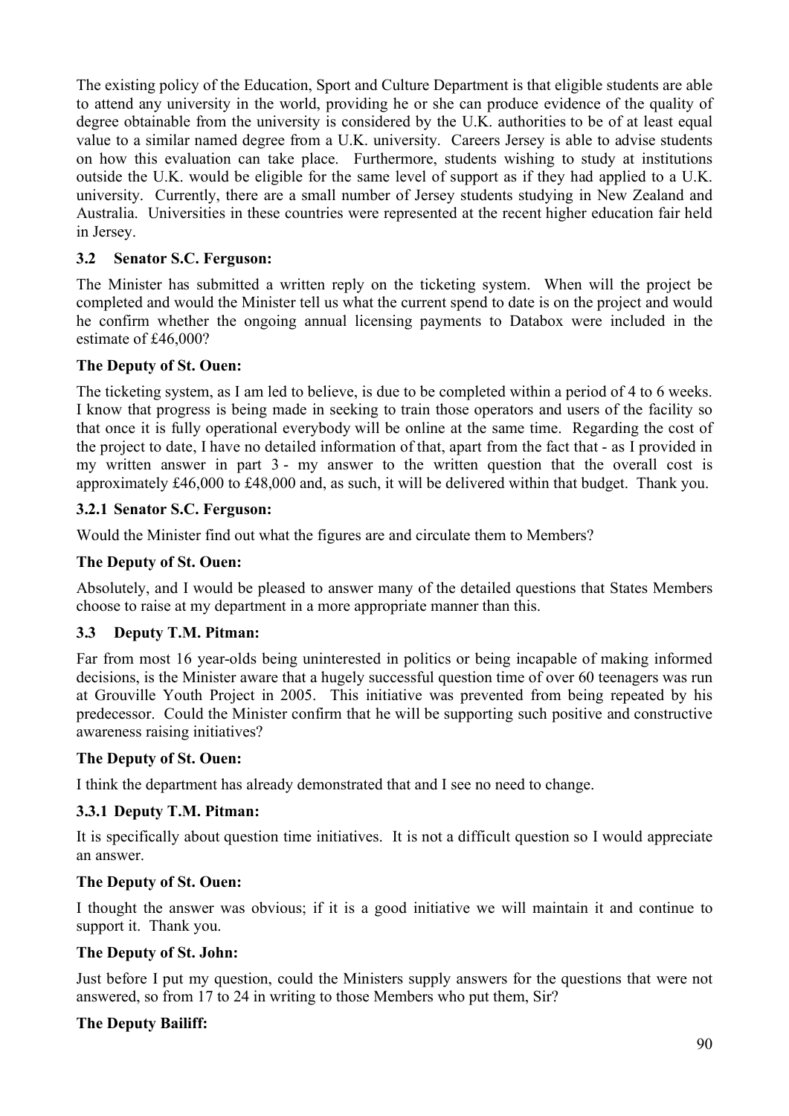The existing policy of the Education, Sport and Culture Department is that eligible students are able to attend any university in the world, providing he or she can produce evidence of the quality of degree obtainable from the university is considered by the U.K. authorities to be of at least equal value to a similar named degree from a U.K. university. Careers Jersey is able to advise students on how this evaluation can take place. Furthermore, students wishing to study at institutions outside the U.K. would be eligible for the same level of support as if they had applied to a U.K. university. Currently, there are a small number of Jersey students studying in New Zealand and Australia. Universities in these countries were represented at the recent higher education fair held in Jersey.

## **3.2 Senator S.C. Ferguson:**

The Minister has submitted a written reply on the ticketing system. When will the project be completed and would the Minister tell us what the current spend to date is on the project and would he confirm whether the ongoing annual licensing payments to Databox were included in the estimate of £46,000?

## **The Deputy of St. Ouen:**

The ticketing system, as I am led to believe, is due to be completed within a period of 4 to 6 weeks. I know that progress is being made in seeking to train those operators and users of the facility so that once it is fully operational everybody will be online at the same time. Regarding the cost of the project to date, I have no detailed information of that, apart from the fact that - as I provided in my written answer in part 3 - my answer to the written question that the overall cost is approximately £46,000 to £48,000 and, as such, it will be delivered within that budget. Thank you.

## **3.2.1 Senator S.C. Ferguson:**

Would the Minister find out what the figures are and circulate them to Members?

## **The Deputy of St. Ouen:**

Absolutely, and I would be pleased to answer many of the detailed questions that States Members choose to raise at my department in a more appropriate manner than this.

# **3.3 Deputy T.M. Pitman:**

Far from most 16 year-olds being uninterested in politics or being incapable of making informed decisions, is the Minister aware that a hugely successful question time of over 60 teenagers was run at Grouville Youth Project in 2005. This initiative was prevented from being repeated by his predecessor. Could the Minister confirm that he will be supporting such positive and constructive awareness raising initiatives?

### **The Deputy of St. Ouen:**

I think the department has already demonstrated that and I see no need to change.

# **3.3.1 Deputy T.M. Pitman:**

It is specifically about question time initiatives. It is not a difficult question so I would appreciate an answer.

### **The Deputy of St. Ouen:**

I thought the answer was obvious; if it is a good initiative we will maintain it and continue to support it. Thank you.

### **The Deputy of St. John:**

Just before I put my question, could the Ministers supply answers for the questions that were not answered, so from 17 to 24 in writing to those Members who put them, Sir?

### **The Deputy Bailiff:**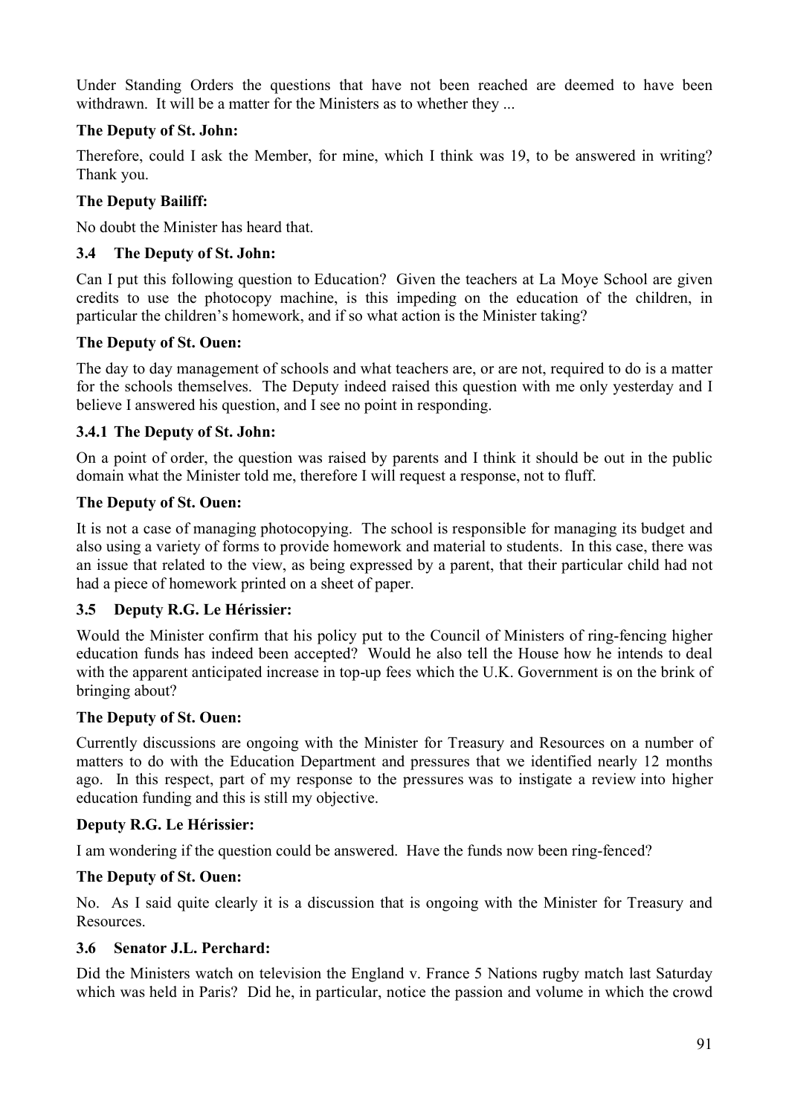Under Standing Orders the questions that have not been reached are deemed to have been withdrawn. It will be a matter for the Ministers as to whether they ...

## **The Deputy of St. John:**

Therefore, could I ask the Member, for mine, which I think was 19, to be answered in writing? Thank you.

## **The Deputy Bailiff:**

No doubt the Minister has heard that.

## **3.4 The Deputy of St. John:**

Can I put this following question to Education? Given the teachers at La Moye School are given credits to use the photocopy machine, is this impeding on the education of the children, in particular the children's homework, and if so what action is the Minister taking?

## **The Deputy of St. Ouen:**

The day to day management of schools and what teachers are, or are not, required to do is a matter for the schools themselves. The Deputy indeed raised this question with me only yesterday and I believe I answered his question, and I see no point in responding.

## **3.4.1 The Deputy of St. John:**

On a point of order, the question was raised by parents and I think it should be out in the public domain what the Minister told me, therefore I will request a response, not to fluff.

## **The Deputy of St. Ouen:**

It is not a case of managing photocopying. The school is responsible for managing its budget and also using a variety of forms to provide homework and material to students. In this case, there was an issue that related to the view, as being expressed by a parent, that their particular child had not had a piece of homework printed on a sheet of paper.

### **3.5 Deputy R.G. Le Hérissier:**

Would the Minister confirm that his policy put to the Council of Ministers of ring-fencing higher education funds has indeed been accepted? Would he also tell the House how he intends to deal with the apparent anticipated increase in top-up fees which the U.K. Government is on the brink of bringing about?

### **The Deputy of St. Ouen:**

Currently discussions are ongoing with the Minister for Treasury and Resources on a number of matters to do with the Education Department and pressures that we identified nearly 12 months ago. In this respect, part of my response to the pressures was to instigate a review into higher education funding and this is still my objective.

### **Deputy R.G. Le Hérissier:**

I am wondering if the question could be answered. Have the funds now been ring-fenced?

### **The Deputy of St. Ouen:**

No. As I said quite clearly it is a discussion that is ongoing with the Minister for Treasury and Resources.

### **3.6 Senator J.L. Perchard:**

Did the Ministers watch on television the England v. France 5 Nations rugby match last Saturday which was held in Paris? Did he, in particular, notice the passion and volume in which the crowd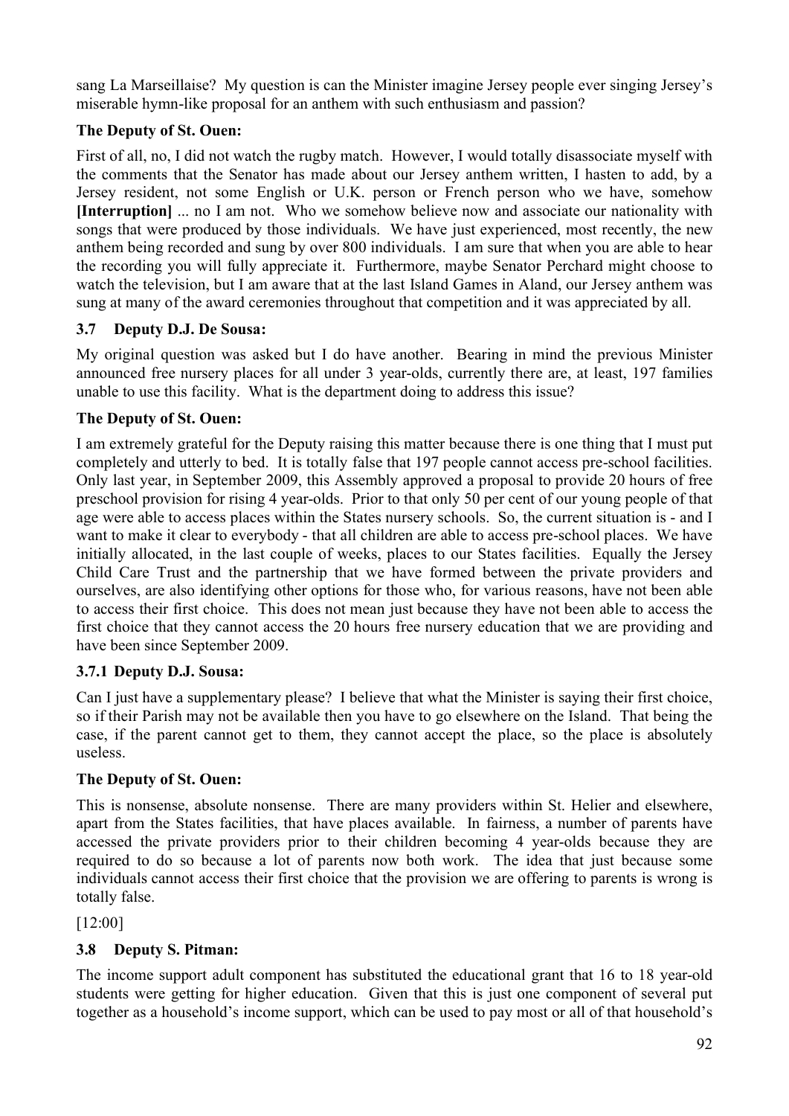sang La Marseillaise? My question is can the Minister imagine Jersey people ever singing Jersey's miserable hymn-like proposal for an anthem with such enthusiasm and passion?

# **The Deputy of St. Ouen:**

First of all, no, I did not watch the rugby match. However, I would totally disassociate myself with the comments that the Senator has made about our Jersey anthem written, I hasten to add, by a Jersey resident, not some English or U.K. person or French person who we have, somehow **[Interruption]** ... no I am not. Who we somehow believe now and associate our nationality with songs that were produced by those individuals. We have just experienced, most recently, the new anthem being recorded and sung by over 800 individuals. I am sure that when you are able to hear the recording you will fully appreciate it. Furthermore, maybe Senator Perchard might choose to watch the television, but I am aware that at the last Island Games in Aland, our Jersey anthem was sung at many of the award ceremonies throughout that competition and it was appreciated by all.

# **3.7 Deputy D.J. De Sousa:**

My original question was asked but I do have another. Bearing in mind the previous Minister announced free nursery places for all under 3 year-olds, currently there are, at least, 197 families unable to use this facility. What is the department doing to address this issue?

# **The Deputy of St. Ouen:**

I am extremely grateful for the Deputy raising this matter because there is one thing that I must put completely and utterly to bed. It is totally false that 197 people cannot access pre-school facilities. Only last year, in September 2009, this Assembly approved a proposal to provide 20 hours of free preschool provision for rising 4 year-olds. Prior to that only 50 per cent of our young people of that age were able to access places within the States nursery schools. So, the current situation is - and I want to make it clear to everybody - that all children are able to access pre-school places. We have initially allocated, in the last couple of weeks, places to our States facilities. Equally the Jersey Child Care Trust and the partnership that we have formed between the private providers and ourselves, are also identifying other options for those who, for various reasons, have not been able to access their first choice. This does not mean just because they have not been able to access the first choice that they cannot access the 20 hours free nursery education that we are providing and have been since September 2009.

# **3.7.1 Deputy D.J. Sousa:**

Can I just have a supplementary please? I believe that what the Minister is saying their first choice, so if their Parish may not be available then you have to go elsewhere on the Island. That being the case, if the parent cannot get to them, they cannot accept the place, so the place is absolutely useless.

# **The Deputy of St. Ouen:**

This is nonsense, absolute nonsense. There are many providers within St. Helier and elsewhere, apart from the States facilities, that have places available. In fairness, a number of parents have accessed the private providers prior to their children becoming 4 year-olds because they are required to do so because a lot of parents now both work. The idea that just because some individuals cannot access their first choice that the provision we are offering to parents is wrong is totally false.

[12:00]

# **3.8 Deputy S. Pitman:**

The income support adult component has substituted the educational grant that 16 to 18 year-old students were getting for higher education. Given that this is just one component of several put together as a household's income support, which can be used to pay most or all of that household's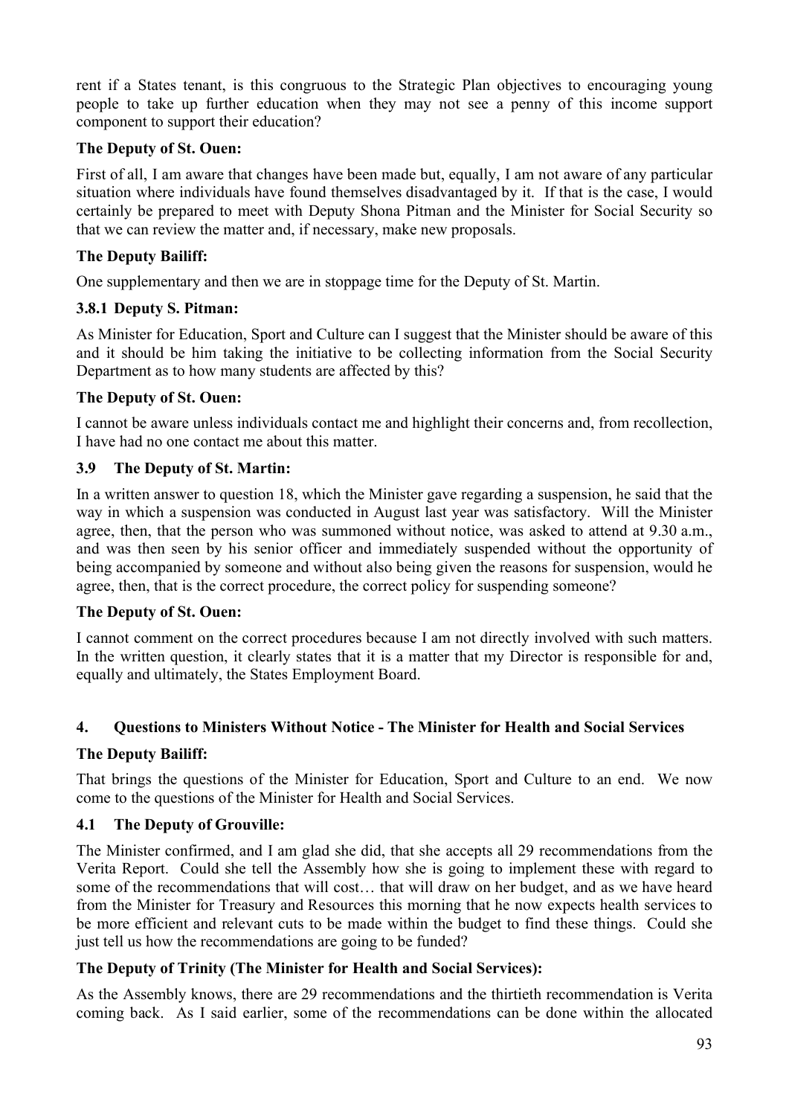rent if a States tenant, is this congruous to the Strategic Plan objectives to encouraging young people to take up further education when they may not see a penny of this income support component to support their education?

## **The Deputy of St. Ouen:**

First of all, I am aware that changes have been made but, equally, I am not aware of any particular situation where individuals have found themselves disadvantaged by it. If that is the case, I would certainly be prepared to meet with Deputy Shona Pitman and the Minister for Social Security so that we can review the matter and, if necessary, make new proposals.

## **The Deputy Bailiff:**

One supplementary and then we are in stoppage time for the Deputy of St. Martin.

## **3.8.1 Deputy S. Pitman:**

As Minister for Education, Sport and Culture can I suggest that the Minister should be aware of this and it should be him taking the initiative to be collecting information from the Social Security Department as to how many students are affected by this?

## **The Deputy of St. Ouen:**

I cannot be aware unless individuals contact me and highlight their concerns and, from recollection, I have had no one contact me about this matter.

## **3.9 The Deputy of St. Martin:**

In a written answer to question 18, which the Minister gave regarding a suspension, he said that the way in which a suspension was conducted in August last year was satisfactory. Will the Minister agree, then, that the person who was summoned without notice, was asked to attend at 9.30 a.m., and was then seen by his senior officer and immediately suspended without the opportunity of being accompanied by someone and without also being given the reasons for suspension, would he agree, then, that is the correct procedure, the correct policy for suspending someone?

### **The Deputy of St. Ouen:**

I cannot comment on the correct procedures because I am not directly involved with such matters. In the written question, it clearly states that it is a matter that my Director is responsible for and, equally and ultimately, the States Employment Board.

## **4. Questions to Ministers Without Notice - The Minister for Health and Social Services**

### **The Deputy Bailiff:**

That brings the questions of the Minister for Education, Sport and Culture to an end. We now come to the questions of the Minister for Health and Social Services.

### **4.1 The Deputy of Grouville:**

The Minister confirmed, and I am glad she did, that she accepts all 29 recommendations from the Verita Report. Could she tell the Assembly how she is going to implement these with regard to some of the recommendations that will cost… that will draw on her budget, and as we have heard from the Minister for Treasury and Resources this morning that he now expects health services to be more efficient and relevant cuts to be made within the budget to find these things. Could she just tell us how the recommendations are going to be funded?

### **The Deputy of Trinity (The Minister for Health and Social Services):**

As the Assembly knows, there are 29 recommendations and the thirtieth recommendation is Verita coming back. As I said earlier, some of the recommendations can be done within the allocated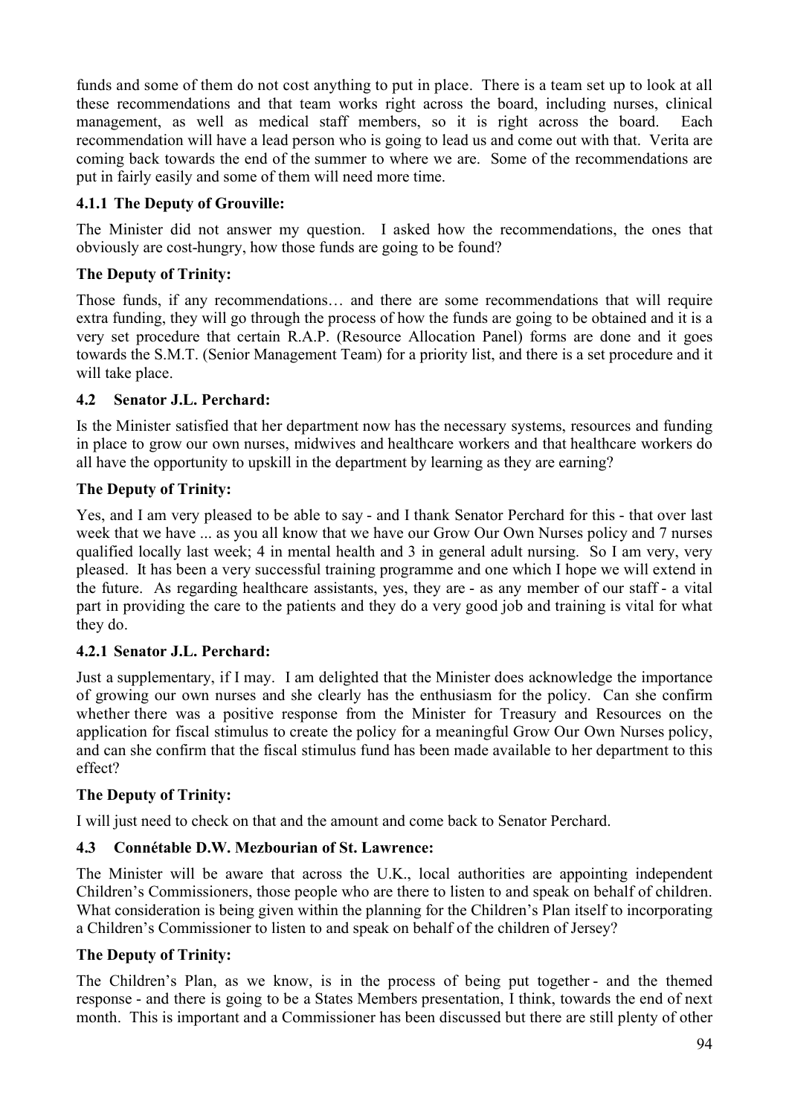funds and some of them do not cost anything to put in place. There is a team set up to look at all these recommendations and that team works right across the board, including nurses, clinical management, as well as medical staff members, so it is right across the board. Each recommendation will have a lead person who is going to lead us and come out with that. Verita are coming back towards the end of the summer to where we are. Some of the recommendations are put in fairly easily and some of them will need more time.

# **4.1.1 The Deputy of Grouville:**

The Minister did not answer my question. I asked how the recommendations, the ones that obviously are cost-hungry, how those funds are going to be found?

# **The Deputy of Trinity:**

Those funds, if any recommendations… and there are some recommendations that will require extra funding, they will go through the process of how the funds are going to be obtained and it is a very set procedure that certain R.A.P. (Resource Allocation Panel) forms are done and it goes towards the S.M.T. (Senior Management Team) for a priority list, and there is a set procedure and it will take place.

# **4.2 Senator J.L. Perchard:**

Is the Minister satisfied that her department now has the necessary systems, resources and funding in place to grow our own nurses, midwives and healthcare workers and that healthcare workers do all have the opportunity to upskill in the department by learning as they are earning?

# **The Deputy of Trinity:**

Yes, and I am very pleased to be able to say - and I thank Senator Perchard for this - that over last week that we have ... as you all know that we have our Grow Our Own Nurses policy and 7 nurses qualified locally last week; 4 in mental health and 3 in general adult nursing. So I am very, very pleased. It has been a very successful training programme and one which I hope we will extend in the future. As regarding healthcare assistants, yes, they are - as any member of our staff - a vital part in providing the care to the patients and they do a very good job and training is vital for what they do.

# **4.2.1 Senator J.L. Perchard:**

Just a supplementary, if I may. I am delighted that the Minister does acknowledge the importance of growing our own nurses and she clearly has the enthusiasm for the policy. Can she confirm whether there was a positive response from the Minister for Treasury and Resources on the application for fiscal stimulus to create the policy for a meaningful Grow Our Own Nurses policy, and can she confirm that the fiscal stimulus fund has been made available to her department to this effect?

# **The Deputy of Trinity:**

I will just need to check on that and the amount and come back to Senator Perchard.

# **4.3 Connétable D.W. Mezbourian of St. Lawrence:**

The Minister will be aware that across the U.K., local authorities are appointing independent Children's Commissioners, those people who are there to listen to and speak on behalf of children. What consideration is being given within the planning for the Children's Plan itself to incorporating a Children's Commissioner to listen to and speak on behalf of the children of Jersey?

# **The Deputy of Trinity:**

The Children's Plan, as we know, is in the process of being put together - and the themed response - and there is going to be a States Members presentation, I think, towards the end of next month. This is important and a Commissioner has been discussed but there are still plenty of other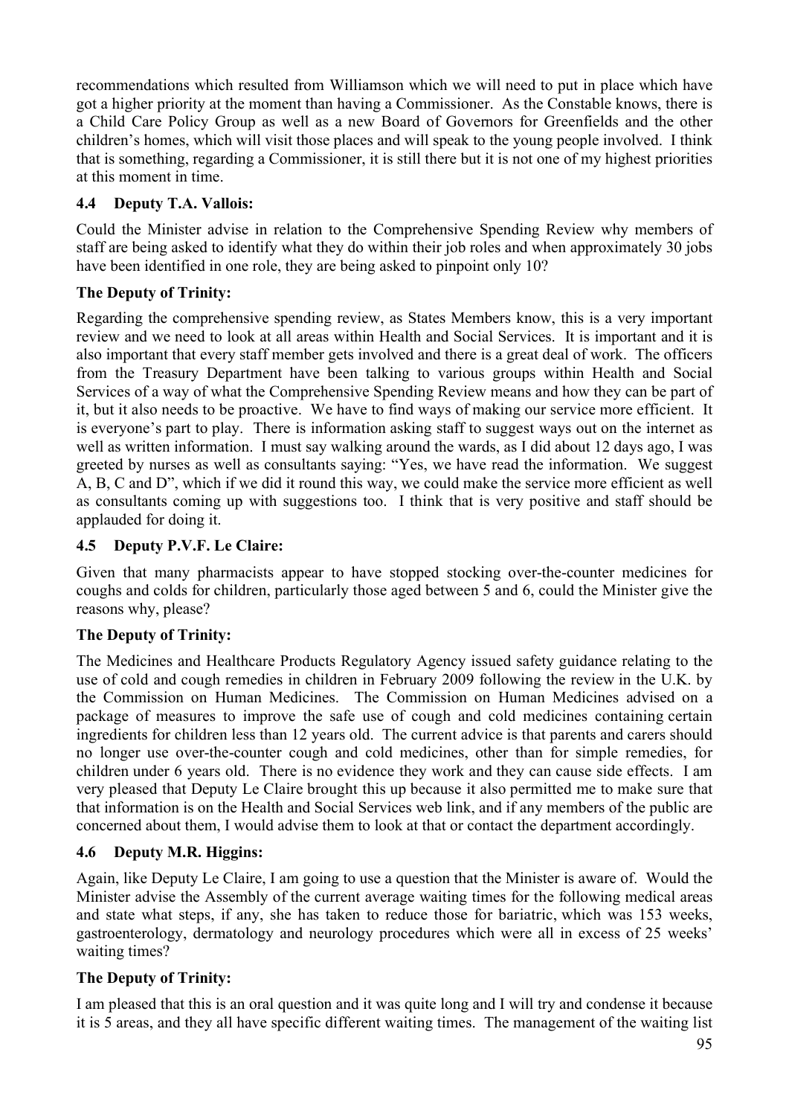recommendations which resulted from Williamson which we will need to put in place which have got a higher priority at the moment than having a Commissioner. As the Constable knows, there is a Child Care Policy Group as well as a new Board of Governors for Greenfields and the other children's homes, which will visit those places and will speak to the young people involved. I think that is something, regarding a Commissioner, it is still there but it is not one of my highest priorities at this moment in time.

# **4.4 Deputy T.A. Vallois:**

Could the Minister advise in relation to the Comprehensive Spending Review why members of staff are being asked to identify what they do within their job roles and when approximately 30 jobs have been identified in one role, they are being asked to pinpoint only 10?

# **The Deputy of Trinity:**

Regarding the comprehensive spending review, as States Members know, this is a very important review and we need to look at all areas within Health and Social Services. It is important and it is also important that every staff member gets involved and there is a great deal of work. The officers from the Treasury Department have been talking to various groups within Health and Social Services of a way of what the Comprehensive Spending Review means and how they can be part of it, but it also needs to be proactive. We have to find ways of making our service more efficient. It is everyone's part to play. There is information asking staff to suggest ways out on the internet as well as written information. I must say walking around the wards, as I did about 12 days ago, I was greeted by nurses as well as consultants saying: "Yes, we have read the information. We suggest A, B, C and D", which if we did it round this way, we could make the service more efficient as well as consultants coming up with suggestions too. I think that is very positive and staff should be applauded for doing it.

# **4.5 Deputy P.V.F. Le Claire:**

Given that many pharmacists appear to have stopped stocking over-the-counter medicines for coughs and colds for children, particularly those aged between 5 and 6, could the Minister give the reasons why, please?

# **The Deputy of Trinity:**

The Medicines and Healthcare Products Regulatory Agency issued safety guidance relating to the use of cold and cough remedies in children in February 2009 following the review in the U.K. by the Commission on Human Medicines. The Commission on Human Medicines advised on a package of measures to improve the safe use of cough and cold medicines containing certain ingredients for children less than 12 years old. The current advice is that parents and carers should no longer use over-the-counter cough and cold medicines, other than for simple remedies, for children under 6 years old. There is no evidence they work and they can cause side effects. I am very pleased that Deputy Le Claire brought this up because it also permitted me to make sure that that information is on the Health and Social Services web link, and if any members of the public are concerned about them, I would advise them to look at that or contact the department accordingly.

# **4.6 Deputy M.R. Higgins:**

Again, like Deputy Le Claire, I am going to use a question that the Minister is aware of. Would the Minister advise the Assembly of the current average waiting times for the following medical areas and state what steps, if any, she has taken to reduce those for bariatric, which was 153 weeks, gastroenterology, dermatology and neurology procedures which were all in excess of 25 weeks' waiting times?

# **The Deputy of Trinity:**

I am pleased that this is an oral question and it was quite long and I will try and condense it because it is 5 areas, and they all have specific different waiting times. The management of the waiting list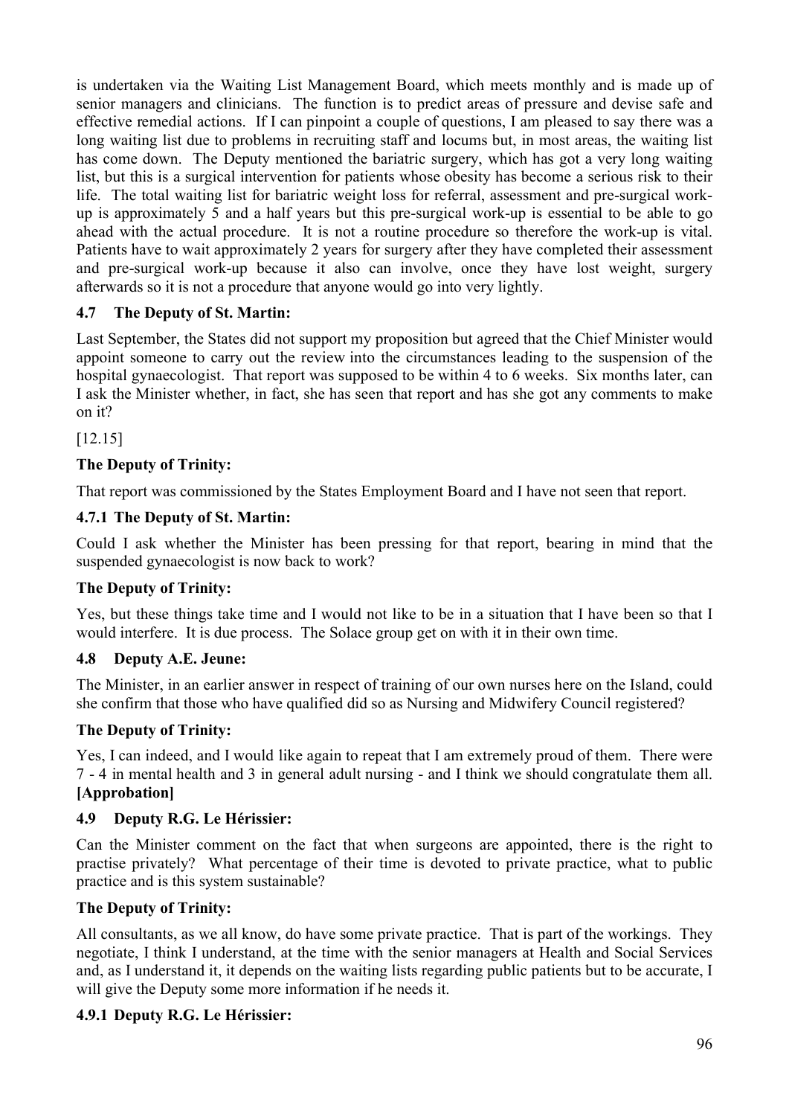is undertaken via the Waiting List Management Board, which meets monthly and is made up of senior managers and clinicians. The function is to predict areas of pressure and devise safe and effective remedial actions. If I can pinpoint a couple of questions, I am pleased to say there was a long waiting list due to problems in recruiting staff and locums but, in most areas, the waiting list has come down. The Deputy mentioned the bariatric surgery, which has got a very long waiting list, but this is a surgical intervention for patients whose obesity has become a serious risk to their life. The total waiting list for bariatric weight loss for referral, assessment and pre-surgical workup is approximately 5 and a half years but this pre-surgical work-up is essential to be able to go ahead with the actual procedure. It is not a routine procedure so therefore the work-up is vital. Patients have to wait approximately 2 years for surgery after they have completed their assessment and pre-surgical work-up because it also can involve, once they have lost weight, surgery afterwards so it is not a procedure that anyone would go into very lightly.

# **4.7 The Deputy of St. Martin:**

Last September, the States did not support my proposition but agreed that the Chief Minister would appoint someone to carry out the review into the circumstances leading to the suspension of the hospital gynaecologist. That report was supposed to be within 4 to 6 weeks. Six months later, can I ask the Minister whether, in fact, she has seen that report and has she got any comments to make on it?

[12.15]

# **The Deputy of Trinity:**

That report was commissioned by the States Employment Board and I have not seen that report.

## **4.7.1 The Deputy of St. Martin:**

Could I ask whether the Minister has been pressing for that report, bearing in mind that the suspended gynaecologist is now back to work?

### **The Deputy of Trinity:**

Yes, but these things take time and I would not like to be in a situation that I have been so that I would interfere. It is due process. The Solace group get on with it in their own time.

### **4.8 Deputy A.E. Jeune:**

The Minister, in an earlier answer in respect of training of our own nurses here on the Island, could she confirm that those who have qualified did so as Nursing and Midwifery Council registered?

### **The Deputy of Trinity:**

Yes, I can indeed, and I would like again to repeat that I am extremely proud of them. There were 7 - 4 in mental health and 3 in general adult nursing - and I think we should congratulate them all. **[Approbation]**

### **4.9 Deputy R.G. Le Hérissier:**

Can the Minister comment on the fact that when surgeons are appointed, there is the right to practise privately? What percentage of their time is devoted to private practice, what to public practice and is this system sustainable?

### **The Deputy of Trinity:**

All consultants, as we all know, do have some private practice. That is part of the workings. They negotiate, I think I understand, at the time with the senior managers at Health and Social Services and, as I understand it, it depends on the waiting lists regarding public patients but to be accurate, I will give the Deputy some more information if he needs it.

### **4.9.1 Deputy R.G. Le Hérissier:**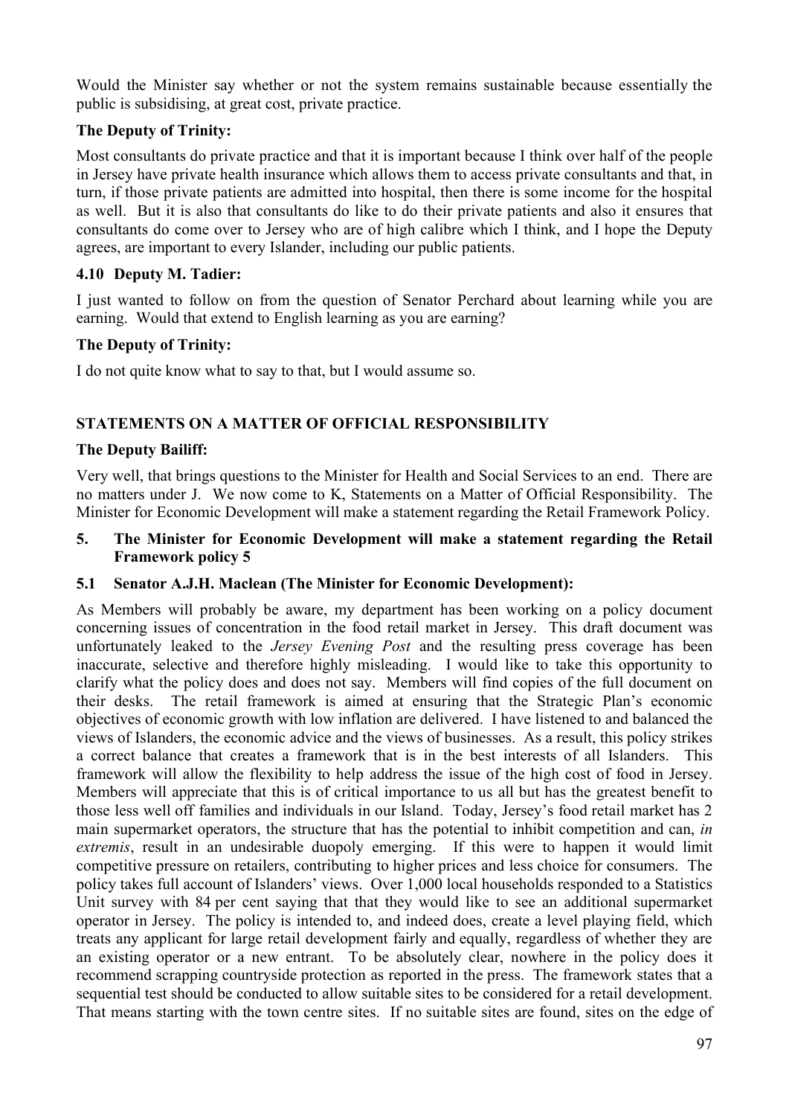Would the Minister say whether or not the system remains sustainable because essentially the public is subsidising, at great cost, private practice.

## **The Deputy of Trinity:**

Most consultants do private practice and that it is important because I think over half of the people in Jersey have private health insurance which allows them to access private consultants and that, in turn, if those private patients are admitted into hospital, then there is some income for the hospital as well. But it is also that consultants do like to do their private patients and also it ensures that consultants do come over to Jersey who are of high calibre which I think, and I hope the Deputy agrees, are important to every Islander, including our public patients.

## **4.10 Deputy M. Tadier:**

I just wanted to follow on from the question of Senator Perchard about learning while you are earning. Would that extend to English learning as you are earning?

### **The Deputy of Trinity:**

I do not quite know what to say to that, but I would assume so.

## **STATEMENTS ON A MATTER OF OFFICIAL RESPONSIBILITY**

### **The Deputy Bailiff:**

Very well, that brings questions to the Minister for Health and Social Services to an end. There are no matters under J. We now come to K, Statements on a Matter of Official Responsibility. The Minister for Economic Development will make a statement regarding the Retail Framework Policy.

#### **5. The Minister for Economic Development will make a statement regarding the Retail Framework policy 5**

### **5.1 Senator A.J.H. Maclean (The Minister for Economic Development):**

As Members will probably be aware, my department has been working on a policy document concerning issues of concentration in the food retail market in Jersey. This draft document was unfortunately leaked to the *Jersey Evening Post* and the resulting press coverage has been inaccurate, selective and therefore highly misleading. I would like to take this opportunity to clarify what the policy does and does not say. Members will find copies of the full document on their desks. The retail framework is aimed at ensuring that the Strategic Plan's economic objectives of economic growth with low inflation are delivered. I have listened to and balanced the views of Islanders, the economic advice and the views of businesses. As a result, this policy strikes a correct balance that creates a framework that is in the best interests of all Islanders. This framework will allow the flexibility to help address the issue of the high cost of food in Jersey. Members will appreciate that this is of critical importance to us all but has the greatest benefit to those less well off families and individuals in our Island. Today, Jersey's food retail market has 2 main supermarket operators, the structure that has the potential to inhibit competition and can, *in extremis*, result in an undesirable duopoly emerging. If this were to happen it would limit competitive pressure on retailers, contributing to higher prices and less choice for consumers. The policy takes full account of Islanders' views. Over 1,000 local households responded to a Statistics Unit survey with 84 per cent saying that that they would like to see an additional supermarket operator in Jersey. The policy is intended to, and indeed does, create a level playing field, which treats any applicant for large retail development fairly and equally, regardless of whether they are an existing operator or a new entrant. To be absolutely clear, nowhere in the policy does it recommend scrapping countryside protection as reported in the press. The framework states that a sequential test should be conducted to allow suitable sites to be considered for a retail development. That means starting with the town centre sites. If no suitable sites are found, sites on the edge of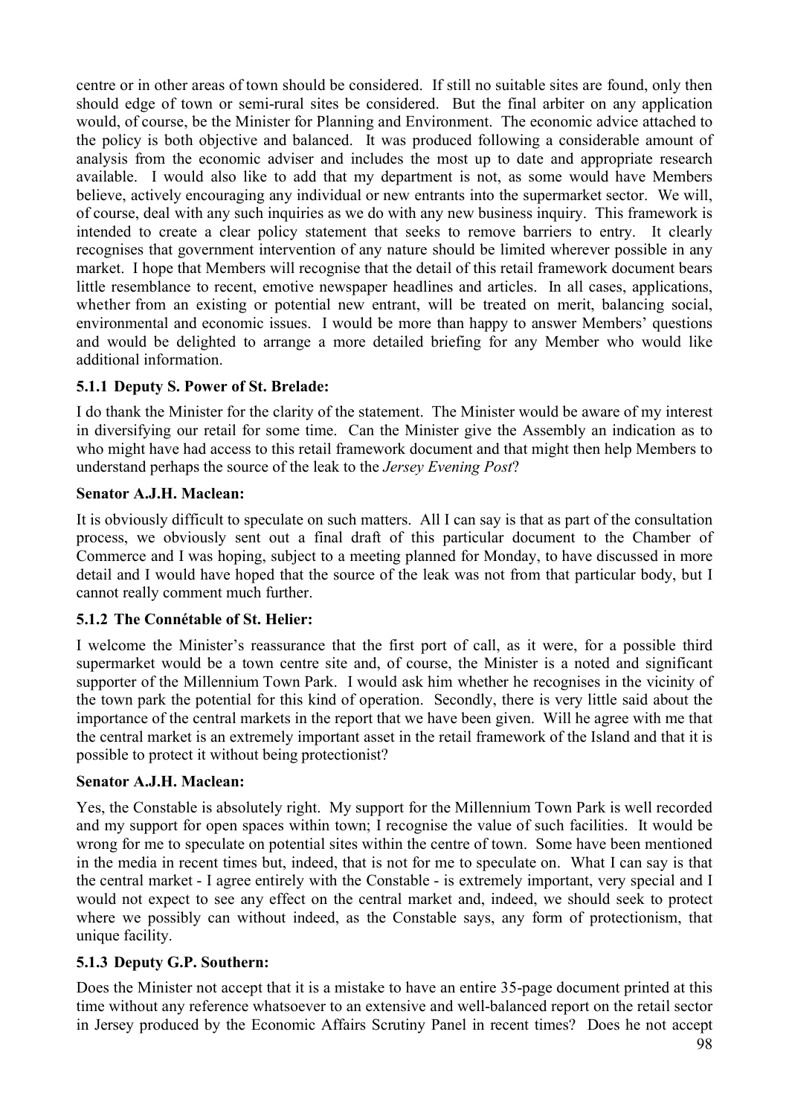centre or in other areas of town should be considered. If still no suitable sites are found, only then should edge of town or semi-rural sites be considered. But the final arbiter on any application would, of course, be the Minister for Planning and Environment. The economic advice attached to the policy is both objective and balanced. It was produced following a considerable amount of analysis from the economic adviser and includes the most up to date and appropriate research available. I would also like to add that my department is not, as some would have Members believe, actively encouraging any individual or new entrants into the supermarket sector. We will, of course, deal with any such inquiries as we do with any new business inquiry. This framework is intended to create a clear policy statement that seeks to remove barriers to entry. It clearly recognises that government intervention of any nature should be limited wherever possible in any market. I hope that Members will recognise that the detail of this retail framework document bears little resemblance to recent, emotive newspaper headlines and articles. In all cases, applications, whether from an existing or potential new entrant, will be treated on merit, balancing social, environmental and economic issues. I would be more than happy to answer Members' questions and would be delighted to arrange a more detailed briefing for any Member who would like additional information.

# **5.1.1 Deputy S. Power of St. Brelade:**

I do thank the Minister for the clarity of the statement. The Minister would be aware of my interest in diversifying our retail for some time. Can the Minister give the Assembly an indication as to who might have had access to this retail framework document and that might then help Members to understand perhaps the source of the leak to the *Jersey Evening Post*?

### **Senator A.J.H. Maclean:**

It is obviously difficult to speculate on such matters. All I can say is that as part of the consultation process, we obviously sent out a final draft of this particular document to the Chamber of Commerce and I was hoping, subject to a meeting planned for Monday, to have discussed in more detail and I would have hoped that the source of the leak was not from that particular body, but I cannot really comment much further.

# **5.1.2 The Connétable of St. Helier:**

I welcome the Minister's reassurance that the first port of call, as it were, for a possible third supermarket would be a town centre site and, of course, the Minister is a noted and significant supporter of the Millennium Town Park. I would ask him whether he recognises in the vicinity of the town park the potential for this kind of operation. Secondly, there is very little said about the importance of the central markets in the report that we have been given. Will he agree with me that the central market is an extremely important asset in the retail framework of the Island and that it is possible to protect it without being protectionist?

### **Senator A.J.H. Maclean:**

Yes, the Constable is absolutely right. My support for the Millennium Town Park is well recorded and my support for open spaces within town; I recognise the value of such facilities. It would be wrong for me to speculate on potential sites within the centre of town. Some have been mentioned in the media in recent times but, indeed, that is not for me to speculate on. What I can say is that the central market - I agree entirely with the Constable - is extremely important, very special and I would not expect to see any effect on the central market and, indeed, we should seek to protect where we possibly can without indeed, as the Constable says, any form of protectionism, that unique facility.

# **5.1.3 Deputy G.P. Southern:**

Does the Minister not accept that it is a mistake to have an entire 35-page document printed at this time without any reference whatsoever to an extensive and well-balanced report on the retail sector in Jersey produced by the Economic Affairs Scrutiny Panel in recent times? Does he not accept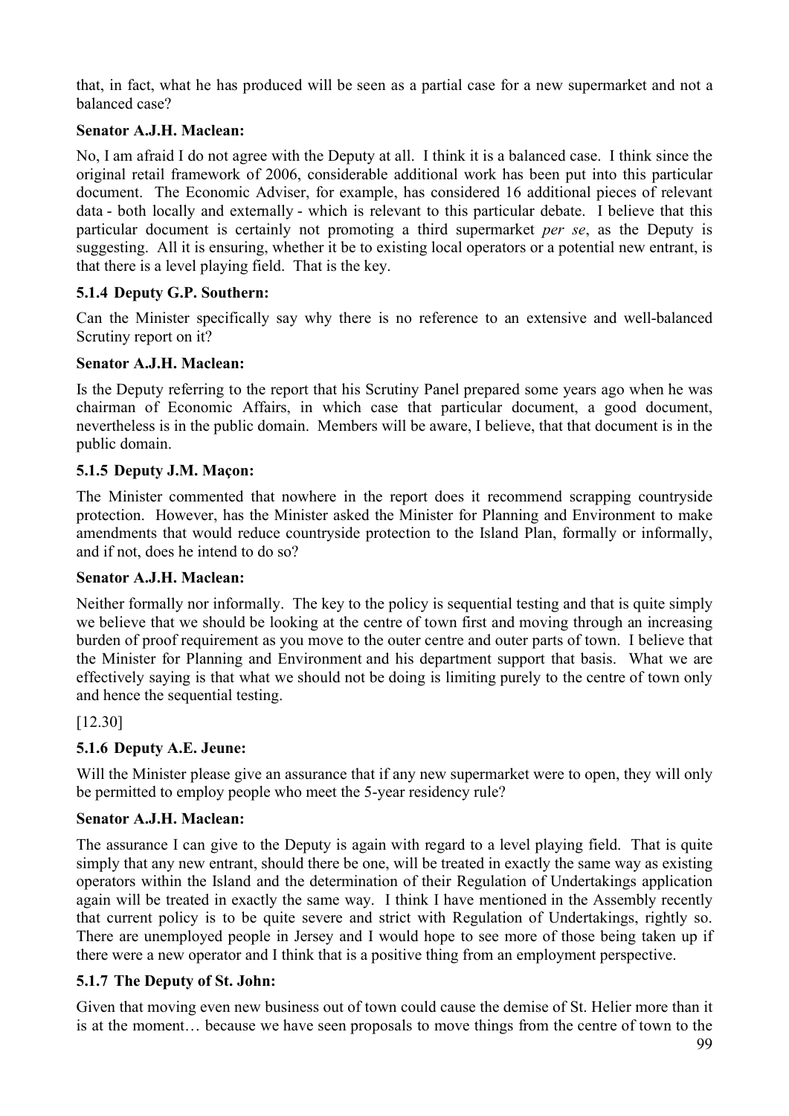that, in fact, what he has produced will be seen as a partial case for a new supermarket and not a balanced case?

## **Senator A.J.H. Maclean:**

No, I am afraid I do not agree with the Deputy at all. I think it is a balanced case. I think since the original retail framework of 2006, considerable additional work has been put into this particular document. The Economic Adviser, for example, has considered 16 additional pieces of relevant data - both locally and externally - which is relevant to this particular debate. I believe that this particular document is certainly not promoting a third supermarket *per se*, as the Deputy is suggesting. All it is ensuring, whether it be to existing local operators or a potential new entrant, is that there is a level playing field. That is the key.

## **5.1.4 Deputy G.P. Southern:**

Can the Minister specifically say why there is no reference to an extensive and well-balanced Scrutiny report on it?

### **Senator A.J.H. Maclean:**

Is the Deputy referring to the report that his Scrutiny Panel prepared some years ago when he was chairman of Economic Affairs, in which case that particular document, a good document, nevertheless is in the public domain. Members will be aware, I believe, that that document is in the public domain.

## **5.1.5 Deputy J.M. Maçon:**

The Minister commented that nowhere in the report does it recommend scrapping countryside protection. However, has the Minister asked the Minister for Planning and Environment to make amendments that would reduce countryside protection to the Island Plan, formally or informally, and if not, does he intend to do so?

### **Senator A.J.H. Maclean:**

Neither formally nor informally. The key to the policy is sequential testing and that is quite simply we believe that we should be looking at the centre of town first and moving through an increasing burden of proof requirement as you move to the outer centre and outer parts of town. I believe that the Minister for Planning and Environment and his department support that basis. What we are effectively saying is that what we should not be doing is limiting purely to the centre of town only and hence the sequential testing.

[12.30]

# **5.1.6 Deputy A.E. Jeune:**

Will the Minister please give an assurance that if any new supermarket were to open, they will only be permitted to employ people who meet the 5-year residency rule?

### **Senator A.J.H. Maclean:**

The assurance I can give to the Deputy is again with regard to a level playing field. That is quite simply that any new entrant, should there be one, will be treated in exactly the same way as existing operators within the Island and the determination of their Regulation of Undertakings application again will be treated in exactly the same way. I think I have mentioned in the Assembly recently that current policy is to be quite severe and strict with Regulation of Undertakings, rightly so. There are unemployed people in Jersey and I would hope to see more of those being taken up if there were a new operator and I think that is a positive thing from an employment perspective.

### **5.1.7 The Deputy of St. John:**

Given that moving even new business out of town could cause the demise of St. Helier more than it is at the moment… because we have seen proposals to move things from the centre of town to the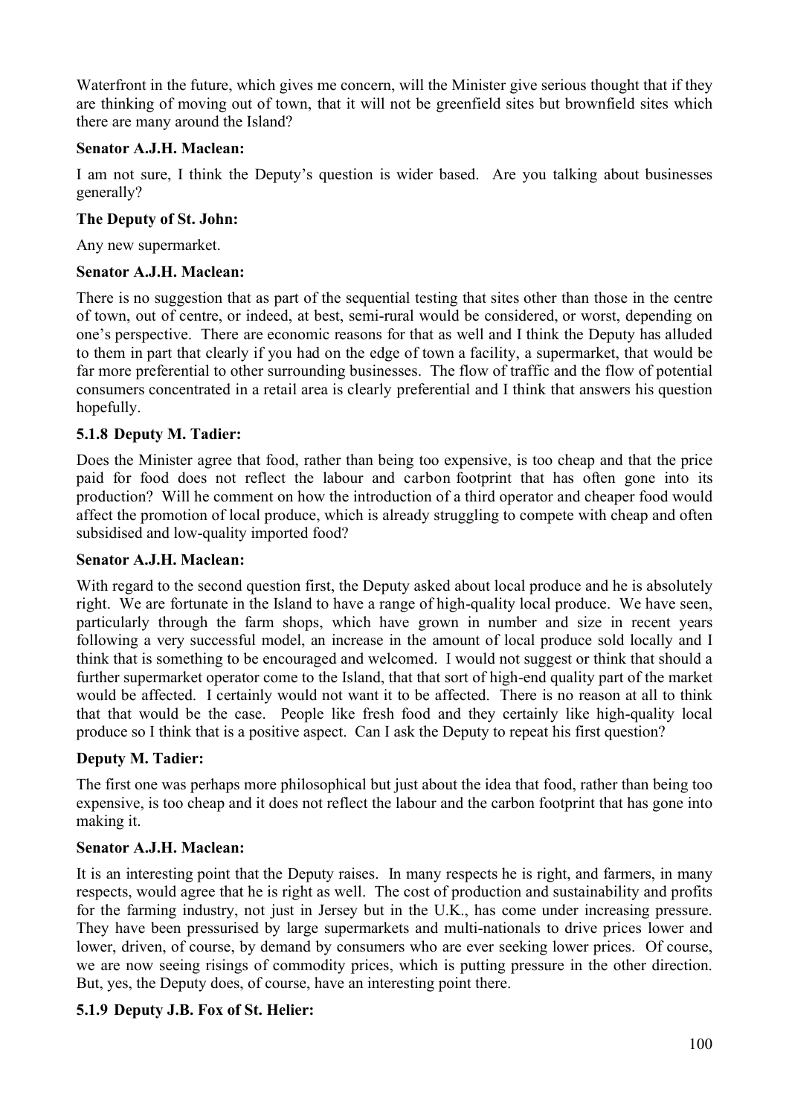Waterfront in the future, which gives me concern, will the Minister give serious thought that if they are thinking of moving out of town, that it will not be greenfield sites but brownfield sites which there are many around the Island?

## **Senator A.J.H. Maclean:**

I am not sure, I think the Deputy's question is wider based. Are you talking about businesses generally?

## **The Deputy of St. John:**

Any new supermarket.

## **Senator A.J.H. Maclean:**

There is no suggestion that as part of the sequential testing that sites other than those in the centre of town, out of centre, or indeed, at best, semi-rural would be considered, or worst, depending on one's perspective. There are economic reasons for that as well and I think the Deputy has alluded to them in part that clearly if you had on the edge of town a facility, a supermarket, that would be far more preferential to other surrounding businesses. The flow of traffic and the flow of potential consumers concentrated in a retail area is clearly preferential and I think that answers his question hopefully.

## **5.1.8 Deputy M. Tadier:**

Does the Minister agree that food, rather than being too expensive, is too cheap and that the price paid for food does not reflect the labour and carbon footprint that has often gone into its production? Will he comment on how the introduction of a third operator and cheaper food would affect the promotion of local produce, which is already struggling to compete with cheap and often subsidised and low-quality imported food?

### **Senator A.J.H. Maclean:**

With regard to the second question first, the Deputy asked about local produce and he is absolutely right. We are fortunate in the Island to have a range of high-quality local produce. We have seen, particularly through the farm shops, which have grown in number and size in recent years following a very successful model, an increase in the amount of local produce sold locally and I think that is something to be encouraged and welcomed. I would not suggest or think that should a further supermarket operator come to the Island, that that sort of high-end quality part of the market would be affected. I certainly would not want it to be affected. There is no reason at all to think that that would be the case. People like fresh food and they certainly like high-quality local produce so I think that is a positive aspect. Can I ask the Deputy to repeat his first question?

# **Deputy M. Tadier:**

The first one was perhaps more philosophical but just about the idea that food, rather than being too expensive, is too cheap and it does not reflect the labour and the carbon footprint that has gone into making it.

# **Senator A.J.H. Maclean:**

It is an interesting point that the Deputy raises. In many respects he is right, and farmers, in many respects, would agree that he is right as well. The cost of production and sustainability and profits for the farming industry, not just in Jersey but in the U.K., has come under increasing pressure. They have been pressurised by large supermarkets and multi-nationals to drive prices lower and lower, driven, of course, by demand by consumers who are ever seeking lower prices. Of course, we are now seeing risings of commodity prices, which is putting pressure in the other direction. But, yes, the Deputy does, of course, have an interesting point there.

# **5.1.9 Deputy J.B. Fox of St. Helier:**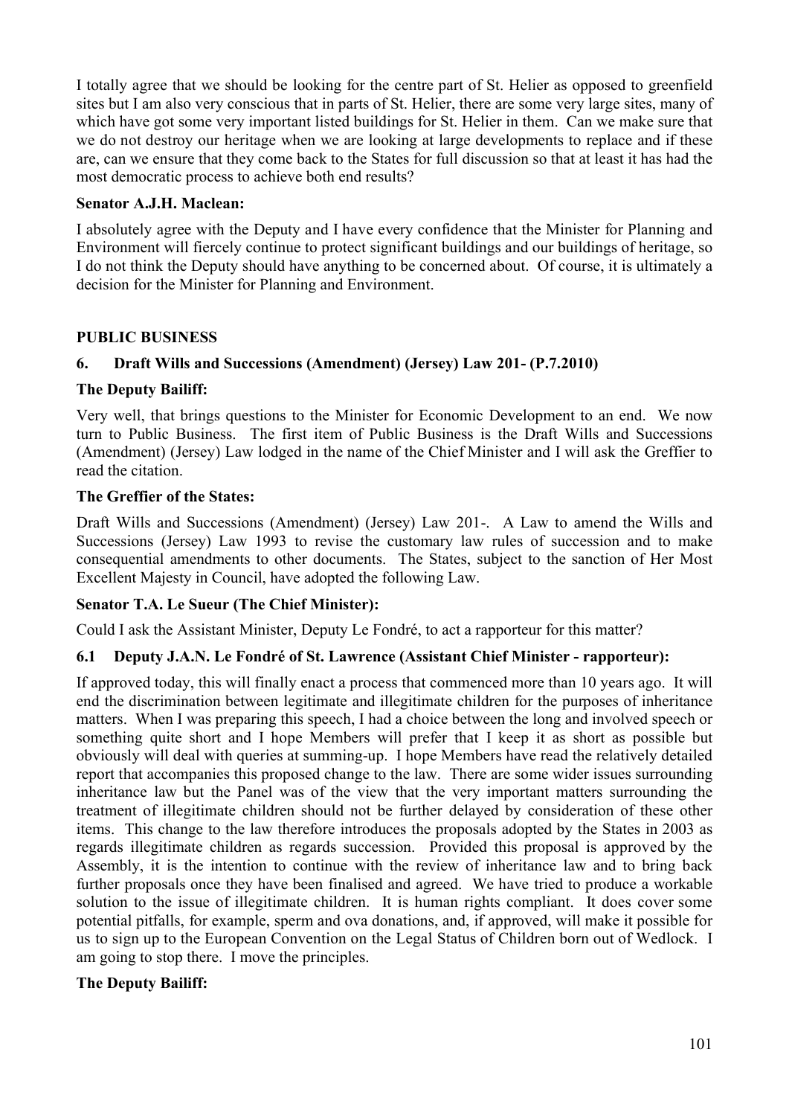I totally agree that we should be looking for the centre part of St. Helier as opposed to greenfield sites but I am also very conscious that in parts of St. Helier, there are some very large sites, many of which have got some very important listed buildings for St. Helier in them. Can we make sure that we do not destroy our heritage when we are looking at large developments to replace and if these are, can we ensure that they come back to the States for full discussion so that at least it has had the most democratic process to achieve both end results?

## **Senator A.J.H. Maclean:**

I absolutely agree with the Deputy and I have every confidence that the Minister for Planning and Environment will fiercely continue to protect significant buildings and our buildings of heritage, so I do not think the Deputy should have anything to be concerned about. Of course, it is ultimately a decision for the Minister for Planning and Environment.

## **PUBLIC BUSINESS**

# **6. Draft Wills and Successions (Amendment) (Jersey) Law 201- (P.7.2010)**

## **The Deputy Bailiff:**

Very well, that brings questions to the Minister for Economic Development to an end. We now turn to Public Business. The first item of Public Business is the Draft Wills and Successions (Amendment) (Jersey) Law lodged in the name of the Chief Minister and I will ask the Greffier to read the citation.

## **The Greffier of the States:**

Draft Wills and Successions (Amendment) (Jersey) Law 201-. A Law to amend the Wills and Successions (Jersey) Law 1993 to revise the customary law rules of succession and to make consequential amendments to other documents. The States, subject to the sanction of Her Most Excellent Majesty in Council, have adopted the following Law.

### **Senator T.A. Le Sueur (The Chief Minister):**

Could I ask the Assistant Minister, Deputy Le Fondré, to act a rapporteur for this matter?

# **6.1 Deputy J.A.N. Le Fondré of St. Lawrence (Assistant Chief Minister - rapporteur):**

If approved today, this will finally enact a process that commenced more than 10 years ago. It will end the discrimination between legitimate and illegitimate children for the purposes of inheritance matters. When I was preparing this speech, I had a choice between the long and involved speech or something quite short and I hope Members will prefer that I keep it as short as possible but obviously will deal with queries at summing-up. I hope Members have read the relatively detailed report that accompanies this proposed change to the law. There are some wider issues surrounding inheritance law but the Panel was of the view that the very important matters surrounding the treatment of illegitimate children should not be further delayed by consideration of these other items. This change to the law therefore introduces the proposals adopted by the States in 2003 as regards illegitimate children as regards succession. Provided this proposal is approved by the Assembly, it is the intention to continue with the review of inheritance law and to bring back further proposals once they have been finalised and agreed. We have tried to produce a workable solution to the issue of illegitimate children. It is human rights compliant. It does cover some potential pitfalls, for example, sperm and ova donations, and, if approved, will make it possible for us to sign up to the European Convention on the Legal Status of Children born out of Wedlock. I am going to stop there. I move the principles.

# **The Deputy Bailiff:**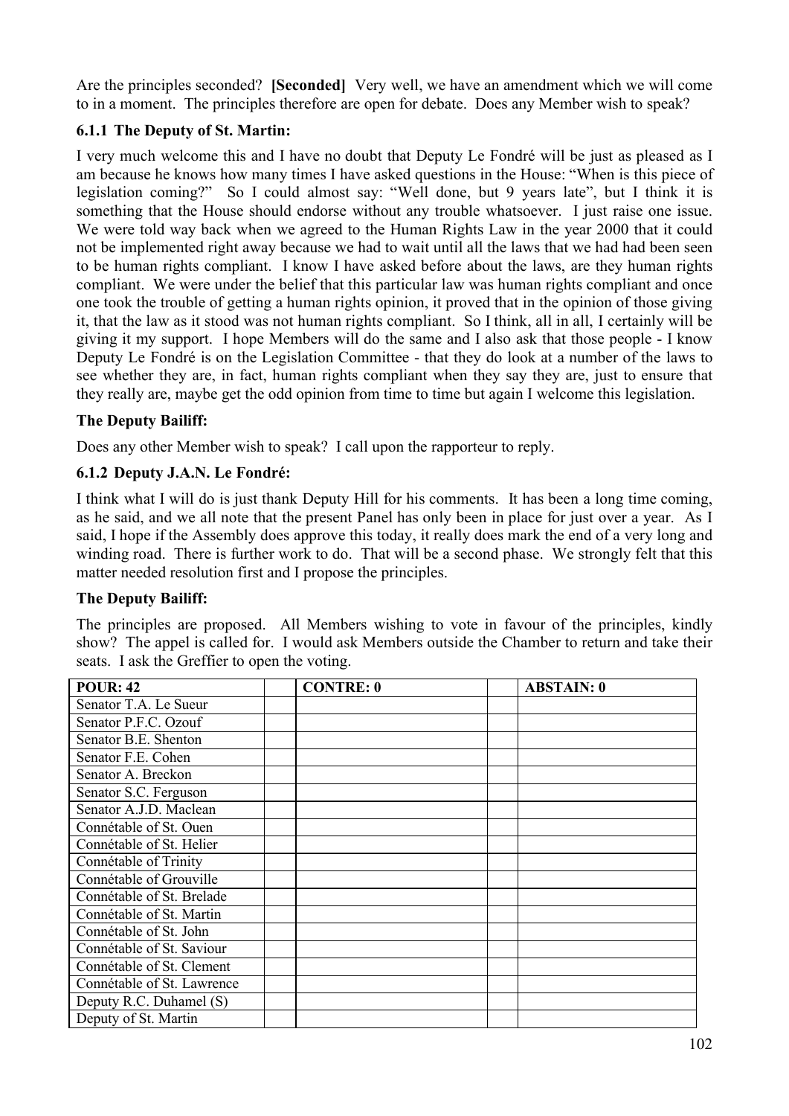Are the principles seconded? **[Seconded]** Very well, we have an amendment which we will come to in a moment. The principles therefore are open for debate. Does any Member wish to speak?

## **6.1.1 The Deputy of St. Martin:**

I very much welcome this and I have no doubt that Deputy Le Fondré will be just as pleased as I am because he knows how many times I have asked questions in the House: "When is this piece of legislation coming?" So I could almost say: "Well done, but 9 years late", but I think it is something that the House should endorse without any trouble whatsoever. I just raise one issue. We were told way back when we agreed to the Human Rights Law in the year 2000 that it could not be implemented right away because we had to wait until all the laws that we had had been seen to be human rights compliant. I know I have asked before about the laws, are they human rights compliant. We were under the belief that this particular law was human rights compliant and once one took the trouble of getting a human rights opinion, it proved that in the opinion of those giving it, that the law as it stood was not human rights compliant. So I think, all in all, I certainly will be giving it my support. I hope Members will do the same and I also ask that those people - I know Deputy Le Fondré is on the Legislation Committee - that they do look at a number of the laws to see whether they are, in fact, human rights compliant when they say they are, just to ensure that they really are, maybe get the odd opinion from time to time but again I welcome this legislation.

## **The Deputy Bailiff:**

Does any other Member wish to speak? I call upon the rapporteur to reply.

## **6.1.2 Deputy J.A.N. Le Fondré:**

I think what I will do is just thank Deputy Hill for his comments. It has been a long time coming, as he said, and we all note that the present Panel has only been in place for just over a year. As I said, I hope if the Assembly does approve this today, it really does mark the end of a very long and winding road. There is further work to do. That will be a second phase. We strongly felt that this matter needed resolution first and I propose the principles.

### **The Deputy Bailiff:**

The principles are proposed. All Members wishing to vote in favour of the principles, kindly show? The appel is called for. I would ask Members outside the Chamber to return and take their seats. I ask the Greffier to open the voting.

| <b>POUR: 42</b>            | <b>CONTRE: 0</b> | <b>ABSTAIN: 0</b> |
|----------------------------|------------------|-------------------|
| Senator T.A. Le Sueur      |                  |                   |
| Senator P.F.C. Ozouf       |                  |                   |
| Senator B.E. Shenton       |                  |                   |
| Senator F.E. Cohen         |                  |                   |
| Senator A. Breckon         |                  |                   |
| Senator S.C. Ferguson      |                  |                   |
| Senator A.J.D. Maclean     |                  |                   |
| Connétable of St. Ouen     |                  |                   |
| Connétable of St. Helier   |                  |                   |
| Connétable of Trinity      |                  |                   |
| Connétable of Grouville    |                  |                   |
| Connétable of St. Brelade  |                  |                   |
| Connétable of St. Martin   |                  |                   |
| Connétable of St. John     |                  |                   |
| Connétable of St. Saviour  |                  |                   |
| Connétable of St. Clement  |                  |                   |
| Connétable of St. Lawrence |                  |                   |
| Deputy R.C. Duhamel (S)    |                  |                   |
| Deputy of St. Martin       |                  |                   |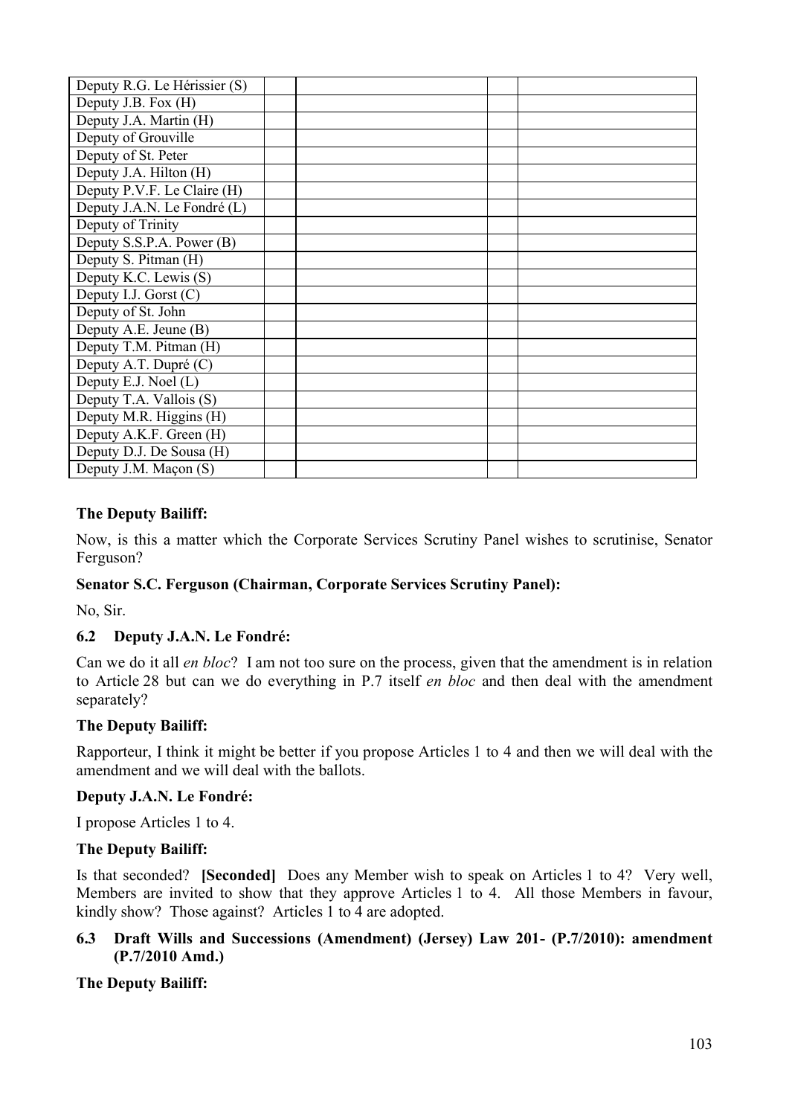| Deputy R.G. Le Hérissier (S) |  |  |
|------------------------------|--|--|
| Deputy J.B. Fox (H)          |  |  |
| Deputy J.A. Martin (H)       |  |  |
| Deputy of Grouville          |  |  |
| Deputy of St. Peter          |  |  |
| Deputy J.A. Hilton (H)       |  |  |
| Deputy P.V.F. Le Claire (H)  |  |  |
| Deputy J.A.N. Le Fondré (L)  |  |  |
| Deputy of Trinity            |  |  |
| Deputy S.S.P.A. Power (B)    |  |  |
| Deputy S. Pitman (H)         |  |  |
| Deputy K.C. Lewis (S)        |  |  |
| Deputy I.J. Gorst $(C)$      |  |  |
| Deputy of St. John           |  |  |
| Deputy A.E. Jeune (B)        |  |  |
| Deputy T.M. Pitman (H)       |  |  |
| Deputy A.T. Dupré (C)        |  |  |
| Deputy E.J. Noel (L)         |  |  |
| Deputy T.A. Vallois (S)      |  |  |
| Deputy M.R. Higgins (H)      |  |  |
| Deputy A.K.F. Green (H)      |  |  |
| Deputy D.J. De Sousa (H)     |  |  |
| Deputy J.M. Maçon (S)        |  |  |

## **The Deputy Bailiff:**

Now, is this a matter which the Corporate Services Scrutiny Panel wishes to scrutinise, Senator Ferguson?

### **Senator S.C. Ferguson (Chairman, Corporate Services Scrutiny Panel):**

No, Sir.

# **6.2 Deputy J.A.N. Le Fondré:**

Can we do it all *en bloc*? I am not too sure on the process, given that the amendment is in relation to Article 28 but can we do everything in P.7 itself *en bloc* and then deal with the amendment separately?

### **The Deputy Bailiff:**

Rapporteur, I think it might be better if you propose Articles 1 to 4 and then we will deal with the amendment and we will deal with the ballots.

### **Deputy J.A.N. Le Fondré:**

I propose Articles 1 to 4.

### **The Deputy Bailiff:**

Is that seconded? **[Seconded]** Does any Member wish to speak on Articles 1 to 4? Very well, Members are invited to show that they approve Articles 1 to 4. All those Members in favour, kindly show? Those against? Articles 1 to 4 are adopted.

### **6.3 Draft Wills and Successions (Amendment) (Jersey) Law 201- (P.7/2010): amendment (P.7/2010 Amd.)**

# **The Deputy Bailiff:**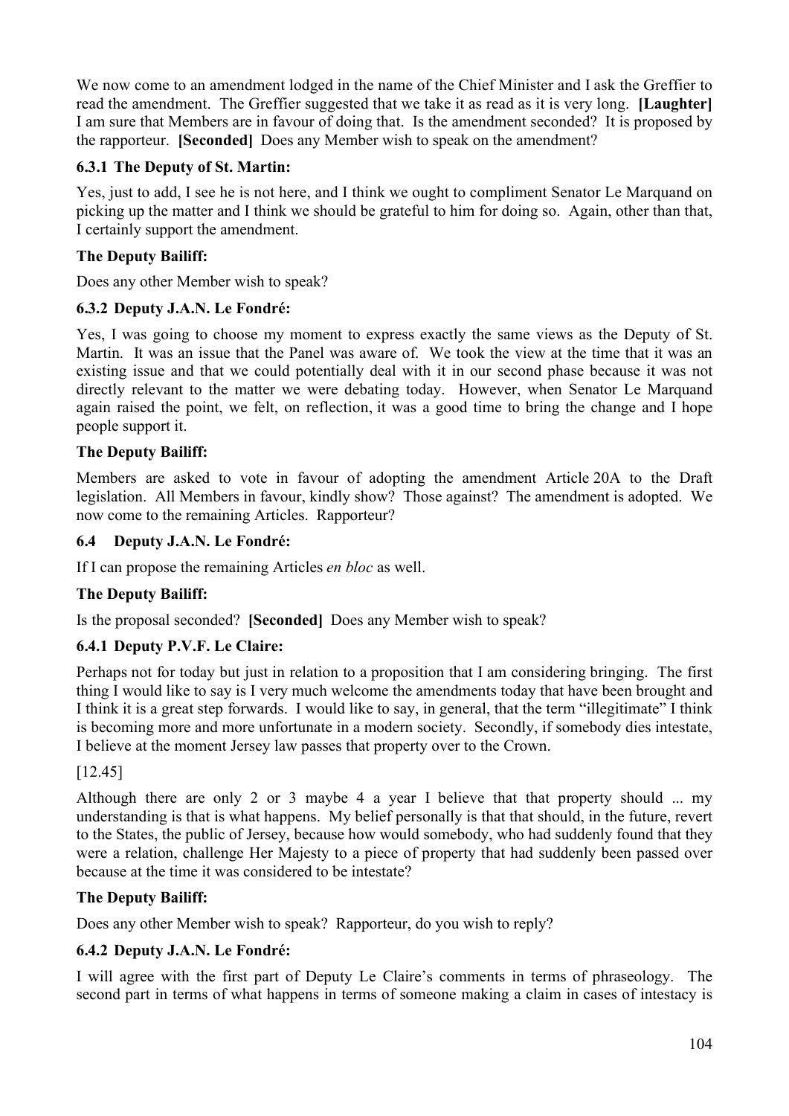We now come to an amendment lodged in the name of the Chief Minister and I ask the Greffier to read the amendment. The Greffier suggested that we take it as read as it is very long. **[Laughter]** I am sure that Members are in favour of doing that. Is the amendment seconded? It is proposed by the rapporteur. **[Seconded]** Does any Member wish to speak on the amendment?

## **6.3.1 The Deputy of St. Martin:**

Yes, just to add, I see he is not here, and I think we ought to compliment Senator Le Marquand on picking up the matter and I think we should be grateful to him for doing so. Again, other than that, I certainly support the amendment.

## **The Deputy Bailiff:**

Does any other Member wish to speak?

## **6.3.2 Deputy J.A.N. Le Fondré:**

Yes, I was going to choose my moment to express exactly the same views as the Deputy of St. Martin. It was an issue that the Panel was aware of. We took the view at the time that it was an existing issue and that we could potentially deal with it in our second phase because it was not directly relevant to the matter we were debating today. However, when Senator Le Marquand again raised the point, we felt, on reflection, it was a good time to bring the change and I hope people support it.

## **The Deputy Bailiff:**

Members are asked to vote in favour of adopting the amendment Article 20A to the Draft legislation. All Members in favour, kindly show? Those against? The amendment is adopted. We now come to the remaining Articles. Rapporteur?

### **6.4 Deputy J.A.N. Le Fondré:**

If I can propose the remaining Articles *en bloc* as well.

### **The Deputy Bailiff:**

Is the proposal seconded? **[Seconded]** Does any Member wish to speak?

## **6.4.1 Deputy P.V.F. Le Claire:**

Perhaps not for today but just in relation to a proposition that I am considering bringing. The first thing I would like to say is I very much welcome the amendments today that have been brought and I think it is a great step forwards. I would like to say, in general, that the term "illegitimate" I think is becoming more and more unfortunate in a modern society. Secondly, if somebody dies intestate, I believe at the moment Jersey law passes that property over to the Crown.

### [12.45]

Although there are only 2 or 3 maybe 4 a year I believe that that property should ... my understanding is that is what happens. My belief personally is that that should, in the future, revert to the States, the public of Jersey, because how would somebody, who had suddenly found that they were a relation, challenge Her Majesty to a piece of property that had suddenly been passed over because at the time it was considered to be intestate?

### **The Deputy Bailiff:**

Does any other Member wish to speak? Rapporteur, do you wish to reply?

### **6.4.2 Deputy J.A.N. Le Fondré:**

I will agree with the first part of Deputy Le Claire's comments in terms of phraseology. The second part in terms of what happens in terms of someone making a claim in cases of intestacy is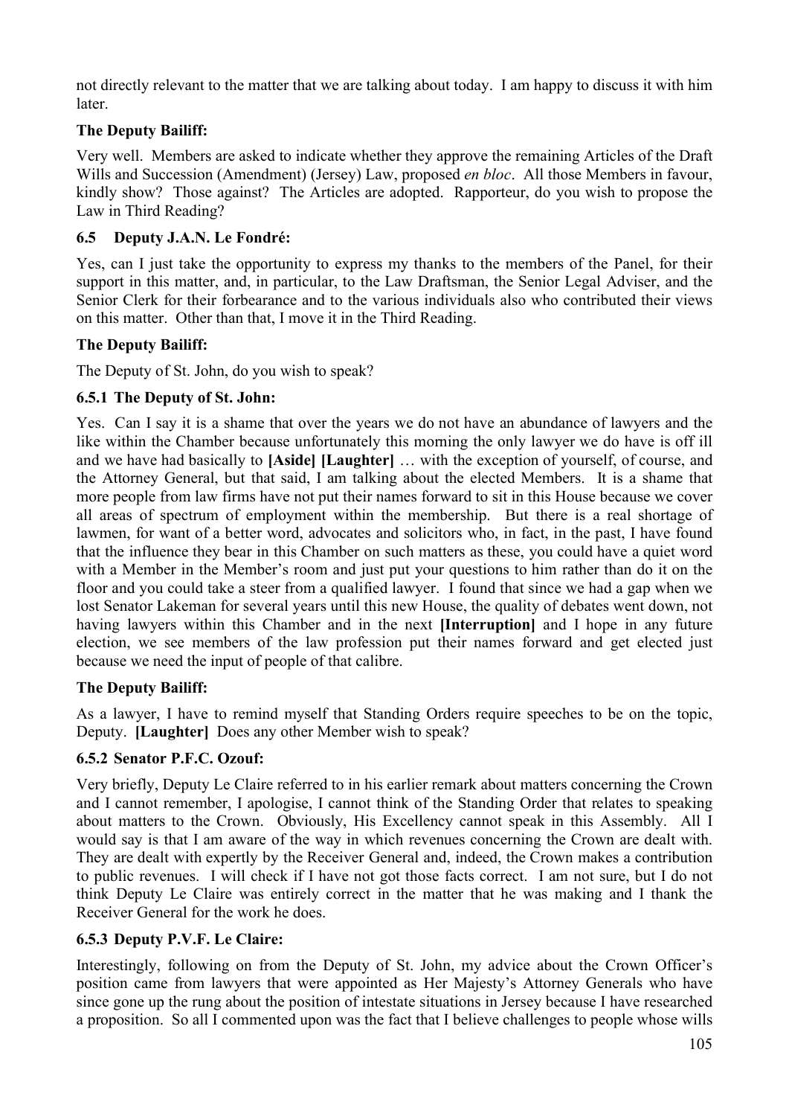not directly relevant to the matter that we are talking about today. I am happy to discuss it with him later.

# **The Deputy Bailiff:**

Very well. Members are asked to indicate whether they approve the remaining Articles of the Draft Wills and Succession (Amendment) (Jersey) Law, proposed *en bloc*. All those Members in favour, kindly show? Those against? The Articles are adopted. Rapporteur, do you wish to propose the Law in Third Reading?

# **6.5 Deputy J.A.N. Le Fondré:**

Yes, can I just take the opportunity to express my thanks to the members of the Panel, for their support in this matter, and, in particular, to the Law Draftsman, the Senior Legal Adviser, and the Senior Clerk for their forbearance and to the various individuals also who contributed their views on this matter. Other than that, I move it in the Third Reading.

# **The Deputy Bailiff:**

The Deputy of St. John, do you wish to speak?

# **6.5.1 The Deputy of St. John:**

Yes. Can I say it is a shame that over the years we do not have an abundance of lawyers and the like within the Chamber because unfortunately this morning the only lawyer we do have is off ill and we have had basically to **[Aside] [Laughter]** … with the exception of yourself, of course, and the Attorney General, but that said, I am talking about the elected Members. It is a shame that more people from law firms have not put their names forward to sit in this House because we cover all areas of spectrum of employment within the membership. But there is a real shortage of lawmen, for want of a better word, advocates and solicitors who, in fact, in the past, I have found that the influence they bear in this Chamber on such matters as these, you could have a quiet word with a Member in the Member's room and just put your questions to him rather than do it on the floor and you could take a steer from a qualified lawyer. I found that since we had a gap when we lost Senator Lakeman for several years until this new House, the quality of debates went down, not having lawyers within this Chamber and in the next **[Interruption]** and I hope in any future election, we see members of the law profession put their names forward and get elected just because we need the input of people of that calibre.

# **The Deputy Bailiff:**

As a lawyer, I have to remind myself that Standing Orders require speeches to be on the topic, Deputy. **[Laughter]** Does any other Member wish to speak?

# **6.5.2 Senator P.F.C. Ozouf:**

Very briefly, Deputy Le Claire referred to in his earlier remark about matters concerning the Crown and I cannot remember, I apologise, I cannot think of the Standing Order that relates to speaking about matters to the Crown. Obviously, His Excellency cannot speak in this Assembly. All I would say is that I am aware of the way in which revenues concerning the Crown are dealt with. They are dealt with expertly by the Receiver General and, indeed, the Crown makes a contribution to public revenues. I will check if I have not got those facts correct. I am not sure, but I do not think Deputy Le Claire was entirely correct in the matter that he was making and I thank the Receiver General for the work he does.

# **6.5.3 Deputy P.V.F. Le Claire:**

Interestingly, following on from the Deputy of St. John, my advice about the Crown Officer's position came from lawyers that were appointed as Her Majesty's Attorney Generals who have since gone up the rung about the position of intestate situations in Jersey because I have researched a proposition. So all I commented upon was the fact that I believe challenges to people whose wills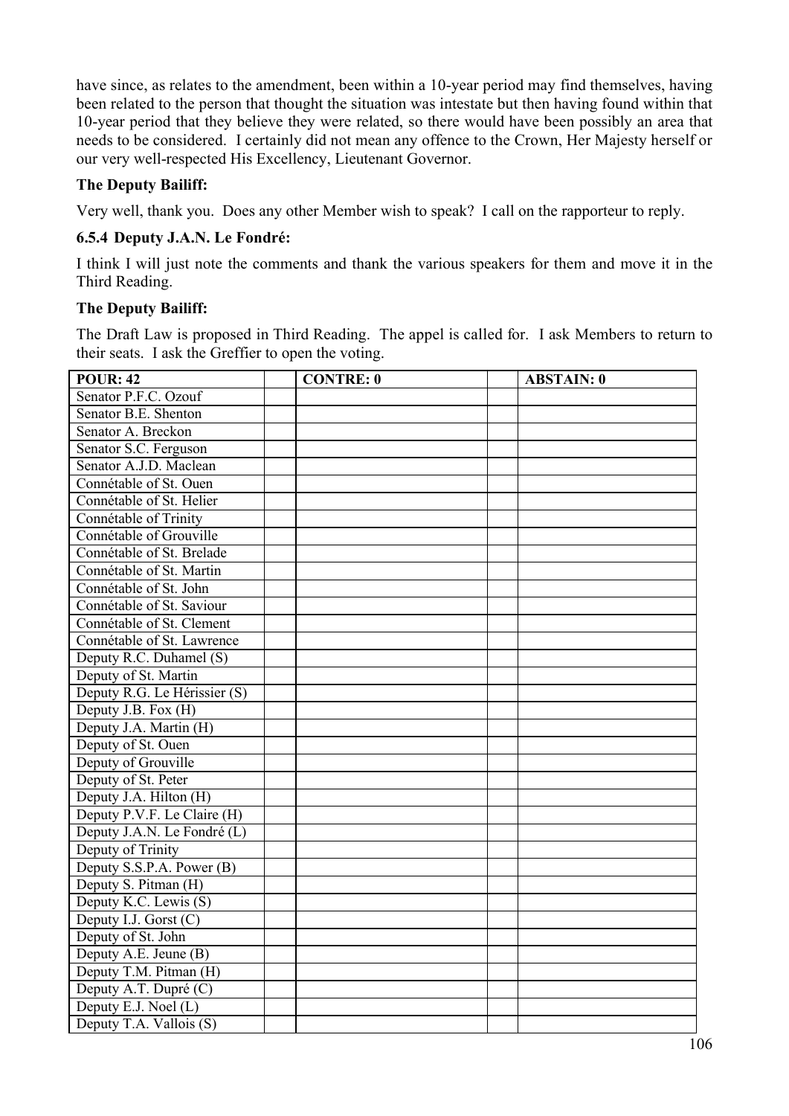have since, as relates to the amendment, been within a 10-year period may find themselves, having been related to the person that thought the situation was intestate but then having found within that 10-year period that they believe they were related, so there would have been possibly an area that needs to be considered. I certainly did not mean any offence to the Crown, Her Majesty herself or our very well-respected His Excellency, Lieutenant Governor.

## **The Deputy Bailiff:**

Very well, thank you. Does any other Member wish to speak? I call on the rapporteur to reply.

## **6.5.4 Deputy J.A.N. Le Fondré:**

I think I will just note the comments and thank the various speakers for them and move it in the Third Reading.

### **The Deputy Bailiff:**

The Draft Law is proposed in Third Reading. The appel is called for. I ask Members to return to their seats. I ask the Greffier to open the voting.

| <b>POUR: 42</b>              | <b>CONTRE: 0</b> | <b>ABSTAIN: 0</b> |
|------------------------------|------------------|-------------------|
| Senator P.F.C. Ozouf         |                  |                   |
| Senator B.E. Shenton         |                  |                   |
| Senator A. Breckon           |                  |                   |
| Senator S.C. Ferguson        |                  |                   |
| Senator A.J.D. Maclean       |                  |                   |
| Connétable of St. Ouen       |                  |                   |
| Connétable of St. Helier     |                  |                   |
| Connétable of Trinity        |                  |                   |
| Connétable of Grouville      |                  |                   |
| Connétable of St. Brelade    |                  |                   |
| Connétable of St. Martin     |                  |                   |
| Connétable of St. John       |                  |                   |
| Connétable of St. Saviour    |                  |                   |
| Connétable of St. Clement    |                  |                   |
| Connétable of St. Lawrence   |                  |                   |
| Deputy R.C. Duhamel (S)      |                  |                   |
| Deputy of St. Martin         |                  |                   |
| Deputy R.G. Le Hérissier (S) |                  |                   |
| Deputy J.B. Fox (H)          |                  |                   |
| Deputy J.A. Martin (H)       |                  |                   |
| Deputy of St. Ouen           |                  |                   |
| Deputy of Grouville          |                  |                   |
| Deputy of St. Peter          |                  |                   |
| Deputy J.A. Hilton (H)       |                  |                   |
| Deputy P.V.F. Le Claire (H)  |                  |                   |
| Deputy J.A.N. Le Fondré (L)  |                  |                   |
| Deputy of Trinity            |                  |                   |
| Deputy S.S.P.A. Power (B)    |                  |                   |
| Deputy S. Pitman (H)         |                  |                   |
| Deputy K.C. Lewis (S)        |                  |                   |
| Deputy I.J. Gorst (C)        |                  |                   |
| Deputy of St. John           |                  |                   |
| Deputy A.E. Jeune (B)        |                  |                   |
| Deputy T.M. Pitman (H)       |                  |                   |
| Deputy A.T. Dupré (C)        |                  |                   |
| Deputy E.J. Noel (L)         |                  |                   |
| Deputy T.A. Vallois (S)      |                  |                   |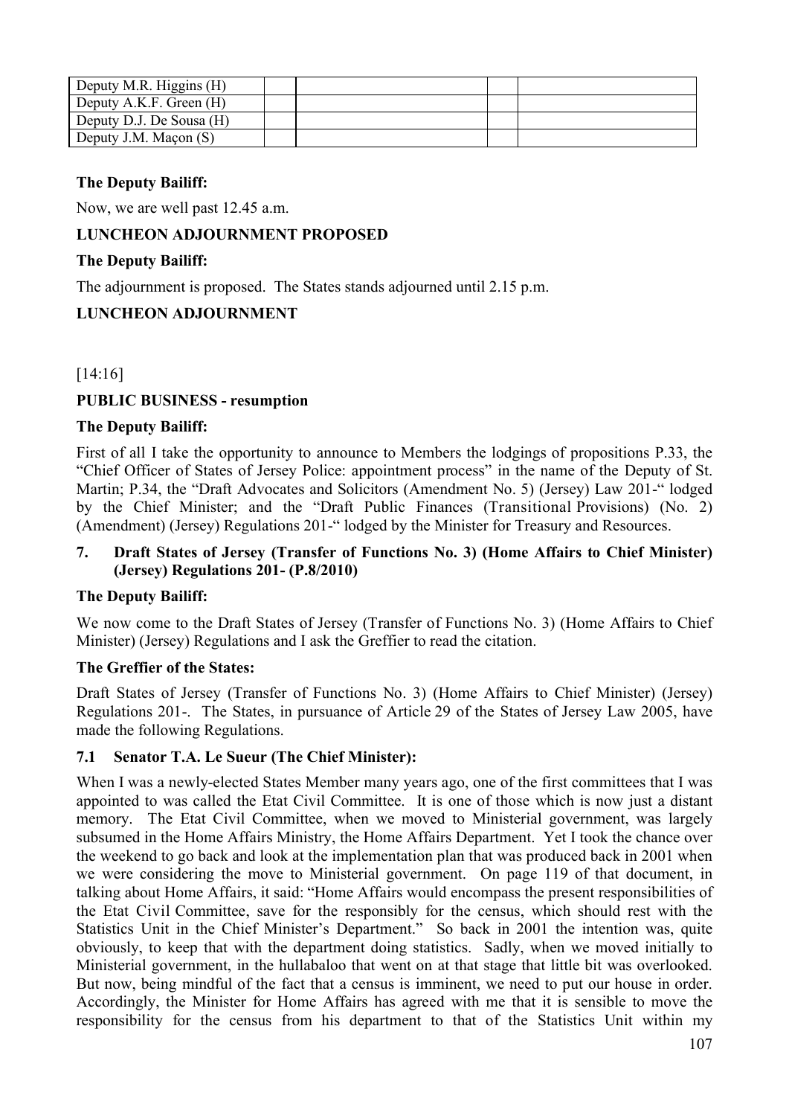| Deputy M.R. Higgins (H)  |  |  |
|--------------------------|--|--|
| Deputy A.K.F. Green (H)  |  |  |
| Deputy D.J. De Sousa (H) |  |  |
| Deputy J.M. Maçon $(S)$  |  |  |

#### **The Deputy Bailiff:**

Now, we are well past 12.45 a.m.

## **LUNCHEON ADJOURNMENT PROPOSED**

#### **The Deputy Bailiff:**

The adjournment is proposed. The States stands adjourned until 2.15 p.m.

### **LUNCHEON ADJOURNMENT**

### [14:16]

### **PUBLIC BUSINESS - resumption**

#### **The Deputy Bailiff:**

First of all I take the opportunity to announce to Members the lodgings of propositions P.33, the "Chief Officer of States of Jersey Police: appointment process" in the name of the Deputy of St. Martin; P.34, the "Draft Advocates and Solicitors (Amendment No. 5) (Jersey) Law 201-" lodged by the Chief Minister; and the "Draft Public Finances (Transitional Provisions) (No. 2) (Amendment) (Jersey) Regulations 201-" lodged by the Minister for Treasury and Resources.

#### **7. Draft States of Jersey (Transfer of Functions No. 3) (Home Affairs to Chief Minister) (Jersey) Regulations 201- (P.8/2010)**

### **The Deputy Bailiff:**

We now come to the Draft States of Jersey (Transfer of Functions No. 3) (Home Affairs to Chief Minister) (Jersey) Regulations and I ask the Greffier to read the citation.

#### **The Greffier of the States:**

Draft States of Jersey (Transfer of Functions No. 3) (Home Affairs to Chief Minister) (Jersey) Regulations 201-. The States, in pursuance of Article 29 of the States of Jersey Law 2005, have made the following Regulations.

#### **7.1 Senator T.A. Le Sueur (The Chief Minister):**

When I was a newly-elected States Member many years ago, one of the first committees that I was appointed to was called the Etat Civil Committee. It is one of those which is now just a distant memory. The Etat Civil Committee, when we moved to Ministerial government, was largely subsumed in the Home Affairs Ministry, the Home Affairs Department. Yet I took the chance over the weekend to go back and look at the implementation plan that was produced back in 2001 when we were considering the move to Ministerial government. On page 119 of that document, in talking about Home Affairs, it said: "Home Affairs would encompass the present responsibilities of the Etat Civil Committee, save for the responsibly for the census, which should rest with the Statistics Unit in the Chief Minister's Department." So back in 2001 the intention was, quite obviously, to keep that with the department doing statistics. Sadly, when we moved initially to Ministerial government, in the hullabaloo that went on at that stage that little bit was overlooked. But now, being mindful of the fact that a census is imminent, we need to put our house in order. Accordingly, the Minister for Home Affairs has agreed with me that it is sensible to move the responsibility for the census from his department to that of the Statistics Unit within my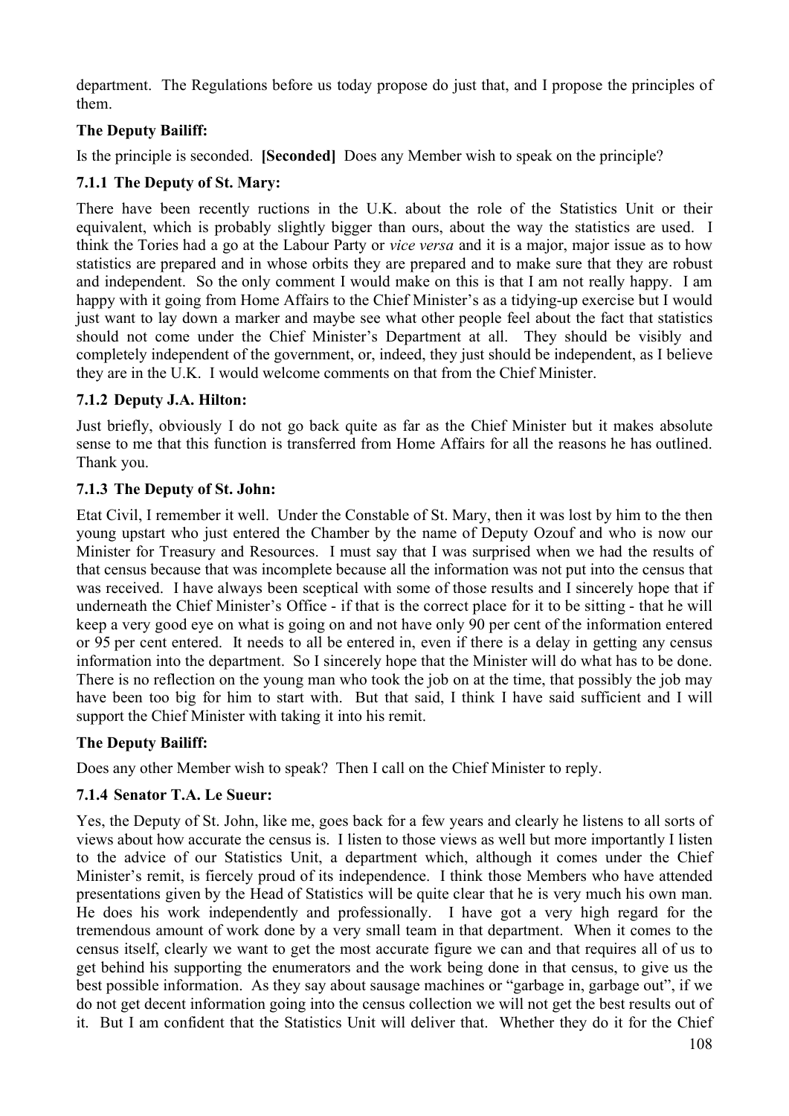department. The Regulations before us today propose do just that, and I propose the principles of them.

# **The Deputy Bailiff:**

Is the principle is seconded. **[Seconded]** Does any Member wish to speak on the principle?

# **7.1.1 The Deputy of St. Mary:**

There have been recently ructions in the U.K. about the role of the Statistics Unit or their equivalent, which is probably slightly bigger than ours, about the way the statistics are used. I think the Tories had a go at the Labour Party or *vice versa* and it is a major, major issue as to how statistics are prepared and in whose orbits they are prepared and to make sure that they are robust and independent. So the only comment I would make on this is that I am not really happy. I am happy with it going from Home Affairs to the Chief Minister's as a tidying-up exercise but I would just want to lay down a marker and maybe see what other people feel about the fact that statistics should not come under the Chief Minister's Department at all. They should be visibly and completely independent of the government, or, indeed, they just should be independent, as I believe they are in the U.K. I would welcome comments on that from the Chief Minister.

# **7.1.2 Deputy J.A. Hilton:**

Just briefly, obviously I do not go back quite as far as the Chief Minister but it makes absolute sense to me that this function is transferred from Home Affairs for all the reasons he has outlined. Thank you.

# **7.1.3 The Deputy of St. John:**

Etat Civil, I remember it well. Under the Constable of St. Mary, then it was lost by him to the then young upstart who just entered the Chamber by the name of Deputy Ozouf and who is now our Minister for Treasury and Resources. I must say that I was surprised when we had the results of that census because that was incomplete because all the information was not put into the census that was received. I have always been sceptical with some of those results and I sincerely hope that if underneath the Chief Minister's Office - if that is the correct place for it to be sitting - that he will keep a very good eye on what is going on and not have only 90 per cent of the information entered or 95 per cent entered. It needs to all be entered in, even if there is a delay in getting any census information into the department. So I sincerely hope that the Minister will do what has to be done. There is no reflection on the young man who took the job on at the time, that possibly the job may have been too big for him to start with. But that said, I think I have said sufficient and I will support the Chief Minister with taking it into his remit.

# **The Deputy Bailiff:**

Does any other Member wish to speak? Then I call on the Chief Minister to reply.

# **7.1.4 Senator T.A. Le Sueur:**

Yes, the Deputy of St. John, like me, goes back for a few years and clearly he listens to all sorts of views about how accurate the census is. I listen to those views as well but more importantly I listen to the advice of our Statistics Unit, a department which, although it comes under the Chief Minister's remit, is fiercely proud of its independence. I think those Members who have attended presentations given by the Head of Statistics will be quite clear that he is very much his own man. He does his work independently and professionally. I have got a very high regard for the tremendous amount of work done by a very small team in that department. When it comes to the census itself, clearly we want to get the most accurate figure we can and that requires all of us to get behind his supporting the enumerators and the work being done in that census, to give us the best possible information. As they say about sausage machines or "garbage in, garbage out", if we do not get decent information going into the census collection we will not get the best results out of it. But I am confident that the Statistics Unit will deliver that. Whether they do it for the Chief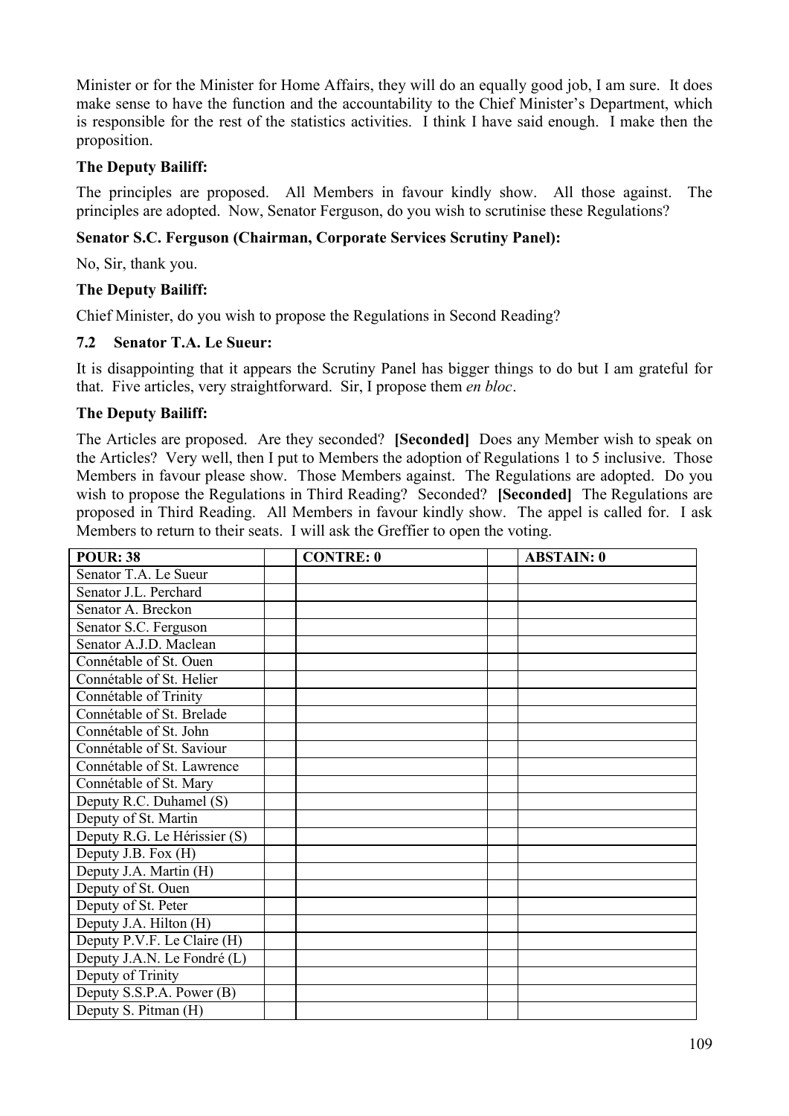Minister or for the Minister for Home Affairs, they will do an equally good job, I am sure. It does make sense to have the function and the accountability to the Chief Minister's Department, which is responsible for the rest of the statistics activities. I think I have said enough. I make then the proposition.

### **The Deputy Bailiff:**

The principles are proposed. All Members in favour kindly show. All those against. The principles are adopted. Now, Senator Ferguson, do you wish to scrutinise these Regulations?

## **Senator S.C. Ferguson (Chairman, Corporate Services Scrutiny Panel):**

No, Sir, thank you.

#### **The Deputy Bailiff:**

Chief Minister, do you wish to propose the Regulations in Second Reading?

#### **7.2 Senator T.A. Le Sueur:**

It is disappointing that it appears the Scrutiny Panel has bigger things to do but I am grateful for that. Five articles, very straightforward. Sir, I propose them *en bloc*.

#### **The Deputy Bailiff:**

The Articles are proposed. Are they seconded? **[Seconded]** Does any Member wish to speak on the Articles? Very well, then I put to Members the adoption of Regulations 1 to 5 inclusive. Those Members in favour please show. Those Members against. The Regulations are adopted. Do you wish to propose the Regulations in Third Reading? Seconded? **[Seconded]** The Regulations are proposed in Third Reading. All Members in favour kindly show. The appel is called for. I ask Members to return to their seats. I will ask the Greffier to open the voting.

| <b>POUR: 38</b>              | <b>CONTRE: 0</b> | <b>ABSTAIN: 0</b> |
|------------------------------|------------------|-------------------|
| Senator T.A. Le Sueur        |                  |                   |
| Senator J.L. Perchard        |                  |                   |
| Senator A. Breckon           |                  |                   |
| Senator S.C. Ferguson        |                  |                   |
| Senator A.J.D. Maclean       |                  |                   |
| Connétable of St. Ouen       |                  |                   |
| Connétable of St. Helier     |                  |                   |
| Connétable of Trinity        |                  |                   |
| Connétable of St. Brelade    |                  |                   |
| Connétable of St. John       |                  |                   |
| Connétable of St. Saviour    |                  |                   |
| Connétable of St. Lawrence   |                  |                   |
| Connétable of St. Mary       |                  |                   |
| Deputy R.C. Duhamel (S)      |                  |                   |
| Deputy of St. Martin         |                  |                   |
| Deputy R.G. Le Hérissier (S) |                  |                   |
| Deputy J.B. Fox (H)          |                  |                   |
| Deputy J.A. Martin (H)       |                  |                   |
| Deputy of St. Ouen           |                  |                   |
| Deputy of St. Peter          |                  |                   |
| Deputy J.A. Hilton (H)       |                  |                   |
| Deputy P.V.F. Le Claire (H)  |                  |                   |
| Deputy J.A.N. Le Fondré (L)  |                  |                   |
| Deputy of Trinity            |                  |                   |
| Deputy S.S.P.A. Power (B)    |                  |                   |
| Deputy S. Pitman (H)         |                  |                   |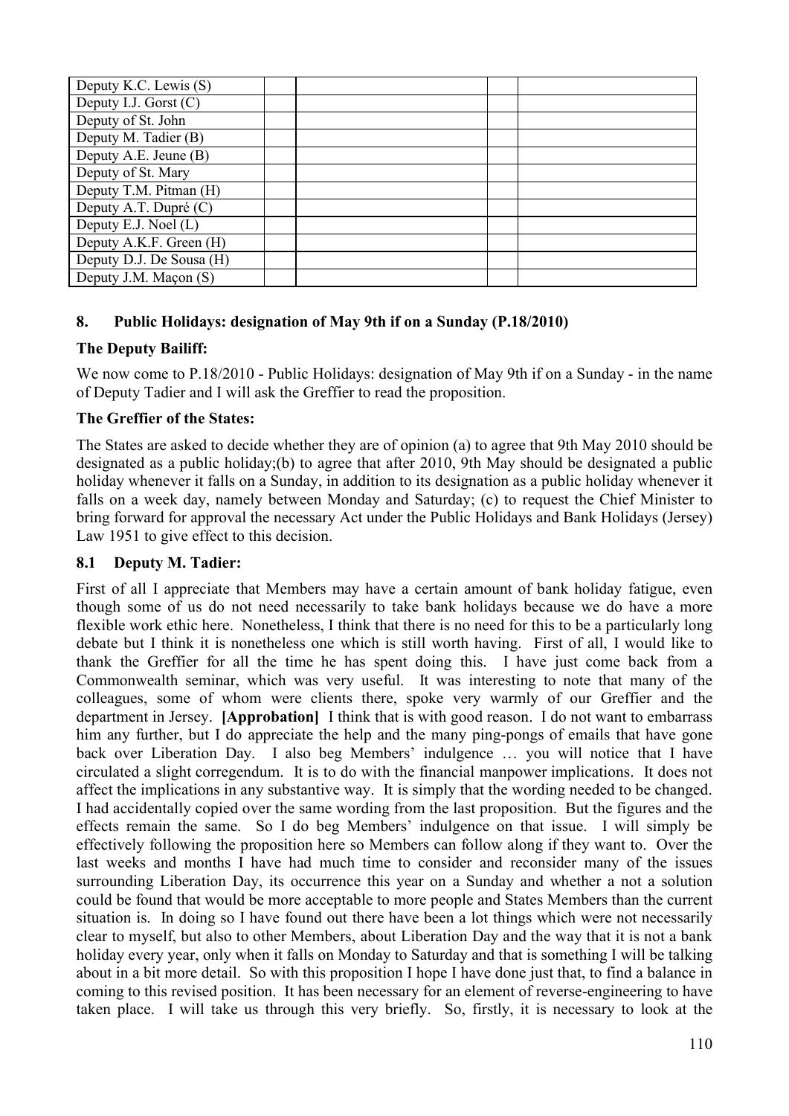| Deputy K.C. Lewis (S)    |  |  |
|--------------------------|--|--|
| Deputy I.J. Gorst (C)    |  |  |
| Deputy of St. John       |  |  |
| Deputy M. Tadier (B)     |  |  |
| Deputy A.E. Jeune (B)    |  |  |
| Deputy of St. Mary       |  |  |
| Deputy T.M. Pitman (H)   |  |  |
| Deputy A.T. Dupré (C)    |  |  |
| Deputy E.J. Noel (L)     |  |  |
| Deputy A.K.F. Green (H)  |  |  |
| Deputy D.J. De Sousa (H) |  |  |
| Deputy J.M. Maçon (S)    |  |  |

## **8. Public Holidays: designation of May 9th if on a Sunday (P.18/2010)**

## **The Deputy Bailiff:**

We now come to P.18/2010 - Public Holidays: designation of May 9th if on a Sunday - in the name of Deputy Tadier and I will ask the Greffier to read the proposition.

# **The Greffier of the States:**

The States are asked to decide whether they are of opinion (a) to agree that 9th May 2010 should be designated as a public holiday;(b) to agree that after 2010, 9th May should be designated a public holiday whenever it falls on a Sunday, in addition to its designation as a public holiday whenever it falls on a week day, namely between Monday and Saturday; (c) to request the Chief Minister to bring forward for approval the necessary Act under the Public Holidays and Bank Holidays (Jersey) Law 1951 to give effect to this decision.

## **8.1 Deputy M. Tadier:**

First of all I appreciate that Members may have a certain amount of bank holiday fatigue, even though some of us do not need necessarily to take bank holidays because we do have a more flexible work ethic here. Nonetheless, I think that there is no need for this to be a particularly long debate but I think it is nonetheless one which is still worth having. First of all, I would like to thank the Greffier for all the time he has spent doing this. I have just come back from a Commonwealth seminar, which was very useful. It was interesting to note that many of the colleagues, some of whom were clients there, spoke very warmly of our Greffier and the department in Jersey. **[Approbation]** I think that is with good reason. I do not want to embarrass him any further, but I do appreciate the help and the many ping-pongs of emails that have gone back over Liberation Day. I also beg Members' indulgence … you will notice that I have circulated a slight corregendum. It is to do with the financial manpower implications. It does not affect the implications in any substantive way. It is simply that the wording needed to be changed. I had accidentally copied over the same wording from the last proposition. But the figures and the effects remain the same. So I do beg Members' indulgence on that issue. I will simply be effectively following the proposition here so Members can follow along if they want to. Over the last weeks and months I have had much time to consider and reconsider many of the issues surrounding Liberation Day, its occurrence this year on a Sunday and whether a not a solution could be found that would be more acceptable to more people and States Members than the current situation is. In doing so I have found out there have been a lot things which were not necessarily clear to myself, but also to other Members, about Liberation Day and the way that it is not a bank holiday every year, only when it falls on Monday to Saturday and that is something I will be talking about in a bit more detail. So with this proposition I hope I have done just that, to find a balance in coming to this revised position. It has been necessary for an element of reverse-engineering to have taken place. I will take us through this very briefly. So, firstly, it is necessary to look at the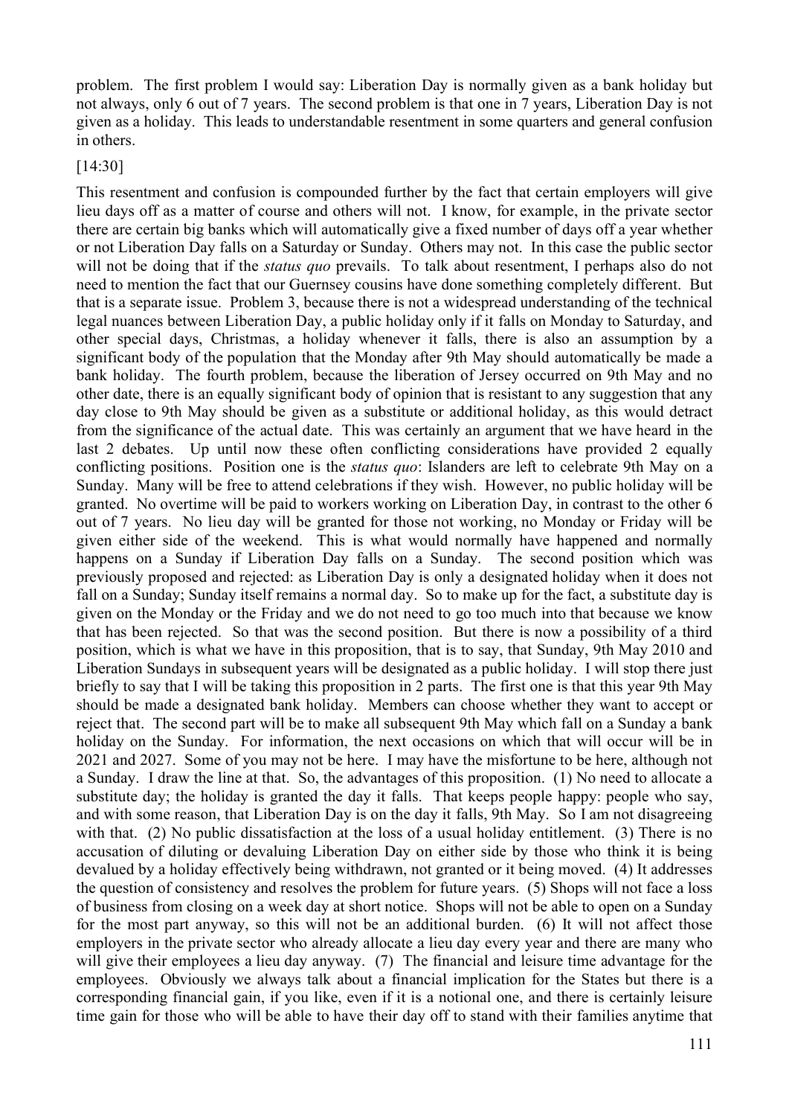problem. The first problem I would say: Liberation Day is normally given as a bank holiday but not always, only 6 out of 7 years. The second problem is that one in 7 years, Liberation Day is not given as a holiday. This leads to understandable resentment in some quarters and general confusion in others.

#### [14:30]

This resentment and confusion is compounded further by the fact that certain employers will give lieu days off as a matter of course and others will not. I know, for example, in the private sector there are certain big banks which will automatically give a fixed number of days off a year whether or not Liberation Day falls on a Saturday or Sunday. Others may not. In this case the public sector will not be doing that if the *status quo* prevails. To talk about resentment, I perhaps also do not need to mention the fact that our Guernsey cousins have done something completely different. But that is a separate issue. Problem 3, because there is not a widespread understanding of the technical legal nuances between Liberation Day, a public holiday only if it falls on Monday to Saturday, and other special days, Christmas, a holiday whenever it falls, there is also an assumption by a significant body of the population that the Monday after 9th May should automatically be made a bank holiday. The fourth problem, because the liberation of Jersey occurred on 9th May and no other date, there is an equally significant body of opinion that is resistant to any suggestion that any day close to 9th May should be given as a substitute or additional holiday, as this would detract from the significance of the actual date. This was certainly an argument that we have heard in the last 2 debates. Up until now these often conflicting considerations have provided 2 equally conflicting positions. Position one is the *status quo*: Islanders are left to celebrate 9th May on a Sunday. Many will be free to attend celebrations if they wish. However, no public holiday will be granted. No overtime will be paid to workers working on Liberation Day, in contrast to the other 6 out of 7 years. No lieu day will be granted for those not working, no Monday or Friday will be given either side of the weekend. This is what would normally have happened and normally happens on a Sunday if Liberation Day falls on a Sunday. The second position which was previously proposed and rejected: as Liberation Day is only a designated holiday when it does not fall on a Sunday; Sunday itself remains a normal day. So to make up for the fact, a substitute day is given on the Monday or the Friday and we do not need to go too much into that because we know that has been rejected. So that was the second position. But there is now a possibility of a third position, which is what we have in this proposition, that is to say, that Sunday, 9th May 2010 and Liberation Sundays in subsequent years will be designated as a public holiday. I will stop there just briefly to say that I will be taking this proposition in 2 parts. The first one is that this year 9th May should be made a designated bank holiday. Members can choose whether they want to accept or reject that. The second part will be to make all subsequent 9th May which fall on a Sunday a bank holiday on the Sunday. For information, the next occasions on which that will occur will be in 2021 and 2027. Some of you may not be here. I may have the misfortune to be here, although not a Sunday. I draw the line at that. So, the advantages of this proposition. (1) No need to allocate a substitute day; the holiday is granted the day it falls. That keeps people happy: people who say, and with some reason, that Liberation Day is on the day it falls, 9th May. So I am not disagreeing with that. (2) No public dissatisfaction at the loss of a usual holiday entitlement. (3) There is no accusation of diluting or devaluing Liberation Day on either side by those who think it is being devalued by a holiday effectively being withdrawn, not granted or it being moved. (4) It addresses the question of consistency and resolves the problem for future years. (5) Shops will not face a loss of business from closing on a week day at short notice. Shops will not be able to open on a Sunday for the most part anyway, so this will not be an additional burden. (6) It will not affect those employers in the private sector who already allocate a lieu day every year and there are many who will give their employees a lieu day anyway. (7) The financial and leisure time advantage for the employees. Obviously we always talk about a financial implication for the States but there is a corresponding financial gain, if you like, even if it is a notional one, and there is certainly leisure time gain for those who will be able to have their day off to stand with their families anytime that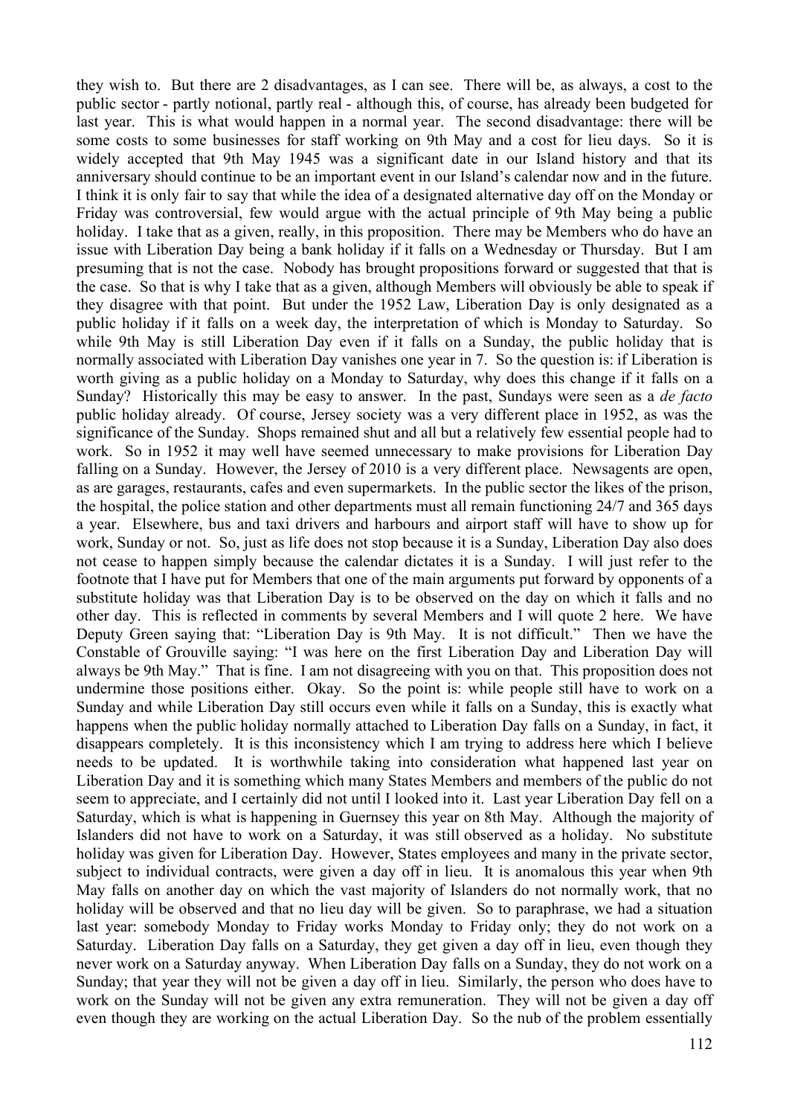they wish to. But there are 2 disadvantages, as I can see. There will be, as always, a cost to the public sector - partly notional, partly real - although this, of course, has already been budgeted for last year. This is what would happen in a normal year. The second disadvantage: there will be some costs to some businesses for staff working on 9th May and a cost for lieu days. So it is widely accepted that 9th May 1945 was a significant date in our Island history and that its anniversary should continue to be an important event in our Island's calendar now and in the future. I think it is only fair to say that while the idea of a designated alternative day off on the Monday or Friday was controversial, few would argue with the actual principle of 9th May being a public holiday. I take that as a given, really, in this proposition. There may be Members who do have an issue with Liberation Day being a bank holiday if it falls on a Wednesday or Thursday. But I am presuming that is not the case. Nobody has brought propositions forward or suggested that that is the case. So that is why I take that as a given, although Members will obviously be able to speak if they disagree with that point. But under the 1952 Law, Liberation Day is only designated as a public holiday if it falls on a week day, the interpretation of which is Monday to Saturday. So while 9th May is still Liberation Day even if it falls on a Sunday, the public holiday that is normally associated with Liberation Day vanishes one year in 7. So the question is: if Liberation is worth giving as a public holiday on a Monday to Saturday, why does this change if it falls on a Sunday? Historically this may be easy to answer. In the past, Sundays were seen as a *de facto* public holiday already. Of course, Jersey society was a very different place in 1952, as was the significance of the Sunday. Shops remained shut and all but a relatively few essential people had to work. So in 1952 it may well have seemed unnecessary to make provisions for Liberation Day falling on a Sunday. However, the Jersey of 2010 is a very different place. Newsagents are open, as are garages, restaurants, cafes and even supermarkets. In the public sector the likes of the prison, the hospital, the police station and other departments must all remain functioning 24/7 and 365 days a year. Elsewhere, bus and taxi drivers and harbours and airport staff will have to show up for work, Sunday or not. So, just as life does not stop because it is a Sunday, Liberation Day also does not cease to happen simply because the calendar dictates it is a Sunday. I will just refer to the footnote that I have put for Members that one of the main arguments put forward by opponents of a substitute holiday was that Liberation Day is to be observed on the day on which it falls and no other day. This is reflected in comments by several Members and I will quote 2 here. We have Deputy Green saying that: "Liberation Day is 9th May. It is not difficult." Then we have the Constable of Grouville saying: "I was here on the first Liberation Day and Liberation Day will always be 9th May." That is fine. I am not disagreeing with you on that. This proposition does not undermine those positions either. Okay. So the point is: while people still have to work on a Sunday and while Liberation Day still occurs even while it falls on a Sunday, this is exactly what happens when the public holiday normally attached to Liberation Day falls on a Sunday, in fact, it disappears completely. It is this inconsistency which I am trying to address here which I believe needs to be updated. It is worthwhile taking into consideration what happened last year on Liberation Day and it is something which many States Members and members of the public do not seem to appreciate, and I certainly did not until I looked into it. Last year Liberation Day fell on a Saturday, which is what is happening in Guernsey this year on 8th May. Although the majority of Islanders did not have to work on a Saturday, it was still observed as a holiday. No substitute holiday was given for Liberation Day. However, States employees and many in the private sector, subject to individual contracts, were given a day off in lieu. It is anomalous this year when 9th May falls on another day on which the vast majority of Islanders do not normally work, that no holiday will be observed and that no lieu day will be given. So to paraphrase, we had a situation last year: somebody Monday to Friday works Monday to Friday only; they do not work on a Saturday. Liberation Day falls on a Saturday, they get given a day off in lieu, even though they never work on a Saturday anyway. When Liberation Day falls on a Sunday, they do not work on a Sunday; that year they will not be given a day off in lieu. Similarly, the person who does have to work on the Sunday will not be given any extra remuneration. They will not be given a day off even though they are working on the actual Liberation Day. So the nub of the problem essentially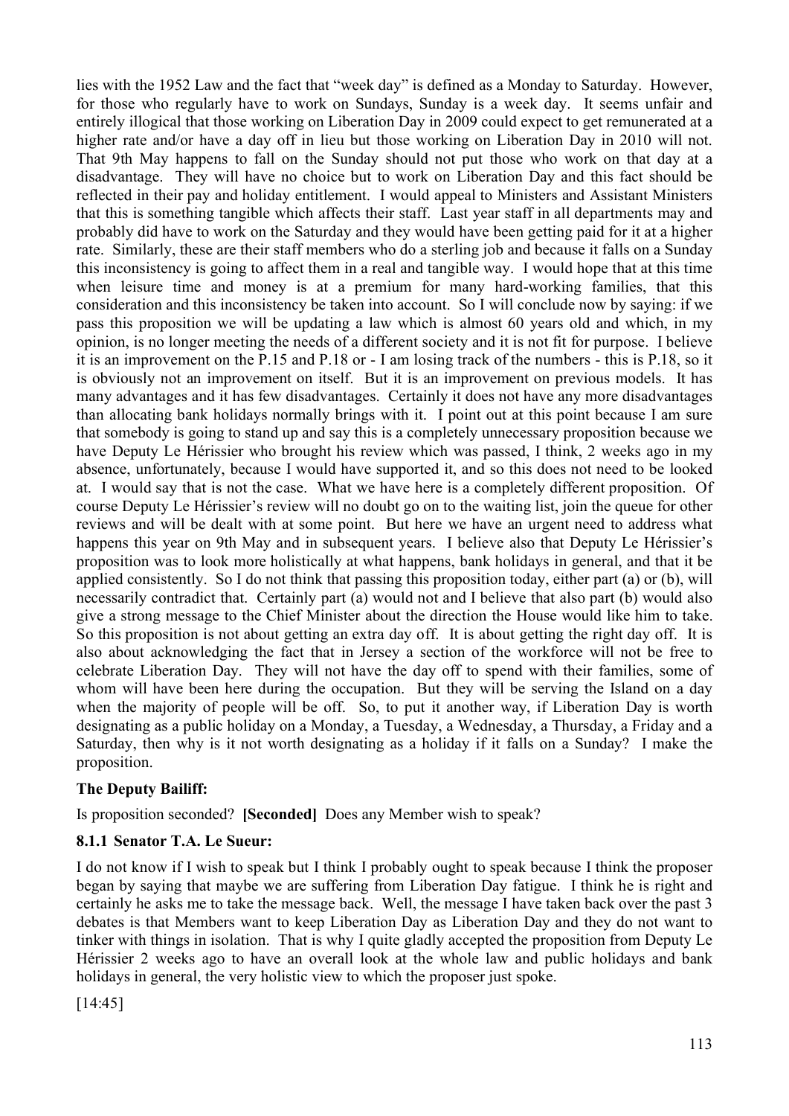lies with the 1952 Law and the fact that "week day" is defined as a Monday to Saturday. However, for those who regularly have to work on Sundays, Sunday is a week day. It seems unfair and entirely illogical that those working on Liberation Day in 2009 could expect to get remunerated at a higher rate and/or have a day off in lieu but those working on Liberation Day in 2010 will not. That 9th May happens to fall on the Sunday should not put those who work on that day at a disadvantage. They will have no choice but to work on Liberation Day and this fact should be reflected in their pay and holiday entitlement. I would appeal to Ministers and Assistant Ministers that this is something tangible which affects their staff. Last year staff in all departments may and probably did have to work on the Saturday and they would have been getting paid for it at a higher rate. Similarly, these are their staff members who do a sterling job and because it falls on a Sunday this inconsistency is going to affect them in a real and tangible way. I would hope that at this time when leisure time and money is at a premium for many hard-working families, that this consideration and this inconsistency be taken into account. So I will conclude now by saying: if we pass this proposition we will be updating a law which is almost 60 years old and which, in my opinion, is no longer meeting the needs of a different society and it is not fit for purpose. I believe it is an improvement on the P.15 and P.18 or - I am losing track of the numbers - this is P.18, so it is obviously not an improvement on itself. But it is an improvement on previous models. It has many advantages and it has few disadvantages. Certainly it does not have any more disadvantages than allocating bank holidays normally brings with it. I point out at this point because I am sure that somebody is going to stand up and say this is a completely unnecessary proposition because we have Deputy Le Hérissier who brought his review which was passed, I think, 2 weeks ago in my absence, unfortunately, because I would have supported it, and so this does not need to be looked at. I would say that is not the case. What we have here is a completely different proposition. Of course Deputy Le Hérissier's review will no doubt go on to the waiting list, join the queue for other reviews and will be dealt with at some point. But here we have an urgent need to address what happens this year on 9th May and in subsequent years. I believe also that Deputy Le Hérissier's proposition was to look more holistically at what happens, bank holidays in general, and that it be applied consistently. So I do not think that passing this proposition today, either part (a) or (b), will necessarily contradict that. Certainly part (a) would not and I believe that also part (b) would also give a strong message to the Chief Minister about the direction the House would like him to take. So this proposition is not about getting an extra day off. It is about getting the right day off. It is also about acknowledging the fact that in Jersey a section of the workforce will not be free to celebrate Liberation Day. They will not have the day off to spend with their families, some of whom will have been here during the occupation. But they will be serving the Island on a day when the majority of people will be off. So, to put it another way, if Liberation Day is worth designating as a public holiday on a Monday, a Tuesday, a Wednesday, a Thursday, a Friday and a Saturday, then why is it not worth designating as a holiday if it falls on a Sunday? I make the proposition.

## **The Deputy Bailiff:**

Is proposition seconded? **[Seconded]** Does any Member wish to speak?

#### **8.1.1 Senator T.A. Le Sueur:**

I do not know if I wish to speak but I think I probably ought to speak because I think the proposer began by saying that maybe we are suffering from Liberation Day fatigue. I think he is right and certainly he asks me to take the message back. Well, the message I have taken back over the past 3 debates is that Members want to keep Liberation Day as Liberation Day and they do not want to tinker with things in isolation. That is why I quite gladly accepted the proposition from Deputy Le Hérissier 2 weeks ago to have an overall look at the whole law and public holidays and bank holidays in general, the very holistic view to which the proposer just spoke.

[14:45]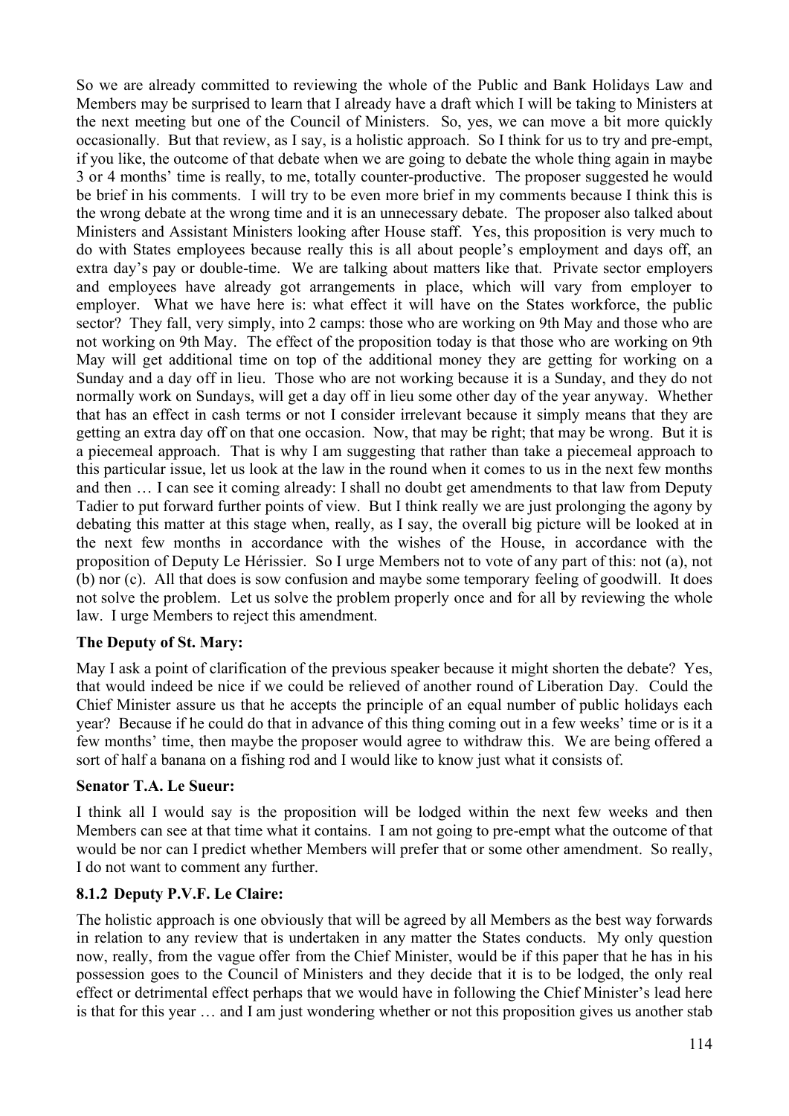So we are already committed to reviewing the whole of the Public and Bank Holidays Law and Members may be surprised to learn that I already have a draft which I will be taking to Ministers at the next meeting but one of the Council of Ministers. So, yes, we can move a bit more quickly occasionally. But that review, as I say, is a holistic approach. So I think for us to try and pre-empt, if you like, the outcome of that debate when we are going to debate the whole thing again in maybe 3 or 4 months' time is really, to me, totally counter-productive. The proposer suggested he would be brief in his comments. I will try to be even more brief in my comments because I think this is the wrong debate at the wrong time and it is an unnecessary debate. The proposer also talked about Ministers and Assistant Ministers looking after House staff. Yes, this proposition is very much to do with States employees because really this is all about people's employment and days off, an extra day's pay or double-time. We are talking about matters like that. Private sector employers and employees have already got arrangements in place, which will vary from employer to employer. What we have here is: what effect it will have on the States workforce, the public sector? They fall, very simply, into 2 camps: those who are working on 9th May and those who are not working on 9th May. The effect of the proposition today is that those who are working on 9th May will get additional time on top of the additional money they are getting for working on a Sunday and a day off in lieu. Those who are not working because it is a Sunday, and they do not normally work on Sundays, will get a day off in lieu some other day of the year anyway. Whether that has an effect in cash terms or not I consider irrelevant because it simply means that they are getting an extra day off on that one occasion. Now, that may be right; that may be wrong. But it is a piecemeal approach. That is why I am suggesting that rather than take a piecemeal approach to this particular issue, let us look at the law in the round when it comes to us in the next few months and then … I can see it coming already: I shall no doubt get amendments to that law from Deputy Tadier to put forward further points of view. But I think really we are just prolonging the agony by debating this matter at this stage when, really, as I say, the overall big picture will be looked at in the next few months in accordance with the wishes of the House, in accordance with the proposition of Deputy Le Hérissier. So I urge Members not to vote of any part of this: not (a), not (b) nor (c). All that does is sow confusion and maybe some temporary feeling of goodwill. It does not solve the problem. Let us solve the problem properly once and for all by reviewing the whole law. I urge Members to reject this amendment.

#### **The Deputy of St. Mary:**

May I ask a point of clarification of the previous speaker because it might shorten the debate? Yes, that would indeed be nice if we could be relieved of another round of Liberation Day. Could the Chief Minister assure us that he accepts the principle of an equal number of public holidays each year? Because if he could do that in advance of this thing coming out in a few weeks' time or is it a few months' time, then maybe the proposer would agree to withdraw this. We are being offered a sort of half a banana on a fishing rod and I would like to know just what it consists of.

#### **Senator T.A. Le Sueur:**

I think all I would say is the proposition will be lodged within the next few weeks and then Members can see at that time what it contains. I am not going to pre-empt what the outcome of that would be nor can I predict whether Members will prefer that or some other amendment. So really, I do not want to comment any further.

#### **8.1.2 Deputy P.V.F. Le Claire:**

The holistic approach is one obviously that will be agreed by all Members as the best way forwards in relation to any review that is undertaken in any matter the States conducts. My only question now, really, from the vague offer from the Chief Minister, would be if this paper that he has in his possession goes to the Council of Ministers and they decide that it is to be lodged, the only real effect or detrimental effect perhaps that we would have in following the Chief Minister's lead here is that for this year … and I am just wondering whether or not this proposition gives us another stab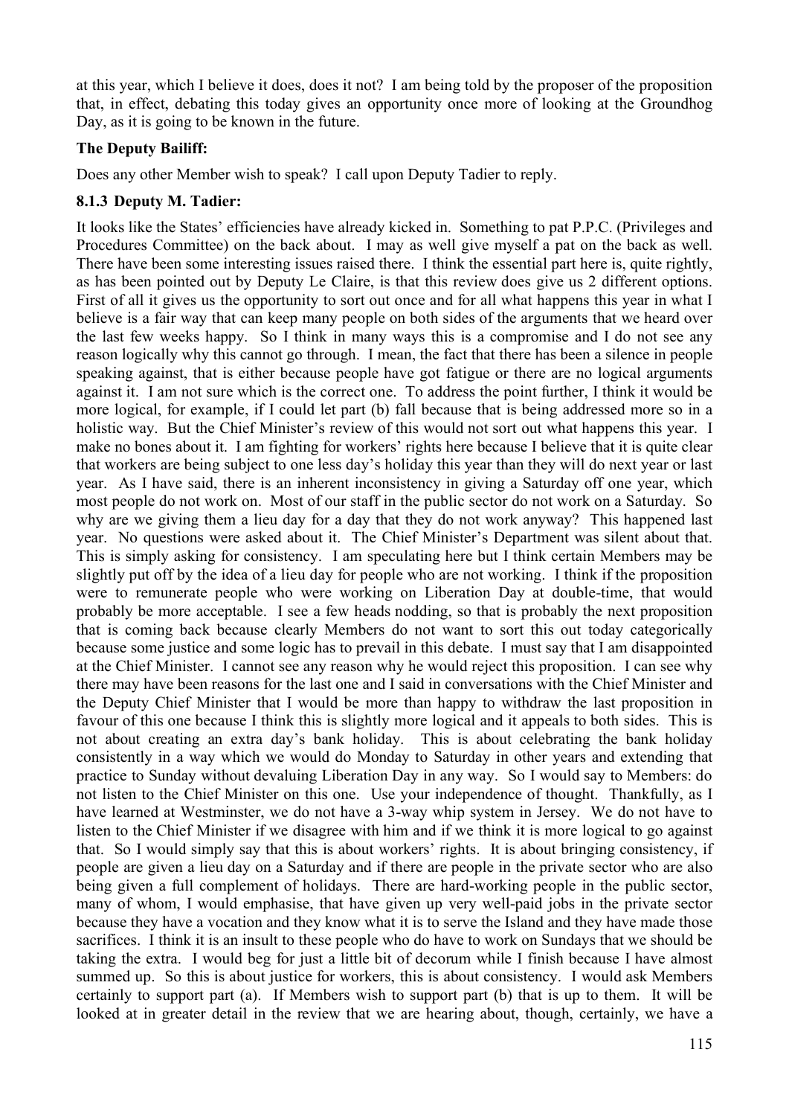at this year, which I believe it does, does it not? I am being told by the proposer of the proposition that, in effect, debating this today gives an opportunity once more of looking at the Groundhog Day, as it is going to be known in the future.

### **The Deputy Bailiff:**

Does any other Member wish to speak? I call upon Deputy Tadier to reply.

#### **8.1.3 Deputy M. Tadier:**

It looks like the States' efficiencies have already kicked in. Something to pat P.P.C. (Privileges and Procedures Committee) on the back about. I may as well give myself a pat on the back as well. There have been some interesting issues raised there. I think the essential part here is, quite rightly, as has been pointed out by Deputy Le Claire, is that this review does give us 2 different options. First of all it gives us the opportunity to sort out once and for all what happens this year in what I believe is a fair way that can keep many people on both sides of the arguments that we heard over the last few weeks happy. So I think in many ways this is a compromise and I do not see any reason logically why this cannot go through. I mean, the fact that there has been a silence in people speaking against, that is either because people have got fatigue or there are no logical arguments against it. I am not sure which is the correct one. To address the point further, I think it would be more logical, for example, if I could let part (b) fall because that is being addressed more so in a holistic way. But the Chief Minister's review of this would not sort out what happens this year. I make no bones about it. I am fighting for workers' rights here because I believe that it is quite clear that workers are being subject to one less day's holiday this year than they will do next year or last year. As I have said, there is an inherent inconsistency in giving a Saturday off one year, which most people do not work on. Most of our staff in the public sector do not work on a Saturday. So why are we giving them a lieu day for a day that they do not work anyway? This happened last year. No questions were asked about it. The Chief Minister's Department was silent about that. This is simply asking for consistency. I am speculating here but I think certain Members may be slightly put off by the idea of a lieu day for people who are not working. I think if the proposition were to remunerate people who were working on Liberation Day at double-time, that would probably be more acceptable. I see a few heads nodding, so that is probably the next proposition that is coming back because clearly Members do not want to sort this out today categorically because some justice and some logic has to prevail in this debate. I must say that I am disappointed at the Chief Minister. I cannot see any reason why he would reject this proposition. I can see why there may have been reasons for the last one and I said in conversations with the Chief Minister and the Deputy Chief Minister that I would be more than happy to withdraw the last proposition in favour of this one because I think this is slightly more logical and it appeals to both sides. This is not about creating an extra day's bank holiday. This is about celebrating the bank holiday consistently in a way which we would do Monday to Saturday in other years and extending that practice to Sunday without devaluing Liberation Day in any way. So I would say to Members: do not listen to the Chief Minister on this one. Use your independence of thought. Thankfully, as I have learned at Westminster, we do not have a 3-way whip system in Jersey. We do not have to listen to the Chief Minister if we disagree with him and if we think it is more logical to go against that. So I would simply say that this is about workers' rights. It is about bringing consistency, if people are given a lieu day on a Saturday and if there are people in the private sector who are also being given a full complement of holidays. There are hard-working people in the public sector, many of whom, I would emphasise, that have given up very well-paid jobs in the private sector because they have a vocation and they know what it is to serve the Island and they have made those sacrifices. I think it is an insult to these people who do have to work on Sundays that we should be taking the extra. I would beg for just a little bit of decorum while I finish because I have almost summed up. So this is about justice for workers, this is about consistency. I would ask Members certainly to support part (a). If Members wish to support part (b) that is up to them. It will be looked at in greater detail in the review that we are hearing about, though, certainly, we have a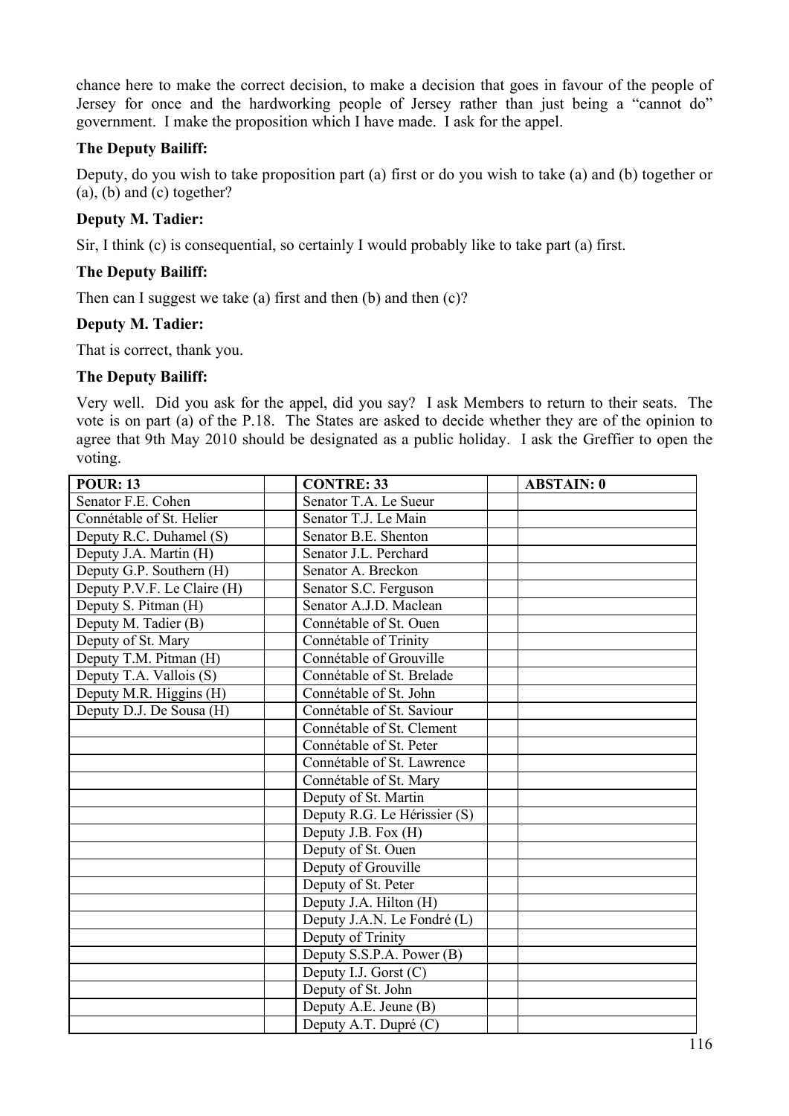chance here to make the correct decision, to make a decision that goes in favour of the people of Jersey for once and the hardworking people of Jersey rather than just being a "cannot do" government. I make the proposition which I have made. I ask for the appel.

### **The Deputy Bailiff:**

Deputy, do you wish to take proposition part (a) first or do you wish to take (a) and (b) together or (a), (b) and (c) together?

### **Deputy M. Tadier:**

Sir, I think (c) is consequential, so certainly I would probably like to take part (a) first.

### **The Deputy Bailiff:**

Then can I suggest we take (a) first and then  $(b)$  and then  $(c)$ ?

#### **Deputy M. Tadier:**

That is correct, thank you.

### **The Deputy Bailiff:**

Very well. Did you ask for the appel, did you say? I ask Members to return to their seats. The vote is on part (a) of the P.18. The States are asked to decide whether they are of the opinion to agree that 9th May 2010 should be designated as a public holiday. I ask the Greffier to open the voting.

| <b>POUR: 13</b>             | <b>CONTRE: 33</b>            | <b>ABSTAIN: 0</b> |
|-----------------------------|------------------------------|-------------------|
| Senator F.E. Cohen          | Senator T.A. Le Sueur        |                   |
| Connétable of St. Helier    | Senator T.J. Le Main         |                   |
| Deputy R.C. Duhamel (S)     | Senator B.E. Shenton         |                   |
| Deputy J.A. Martin (H)      | Senator J.L. Perchard        |                   |
| Deputy G.P. Southern (H)    | Senator A. Breckon           |                   |
| Deputy P.V.F. Le Claire (H) | Senator S.C. Ferguson        |                   |
| Deputy S. Pitman (H)        | Senator A.J.D. Maclean       |                   |
| Deputy M. Tadier (B)        | Connétable of St. Ouen       |                   |
| Deputy of St. Mary          | Connétable of Trinity        |                   |
| Deputy T.M. Pitman (H)      | Connétable of Grouville      |                   |
| Deputy T.A. Vallois (S)     | Connétable of St. Brelade    |                   |
| Deputy M.R. Higgins (H)     | Connétable of St. John       |                   |
| Deputy D.J. De Sousa (H)    | Connétable of St. Saviour    |                   |
|                             | Connétable of St. Clement    |                   |
|                             | Connétable of St. Peter      |                   |
|                             | Connétable of St. Lawrence   |                   |
|                             | Connétable of St. Mary       |                   |
|                             | Deputy of St. Martin         |                   |
|                             | Deputy R.G. Le Hérissier (S) |                   |
|                             | Deputy J.B. Fox (H)          |                   |
|                             | Deputy of St. Ouen           |                   |
|                             | Deputy of Grouville          |                   |
|                             | Deputy of St. Peter          |                   |
|                             | Deputy J.A. Hilton (H)       |                   |
|                             | Deputy J.A.N. Le Fondré (L)  |                   |
|                             | Deputy of Trinity            |                   |
|                             | Deputy S.S.P.A. Power (B)    |                   |
|                             | Deputy I.J. Gorst (C)        |                   |
|                             | Deputy of St. John           |                   |
|                             | Deputy A.E. Jeune $(B)$      |                   |
|                             | Deputy A.T. Dupré (C)        |                   |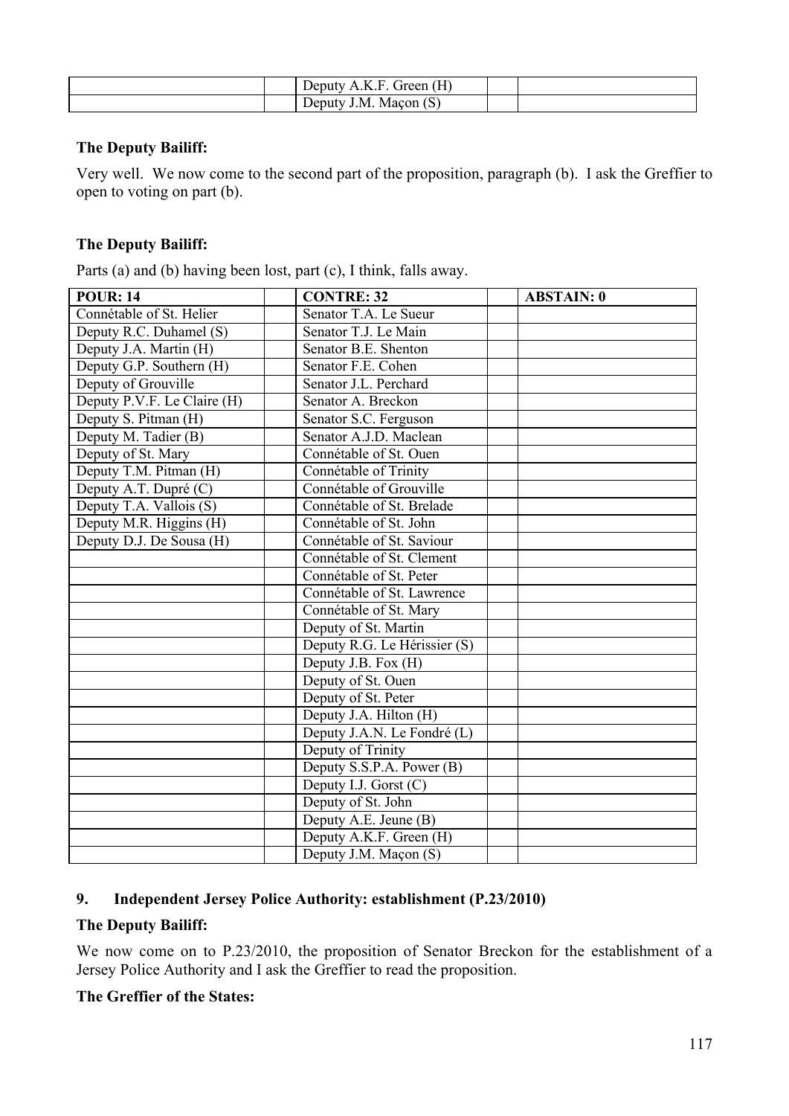|  | Green $(H)$<br>Deputy A.K.F |  |
|--|-----------------------------|--|
|  | Deputy J.M. Maçon (S)       |  |

#### **The Deputy Bailiff:**

Very well. We now come to the second part of the proposition, paragraph (b). I ask the Greffier to open to voting on part (b).

## **The Deputy Bailiff:**

Parts (a) and (b) having been lost, part (c), I think, falls away.

| <b>POUR: 14</b>             | <b>CONTRE: 32</b>            | <b>ABSTAIN: 0</b> |
|-----------------------------|------------------------------|-------------------|
| Connétable of St. Helier    | Senator T.A. Le Sueur        |                   |
| Deputy R.C. Duhamel (S)     | Senator T.J. Le Main         |                   |
| Deputy J.A. Martin (H)      | Senator B.E. Shenton         |                   |
| Deputy G.P. Southern (H)    | Senator F.E. Cohen           |                   |
| Deputy of Grouville         | Senator J.L. Perchard        |                   |
| Deputy P.V.F. Le Claire (H) | Senator A. Breckon           |                   |
| Deputy S. Pitman (H)        | Senator S.C. Ferguson        |                   |
| Deputy M. Tadier (B)        | Senator A.J.D. Maclean       |                   |
| Deputy of St. Mary          | Connétable of St. Ouen       |                   |
| Deputy T.M. Pitman (H)      | Connétable of Trinity        |                   |
| Deputy A.T. Dupré (C)       | Connétable of Grouville      |                   |
| Deputy T.A. Vallois (S)     | Connétable of St. Brelade    |                   |
| Deputy M.R. Higgins (H)     | Connétable of St. John       |                   |
| Deputy D.J. De Sousa (H)    | Connétable of St. Saviour    |                   |
|                             | Connétable of St. Clement    |                   |
|                             | Connétable of St. Peter      |                   |
|                             | Connétable of St. Lawrence   |                   |
|                             | Connétable of St. Mary       |                   |
|                             | Deputy of St. Martin         |                   |
|                             | Deputy R.G. Le Hérissier (S) |                   |
|                             | Deputy J.B. Fox (H)          |                   |
|                             | Deputy of St. Ouen           |                   |
|                             | Deputy of St. Peter          |                   |
|                             | Deputy J.A. Hilton (H)       |                   |
|                             | Deputy J.A.N. Le Fondré (L)  |                   |
|                             | Deputy of Trinity            |                   |
|                             | Deputy S.S.P.A. Power (B)    |                   |
|                             | Deputy I.J. Gorst $(C)$      |                   |
|                             | Deputy of St. John           |                   |
|                             | Deputy A.E. Jeune (B)        |                   |
|                             | Deputy A.K.F. Green (H)      |                   |
|                             | Deputy J.M. Maçon (S)        |                   |

# **9. Independent Jersey Police Authority: establishment (P.23/2010)**

### **The Deputy Bailiff:**

We now come on to P.23/2010, the proposition of Senator Breckon for the establishment of a Jersey Police Authority and I ask the Greffier to read the proposition.

### **The Greffier of the States:**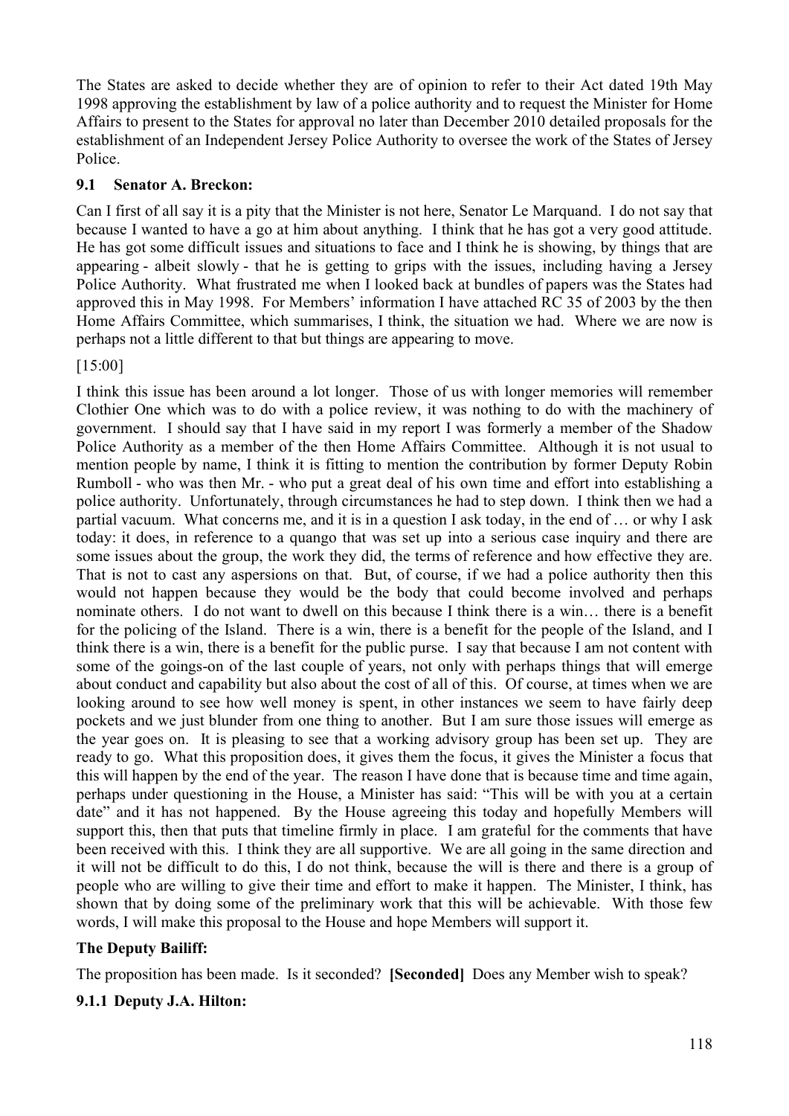The States are asked to decide whether they are of opinion to refer to their Act dated 19th May 1998 approving the establishment by law of a police authority and to request the Minister for Home Affairs to present to the States for approval no later than December 2010 detailed proposals for the establishment of an Independent Jersey Police Authority to oversee the work of the States of Jersey Police.

### **9.1 Senator A. Breckon:**

Can I first of all say it is a pity that the Minister is not here, Senator Le Marquand. I do not say that because I wanted to have a go at him about anything. I think that he has got a very good attitude. He has got some difficult issues and situations to face and I think he is showing, by things that are appearing - albeit slowly - that he is getting to grips with the issues, including having a Jersey Police Authority. What frustrated me when I looked back at bundles of papers was the States had approved this in May 1998. For Members' information I have attached RC 35 of 2003 by the then Home Affairs Committee, which summarises, I think, the situation we had. Where we are now is perhaps not a little different to that but things are appearing to move.

[15:00]

I think this issue has been around a lot longer. Those of us with longer memories will remember Clothier One which was to do with a police review, it was nothing to do with the machinery of government. I should say that I have said in my report I was formerly a member of the Shadow Police Authority as a member of the then Home Affairs Committee. Although it is not usual to mention people by name, I think it is fitting to mention the contribution by former Deputy Robin Rumboll - who was then Mr. - who put a great deal of his own time and effort into establishing a police authority. Unfortunately, through circumstances he had to step down. I think then we had a partial vacuum. What concerns me, and it is in a question I ask today, in the end of … or why I ask today: it does, in reference to a quango that was set up into a serious case inquiry and there are some issues about the group, the work they did, the terms of reference and how effective they are. That is not to cast any aspersions on that. But, of course, if we had a police authority then this would not happen because they would be the body that could become involved and perhaps nominate others. I do not want to dwell on this because I think there is a win… there is a benefit for the policing of the Island. There is a win, there is a benefit for the people of the Island, and I think there is a win, there is a benefit for the public purse. I say that because I am not content with some of the goings-on of the last couple of years, not only with perhaps things that will emerge about conduct and capability but also about the cost of all of this. Of course, at times when we are looking around to see how well money is spent, in other instances we seem to have fairly deep pockets and we just blunder from one thing to another. But I am sure those issues will emerge as the year goes on. It is pleasing to see that a working advisory group has been set up. They are ready to go. What this proposition does, it gives them the focus, it gives the Minister a focus that this will happen by the end of the year. The reason I have done that is because time and time again, perhaps under questioning in the House, a Minister has said: "This will be with you at a certain date" and it has not happened. By the House agreeing this today and hopefully Members will support this, then that puts that timeline firmly in place. I am grateful for the comments that have been received with this. I think they are all supportive. We are all going in the same direction and it will not be difficult to do this, I do not think, because the will is there and there is a group of people who are willing to give their time and effort to make it happen. The Minister, I think, has shown that by doing some of the preliminary work that this will be achievable. With those few words, I will make this proposal to the House and hope Members will support it.

#### **The Deputy Bailiff:**

The proposition has been made. Is it seconded? **[Seconded]** Does any Member wish to speak?

#### **9.1.1 Deputy J.A. Hilton:**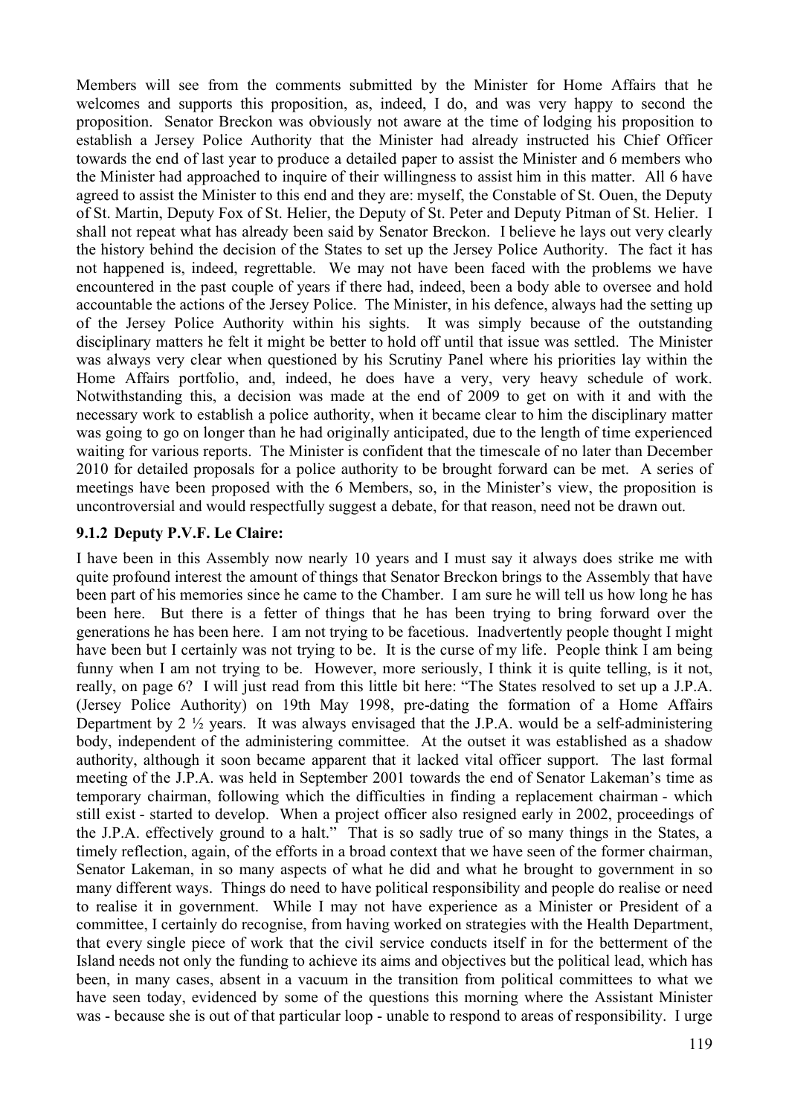Members will see from the comments submitted by the Minister for Home Affairs that he welcomes and supports this proposition, as, indeed, I do, and was very happy to second the proposition. Senator Breckon was obviously not aware at the time of lodging his proposition to establish a Jersey Police Authority that the Minister had already instructed his Chief Officer towards the end of last year to produce a detailed paper to assist the Minister and 6 members who the Minister had approached to inquire of their willingness to assist him in this matter. All 6 have agreed to assist the Minister to this end and they are: myself, the Constable of St. Ouen, the Deputy of St. Martin, Deputy Fox of St. Helier, the Deputy of St. Peter and Deputy Pitman of St. Helier. I shall not repeat what has already been said by Senator Breckon. I believe he lays out very clearly the history behind the decision of the States to set up the Jersey Police Authority. The fact it has not happened is, indeed, regrettable. We may not have been faced with the problems we have encountered in the past couple of years if there had, indeed, been a body able to oversee and hold accountable the actions of the Jersey Police. The Minister, in his defence, always had the setting up of the Jersey Police Authority within his sights. It was simply because of the outstanding disciplinary matters he felt it might be better to hold off until that issue was settled. The Minister was always very clear when questioned by his Scrutiny Panel where his priorities lay within the Home Affairs portfolio, and, indeed, he does have a very, very heavy schedule of work. Notwithstanding this, a decision was made at the end of 2009 to get on with it and with the necessary work to establish a police authority, when it became clear to him the disciplinary matter was going to go on longer than he had originally anticipated, due to the length of time experienced waiting for various reports. The Minister is confident that the timescale of no later than December 2010 for detailed proposals for a police authority to be brought forward can be met. A series of meetings have been proposed with the 6 Members, so, in the Minister's view, the proposition is uncontroversial and would respectfully suggest a debate, for that reason, need not be drawn out.

#### **9.1.2 Deputy P.V.F. Le Claire:**

I have been in this Assembly now nearly 10 years and I must say it always does strike me with quite profound interest the amount of things that Senator Breckon brings to the Assembly that have been part of his memories since he came to the Chamber. I am sure he will tell us how long he has been here. But there is a fetter of things that he has been trying to bring forward over the generations he has been here. I am not trying to be facetious. Inadvertently people thought I might have been but I certainly was not trying to be. It is the curse of my life. People think I am being funny when I am not trying to be. However, more seriously, I think it is quite telling, is it not, really, on page 6? I will just read from this little bit here: "The States resolved to set up a J.P.A. (Jersey Police Authority) on 19th May 1998, pre-dating the formation of a Home Affairs Department by 2  $\frac{1}{2}$  years. It was always envisaged that the J.P.A. would be a self-administering body, independent of the administering committee. At the outset it was established as a shadow authority, although it soon became apparent that it lacked vital officer support. The last formal meeting of the J.P.A. was held in September 2001 towards the end of Senator Lakeman's time as temporary chairman, following which the difficulties in finding a replacement chairman - which still exist - started to develop. When a project officer also resigned early in 2002, proceedings of the J.P.A. effectively ground to a halt." That is so sadly true of so many things in the States, a timely reflection, again, of the efforts in a broad context that we have seen of the former chairman, Senator Lakeman, in so many aspects of what he did and what he brought to government in so many different ways. Things do need to have political responsibility and people do realise or need to realise it in government. While I may not have experience as a Minister or President of a committee, I certainly do recognise, from having worked on strategies with the Health Department, that every single piece of work that the civil service conducts itself in for the betterment of the Island needs not only the funding to achieve its aims and objectives but the political lead, which has been, in many cases, absent in a vacuum in the transition from political committees to what we have seen today, evidenced by some of the questions this morning where the Assistant Minister was - because she is out of that particular loop - unable to respond to areas of responsibility. I urge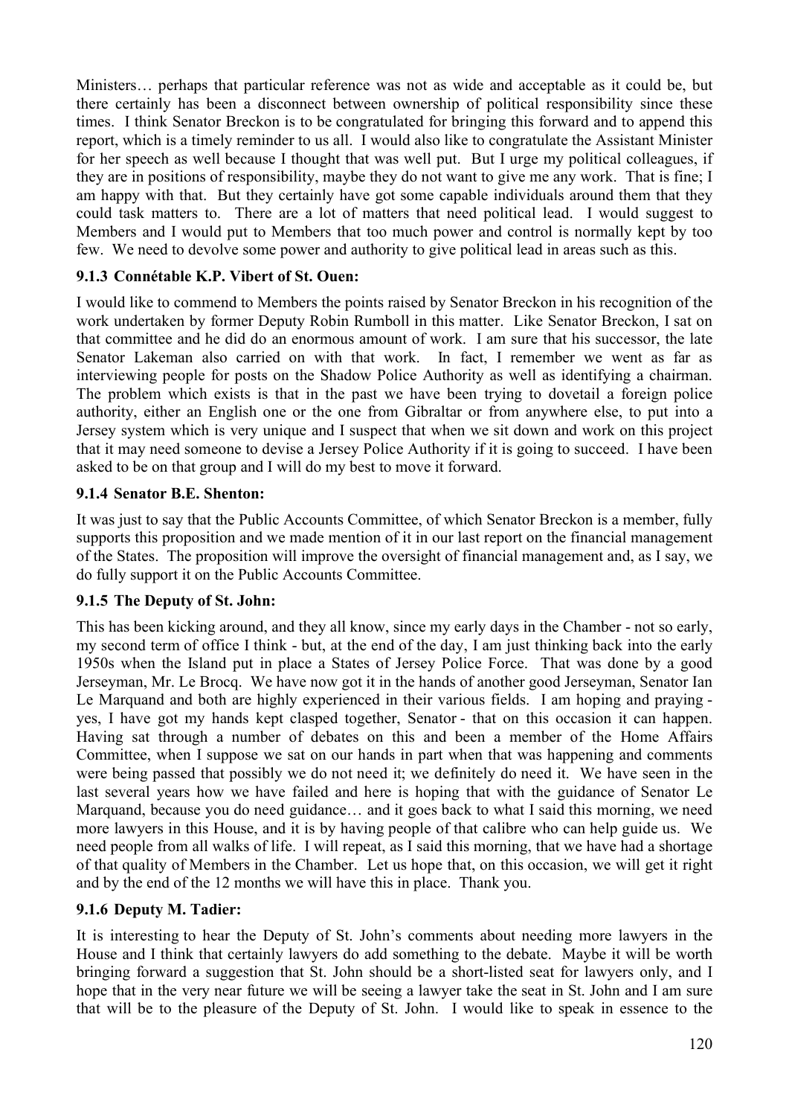Ministers… perhaps that particular reference was not as wide and acceptable as it could be, but there certainly has been a disconnect between ownership of political responsibility since these times. I think Senator Breckon is to be congratulated for bringing this forward and to append this report, which is a timely reminder to us all. I would also like to congratulate the Assistant Minister for her speech as well because I thought that was well put. But I urge my political colleagues, if they are in positions of responsibility, maybe they do not want to give me any work. That is fine; I am happy with that. But they certainly have got some capable individuals around them that they could task matters to. There are a lot of matters that need political lead. I would suggest to Members and I would put to Members that too much power and control is normally kept by too few. We need to devolve some power and authority to give political lead in areas such as this.

## **9.1.3 Connétable K.P. Vibert of St. Ouen:**

I would like to commend to Members the points raised by Senator Breckon in his recognition of the work undertaken by former Deputy Robin Rumboll in this matter. Like Senator Breckon, I sat on that committee and he did do an enormous amount of work. I am sure that his successor, the late Senator Lakeman also carried on with that work. In fact, I remember we went as far as interviewing people for posts on the Shadow Police Authority as well as identifying a chairman. The problem which exists is that in the past we have been trying to dovetail a foreign police authority, either an English one or the one from Gibraltar or from anywhere else, to put into a Jersey system which is very unique and I suspect that when we sit down and work on this project that it may need someone to devise a Jersey Police Authority if it is going to succeed. I have been asked to be on that group and I will do my best to move it forward.

#### **9.1.4 Senator B.E. Shenton:**

It was just to say that the Public Accounts Committee, of which Senator Breckon is a member, fully supports this proposition and we made mention of it in our last report on the financial management of the States. The proposition will improve the oversight of financial management and, as I say, we do fully support it on the Public Accounts Committee.

#### **9.1.5 The Deputy of St. John:**

This has been kicking around, and they all know, since my early days in the Chamber - not so early, my second term of office I think - but, at the end of the day, I am just thinking back into the early 1950s when the Island put in place a States of Jersey Police Force. That was done by a good Jerseyman, Mr. Le Brocq. We have now got it in the hands of another good Jerseyman, Senator Ian Le Marquand and both are highly experienced in their various fields. I am hoping and praying yes, I have got my hands kept clasped together, Senator - that on this occasion it can happen. Having sat through a number of debates on this and been a member of the Home Affairs Committee, when I suppose we sat on our hands in part when that was happening and comments were being passed that possibly we do not need it; we definitely do need it. We have seen in the last several years how we have failed and here is hoping that with the guidance of Senator Le Marquand, because you do need guidance… and it goes back to what I said this morning, we need more lawyers in this House, and it is by having people of that calibre who can help guide us. We need people from all walks of life. I will repeat, as I said this morning, that we have had a shortage of that quality of Members in the Chamber. Let us hope that, on this occasion, we will get it right and by the end of the 12 months we will have this in place. Thank you.

#### **9.1.6 Deputy M. Tadier:**

It is interesting to hear the Deputy of St. John's comments about needing more lawyers in the House and I think that certainly lawyers do add something to the debate. Maybe it will be worth bringing forward a suggestion that St. John should be a short-listed seat for lawyers only, and I hope that in the very near future we will be seeing a lawyer take the seat in St. John and I am sure that will be to the pleasure of the Deputy of St. John. I would like to speak in essence to the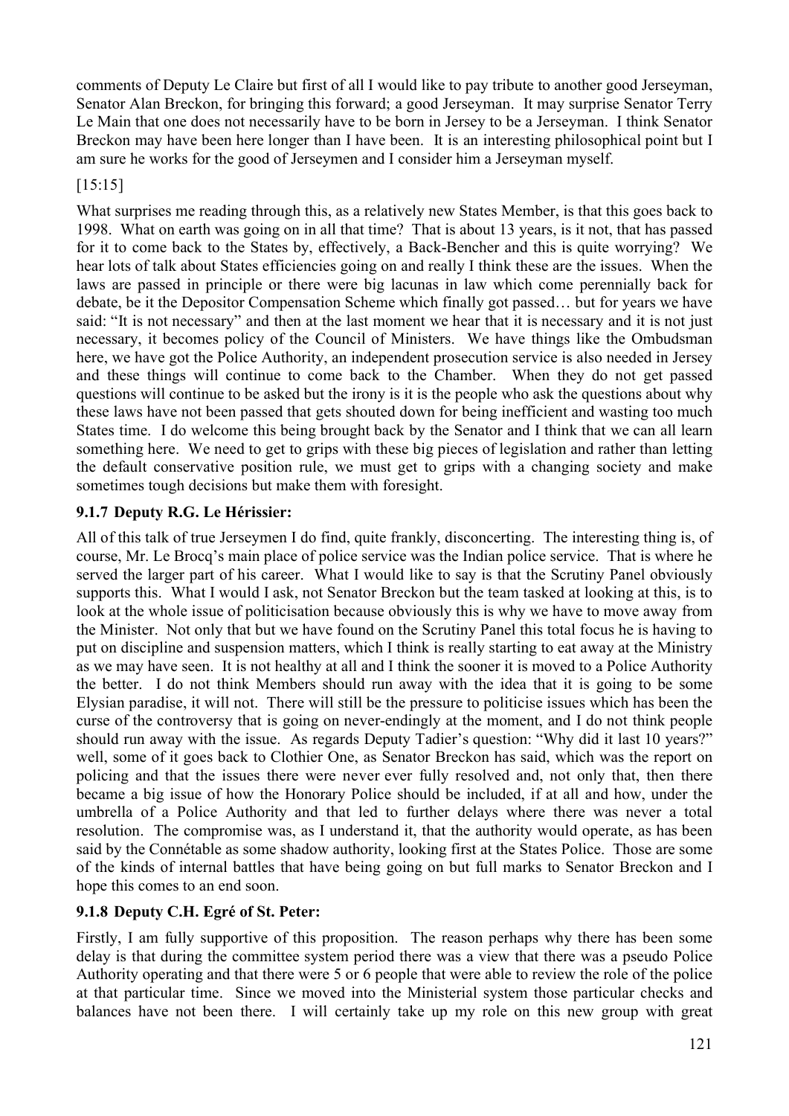comments of Deputy Le Claire but first of all I would like to pay tribute to another good Jerseyman, Senator Alan Breckon, for bringing this forward; a good Jerseyman. It may surprise Senator Terry Le Main that one does not necessarily have to be born in Jersey to be a Jerseyman. I think Senator Breckon may have been here longer than I have been. It is an interesting philosophical point but I am sure he works for the good of Jerseymen and I consider him a Jerseyman myself.

### [15:15]

What surprises me reading through this, as a relatively new States Member, is that this goes back to 1998. What on earth was going on in all that time? That is about 13 years, is it not, that has passed for it to come back to the States by, effectively, a Back-Bencher and this is quite worrying? We hear lots of talk about States efficiencies going on and really I think these are the issues. When the laws are passed in principle or there were big lacunas in law which come perennially back for debate, be it the Depositor Compensation Scheme which finally got passed… but for years we have said: "It is not necessary" and then at the last moment we hear that it is necessary and it is not just necessary, it becomes policy of the Council of Ministers. We have things like the Ombudsman here, we have got the Police Authority, an independent prosecution service is also needed in Jersey and these things will continue to come back to the Chamber. When they do not get passed questions will continue to be asked but the irony is it is the people who ask the questions about why these laws have not been passed that gets shouted down for being inefficient and wasting too much States time. I do welcome this being brought back by the Senator and I think that we can all learn something here. We need to get to grips with these big pieces of legislation and rather than letting the default conservative position rule, we must get to grips with a changing society and make sometimes tough decisions but make them with foresight.

## **9.1.7 Deputy R.G. Le Hérissier:**

All of this talk of true Jerseymen I do find, quite frankly, disconcerting. The interesting thing is, of course, Mr. Le Brocq's main place of police service was the Indian police service. That is where he served the larger part of his career. What I would like to say is that the Scrutiny Panel obviously supports this. What I would I ask, not Senator Breckon but the team tasked at looking at this, is to look at the whole issue of politicisation because obviously this is why we have to move away from the Minister. Not only that but we have found on the Scrutiny Panel this total focus he is having to put on discipline and suspension matters, which I think is really starting to eat away at the Ministry as we may have seen. It is not healthy at all and I think the sooner it is moved to a Police Authority the better. I do not think Members should run away with the idea that it is going to be some Elysian paradise, it will not. There will still be the pressure to politicise issues which has been the curse of the controversy that is going on never-endingly at the moment, and I do not think people should run away with the issue. As regards Deputy Tadier's question: "Why did it last 10 years?" well, some of it goes back to Clothier One, as Senator Breckon has said, which was the report on policing and that the issues there were never ever fully resolved and, not only that, then there became a big issue of how the Honorary Police should be included, if at all and how, under the umbrella of a Police Authority and that led to further delays where there was never a total resolution. The compromise was, as I understand it, that the authority would operate, as has been said by the Connétable as some shadow authority, looking first at the States Police. Those are some of the kinds of internal battles that have being going on but full marks to Senator Breckon and I hope this comes to an end soon.

## **9.1.8 Deputy C.H. Egré of St. Peter:**

Firstly, I am fully supportive of this proposition. The reason perhaps why there has been some delay is that during the committee system period there was a view that there was a pseudo Police Authority operating and that there were 5 or 6 people that were able to review the role of the police at that particular time. Since we moved into the Ministerial system those particular checks and balances have not been there. I will certainly take up my role on this new group with great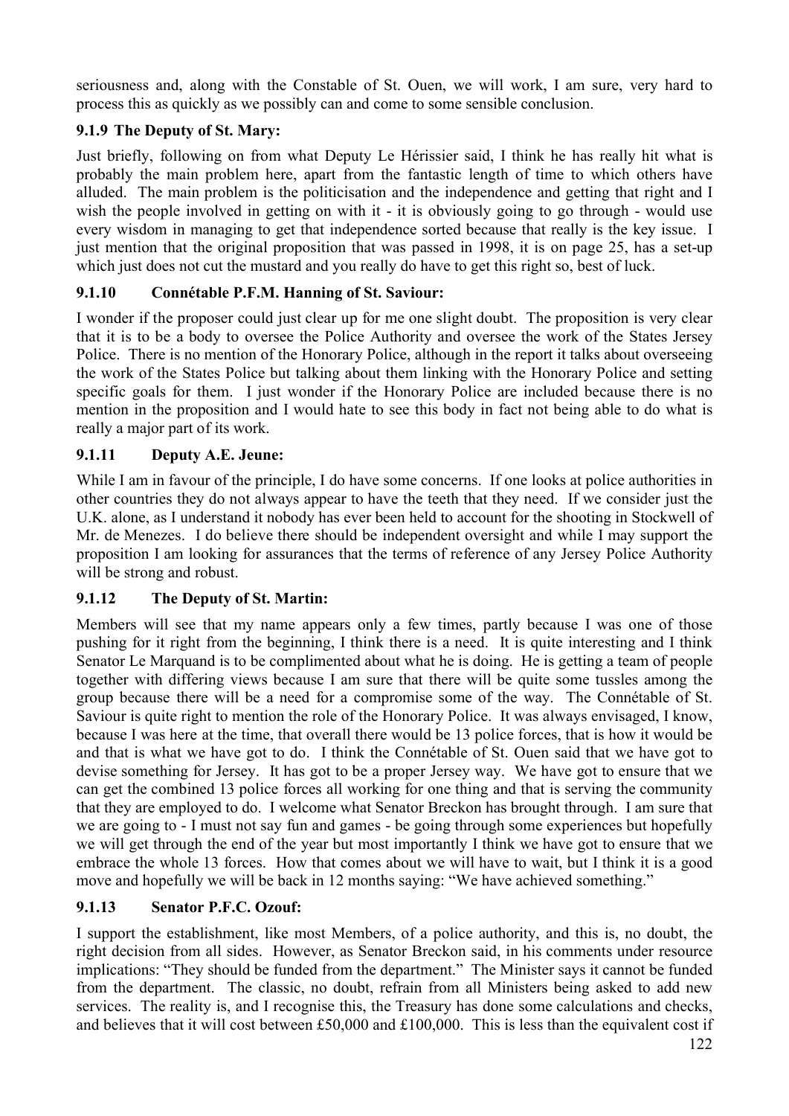seriousness and, along with the Constable of St. Ouen, we will work, I am sure, very hard to process this as quickly as we possibly can and come to some sensible conclusion.

# **9.1.9 The Deputy of St. Mary:**

Just briefly, following on from what Deputy Le Hérissier said, I think he has really hit what is probably the main problem here, apart from the fantastic length of time to which others have alluded. The main problem is the politicisation and the independence and getting that right and I wish the people involved in getting on with it - it is obviously going to go through - would use every wisdom in managing to get that independence sorted because that really is the key issue. I just mention that the original proposition that was passed in 1998, it is on page 25, has a set-up which just does not cut the mustard and you really do have to get this right so, best of luck.

## **9.1.10 Connétable P.F.M. Hanning of St. Saviour:**

I wonder if the proposer could just clear up for me one slight doubt. The proposition is very clear that it is to be a body to oversee the Police Authority and oversee the work of the States Jersey Police. There is no mention of the Honorary Police, although in the report it talks about overseeing the work of the States Police but talking about them linking with the Honorary Police and setting specific goals for them. I just wonder if the Honorary Police are included because there is no mention in the proposition and I would hate to see this body in fact not being able to do what is really a major part of its work.

## **9.1.11 Deputy A.E. Jeune:**

While I am in favour of the principle, I do have some concerns. If one looks at police authorities in other countries they do not always appear to have the teeth that they need. If we consider just the U.K. alone, as I understand it nobody has ever been held to account for the shooting in Stockwell of Mr. de Menezes. I do believe there should be independent oversight and while I may support the proposition I am looking for assurances that the terms of reference of any Jersey Police Authority will be strong and robust.

## **9.1.12 The Deputy of St. Martin:**

Members will see that my name appears only a few times, partly because I was one of those pushing for it right from the beginning, I think there is a need. It is quite interesting and I think Senator Le Marquand is to be complimented about what he is doing. He is getting a team of people together with differing views because I am sure that there will be quite some tussles among the group because there will be a need for a compromise some of the way. The Connétable of St. Saviour is quite right to mention the role of the Honorary Police. It was always envisaged, I know, because I was here at the time, that overall there would be 13 police forces, that is how it would be and that is what we have got to do. I think the Connétable of St. Ouen said that we have got to devise something for Jersey. It has got to be a proper Jersey way. We have got to ensure that we can get the combined 13 police forces all working for one thing and that is serving the community that they are employed to do. I welcome what Senator Breckon has brought through. I am sure that we are going to - I must not say fun and games - be going through some experiences but hopefully we will get through the end of the year but most importantly I think we have got to ensure that we embrace the whole 13 forces. How that comes about we will have to wait, but I think it is a good move and hopefully we will be back in 12 months saying: "We have achieved something."

## **9.1.13 Senator P.F.C. Ozouf:**

I support the establishment, like most Members, of a police authority, and this is, no doubt, the right decision from all sides. However, as Senator Breckon said, in his comments under resource implications: "They should be funded from the department." The Minister says it cannot be funded from the department. The classic, no doubt, refrain from all Ministers being asked to add new services. The reality is, and I recognise this, the Treasury has done some calculations and checks, and believes that it will cost between £50,000 and £100,000. This is less than the equivalent cost if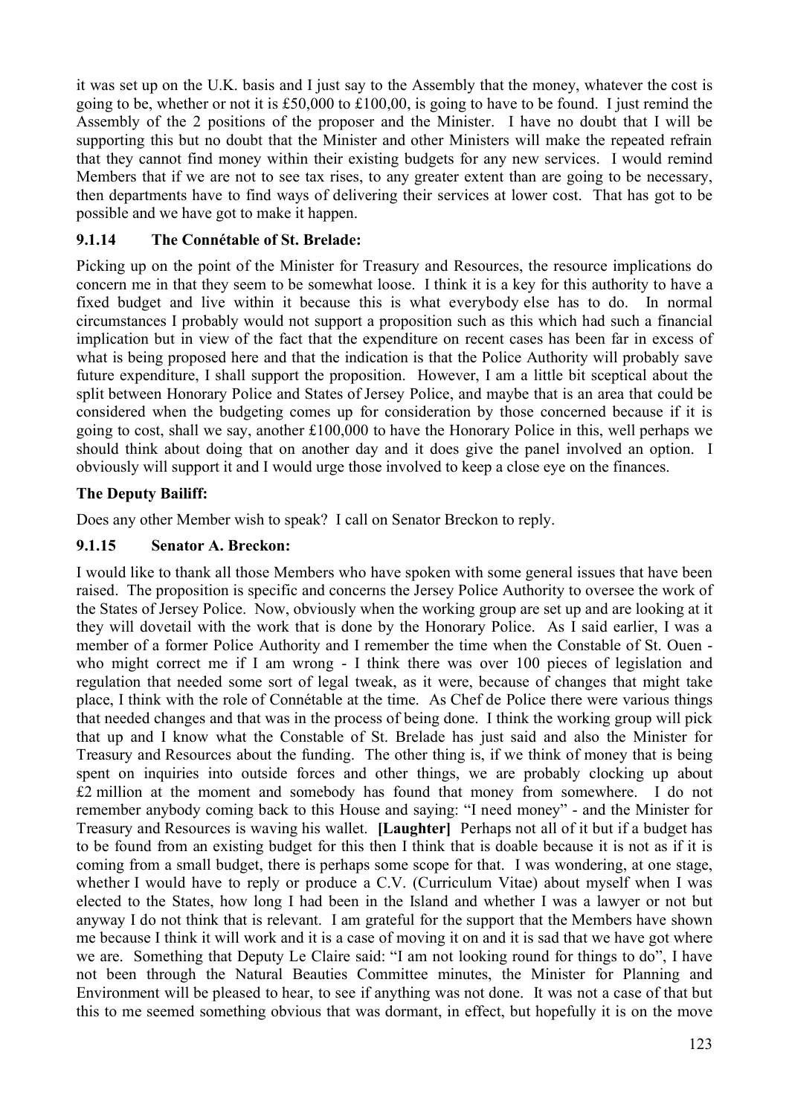it was set up on the U.K. basis and I just say to the Assembly that the money, whatever the cost is going to be, whether or not it is £50,000 to £100,00, is going to have to be found. I just remind the Assembly of the 2 positions of the proposer and the Minister. I have no doubt that I will be supporting this but no doubt that the Minister and other Ministers will make the repeated refrain that they cannot find money within their existing budgets for any new services. I would remind Members that if we are not to see tax rises, to any greater extent than are going to be necessary, then departments have to find ways of delivering their services at lower cost. That has got to be possible and we have got to make it happen.

## **9.1.14 The Connétable of St. Brelade:**

Picking up on the point of the Minister for Treasury and Resources, the resource implications do concern me in that they seem to be somewhat loose. I think it is a key for this authority to have a fixed budget and live within it because this is what everybody else has to do. In normal circumstances I probably would not support a proposition such as this which had such a financial implication but in view of the fact that the expenditure on recent cases has been far in excess of what is being proposed here and that the indication is that the Police Authority will probably save future expenditure, I shall support the proposition. However, I am a little bit sceptical about the split between Honorary Police and States of Jersey Police, and maybe that is an area that could be considered when the budgeting comes up for consideration by those concerned because if it is going to cost, shall we say, another £100,000 to have the Honorary Police in this, well perhaps we should think about doing that on another day and it does give the panel involved an option. I obviously will support it and I would urge those involved to keep a close eye on the finances.

# **The Deputy Bailiff:**

Does any other Member wish to speak? I call on Senator Breckon to reply.

## **9.1.15 Senator A. Breckon:**

I would like to thank all those Members who have spoken with some general issues that have been raised. The proposition is specific and concerns the Jersey Police Authority to oversee the work of the States of Jersey Police. Now, obviously when the working group are set up and are looking at it they will dovetail with the work that is done by the Honorary Police. As I said earlier, I was a member of a former Police Authority and I remember the time when the Constable of St. Ouen who might correct me if I am wrong - I think there was over 100 pieces of legislation and regulation that needed some sort of legal tweak, as it were, because of changes that might take place, I think with the role of Connétable at the time. As Chef de Police there were various things that needed changes and that was in the process of being done. I think the working group will pick that up and I know what the Constable of St. Brelade has just said and also the Minister for Treasury and Resources about the funding. The other thing is, if we think of money that is being spent on inquiries into outside forces and other things, we are probably clocking up about £2 million at the moment and somebody has found that money from somewhere. I do not remember anybody coming back to this House and saying: "I need money" - and the Minister for Treasury and Resources is waving his wallet. **[Laughter]** Perhaps not all of it but if a budget has to be found from an existing budget for this then I think that is doable because it is not as if it is coming from a small budget, there is perhaps some scope for that. I was wondering, at one stage, whether I would have to reply or produce a C.V. (Curriculum Vitae) about myself when I was elected to the States, how long I had been in the Island and whether I was a lawyer or not but anyway I do not think that is relevant. I am grateful for the support that the Members have shown me because I think it will work and it is a case of moving it on and it is sad that we have got where we are. Something that Deputy Le Claire said: "I am not looking round for things to do", I have not been through the Natural Beauties Committee minutes, the Minister for Planning and Environment will be pleased to hear, to see if anything was not done. It was not a case of that but this to me seemed something obvious that was dormant, in effect, but hopefully it is on the move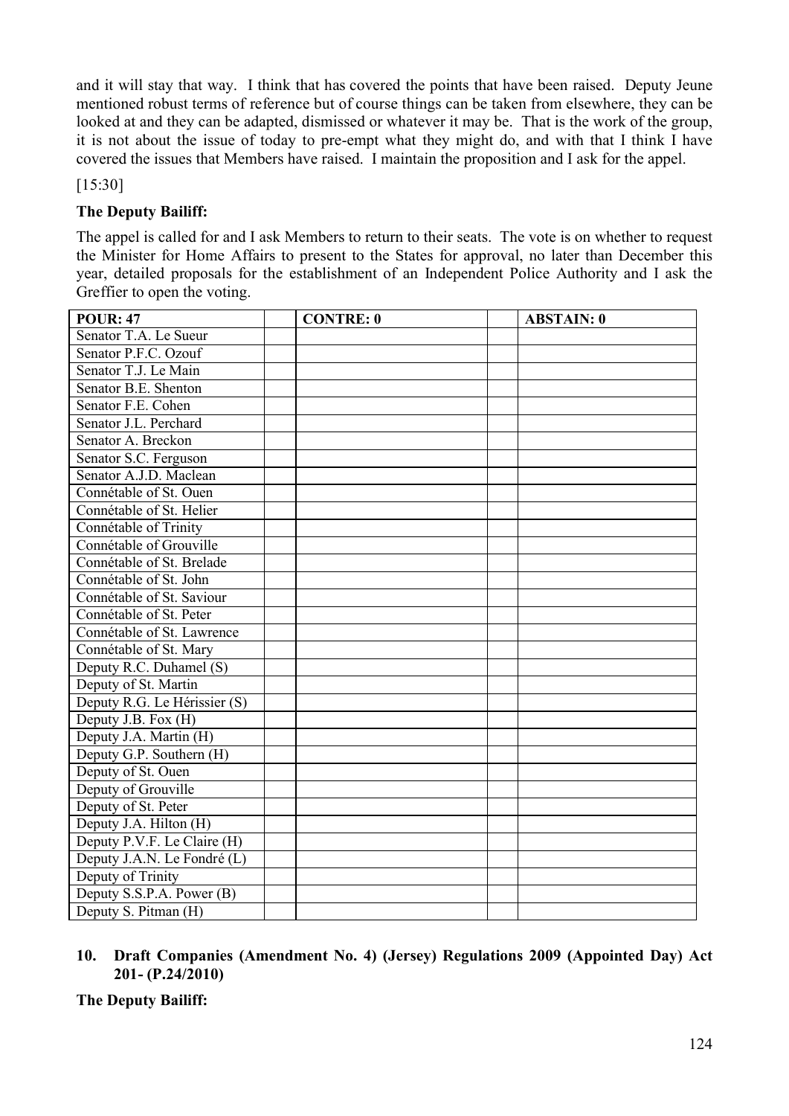and it will stay that way. I think that has covered the points that have been raised. Deputy Jeune mentioned robust terms of reference but of course things can be taken from elsewhere, they can be looked at and they can be adapted, dismissed or whatever it may be. That is the work of the group, it is not about the issue of today to pre-empt what they might do, and with that I think I have covered the issues that Members have raised. I maintain the proposition and I ask for the appel.

[15:30]

### **The Deputy Bailiff:**

The appel is called for and I ask Members to return to their seats. The vote is on whether to request the Minister for Home Affairs to present to the States for approval, no later than December this year, detailed proposals for the establishment of an Independent Police Authority and I ask the Greffier to open the voting.

| <b>POUR: 47</b>              | <b>CONTRE: 0</b> | <b>ABSTAIN: 0</b> |
|------------------------------|------------------|-------------------|
| Senator T.A. Le Sueur        |                  |                   |
| Senator P.F.C. Ozouf         |                  |                   |
| Senator T.J. Le Main         |                  |                   |
| Senator B.E. Shenton         |                  |                   |
| Senator F.E. Cohen           |                  |                   |
| Senator J.L. Perchard        |                  |                   |
| Senator A. Breckon           |                  |                   |
| Senator S.C. Ferguson        |                  |                   |
| Senator A.J.D. Maclean       |                  |                   |
| Connétable of St. Ouen       |                  |                   |
| Connétable of St. Helier     |                  |                   |
| Connétable of Trinity        |                  |                   |
| Connétable of Grouville      |                  |                   |
| Connétable of St. Brelade    |                  |                   |
| Connétable of St. John       |                  |                   |
| Connétable of St. Saviour    |                  |                   |
| Connétable of St. Peter      |                  |                   |
| Connétable of St. Lawrence   |                  |                   |
| Connétable of St. Mary       |                  |                   |
| Deputy R.C. Duhamel (S)      |                  |                   |
| Deputy of St. Martin         |                  |                   |
| Deputy R.G. Le Hérissier (S) |                  |                   |
| Deputy J.B. Fox (H)          |                  |                   |
| Deputy J.A. Martin (H)       |                  |                   |
| Deputy G.P. Southern (H)     |                  |                   |
| Deputy of St. Ouen           |                  |                   |
| Deputy of Grouville          |                  |                   |
| Deputy of St. Peter          |                  |                   |
| Deputy J.A. Hilton $(H)$     |                  |                   |
| Deputy P.V.F. Le Claire (H)  |                  |                   |
| Deputy J.A.N. Le Fondré (L)  |                  |                   |
| Deputy of Trinity            |                  |                   |
| Deputy S.S.P.A. Power (B)    |                  |                   |
| Deputy S. Pitman (H)         |                  |                   |

#### **10. Draft Companies (Amendment No. 4) (Jersey) Regulations 2009 (Appointed Day) Act 201- (P.24/2010)**

**The Deputy Bailiff:**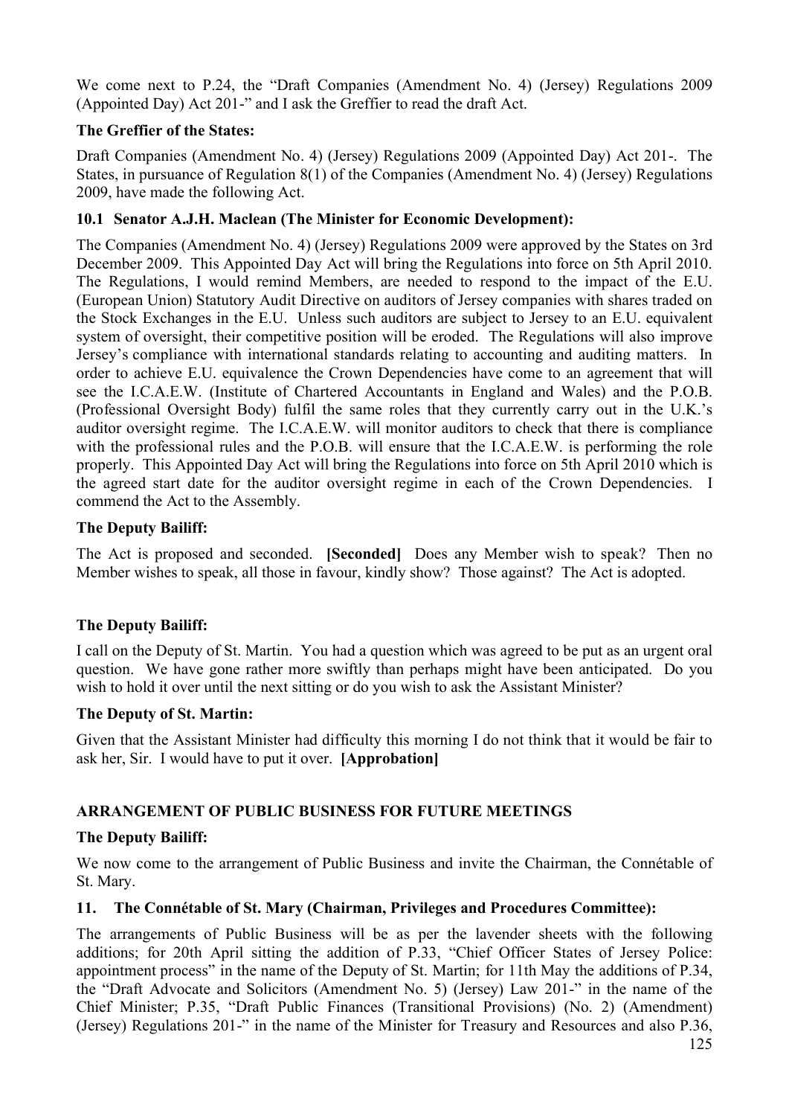We come next to P.24, the "Draft Companies (Amendment No. 4) (Jersey) Regulations 2009 (Appointed Day) Act 201-" and I ask the Greffier to read the draft Act.

## **The Greffier of the States:**

Draft Companies (Amendment No. 4) (Jersey) Regulations 2009 (Appointed Day) Act 201-. The States, in pursuance of Regulation 8(1) of the Companies (Amendment No. 4) (Jersey) Regulations 2009, have made the following Act.

### **10.1 Senator A.J.H. Maclean (The Minister for Economic Development):**

The Companies (Amendment No. 4) (Jersey) Regulations 2009 were approved by the States on 3rd December 2009. This Appointed Day Act will bring the Regulations into force on 5th April 2010. The Regulations, I would remind Members, are needed to respond to the impact of the E.U. (European Union) Statutory Audit Directive on auditors of Jersey companies with shares traded on the Stock Exchanges in the E.U. Unless such auditors are subject to Jersey to an E.U. equivalent system of oversight, their competitive position will be eroded. The Regulations will also improve Jersey's compliance with international standards relating to accounting and auditing matters. In order to achieve E.U. equivalence the Crown Dependencies have come to an agreement that will see the I.C.A.E.W. (Institute of Chartered Accountants in England and Wales) and the P.O.B. (Professional Oversight Body) fulfil the same roles that they currently carry out in the U.K.'s auditor oversight regime. The I.C.A.E.W. will monitor auditors to check that there is compliance with the professional rules and the P.O.B. will ensure that the I.C.A.E.W. is performing the role properly. This Appointed Day Act will bring the Regulations into force on 5th April 2010 which is the agreed start date for the auditor oversight regime in each of the Crown Dependencies. I commend the Act to the Assembly.

#### **The Deputy Bailiff:**

The Act is proposed and seconded. **[Seconded]** Does any Member wish to speak? Then no Member wishes to speak, all those in favour, kindly show? Those against? The Act is adopted.

## **The Deputy Bailiff:**

I call on the Deputy of St. Martin. You had a question which was agreed to be put as an urgent oral question. We have gone rather more swiftly than perhaps might have been anticipated. Do you wish to hold it over until the next sitting or do you wish to ask the Assistant Minister?

#### **The Deputy of St. Martin:**

Given that the Assistant Minister had difficulty this morning I do not think that it would be fair to ask her, Sir. I would have to put it over. **[Approbation]**

#### **ARRANGEMENT OF PUBLIC BUSINESS FOR FUTURE MEETINGS**

#### **The Deputy Bailiff:**

We now come to the arrangement of Public Business and invite the Chairman, the Connétable of St. Mary.

#### **11. The Connétable of St. Mary (Chairman, Privileges and Procedures Committee):**

The arrangements of Public Business will be as per the lavender sheets with the following additions; for 20th April sitting the addition of P.33, "Chief Officer States of Jersey Police: appointment process" in the name of the Deputy of St. Martin; for 11th May the additions of P.34, the "Draft Advocate and Solicitors (Amendment No. 5) (Jersey) Law 201-" in the name of the Chief Minister; P.35, "Draft Public Finances (Transitional Provisions) (No. 2) (Amendment) (Jersey) Regulations 201-" in the name of the Minister for Treasury and Resources and also P.36,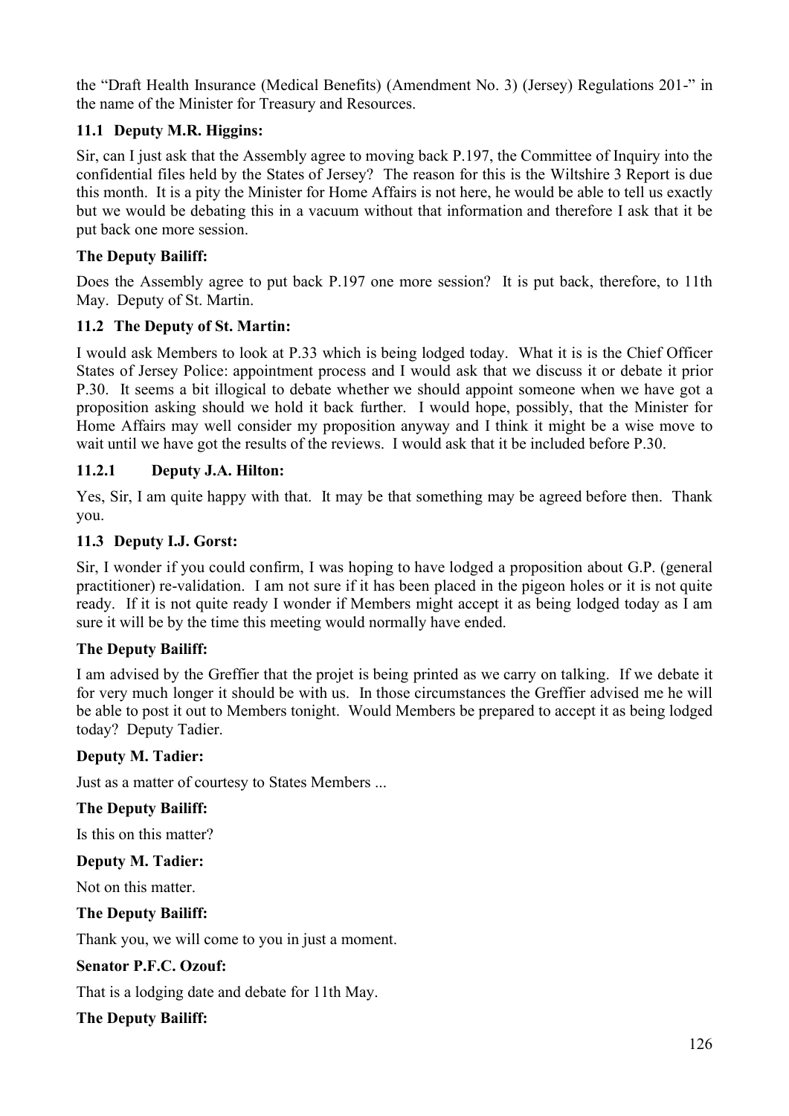the "Draft Health Insurance (Medical Benefits) (Amendment No. 3) (Jersey) Regulations 201-" in the name of the Minister for Treasury and Resources.

### **11.1 Deputy M.R. Higgins:**

Sir, can I just ask that the Assembly agree to moving back P.197, the Committee of Inquiry into the confidential files held by the States of Jersey? The reason for this is the Wiltshire 3 Report is due this month. It is a pity the Minister for Home Affairs is not here, he would be able to tell us exactly but we would be debating this in a vacuum without that information and therefore I ask that it be put back one more session.

### **The Deputy Bailiff:**

Does the Assembly agree to put back P.197 one more session? It is put back, therefore, to 11th May. Deputy of St. Martin.

### **11.2 The Deputy of St. Martin:**

I would ask Members to look at P.33 which is being lodged today. What it is is the Chief Officer States of Jersey Police: appointment process and I would ask that we discuss it or debate it prior P.30. It seems a bit illogical to debate whether we should appoint someone when we have got a proposition asking should we hold it back further. I would hope, possibly, that the Minister for Home Affairs may well consider my proposition anyway and I think it might be a wise move to wait until we have got the results of the reviews. I would ask that it be included before P.30.

#### **11.2.1 Deputy J.A. Hilton:**

Yes, Sir, I am quite happy with that. It may be that something may be agreed before then. Thank you.

### **11.3 Deputy I.J. Gorst:**

Sir, I wonder if you could confirm, I was hoping to have lodged a proposition about G.P. (general practitioner) re-validation. I am not sure if it has been placed in the pigeon holes or it is not quite ready. If it is not quite ready I wonder if Members might accept it as being lodged today as I am sure it will be by the time this meeting would normally have ended.

#### **The Deputy Bailiff:**

I am advised by the Greffier that the projet is being printed as we carry on talking. If we debate it for very much longer it should be with us. In those circumstances the Greffier advised me he will be able to post it out to Members tonight. Would Members be prepared to accept it as being lodged today? Deputy Tadier.

#### **Deputy M. Tadier:**

Just as a matter of courtesy to States Members ...

#### **The Deputy Bailiff:**

Is this on this matter?

#### **Deputy M. Tadier:**

Not on this matter.

**The Deputy Bailiff:**

Thank you, we will come to you in just a moment.

#### **Senator P.F.C. Ozouf:**

That is a lodging date and debate for 11th May.

#### **The Deputy Bailiff:**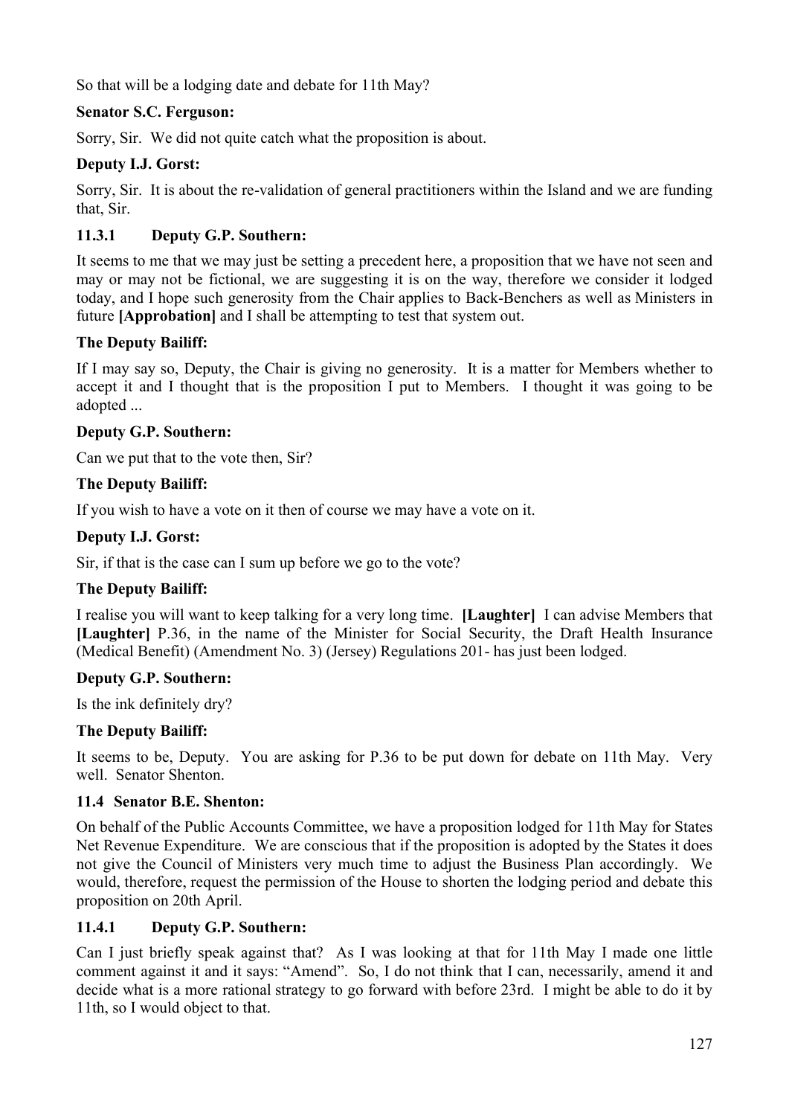So that will be a lodging date and debate for 11th May?

## **Senator S.C. Ferguson:**

Sorry, Sir. We did not quite catch what the proposition is about.

### **Deputy I.J. Gorst:**

Sorry, Sir. It is about the re-validation of general practitioners within the Island and we are funding that, Sir.

## **11.3.1 Deputy G.P. Southern:**

It seems to me that we may just be setting a precedent here, a proposition that we have not seen and may or may not be fictional, we are suggesting it is on the way, therefore we consider it lodged today, and I hope such generosity from the Chair applies to Back-Benchers as well as Ministers in future **[Approbation]** and I shall be attempting to test that system out.

#### **The Deputy Bailiff:**

If I may say so, Deputy, the Chair is giving no generosity. It is a matter for Members whether to accept it and I thought that is the proposition I put to Members. I thought it was going to be adopted ...

### **Deputy G.P. Southern:**

Can we put that to the vote then, Sir?

### **The Deputy Bailiff:**

If you wish to have a vote on it then of course we may have a vote on it.

#### **Deputy I.J. Gorst:**

Sir, if that is the case can I sum up before we go to the vote?

#### **The Deputy Bailiff:**

I realise you will want to keep talking for a very long time. **[Laughter]** I can advise Members that **[Laughter]** P.36, in the name of the Minister for Social Security, the Draft Health Insurance (Medical Benefit) (Amendment No. 3) (Jersey) Regulations 201- has just been lodged.

#### **Deputy G.P. Southern:**

Is the ink definitely dry?

#### **The Deputy Bailiff:**

It seems to be, Deputy. You are asking for P.36 to be put down for debate on 11th May. Very well. Senator Shenton.

#### **11.4 Senator B.E. Shenton:**

On behalf of the Public Accounts Committee, we have a proposition lodged for 11th May for States Net Revenue Expenditure. We are conscious that if the proposition is adopted by the States it does not give the Council of Ministers very much time to adjust the Business Plan accordingly. We would, therefore, request the permission of the House to shorten the lodging period and debate this proposition on 20th April.

#### **11.4.1 Deputy G.P. Southern:**

Can I just briefly speak against that? As I was looking at that for 11th May I made one little comment against it and it says: "Amend". So, I do not think that I can, necessarily, amend it and decide what is a more rational strategy to go forward with before 23rd. I might be able to do it by 11th, so I would object to that.